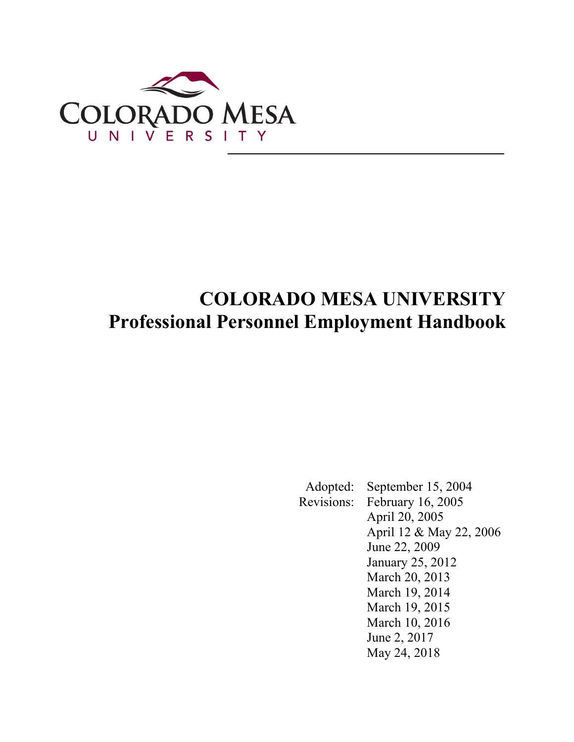

# **COLORADO MESA UNIVERSITY Professional Personnel Employment Handbook**

 Adopted: September 15, 2004 Revisions: February 16, 2005 April 20, 2005 April 12 & May 22, 2006 June 22, 2009 January 25, 2012 March 20, 2013 March 19, 2014 March 19, 2015 March 10, 2016 June 2, 2017 May 24, 2018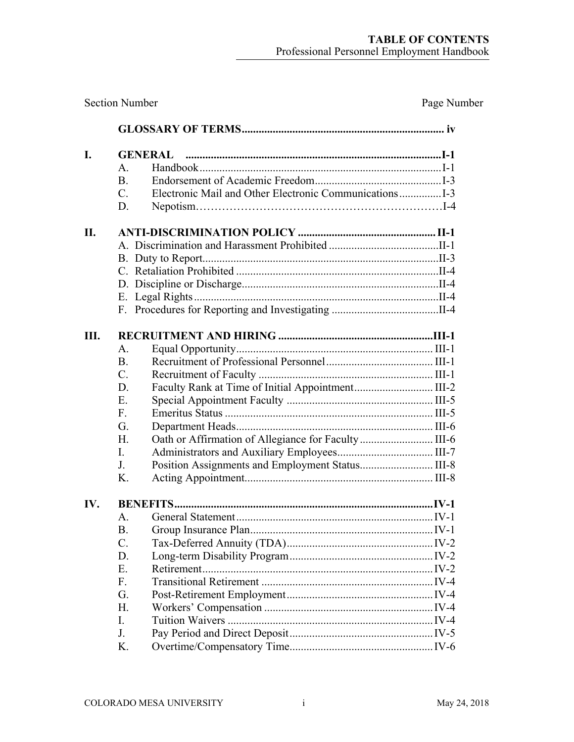| <b>Section Number</b> | Page Number                                             |  |
|-----------------------|---------------------------------------------------------|--|
|                       |                                                         |  |
| I.                    |                                                         |  |
|                       | A.                                                      |  |
|                       | <b>B.</b>                                               |  |
|                       | $C_{\cdot}$                                             |  |
|                       | D.                                                      |  |
| II.                   |                                                         |  |
|                       |                                                         |  |
|                       |                                                         |  |
|                       |                                                         |  |
|                       |                                                         |  |
|                       |                                                         |  |
|                       |                                                         |  |
| Ш.                    |                                                         |  |
|                       | A.                                                      |  |
|                       | <b>B.</b>                                               |  |
|                       | $C_{\cdot}$                                             |  |
|                       | Faculty Rank at Time of Initial Appointment III-2<br>D. |  |
|                       | E.                                                      |  |
|                       | F <sub>r</sub>                                          |  |
|                       | G.                                                      |  |
|                       | H.                                                      |  |
|                       | L.                                                      |  |
|                       | J.                                                      |  |
|                       | K.                                                      |  |
| IV.                   |                                                         |  |
|                       |                                                         |  |
|                       | <b>B.</b>                                               |  |
|                       | $C_{\cdot}$                                             |  |
|                       | D.                                                      |  |
|                       | E.                                                      |  |
|                       | F <sub>r</sub>                                          |  |
|                       | G.                                                      |  |
|                       | H.                                                      |  |
|                       | L.                                                      |  |
|                       | J.                                                      |  |
|                       | K.                                                      |  |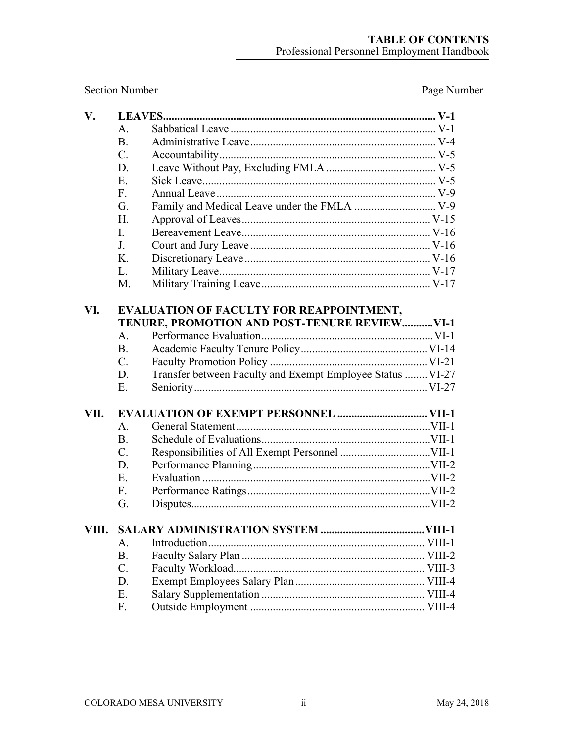Section Number Page Number

| $V_{\bullet}$ |                                               |                                                            |  |  |  |
|---------------|-----------------------------------------------|------------------------------------------------------------|--|--|--|
|               | $\mathsf{A}$ .                                |                                                            |  |  |  |
|               | <b>B.</b>                                     |                                                            |  |  |  |
|               | C.                                            |                                                            |  |  |  |
|               | D.                                            |                                                            |  |  |  |
|               | E.                                            |                                                            |  |  |  |
|               | F <sub>r</sub>                                |                                                            |  |  |  |
|               | G.                                            |                                                            |  |  |  |
|               | H.                                            |                                                            |  |  |  |
|               | L.                                            |                                                            |  |  |  |
|               | J <sub>r</sub>                                |                                                            |  |  |  |
|               | K.                                            |                                                            |  |  |  |
|               | L.                                            |                                                            |  |  |  |
|               | M.                                            |                                                            |  |  |  |
| VI.           | EVALUATION OF FACULTY FOR REAPPOINTMENT,      |                                                            |  |  |  |
|               | TENURE, PROMOTION AND POST-TENURE REVIEW VI-1 |                                                            |  |  |  |
|               | A.                                            |                                                            |  |  |  |
|               | <b>B.</b>                                     |                                                            |  |  |  |
|               | $C_{\cdot}$                                   |                                                            |  |  |  |
|               | D.                                            | Transfer between Faculty and Exempt Employee Status  VI-27 |  |  |  |
|               | E.                                            |                                                            |  |  |  |
|               |                                               |                                                            |  |  |  |
| VII.          |                                               |                                                            |  |  |  |
|               | A.                                            |                                                            |  |  |  |
|               | <b>B.</b>                                     |                                                            |  |  |  |
|               | $C_{\cdot}$                                   |                                                            |  |  |  |
|               | D.                                            |                                                            |  |  |  |
|               | E.                                            |                                                            |  |  |  |
|               | $F_{\rm{L}}$                                  |                                                            |  |  |  |
|               | G.                                            |                                                            |  |  |  |
|               |                                               | VIII. SALARY ADMINISTRATION SYSTEM<br>VIII <sub>-1</sub>   |  |  |  |
|               | A.                                            |                                                            |  |  |  |
|               | <b>B.</b>                                     |                                                            |  |  |  |
|               | $C_{\cdot}$                                   |                                                            |  |  |  |
|               | D.                                            |                                                            |  |  |  |
|               | E.                                            |                                                            |  |  |  |
|               | F.                                            |                                                            |  |  |  |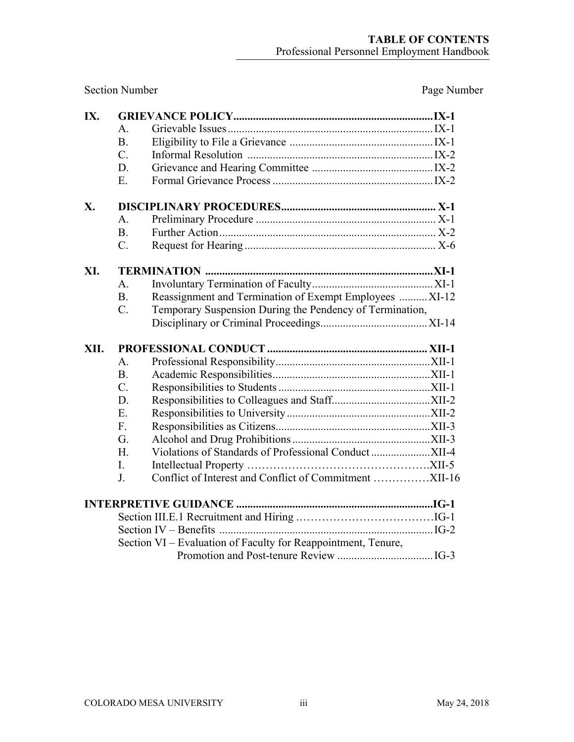Section Number Page Number

| IX.  |             |                                                               |  |
|------|-------------|---------------------------------------------------------------|--|
|      | A.          |                                                               |  |
|      | <b>B.</b>   |                                                               |  |
|      | $C_{\cdot}$ |                                                               |  |
|      | D.          |                                                               |  |
|      | E.          |                                                               |  |
| X.   |             |                                                               |  |
|      | A.          |                                                               |  |
|      | <b>B.</b>   |                                                               |  |
|      | $C_{\cdot}$ |                                                               |  |
| XI.  |             |                                                               |  |
|      | $A$ .       |                                                               |  |
|      | <b>B.</b>   | Reassignment and Termination of Exempt Employees  XI-12       |  |
|      | $C_{\cdot}$ | Temporary Suspension During the Pendency of Termination,      |  |
|      |             |                                                               |  |
|      |             |                                                               |  |
| XII. |             |                                                               |  |
|      | A.          |                                                               |  |
|      | <b>B.</b>   |                                                               |  |
|      | $C_{\cdot}$ |                                                               |  |
|      | D.          |                                                               |  |
|      | E.          |                                                               |  |
|      | F.          |                                                               |  |
|      | G.          |                                                               |  |
|      | H.          |                                                               |  |
|      | I.          |                                                               |  |
|      | J.          |                                                               |  |
|      |             |                                                               |  |
|      |             |                                                               |  |
|      |             |                                                               |  |
|      |             | Section VI - Evaluation of Faculty for Reappointment, Tenure, |  |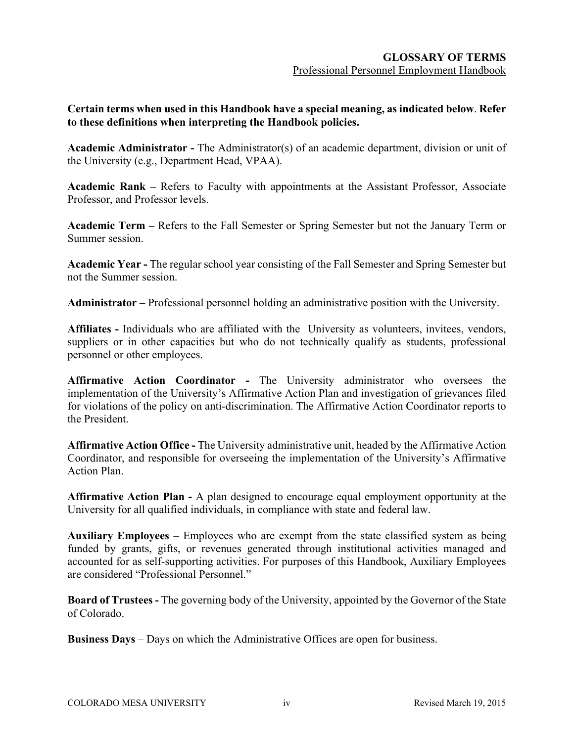**Certain terms when used in this Handbook have a special meaning, as indicated below**. **Refer to these definitions when interpreting the Handbook policies.**

**Academic Administrator -** The Administrator(s) of an academic department, division or unit of the University (e.g., Department Head, VPAA).

**Academic Rank –** Refers to Faculty with appointments at the Assistant Professor, Associate Professor, and Professor levels.

**Academic Term –** Refers to the Fall Semester or Spring Semester but not the January Term or Summer session.

**Academic Year -** The regular school year consisting of the Fall Semester and Spring Semester but not the Summer session.

**Administrator –** Professional personnel holding an administrative position with the University.

**Affiliates -** Individuals who are affiliated with the University as volunteers, invitees, vendors, suppliers or in other capacities but who do not technically qualify as students, professional personnel or other employees.

**Affirmative Action Coordinator -** The University administrator who oversees the implementation of the University's Affirmative Action Plan and investigation of grievances filed for violations of the policy on anti-discrimination. The Affirmative Action Coordinator reports to the President.

**Affirmative Action Office -** The University administrative unit, headed by the Affirmative Action Coordinator, and responsible for overseeing the implementation of the University's Affirmative Action Plan.

**Affirmative Action Plan -** A plan designed to encourage equal employment opportunity at the University for all qualified individuals, in compliance with state and federal law.

**Auxiliary Employees** – Employees who are exempt from the state classified system as being funded by grants, gifts, or revenues generated through institutional activities managed and accounted for as self-supporting activities. For purposes of this Handbook, Auxiliary Employees are considered "Professional Personnel."

**Board of Trustees -** The governing body of the University, appointed by the Governor of the State of Colorado.

**Business Days** – Days on which the Administrative Offices are open for business.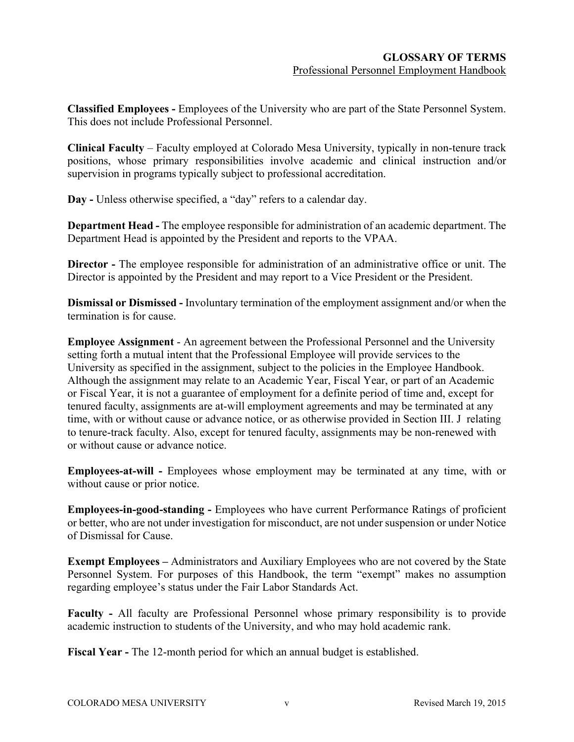**Classified Employees -** Employees of the University who are part of the State Personnel System. This does not include Professional Personnel.

**Clinical Faculty** – Faculty employed at Colorado Mesa University, typically in non-tenure track positions, whose primary responsibilities involve academic and clinical instruction and/or supervision in programs typically subject to professional accreditation.

**Day -** Unless otherwise specified, a "day" refers to a calendar day.

**Department Head -** The employee responsible for administration of an academic department. The Department Head is appointed by the President and reports to the VPAA.

**Director -** The employee responsible for administration of an administrative office or unit. The Director is appointed by the President and may report to a Vice President or the President.

**Dismissal or Dismissed -** Involuntary termination of the employment assignment and/or when the termination is for cause.

**Employee Assignment** - An agreement between the Professional Personnel and the University setting forth a mutual intent that the Professional Employee will provide services to the University as specified in the assignment, subject to the policies in the Employee Handbook. Although the assignment may relate to an Academic Year, Fiscal Year, or part of an Academic or Fiscal Year, it is not a guarantee of employment for a definite period of time and, except for tenured faculty, assignments are at-will employment agreements and may be terminated at any time, with or without cause or advance notice, or as otherwise provided in Section III. J relating to tenure-track faculty. Also, except for tenured faculty, assignments may be non-renewed with or without cause or advance notice.

**Employees-at-will -** Employees whose employment may be terminated at any time, with or without cause or prior notice.

**Employees-in-good-standing -** Employees who have current Performance Ratings of proficient or better, who are not under investigation for misconduct, are not under suspension or under Notice of Dismissal for Cause.

**Exempt Employees –** Administrators and Auxiliary Employees who are not covered by the State Personnel System. For purposes of this Handbook, the term "exempt" makes no assumption regarding employee's status under the Fair Labor Standards Act.

**Faculty -** All faculty are Professional Personnel whose primary responsibility is to provide academic instruction to students of the University, and who may hold academic rank.

**Fiscal Year -** The 12-month period for which an annual budget is established.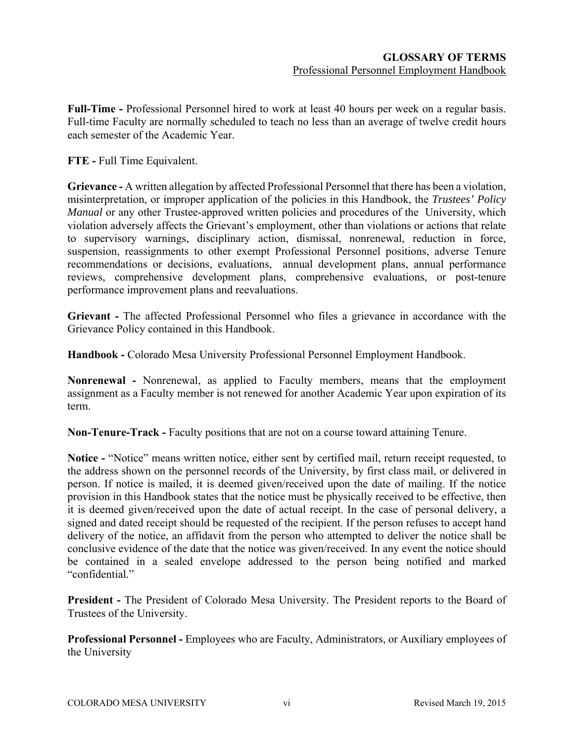**Full-Time -** Professional Personnel hired to work at least 40 hours per week on a regular basis. Full-time Faculty are normally scheduled to teach no less than an average of twelve credit hours each semester of the Academic Year.

**FTE -** Full Time Equivalent.

**Grievance -** A written allegation by affected Professional Personnel that there has been a violation, misinterpretation, or improper application of the policies in this Handbook, the *Trustees' Policy Manual* or any other Trustee-approved written policies and procedures of the University, which violation adversely affects the Grievant's employment, other than violations or actions that relate to supervisory warnings, disciplinary action, dismissal, nonrenewal, reduction in force, suspension, reassignments to other exempt Professional Personnel positions, adverse Tenure recommendations or decisions, evaluations, annual development plans, annual performance reviews, comprehensive development plans, comprehensive evaluations, or post-tenure performance improvement plans and reevaluations.

**Grievant -** The affected Professional Personnel who files a grievance in accordance with the Grievance Policy contained in this Handbook.

**Handbook -** Colorado Mesa University Professional Personnel Employment Handbook.

**Nonrenewal -** Nonrenewal, as applied to Faculty members, means that the employment assignment as a Faculty member is not renewed for another Academic Year upon expiration of its term.

**Non-Tenure-Track -** Faculty positions that are not on a course toward attaining Tenure.

**Notice -** "Notice" means written notice, either sent by certified mail, return receipt requested, to the address shown on the personnel records of the University, by first class mail, or delivered in person. If notice is mailed, it is deemed given/received upon the date of mailing. If the notice provision in this Handbook states that the notice must be physically received to be effective, then it is deemed given/received upon the date of actual receipt. In the case of personal delivery, a signed and dated receipt should be requested of the recipient. If the person refuses to accept hand delivery of the notice, an affidavit from the person who attempted to deliver the notice shall be conclusive evidence of the date that the notice was given/received. In any event the notice should be contained in a sealed envelope addressed to the person being notified and marked "confidential."

**President -** The President of Colorado Mesa University. The President reports to the Board of Trustees of the University.

**Professional Personnel -** Employees who are Faculty, Administrators, or Auxiliary employees of the University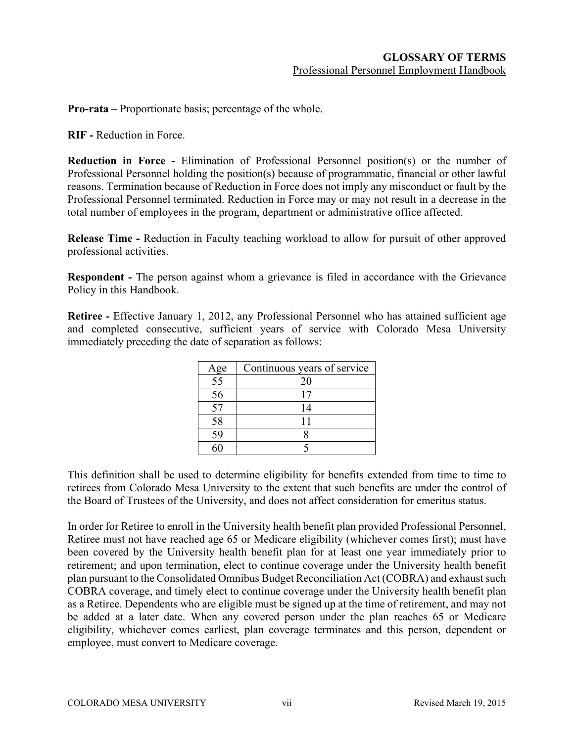**Pro-rata** – Proportionate basis; percentage of the whole.

**RIF -** Reduction in Force.

**Reduction in Force -** Elimination of Professional Personnel position(s) or the number of Professional Personnel holding the position(s) because of programmatic, financial or other lawful reasons. Termination because of Reduction in Force does not imply any misconduct or fault by the Professional Personnel terminated. Reduction in Force may or may not result in a decrease in the total number of employees in the program, department or administrative office affected.

**Release Time -** Reduction in Faculty teaching workload to allow for pursuit of other approved professional activities.

**Respondent -** The person against whom a grievance is filed in accordance with the Grievance Policy in this Handbook.

**Retiree -** Effective January 1, 2012, any Professional Personnel who has attained sufficient age and completed consecutive, sufficient years of service with Colorado Mesa University immediately preceding the date of separation as follows:

| Age | Continuous years of service |
|-----|-----------------------------|
| 55  | 20                          |
| 56  |                             |
| 57  | 14                          |
| 58  |                             |
| 59  |                             |
|     |                             |

This definition shall be used to determine eligibility for benefits extended from time to time to retirees from Colorado Mesa University to the extent that such benefits are under the control of the Board of Trustees of the University, and does not affect consideration for emeritus status.

In order for Retiree to enroll in the University health benefit plan provided Professional Personnel, Retiree must not have reached age 65 or Medicare eligibility (whichever comes first); must have been covered by the University health benefit plan for at least one year immediately prior to retirement; and upon termination, elect to continue coverage under the University health benefit plan pursuant to the Consolidated Omnibus Budget Reconciliation Act (COBRA) and exhaust such COBRA coverage, and timely elect to continue coverage under the University health benefit plan as a Retiree. Dependents who are eligible must be signed up at the time of retirement, and may not be added at a later date. When any covered person under the plan reaches 65 or Medicare eligibility, whichever comes earliest, plan coverage terminates and this person, dependent or employee, must convert to Medicare coverage.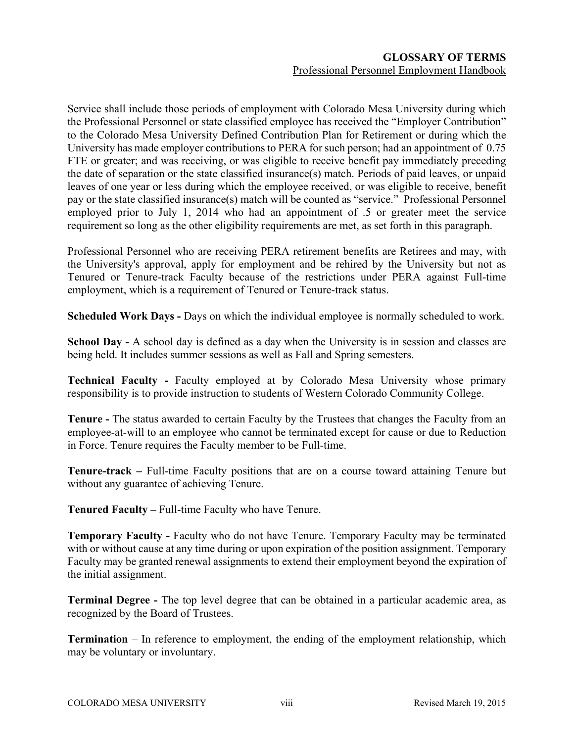Service shall include those periods of employment with Colorado Mesa University during which the Professional Personnel or state classified employee has received the "Employer Contribution" to the Colorado Mesa University Defined Contribution Plan for Retirement or during which the University has made employer contributions to PERA for such person; had an appointment of 0.75 FTE or greater; and was receiving, or was eligible to receive benefit pay immediately preceding the date of separation or the state classified insurance(s) match. Periods of paid leaves, or unpaid leaves of one year or less during which the employee received, or was eligible to receive, benefit pay or the state classified insurance(s) match will be counted as "service." Professional Personnel employed prior to July 1, 2014 who had an appointment of .5 or greater meet the service requirement so long as the other eligibility requirements are met, as set forth in this paragraph.

Professional Personnel who are receiving PERA retirement benefits are Retirees and may, with the University's approval, apply for employment and be rehired by the University but not as Tenured or Tenure-track Faculty because of the restrictions under PERA against Full-time employment, which is a requirement of Tenured or Tenure-track status.

**Scheduled Work Days -** Days on which the individual employee is normally scheduled to work.

**School Day -** A school day is defined as a day when the University is in session and classes are being held. It includes summer sessions as well as Fall and Spring semesters.

**Technical Faculty -** Faculty employed at by Colorado Mesa University whose primary responsibility is to provide instruction to students of Western Colorado Community College.

**Tenure -** The status awarded to certain Faculty by the Trustees that changes the Faculty from an employee-at-will to an employee who cannot be terminated except for cause or due to Reduction in Force. Tenure requires the Faculty member to be Full-time.

**Tenure-track –** Full-time Faculty positions that are on a course toward attaining Tenure but without any guarantee of achieving Tenure.

**Tenured Faculty –** Full-time Faculty who have Tenure.

**Temporary Faculty -** Faculty who do not have Tenure. Temporary Faculty may be terminated with or without cause at any time during or upon expiration of the position assignment. Temporary Faculty may be granted renewal assignments to extend their employment beyond the expiration of the initial assignment.

**Terminal Degree -** The top level degree that can be obtained in a particular academic area, as recognized by the Board of Trustees.

**Termination** – In reference to employment, the ending of the employment relationship, which may be voluntary or involuntary.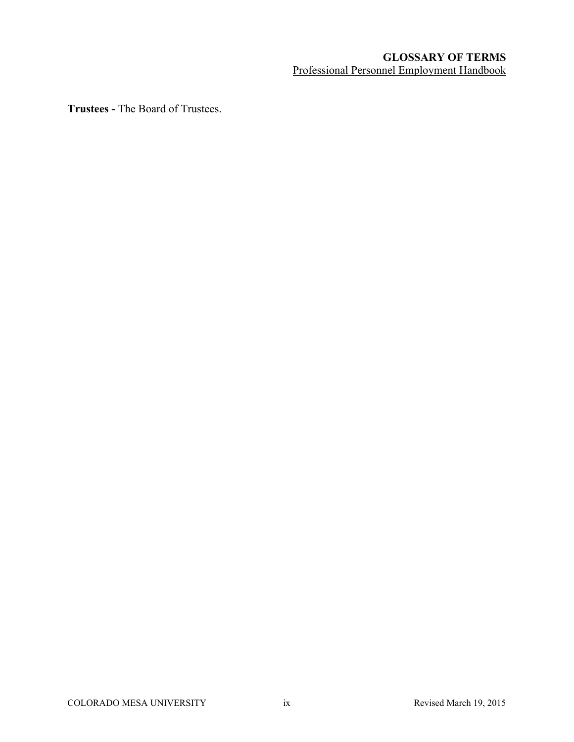# **GLOSSARY OF TERMS** Professional Personnel Employment Handbook

**Trustees -** The Board of Trustees.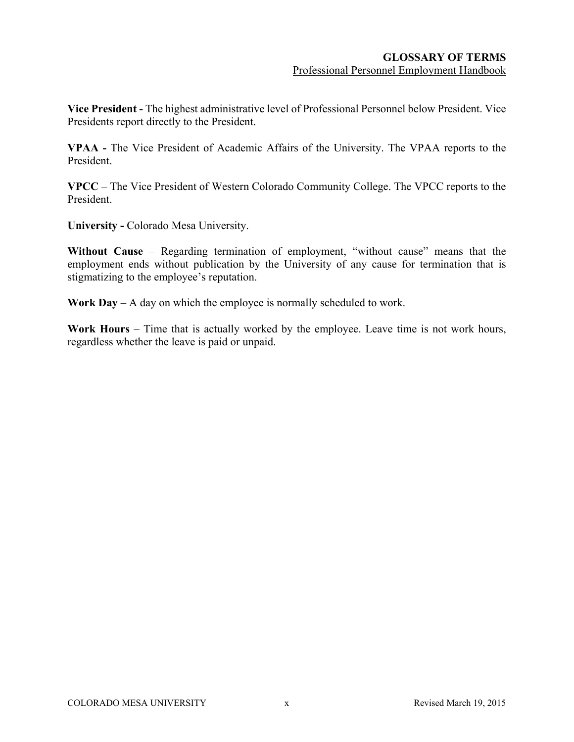**Vice President -** The highest administrative level of Professional Personnel below President. Vice Presidents report directly to the President.

**VPAA -** The Vice President of Academic Affairs of the University. The VPAA reports to the President.

**VPCC** – The Vice President of Western Colorado Community College. The VPCC reports to the President.

**University -** Colorado Mesa University.

**Without Cause** – Regarding termination of employment, "without cause" means that the employment ends without publication by the University of any cause for termination that is stigmatizing to the employee's reputation.

**Work Day** – A day on which the employee is normally scheduled to work.

**Work Hours** – Time that is actually worked by the employee. Leave time is not work hours, regardless whether the leave is paid or unpaid.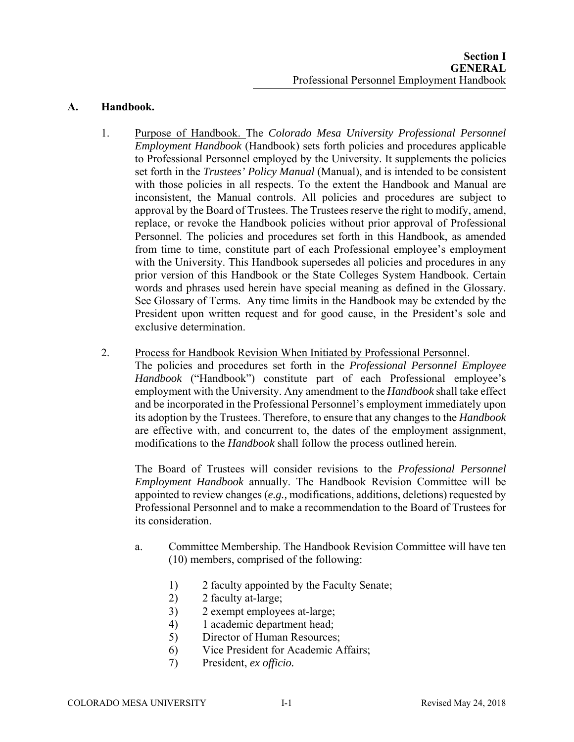### **A. Handbook.**

- 1. Purpose of Handbook. The *Colorado Mesa University Professional Personnel Employment Handbook* (Handbook) sets forth policies and procedures applicable to Professional Personnel employed by the University. It supplements the policies set forth in the *Trustees' Policy Manual* (Manual), and is intended to be consistent with those policies in all respects. To the extent the Handbook and Manual are inconsistent, the Manual controls. All policies and procedures are subject to approval by the Board of Trustees. The Trustees reserve the right to modify, amend, replace, or revoke the Handbook policies without prior approval of Professional Personnel. The policies and procedures set forth in this Handbook, as amended from time to time, constitute part of each Professional employee's employment with the University. This Handbook supersedes all policies and procedures in any prior version of this Handbook or the State Colleges System Handbook. Certain words and phrases used herein have special meaning as defined in the Glossary. See Glossary of Terms. Any time limits in the Handbook may be extended by the President upon written request and for good cause, in the President's sole and exclusive determination.
- 2. Process for Handbook Revision When Initiated by Professional Personnel.

The policies and procedures set forth in the *Professional Personnel Employee Handbook* ("Handbook") constitute part of each Professional employee's employment with the University. Any amendment to the *Handbook* shall take effect and be incorporated in the Professional Personnel's employment immediately upon its adoption by the Trustees. Therefore, to ensure that any changes to the *Handbook* are effective with, and concurrent to, the dates of the employment assignment, modifications to the *Handbook* shall follow the process outlined herein.

The Board of Trustees will consider revisions to the *Professional Personnel Employment Handbook* annually. The Handbook Revision Committee will be appointed to review changes (*e.g.,* modifications, additions, deletions) requested by Professional Personnel and to make a recommendation to the Board of Trustees for its consideration.

- a. Committee Membership. The Handbook Revision Committee will have ten (10) members, comprised of the following:
	- 1) 2 faculty appointed by the Faculty Senate;
	- 2) 2 faculty at-large;
	- 3) 2 exempt employees at-large;
	- 4) 1 academic department head;
	- 5) Director of Human Resources;
	- 6) Vice President for Academic Affairs;
	- 7) President, *ex officio.*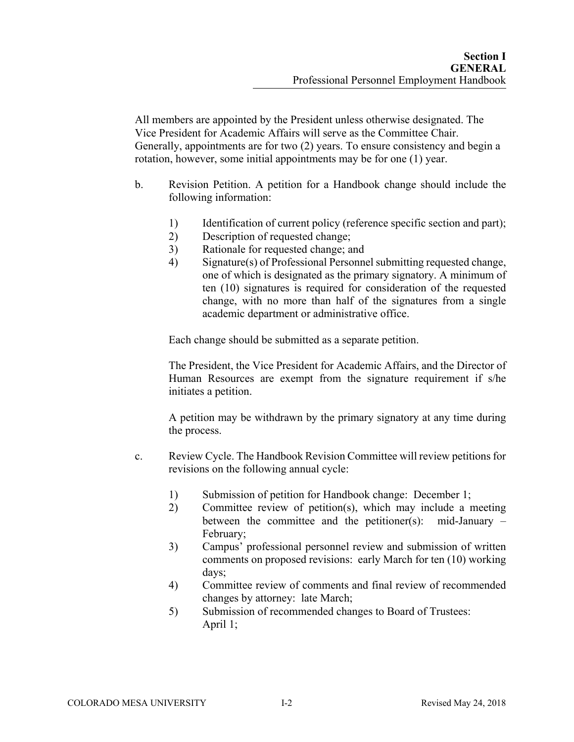All members are appointed by the President unless otherwise designated. The Vice President for Academic Affairs will serve as the Committee Chair. Generally, appointments are for two (2) years. To ensure consistency and begin a rotation, however, some initial appointments may be for one (1) year.

- b. Revision Petition. A petition for a Handbook change should include the following information:
	- 1) Identification of current policy (reference specific section and part);
	- 2) Description of requested change;
	- 3) Rationale for requested change; and
	- 4) Signature(s) of Professional Personnel submitting requested change, one of which is designated as the primary signatory. A minimum of ten (10) signatures is required for consideration of the requested change, with no more than half of the signatures from a single academic department or administrative office.

Each change should be submitted as a separate petition.

The President, the Vice President for Academic Affairs, and the Director of Human Resources are exempt from the signature requirement if s/he initiates a petition.

A petition may be withdrawn by the primary signatory at any time during the process.

- c. Review Cycle. The Handbook Revision Committee will review petitions for revisions on the following annual cycle:
	- 1) Submission of petition for Handbook change: December 1;
	- 2) Committee review of petition(s), which may include a meeting between the committee and the petitioner(s): mid-January – February;
	- 3) Campus' professional personnel review and submission of written comments on proposed revisions: early March for ten (10) working days;
	- 4) Committee review of comments and final review of recommended changes by attorney: late March;
	- 5) Submission of recommended changes to Board of Trustees: April 1;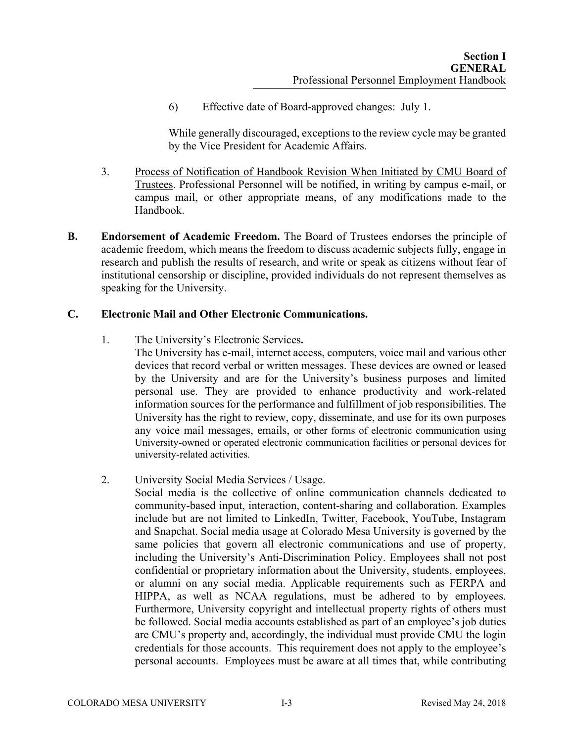6) Effective date of Board-approved changes: July 1.

While generally discouraged, exceptions to the review cycle may be granted by the Vice President for Academic Affairs.

- 3. Process of Notification of Handbook Revision When Initiated by CMU Board of Trustees. Professional Personnel will be notified, in writing by campus e-mail, or campus mail, or other appropriate means, of any modifications made to the Handbook.
- **B. Endorsement of Academic Freedom.** The Board of Trustees endorses the principle of academic freedom, which means the freedom to discuss academic subjects fully, engage in research and publish the results of research, and write or speak as citizens without fear of institutional censorship or discipline, provided individuals do not represent themselves as speaking for the University.

# **C. Electronic Mail and Other Electronic Communications.**

1. The University's Electronic Services**.** 

The University has e-mail, internet access, computers, voice mail and various other devices that record verbal or written messages. These devices are owned or leased by the University and are for the University's business purposes and limited personal use. They are provided to enhance productivity and work-related information sources for the performance and fulfillment of job responsibilities. The University has the right to review, copy, disseminate, and use for its own purposes any voice mail messages, emails, or other forms of electronic communication using University-owned or operated electronic communication facilities or personal devices for university-related activities.

2. University Social Media Services / Usage.

Social media is the collective of online communication channels dedicated to community-based input, interaction, content-sharing and collaboration. Examples include but are not limited to LinkedIn, Twitter, Facebook, YouTube, Instagram and Snapchat. Social media usage at Colorado Mesa University is governed by the same policies that govern all electronic communications and use of property, including the University's Anti-Discrimination Policy. Employees shall not post confidential or proprietary information about the University, students, employees, or alumni on any social media. Applicable requirements such as FERPA and HIPPA, as well as NCAA regulations, must be adhered to by employees. Furthermore, University copyright and intellectual property rights of others must be followed. Social media accounts established as part of an employee's job duties are CMU's property and, accordingly, the individual must provide CMU the login credentials for those accounts. This requirement does not apply to the employee's personal accounts. Employees must be aware at all times that, while contributing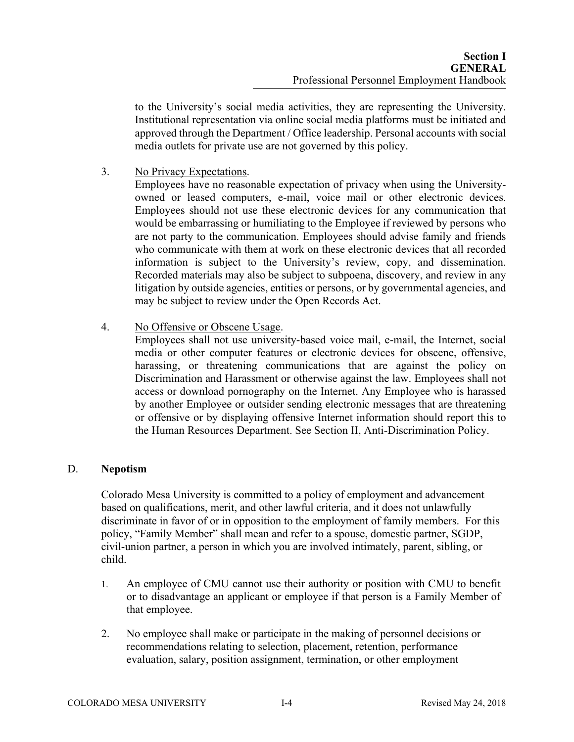to the University's social media activities, they are representing the University. Institutional representation via online social media platforms must be initiated and approved through the Department / Office leadership. Personal accounts with social media outlets for private use are not governed by this policy.

3. No Privacy Expectations.

Employees have no reasonable expectation of privacy when using the Universityowned or leased computers, e-mail, voice mail or other electronic devices. Employees should not use these electronic devices for any communication that would be embarrassing or humiliating to the Employee if reviewed by persons who are not party to the communication. Employees should advise family and friends who communicate with them at work on these electronic devices that all recorded information is subject to the University's review, copy, and dissemination. Recorded materials may also be subject to subpoena, discovery, and review in any litigation by outside agencies, entities or persons, or by governmental agencies, and may be subject to review under the Open Records Act.

4. No Offensive or Obscene Usage.

Employees shall not use university-based voice mail, e-mail, the Internet, social media or other computer features or electronic devices for obscene, offensive, harassing, or threatening communications that are against the policy on Discrimination and Harassment or otherwise against the law. Employees shall not access or download pornography on the Internet. Any Employee who is harassed by another Employee or outsider sending electronic messages that are threatening or offensive or by displaying offensive Internet information should report this to the Human Resources Department. See Section II, Anti-Discrimination Policy.

#### D. **Nepotism**

Colorado Mesa University is committed to a policy of employment and advancement based on qualifications, merit, and other lawful criteria, and it does not unlawfully discriminate in favor of or in opposition to the employment of family members. For this policy, "Family Member" shall mean and refer to a spouse, domestic partner, SGDP, civil-union partner, a person in which you are involved intimately, parent, sibling, or child.

- 1. An employee of CMU cannot use their authority or position with CMU to benefit or to disadvantage an applicant or employee if that person is a Family Member of that employee.
- 2. No employee shall make or participate in the making of personnel decisions or recommendations relating to selection, placement, retention, performance evaluation, salary, position assignment, termination, or other employment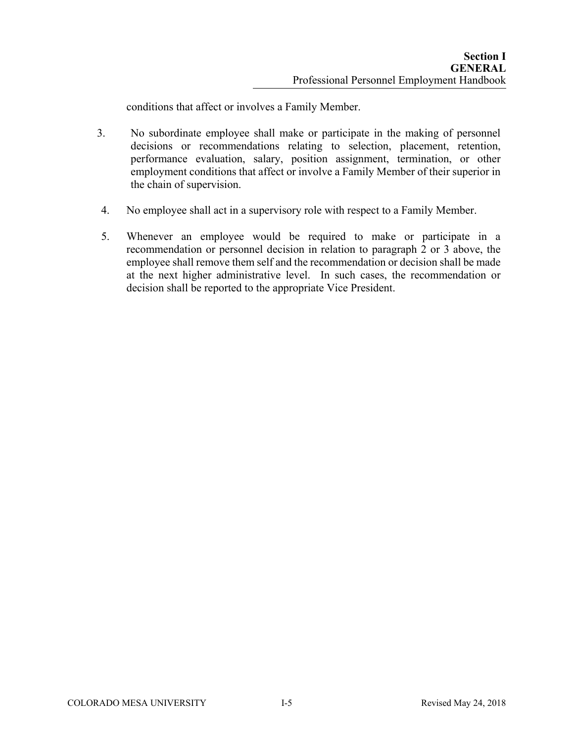conditions that affect or involves a Family Member.

- 3. No subordinate employee shall make or participate in the making of personnel decisions or recommendations relating to selection, placement, retention, performance evaluation, salary, position assignment, termination, or other employment conditions that affect or involve a Family Member of their superior in the chain of supervision.
- 4. No employee shall act in a supervisory role with respect to a Family Member.
- 5. Whenever an employee would be required to make or participate in a recommendation or personnel decision in relation to paragraph 2 or 3 above, the employee shall remove them self and the recommendation or decision shall be made at the next higher administrative level. In such cases, the recommendation or decision shall be reported to the appropriate Vice President.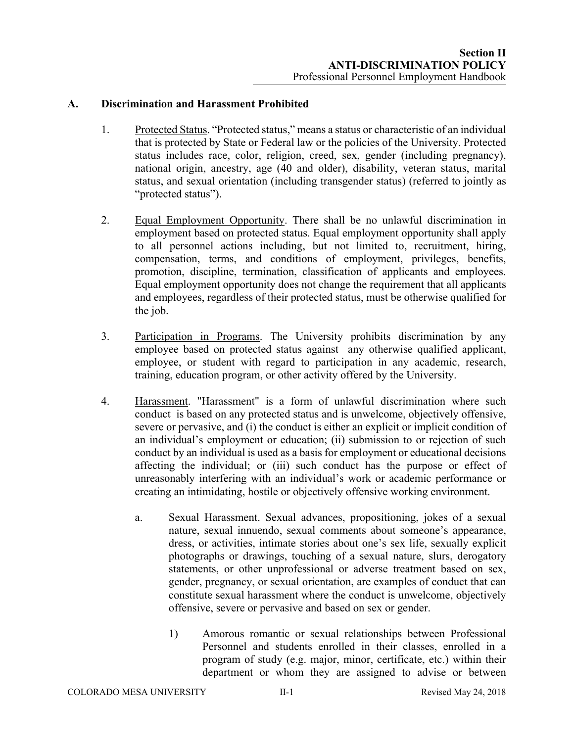### **A. Discrimination and Harassment Prohibited**

- 1. Protected Status. "Protected status," means a status or characteristic of an individual that is protected by State or Federal law or the policies of the University. Protected status includes race, color, religion, creed, sex, gender (including pregnancy), national origin, ancestry, age (40 and older), disability, veteran status, marital status, and sexual orientation (including transgender status) (referred to jointly as "protected status").
- 2. Equal Employment Opportunity. There shall be no unlawful discrimination in employment based on protected status. Equal employment opportunity shall apply to all personnel actions including, but not limited to, recruitment, hiring, compensation, terms, and conditions of employment, privileges, benefits, promotion, discipline, termination, classification of applicants and employees. Equal employment opportunity does not change the requirement that all applicants and employees, regardless of their protected status, must be otherwise qualified for the job.
- 3. Participation in Programs. The University prohibits discrimination by any employee based on protected status against any otherwise qualified applicant, employee, or student with regard to participation in any academic, research, training, education program, or other activity offered by the University.
- 4. Harassment. "Harassment" is a form of unlawful discrimination where such conduct is based on any protected status and is unwelcome, objectively offensive, severe or pervasive, and (i) the conduct is either an explicit or implicit condition of an individual's employment or education; (ii) submission to or rejection of such conduct by an individual is used as a basis for employment or educational decisions affecting the individual; or (iii) such conduct has the purpose or effect of unreasonably interfering with an individual's work or academic performance or creating an intimidating, hostile or objectively offensive working environment.
	- a. Sexual Harassment. Sexual advances, propositioning, jokes of a sexual nature, sexual innuendo, sexual comments about someone's appearance, dress, or activities, intimate stories about one's sex life, sexually explicit photographs or drawings, touching of a sexual nature, slurs, derogatory statements, or other unprofessional or adverse treatment based on sex, gender, pregnancy, or sexual orientation, are examples of conduct that can constitute sexual harassment where the conduct is unwelcome, objectively offensive, severe or pervasive and based on sex or gender.
		- 1) Amorous romantic or sexual relationships between Professional Personnel and students enrolled in their classes, enrolled in a program of study (e.g. major, minor, certificate, etc.) within their department or whom they are assigned to advise or between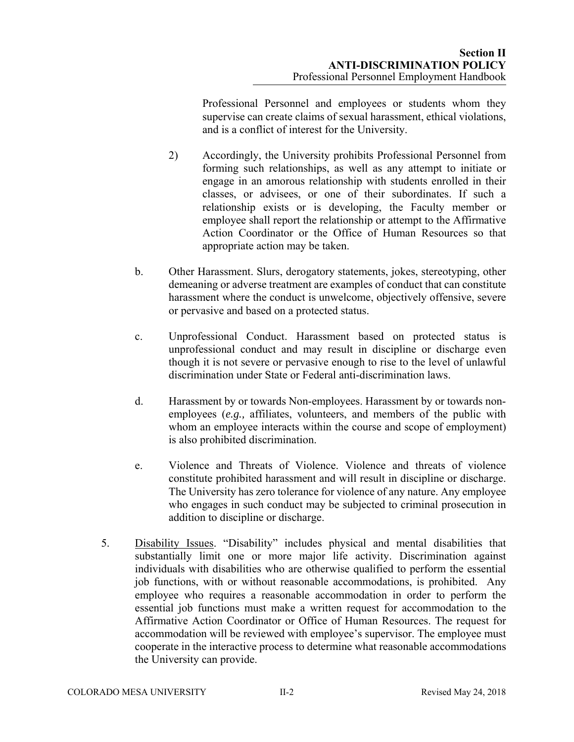Professional Personnel and employees or students whom they supervise can create claims of sexual harassment, ethical violations, and is a conflict of interest for the University.

- 2) Accordingly, the University prohibits Professional Personnel from forming such relationships, as well as any attempt to initiate or engage in an amorous relationship with students enrolled in their classes, or advisees, or one of their subordinates. If such a relationship exists or is developing, the Faculty member or employee shall report the relationship or attempt to the Affirmative Action Coordinator or the Office of Human Resources so that appropriate action may be taken.
- b. Other Harassment. Slurs, derogatory statements, jokes, stereotyping, other demeaning or adverse treatment are examples of conduct that can constitute harassment where the conduct is unwelcome, objectively offensive, severe or pervasive and based on a protected status.
- c. Unprofessional Conduct. Harassment based on protected status is unprofessional conduct and may result in discipline or discharge even though it is not severe or pervasive enough to rise to the level of unlawful discrimination under State or Federal anti-discrimination laws.
- d. Harassment by or towards Non-employees. Harassment by or towards nonemployees (*e.g.,* affiliates, volunteers, and members of the public with whom an employee interacts within the course and scope of employment) is also prohibited discrimination.
- e. Violence and Threats of Violence. Violence and threats of violence constitute prohibited harassment and will result in discipline or discharge. The University has zero tolerance for violence of any nature. Any employee who engages in such conduct may be subjected to criminal prosecution in addition to discipline or discharge.
- 5. Disability Issues. "Disability" includes physical and mental disabilities that substantially limit one or more major life activity. Discrimination against individuals with disabilities who are otherwise qualified to perform the essential job functions, with or without reasonable accommodations, is prohibited. Any employee who requires a reasonable accommodation in order to perform the essential job functions must make a written request for accommodation to the Affirmative Action Coordinator or Office of Human Resources. The request for accommodation will be reviewed with employee's supervisor. The employee must cooperate in the interactive process to determine what reasonable accommodations the University can provide.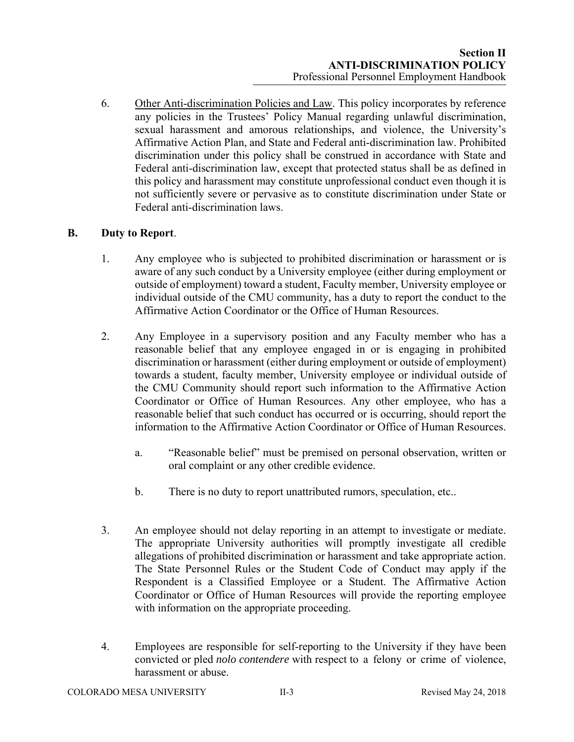6. Other Anti-discrimination Policies and Law. This policy incorporates by reference any policies in the Trustees' Policy Manual regarding unlawful discrimination, sexual harassment and amorous relationships, and violence, the University's Affirmative Action Plan, and State and Federal anti-discrimination law. Prohibited discrimination under this policy shall be construed in accordance with State and Federal anti-discrimination law, except that protected status shall be as defined in this policy and harassment may constitute unprofessional conduct even though it is not sufficiently severe or pervasive as to constitute discrimination under State or Federal anti-discrimination laws.

#### **B. Duty to Report**.

- 1. Any employee who is subjected to prohibited discrimination or harassment or is aware of any such conduct by a University employee (either during employment or outside of employment) toward a student, Faculty member, University employee or individual outside of the CMU community, has a duty to report the conduct to the Affirmative Action Coordinator or the Office of Human Resources.
- 2. Any Employee in a supervisory position and any Faculty member who has a reasonable belief that any employee engaged in or is engaging in prohibited discrimination or harassment (either during employment or outside of employment) towards a student, faculty member, University employee or individual outside of the CMU Community should report such information to the Affirmative Action Coordinator or Office of Human Resources. Any other employee, who has a reasonable belief that such conduct has occurred or is occurring, should report the information to the Affirmative Action Coordinator or Office of Human Resources.
	- a. "Reasonable belief" must be premised on personal observation, written or oral complaint or any other credible evidence.
	- b. There is no duty to report unattributed rumors, speculation, etc..
- 3. An employee should not delay reporting in an attempt to investigate or mediate. The appropriate University authorities will promptly investigate all credible allegations of prohibited discrimination or harassment and take appropriate action. The State Personnel Rules or the Student Code of Conduct may apply if the Respondent is a Classified Employee or a Student. The Affirmative Action Coordinator or Office of Human Resources will provide the reporting employee with information on the appropriate proceeding.
- 4. Employees are responsible for self-reporting to the University if they have been convicted or pled *nolo contendere* with respect to a felony or crime of violence, harassment or abuse.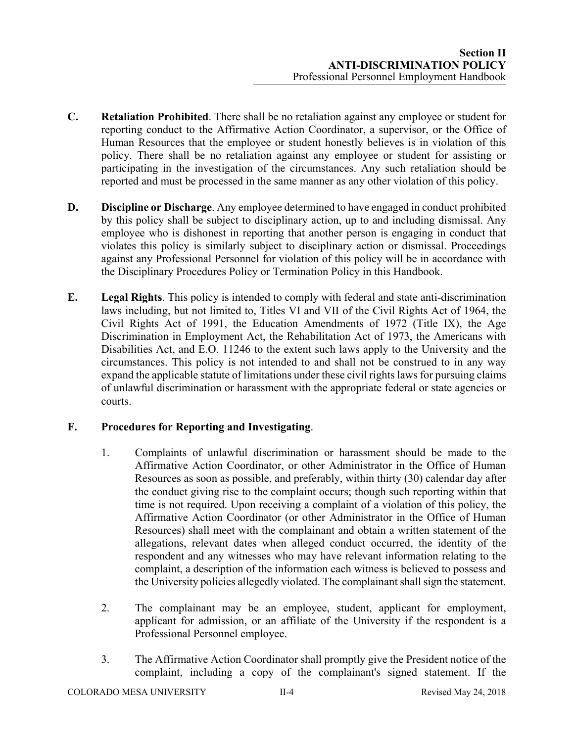- **C. Retaliation Prohibited**. There shall be no retaliation against any employee or student for reporting conduct to the Affirmative Action Coordinator, a supervisor, or the Office of Human Resources that the employee or student honestly believes is in violation of this policy. There shall be no retaliation against any employee or student for assisting or participating in the investigation of the circumstances. Any such retaliation should be reported and must be processed in the same manner as any other violation of this policy.
- **D. Discipline or Discharge**. Any employee determined to have engaged in conduct prohibited by this policy shall be subject to disciplinary action, up to and including dismissal. Any employee who is dishonest in reporting that another person is engaging in conduct that violates this policy is similarly subject to disciplinary action or dismissal. Proceedings against any Professional Personnel for violation of this policy will be in accordance with the Disciplinary Procedures Policy or Termination Policy in this Handbook.
- **E. Legal Rights**. This policy is intended to comply with federal and state anti-discrimination laws including, but not limited to, Titles VI and VII of the Civil Rights Act of 1964, the Civil Rights Act of 1991, the Education Amendments of 1972 (Title IX), the Age Discrimination in Employment Act, the Rehabilitation Act of 1973, the Americans with Disabilities Act, and E.O. 11246 to the extent such laws apply to the University and the circumstances. This policy is not intended to and shall not be construed to in any way expand the applicable statute of limitations under these civil rights laws for pursuing claims of unlawful discrimination or harassment with the appropriate federal or state agencies or courts.

# **F. Procedures for Reporting and Investigating**.

- 1. Complaints of unlawful discrimination or harassment should be made to the Affirmative Action Coordinator, or other Administrator in the Office of Human Resources as soon as possible, and preferably, within thirty (30) calendar day after the conduct giving rise to the complaint occurs; though such reporting within that time is not required. Upon receiving a complaint of a violation of this policy, the Affirmative Action Coordinator (or other Administrator in the Office of Human Resources) shall meet with the complainant and obtain a written statement of the allegations, relevant dates when alleged conduct occurred, the identity of the respondent and any witnesses who may have relevant information relating to the complaint, a description of the information each witness is believed to possess and the University policies allegedly violated. The complainant shall sign the statement.
- 2. The complainant may be an employee, student, applicant for employment, applicant for admission, or an affiliate of the University if the respondent is a Professional Personnel employee.
- 3. The Affirmative Action Coordinator shall promptly give the President notice of the complaint, including a copy of the complainant's signed statement. If the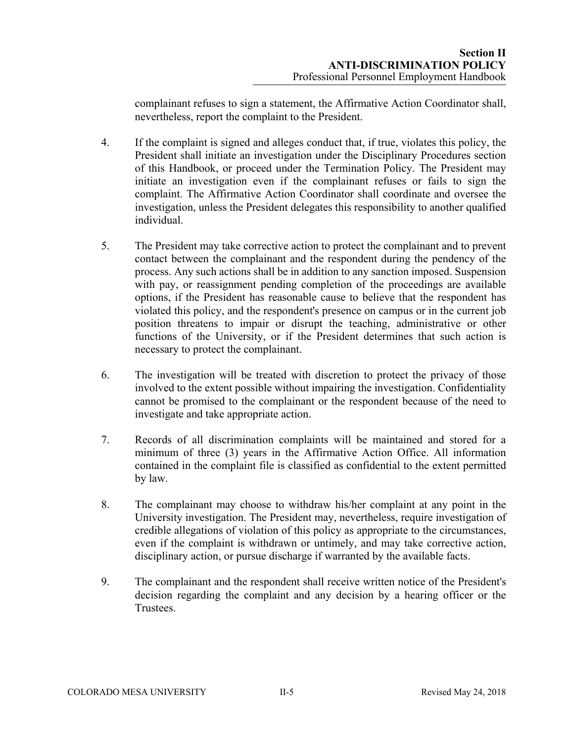complainant refuses to sign a statement, the Affirmative Action Coordinator shall, nevertheless, report the complaint to the President.

- 4. If the complaint is signed and alleges conduct that, if true, violates this policy, the President shall initiate an investigation under the Disciplinary Procedures section of this Handbook, or proceed under the Termination Policy. The President may initiate an investigation even if the complainant refuses or fails to sign the complaint. The Affirmative Action Coordinator shall coordinate and oversee the investigation, unless the President delegates this responsibility to another qualified individual.
- 5. The President may take corrective action to protect the complainant and to prevent contact between the complainant and the respondent during the pendency of the process. Any such actions shall be in addition to any sanction imposed. Suspension with pay, or reassignment pending completion of the proceedings are available options, if the President has reasonable cause to believe that the respondent has violated this policy, and the respondent's presence on campus or in the current job position threatens to impair or disrupt the teaching, administrative or other functions of the University, or if the President determines that such action is necessary to protect the complainant.
- 6. The investigation will be treated with discretion to protect the privacy of those involved to the extent possible without impairing the investigation. Confidentiality cannot be promised to the complainant or the respondent because of the need to investigate and take appropriate action.
- 7. Records of all discrimination complaints will be maintained and stored for a minimum of three (3) years in the Affirmative Action Office. All information contained in the complaint file is classified as confidential to the extent permitted by law.
- 8. The complainant may choose to withdraw his/her complaint at any point in the University investigation. The President may, nevertheless, require investigation of credible allegations of violation of this policy as appropriate to the circumstances, even if the complaint is withdrawn or untimely, and may take corrective action, disciplinary action, or pursue discharge if warranted by the available facts.
- 9. The complainant and the respondent shall receive written notice of the President's decision regarding the complaint and any decision by a hearing officer or the Trustees.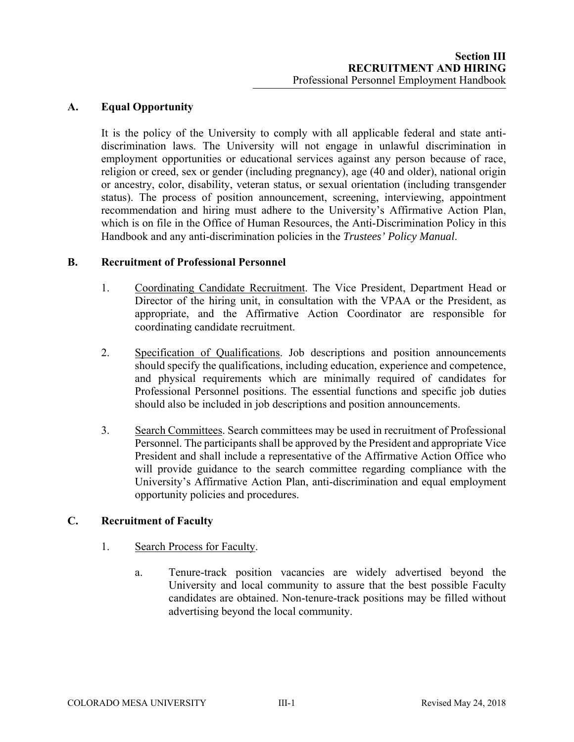# **A. Equal Opportunity**

It is the policy of the University to comply with all applicable federal and state antidiscrimination laws. The University will not engage in unlawful discrimination in employment opportunities or educational services against any person because of race, religion or creed, sex or gender (including pregnancy), age (40 and older), national origin or ancestry, color, disability, veteran status, or sexual orientation (including transgender status). The process of position announcement, screening, interviewing, appointment recommendation and hiring must adhere to the University's Affirmative Action Plan, which is on file in the Office of Human Resources, the Anti-Discrimination Policy in this Handbook and any anti-discrimination policies in the *Trustees' Policy Manual*.

#### **B. Recruitment of Professional Personnel**

- 1. Coordinating Candidate Recruitment. The Vice President, Department Head or Director of the hiring unit, in consultation with the VPAA or the President, as appropriate, and the Affirmative Action Coordinator are responsible for coordinating candidate recruitment.
- 2. Specification of Qualifications. Job descriptions and position announcements should specify the qualifications, including education, experience and competence, and physical requirements which are minimally required of candidates for Professional Personnel positions. The essential functions and specific job duties should also be included in job descriptions and position announcements.
- 3. Search Committees. Search committees may be used in recruitment of Professional Personnel. The participants shall be approved by the President and appropriate Vice President and shall include a representative of the Affirmative Action Office who will provide guidance to the search committee regarding compliance with the University's Affirmative Action Plan, anti-discrimination and equal employment opportunity policies and procedures.

# **C. Recruitment of Faculty**

- 1. Search Process for Faculty.
	- a. Tenure-track position vacancies are widely advertised beyond the University and local community to assure that the best possible Faculty candidates are obtained. Non-tenure-track positions may be filled without advertising beyond the local community.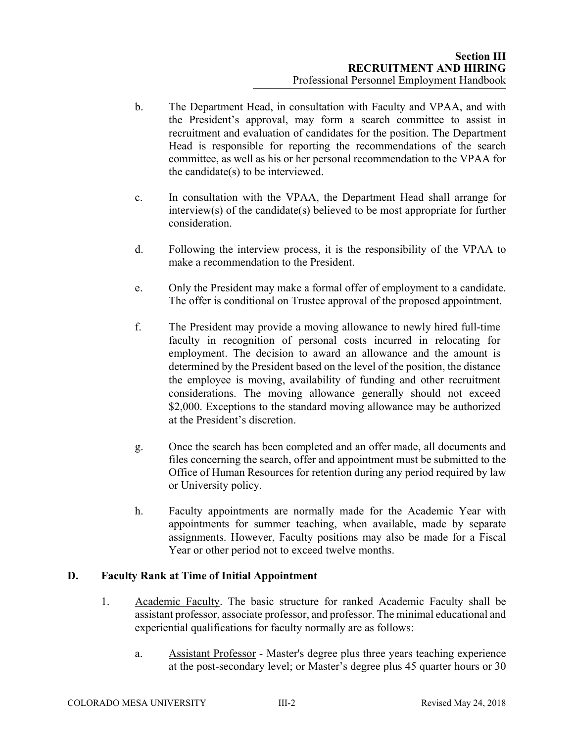- b. The Department Head, in consultation with Faculty and VPAA, and with the President's approval, may form a search committee to assist in recruitment and evaluation of candidates for the position. The Department Head is responsible for reporting the recommendations of the search committee, as well as his or her personal recommendation to the VPAA for the candidate(s) to be interviewed.
- c. In consultation with the VPAA, the Department Head shall arrange for interview(s) of the candidate(s) believed to be most appropriate for further consideration.
- d. Following the interview process, it is the responsibility of the VPAA to make a recommendation to the President.
- e. Only the President may make a formal offer of employment to a candidate. The offer is conditional on Trustee approval of the proposed appointment.
- f. The President may provide a moving allowance to newly hired full-time faculty in recognition of personal costs incurred in relocating for employment. The decision to award an allowance and the amount is determined by the President based on the level of the position, the distance the employee is moving, availability of funding and other recruitment considerations. The moving allowance generally should not exceed \$2,000. Exceptions to the standard moving allowance may be authorized at the President's discretion.
- g. Once the search has been completed and an offer made, all documents and files concerning the search, offer and appointment must be submitted to the Office of Human Resources for retention during any period required by law or University policy.
- h. Faculty appointments are normally made for the Academic Year with appointments for summer teaching, when available, made by separate assignments. However, Faculty positions may also be made for a Fiscal Year or other period not to exceed twelve months.

# **D. Faculty Rank at Time of Initial Appointment**

- 1. Academic Faculty. The basic structure for ranked Academic Faculty shall be assistant professor, associate professor, and professor. The minimal educational and experiential qualifications for faculty normally are as follows:
	- a. Assistant Professor Master's degree plus three years teaching experience at the post-secondary level; or Master's degree plus 45 quarter hours or 30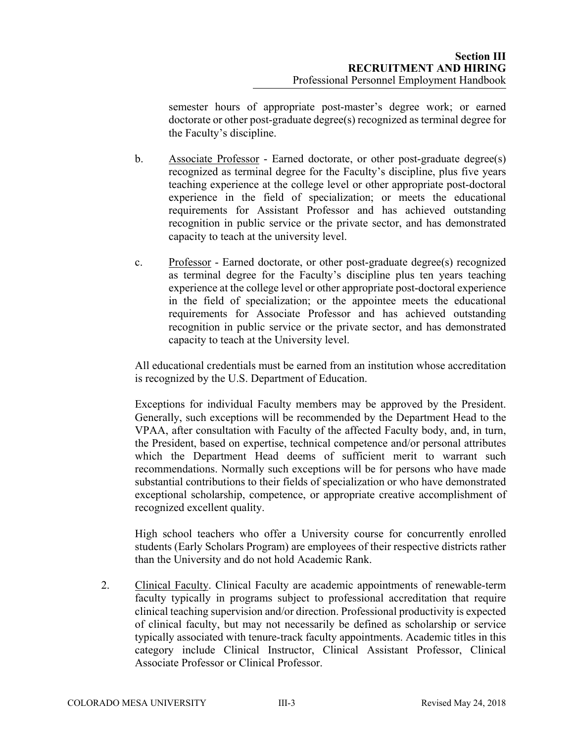semester hours of appropriate post-master's degree work; or earned doctorate or other post-graduate degree(s) recognized as terminal degree for the Faculty's discipline.

- b. Associate Professor Earned doctorate, or other post-graduate degree(s) recognized as terminal degree for the Faculty's discipline, plus five years teaching experience at the college level or other appropriate post-doctoral experience in the field of specialization; or meets the educational requirements for Assistant Professor and has achieved outstanding recognition in public service or the private sector, and has demonstrated capacity to teach at the university level.
- c. Professor Earned doctorate, or other post-graduate degree(s) recognized as terminal degree for the Faculty's discipline plus ten years teaching experience at the college level or other appropriate post-doctoral experience in the field of specialization; or the appointee meets the educational requirements for Associate Professor and has achieved outstanding recognition in public service or the private sector, and has demonstrated capacity to teach at the University level.

All educational credentials must be earned from an institution whose accreditation is recognized by the U.S. Department of Education.

Exceptions for individual Faculty members may be approved by the President. Generally, such exceptions will be recommended by the Department Head to the VPAA, after consultation with Faculty of the affected Faculty body, and, in turn, the President, based on expertise, technical competence and/or personal attributes which the Department Head deems of sufficient merit to warrant such recommendations. Normally such exceptions will be for persons who have made substantial contributions to their fields of specialization or who have demonstrated exceptional scholarship, competence, or appropriate creative accomplishment of recognized excellent quality.

High school teachers who offer a University course for concurrently enrolled students (Early Scholars Program) are employees of their respective districts rather than the University and do not hold Academic Rank.

2. Clinical Faculty. Clinical Faculty are academic appointments of renewable-term faculty typically in programs subject to professional accreditation that require clinical teaching supervision and/or direction. Professional productivity is expected of clinical faculty, but may not necessarily be defined as scholarship or service typically associated with tenure-track faculty appointments. Academic titles in this category include Clinical Instructor, Clinical Assistant Professor, Clinical Associate Professor or Clinical Professor.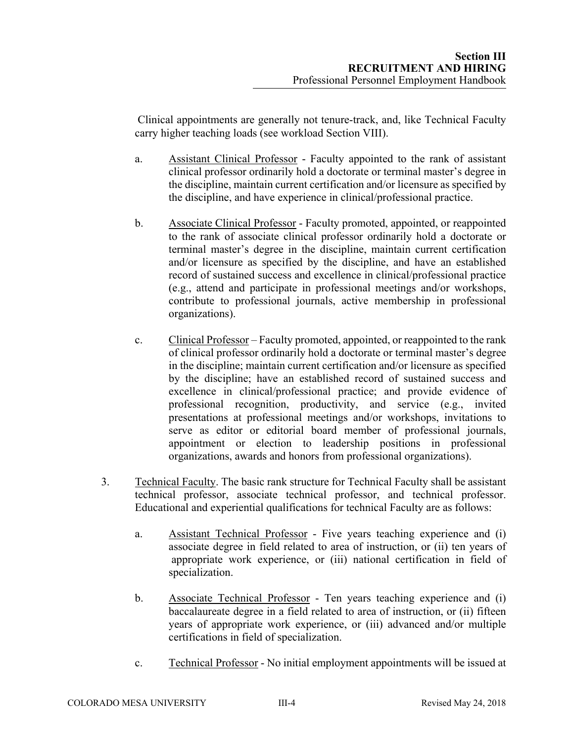Clinical appointments are generally not tenure-track, and, like Technical Faculty carry higher teaching loads (see workload Section VIII).

- a. Assistant Clinical Professor Faculty appointed to the rank of assistant clinical professor ordinarily hold a doctorate or terminal master's degree in the discipline, maintain current certification and/or licensure as specified by the discipline, and have experience in clinical/professional practice.
- b. Associate Clinical Professor Faculty promoted, appointed, or reappointed to the rank of associate clinical professor ordinarily hold a doctorate or terminal master's degree in the discipline, maintain current certification and/or licensure as specified by the discipline, and have an established record of sustained success and excellence in clinical/professional practice (e.g., attend and participate in professional meetings and/or workshops, contribute to professional journals, active membership in professional organizations).
- c. Clinical Professor Faculty promoted, appointed, or reappointed to the rank of clinical professor ordinarily hold a doctorate or terminal master's degree in the discipline; maintain current certification and/or licensure as specified by the discipline; have an established record of sustained success and excellence in clinical/professional practice; and provide evidence of professional recognition, productivity, and service (e.g., invited presentations at professional meetings and/or workshops, invitations to serve as editor or editorial board member of professional journals, appointment or election to leadership positions in professional organizations, awards and honors from professional organizations).
- 3. Technical Faculty. The basic rank structure for Technical Faculty shall be assistant technical professor, associate technical professor, and technical professor. Educational and experiential qualifications for technical Faculty are as follows:
	- a. Assistant Technical Professor Five years teaching experience and (i) associate degree in field related to area of instruction, or (ii) ten years of appropriate work experience, or (iii) national certification in field of specialization.
	- b. Associate Technical Professor Ten years teaching experience and (i) baccalaureate degree in a field related to area of instruction, or (ii) fifteen years of appropriate work experience, or (iii) advanced and/or multiple certifications in field of specialization.
	- c. Technical Professor No initial employment appointments will be issued at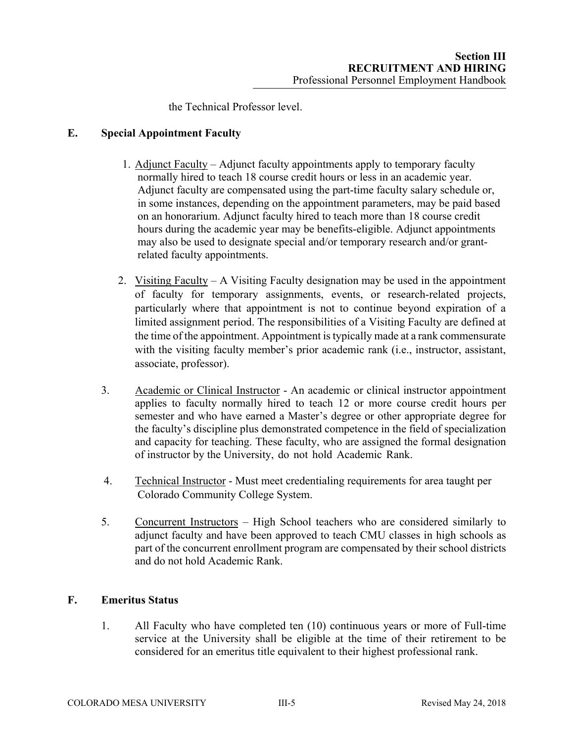the Technical Professor level.

### **E. Special Appointment Faculty**

- 1. Adjunct Faculty Adjunct faculty appointments apply to temporary faculty normally hired to teach 18 course credit hours or less in an academic year. Adjunct faculty are compensated using the part-time faculty salary schedule or, in some instances, depending on the appointment parameters, may be paid based on an honorarium. Adjunct faculty hired to teach more than 18 course credit hours during the academic year may be benefits-eligible. Adjunct appointments may also be used to designate special and/or temporary research and/or grantrelated faculty appointments.
- 2. Visiting Faculty A Visiting Faculty designation may be used in the appointment of faculty for temporary assignments, events, or research-related projects, particularly where that appointment is not to continue beyond expiration of a limited assignment period. The responsibilities of a Visiting Faculty are defined at the time of the appointment. Appointment is typically made at a rank commensurate with the visiting faculty member's prior academic rank (i.e., instructor, assistant, associate, professor).
- 3. Academic or Clinical Instructor An academic or clinical instructor appointment applies to faculty normally hired to teach 12 or more course credit hours per semester and who have earned a Master's degree or other appropriate degree for the faculty's discipline plus demonstrated competence in the field of specialization and capacity for teaching. These faculty, who are assigned the formal designation of instructor by the University, do not hold Academic Rank.
- 4. Technical Instructor Must meet credentialing requirements for area taught per Colorado Community College System.
- 5. Concurrent Instructors High School teachers who are considered similarly to adjunct faculty and have been approved to teach CMU classes in high schools as part of the concurrent enrollment program are compensated by their school districts and do not hold Academic Rank.

# **F. Emeritus Status**

1. All Faculty who have completed ten (10) continuous years or more of Full-time service at the University shall be eligible at the time of their retirement to be considered for an emeritus title equivalent to their highest professional rank.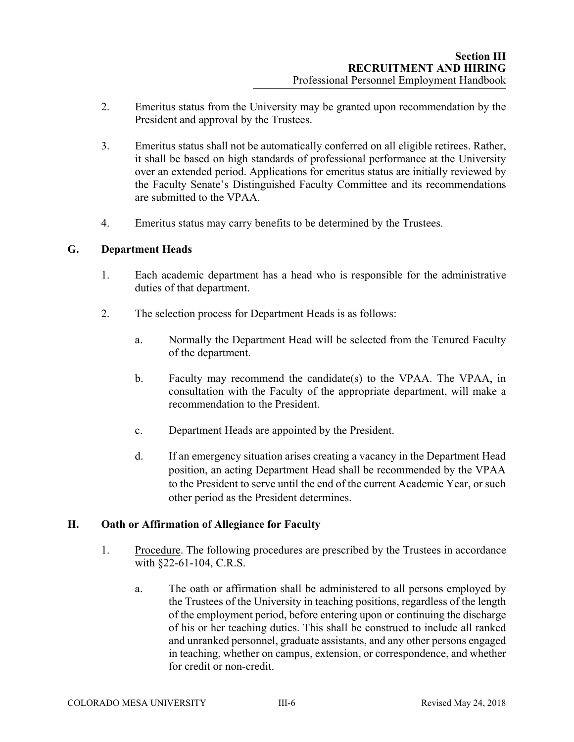- 2. Emeritus status from the University may be granted upon recommendation by the President and approval by the Trustees.
- 3. Emeritus status shall not be automatically conferred on all eligible retirees. Rather, it shall be based on high standards of professional performance at the University over an extended period. Applications for emeritus status are initially reviewed by the Faculty Senate's Distinguished Faculty Committee and its recommendations are submitted to the VPAA.
- 4. Emeritus status may carry benefits to be determined by the Trustees.

#### **G. Department Heads**

- 1. Each academic department has a head who is responsible for the administrative duties of that department.
- 2. The selection process for Department Heads is as follows:
	- a. Normally the Department Head will be selected from the Tenured Faculty of the department.
	- b. Faculty may recommend the candidate(s) to the VPAA. The VPAA, in consultation with the Faculty of the appropriate department, will make a recommendation to the President.
	- c. Department Heads are appointed by the President.
	- d. If an emergency situation arises creating a vacancy in the Department Head position, an acting Department Head shall be recommended by the VPAA to the President to serve until the end of the current Academic Year, or such other period as the President determines.

#### **H. Oath or Affirmation of Allegiance for Faculty**

- 1. Procedure. The following procedures are prescribed by the Trustees in accordance with §22-61-104, C.R.S.
	- a. The oath or affirmation shall be administered to all persons employed by the Trustees of the University in teaching positions, regardless of the length of the employment period, before entering upon or continuing the discharge of his or her teaching duties. This shall be construed to include all ranked and unranked personnel, graduate assistants, and any other persons engaged in teaching, whether on campus, extension, or correspondence, and whether for credit or non-credit.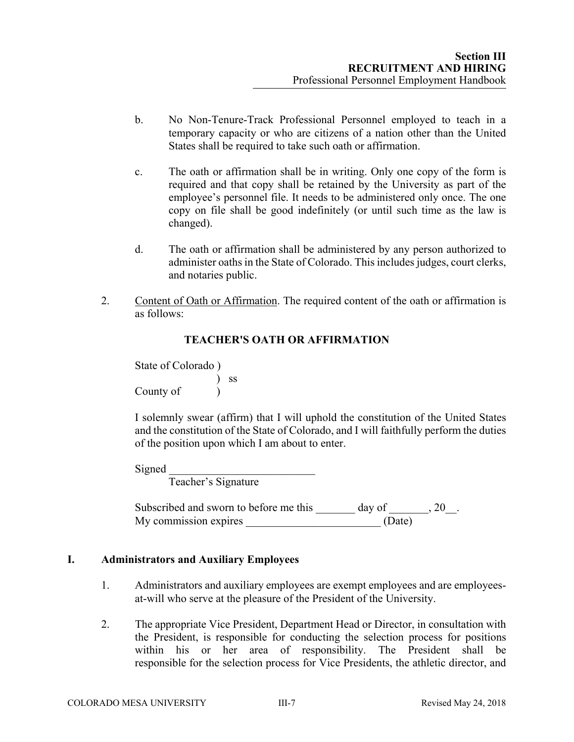- b. No Non-Tenure-Track Professional Personnel employed to teach in a temporary capacity or who are citizens of a nation other than the United States shall be required to take such oath or affirmation.
- c. The oath or affirmation shall be in writing. Only one copy of the form is required and that copy shall be retained by the University as part of the employee's personnel file. It needs to be administered only once. The one copy on file shall be good indefinitely (or until such time as the law is changed).
- d. The oath or affirmation shall be administered by any person authorized to administer oaths in the State of Colorado. This includes judges, court clerks, and notaries public.
- 2. Content of Oath or Affirmation. The required content of the oath or affirmation is as follows:

# **TEACHER'S OATH OR AFFIRMATION**

State of Colorado ) ) ss County of )

I solemnly swear (affirm) that I will uphold the constitution of the United States and the constitution of the State of Colorado, and I will faithfully perform the duties of the position upon which I am about to enter.

Signed \_\_\_\_\_\_\_\_\_\_\_\_\_\_\_\_\_\_\_\_\_\_\_\_\_\_

Teacher's Signature

Subscribed and sworn to before me this  $\qquad \qquad$  day of  $\qquad \qquad$ , 20. My commission expires  $(Date)$ 

#### **I. Administrators and Auxiliary Employees**

- 1. Administrators and auxiliary employees are exempt employees and are employeesat-will who serve at the pleasure of the President of the University.
- 2. The appropriate Vice President, Department Head or Director, in consultation with the President, is responsible for conducting the selection process for positions within his or her area of responsibility. The President shall be responsible for the selection process for Vice Presidents, the athletic director, and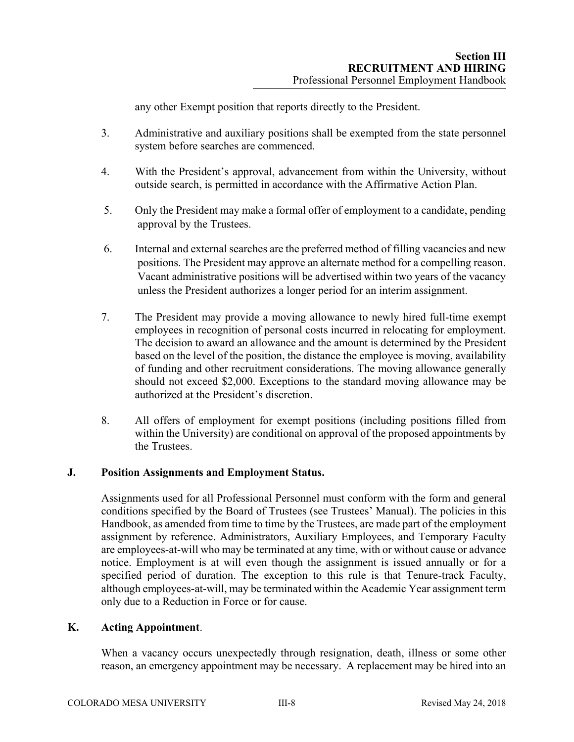any other Exempt position that reports directly to the President.

- 3. Administrative and auxiliary positions shall be exempted from the state personnel system before searches are commenced.
- 4. With the President's approval, advancement from within the University, without outside search, is permitted in accordance with the Affirmative Action Plan.
- 5. Only the President may make a formal offer of employment to a candidate, pending approval by the Trustees.
- 6. Internal and external searches are the preferred method of filling vacancies and new positions. The President may approve an alternate method for a compelling reason. Vacant administrative positions will be advertised within two years of the vacancy unless the President authorizes a longer period for an interim assignment.
- 7. The President may provide a moving allowance to newly hired full-time exempt employees in recognition of personal costs incurred in relocating for employment. The decision to award an allowance and the amount is determined by the President based on the level of the position, the distance the employee is moving, availability of funding and other recruitment considerations. The moving allowance generally should not exceed \$2,000. Exceptions to the standard moving allowance may be authorized at the President's discretion.
- 8. All offers of employment for exempt positions (including positions filled from within the University) are conditional on approval of the proposed appointments by the Trustees.

# **J. Position Assignments and Employment Status.**

Assignments used for all Professional Personnel must conform with the form and general conditions specified by the Board of Trustees (see Trustees' Manual). The policies in this Handbook, as amended from time to time by the Trustees, are made part of the employment assignment by reference. Administrators, Auxiliary Employees, and Temporary Faculty are employees-at-will who may be terminated at any time, with or without cause or advance notice. Employment is at will even though the assignment is issued annually or for a specified period of duration. The exception to this rule is that Tenure-track Faculty, although employees-at-will, may be terminated within the Academic Year assignment term only due to a Reduction in Force or for cause.

#### **K. Acting Appointment**.

When a vacancy occurs unexpectedly through resignation, death, illness or some other reason, an emergency appointment may be necessary. A replacement may be hired into an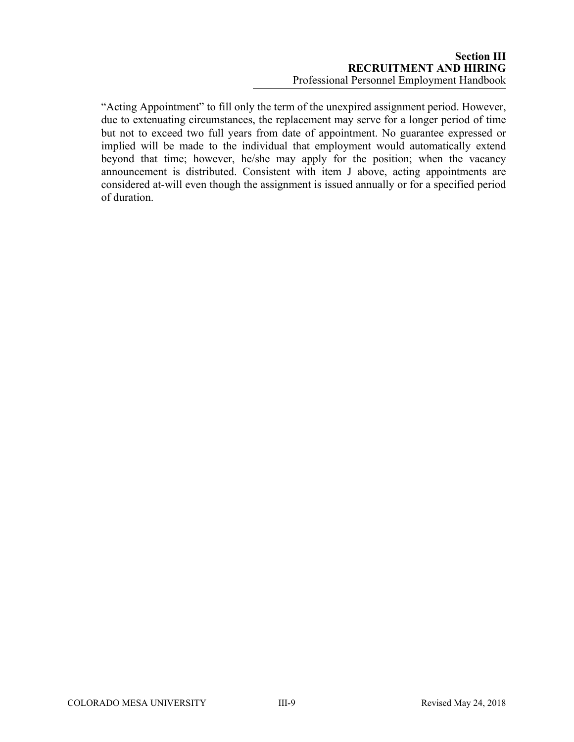"Acting Appointment" to fill only the term of the unexpired assignment period. However, due to extenuating circumstances, the replacement may serve for a longer period of time but not to exceed two full years from date of appointment. No guarantee expressed or implied will be made to the individual that employment would automatically extend beyond that time; however, he/she may apply for the position; when the vacancy announcement is distributed. Consistent with item J above, acting appointments are considered at-will even though the assignment is issued annually or for a specified period of duration.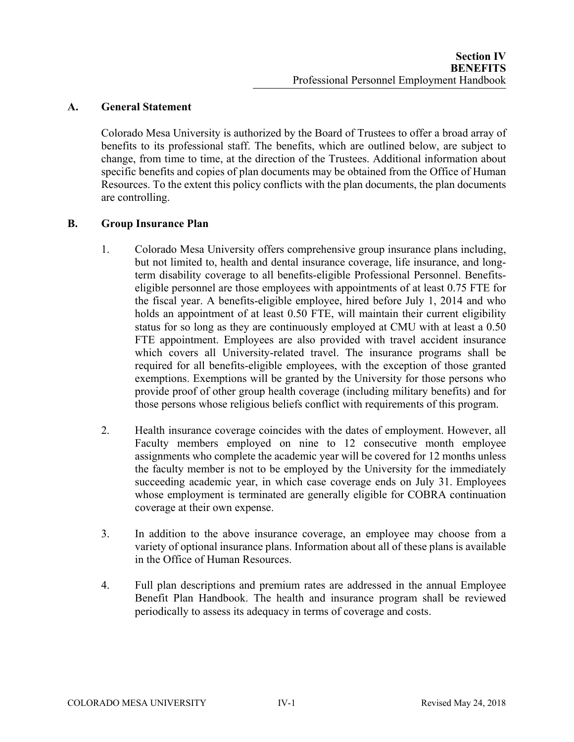# **A. General Statement**

Colorado Mesa University is authorized by the Board of Trustees to offer a broad array of benefits to its professional staff. The benefits, which are outlined below, are subject to change, from time to time, at the direction of the Trustees. Additional information about specific benefits and copies of plan documents may be obtained from the Office of Human Resources. To the extent this policy conflicts with the plan documents, the plan documents are controlling.

# **B. Group Insurance Plan**

- 1. Colorado Mesa University offers comprehensive group insurance plans including, but not limited to, health and dental insurance coverage, life insurance, and longterm disability coverage to all benefits-eligible Professional Personnel. Benefitseligible personnel are those employees with appointments of at least 0.75 FTE for the fiscal year. A benefits-eligible employee, hired before July 1, 2014 and who holds an appointment of at least 0.50 FTE, will maintain their current eligibility status for so long as they are continuously employed at CMU with at least a 0.50 FTE appointment. Employees are also provided with travel accident insurance which covers all University-related travel. The insurance programs shall be required for all benefits-eligible employees, with the exception of those granted exemptions. Exemptions will be granted by the University for those persons who provide proof of other group health coverage (including military benefits) and for those persons whose religious beliefs conflict with requirements of this program.
- 2. Health insurance coverage coincides with the dates of employment. However, all Faculty members employed on nine to 12 consecutive month employee assignments who complete the academic year will be covered for 12 months unless the faculty member is not to be employed by the University for the immediately succeeding academic year, in which case coverage ends on July 31. Employees whose employment is terminated are generally eligible for COBRA continuation coverage at their own expense.
- 3. In addition to the above insurance coverage, an employee may choose from a variety of optional insurance plans. Information about all of these plans is available in the Office of Human Resources.
- 4. Full plan descriptions and premium rates are addressed in the annual Employee Benefit Plan Handbook. The health and insurance program shall be reviewed periodically to assess its adequacy in terms of coverage and costs.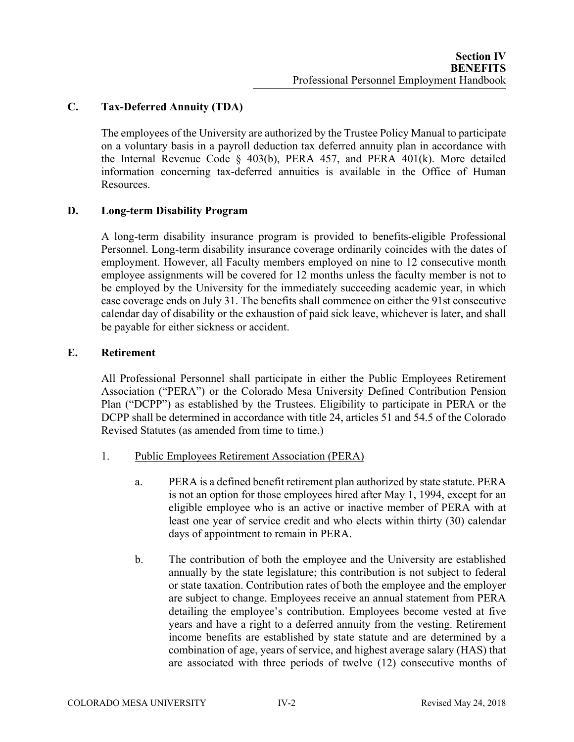# **C. Tax-Deferred Annuity (TDA)**

The employees of the University are authorized by the Trustee Policy Manual to participate on a voluntary basis in a payroll deduction tax deferred annuity plan in accordance with the Internal Revenue Code § 403(b), PERA 457, and PERA 401(k). More detailed information concerning tax-deferred annuities is available in the Office of Human Resources.

# **D. Long-term Disability Program**

A long-term disability insurance program is provided to benefits-eligible Professional Personnel. Long-term disability insurance coverage ordinarily coincides with the dates of employment. However, all Faculty members employed on nine to 12 consecutive month employee assignments will be covered for 12 months unless the faculty member is not to be employed by the University for the immediately succeeding academic year, in which case coverage ends on July 31. The benefits shall commence on either the 91st consecutive calendar day of disability or the exhaustion of paid sick leave, whichever is later, and shall be payable for either sickness or accident.

#### **E. Retirement**

All Professional Personnel shall participate in either the Public Employees Retirement Association ("PERA") or the Colorado Mesa University Defined Contribution Pension Plan ("DCPP") as established by the Trustees. Eligibility to participate in PERA or the DCPP shall be determined in accordance with title 24, articles 51 and 54.5 of the Colorado Revised Statutes (as amended from time to time.)

- 1. Public Employees Retirement Association (PERA)
	- a. PERA is a defined benefit retirement plan authorized by state statute. PERA is not an option for those employees hired after May 1, 1994, except for an eligible employee who is an active or inactive member of PERA with at least one year of service credit and who elects within thirty (30) calendar days of appointment to remain in PERA.
	- b. The contribution of both the employee and the University are established annually by the state legislature; this contribution is not subject to federal or state taxation. Contribution rates of both the employee and the employer are subject to change. Employees receive an annual statement from PERA detailing the employee's contribution. Employees become vested at five years and have a right to a deferred annuity from the vesting. Retirement income benefits are established by state statute and are determined by a combination of age, years of service, and highest average salary (HAS) that are associated with three periods of twelve (12) consecutive months of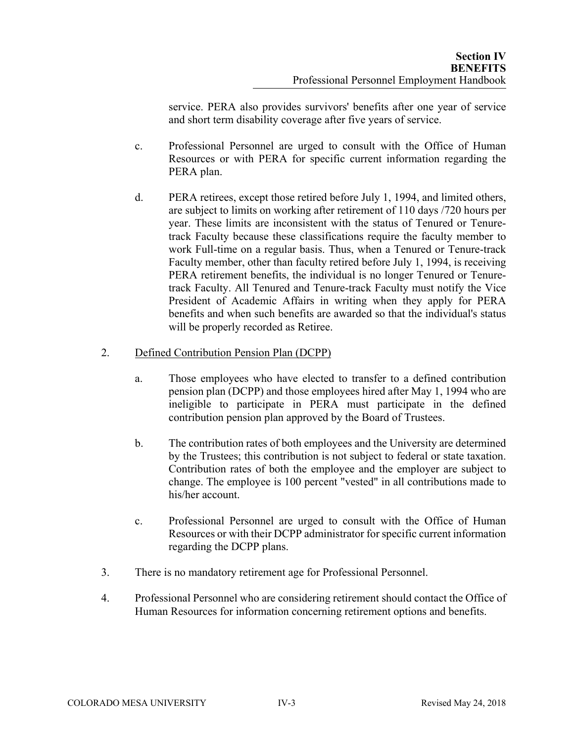service. PERA also provides survivors' benefits after one year of service and short term disability coverage after five years of service.

- c. Professional Personnel are urged to consult with the Office of Human Resources or with PERA for specific current information regarding the PERA plan.
- d. PERA retirees, except those retired before July 1, 1994, and limited others, are subject to limits on working after retirement of 110 days /720 hours per year. These limits are inconsistent with the status of Tenured or Tenuretrack Faculty because these classifications require the faculty member to work Full-time on a regular basis. Thus, when a Tenured or Tenure-track Faculty member, other than faculty retired before July 1, 1994, is receiving PERA retirement benefits, the individual is no longer Tenured or Tenuretrack Faculty. All Tenured and Tenure-track Faculty must notify the Vice President of Academic Affairs in writing when they apply for PERA benefits and when such benefits are awarded so that the individual's status will be properly recorded as Retiree.

# 2. Defined Contribution Pension Plan (DCPP)

- a. Those employees who have elected to transfer to a defined contribution pension plan (DCPP) and those employees hired after May 1, 1994 who are ineligible to participate in PERA must participate in the defined contribution pension plan approved by the Board of Trustees.
- b. The contribution rates of both employees and the University are determined by the Trustees; this contribution is not subject to federal or state taxation. Contribution rates of both the employee and the employer are subject to change. The employee is 100 percent "vested" in all contributions made to his/her account.
- c. Professional Personnel are urged to consult with the Office of Human Resources or with their DCPP administrator for specific current information regarding the DCPP plans.
- 3. There is no mandatory retirement age for Professional Personnel.
- 4. Professional Personnel who are considering retirement should contact the Office of Human Resources for information concerning retirement options and benefits.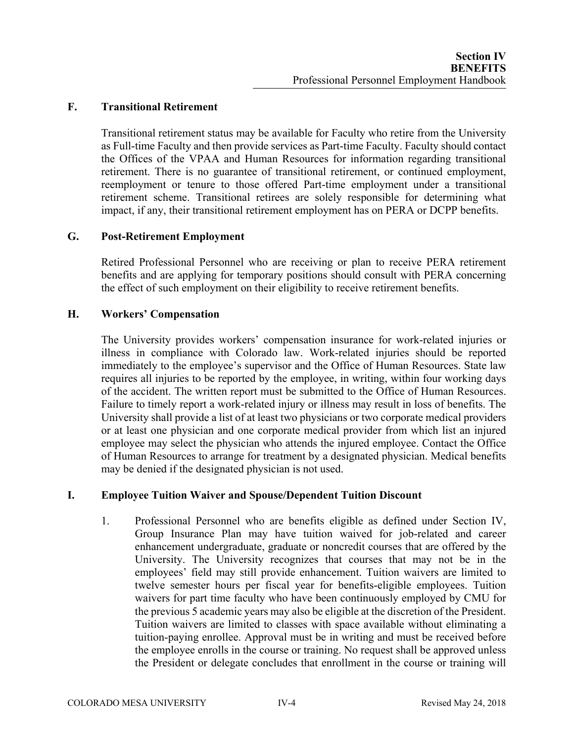# **F. Transitional Retirement**

 Transitional retirement status may be available for Faculty who retire from the University as Full-time Faculty and then provide services as Part-time Faculty. Faculty should contact the Offices of the VPAA and Human Resources for information regarding transitional retirement. There is no guarantee of transitional retirement, or continued employment, reemployment or tenure to those offered Part-time employment under a transitional retirement scheme. Transitional retirees are solely responsible for determining what impact, if any, their transitional retirement employment has on PERA or DCPP benefits.

#### **G. Post-Retirement Employment**

Retired Professional Personnel who are receiving or plan to receive PERA retirement benefits and are applying for temporary positions should consult with PERA concerning the effect of such employment on their eligibility to receive retirement benefits.

#### **H. Workers' Compensation**

The University provides workers' compensation insurance for work-related injuries or illness in compliance with Colorado law. Work-related injuries should be reported immediately to the employee's supervisor and the Office of Human Resources. State law requires all injuries to be reported by the employee, in writing, within four working days of the accident. The written report must be submitted to the Office of Human Resources. Failure to timely report a work-related injury or illness may result in loss of benefits. The University shall provide a list of at least two physicians or two corporate medical providers or at least one physician and one corporate medical provider from which list an injured employee may select the physician who attends the injured employee. Contact the Office of Human Resources to arrange for treatment by a designated physician. Medical benefits may be denied if the designated physician is not used.

#### **I. Employee Tuition Waiver and Spouse/Dependent Tuition Discount**

1. Professional Personnel who are benefits eligible as defined under Section IV, Group Insurance Plan may have tuition waived for job-related and career enhancement undergraduate, graduate or noncredit courses that are offered by the University. The University recognizes that courses that may not be in the employees' field may still provide enhancement. Tuition waivers are limited to twelve semester hours per fiscal year for benefits-eligible employees. Tuition waivers for part time faculty who have been continuously employed by CMU for the previous 5 academic years may also be eligible at the discretion of the President. Tuition waivers are limited to classes with space available without eliminating a tuition-paying enrollee. Approval must be in writing and must be received before the employee enrolls in the course or training. No request shall be approved unless the President or delegate concludes that enrollment in the course or training will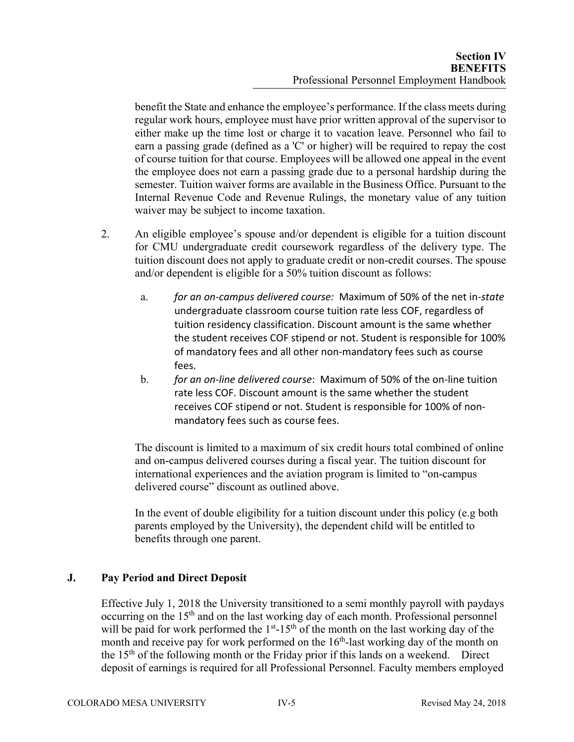benefit the State and enhance the employee's performance. If the class meets during regular work hours, employee must have prior written approval of the supervisor to either make up the time lost or charge it to vacation leave. Personnel who fail to earn a passing grade (defined as a 'C' or higher) will be required to repay the cost of course tuition for that course. Employees will be allowed one appeal in the event the employee does not earn a passing grade due to a personal hardship during the semester. Tuition waiver forms are available in the Business Office. Pursuant to the Internal Revenue Code and Revenue Rulings, the monetary value of any tuition waiver may be subject to income taxation.

- 2. An eligible employee's spouse and/or dependent is eligible for a tuition discount for CMU undergraduate credit coursework regardless of the delivery type. The tuition discount does not apply to graduate credit or non-credit courses. The spouse and/or dependent is eligible for a 50% tuition discount as follows:
	- a. *for an on‐campus delivered course:* Maximum of 50% of the net in*‐state* undergraduate classroom course tuition rate less COF, regardless of tuition residency classification. Discount amount is the same whether the student receives COF stipend or not. Student is responsible for 100% of mandatory fees and all other non‐mandatory fees such as course fees.
	- b. *for an on‐line delivered course*: Maximum of 50% of the on‐line tuition rate less COF. Discount amount is the same whether the student receives COF stipend or not. Student is responsible for 100% of non‐ mandatory fees such as course fees.

The discount is limited to a maximum of six credit hours total combined of online and on-campus delivered courses during a fiscal year. The tuition discount for international experiences and the aviation program is limited to "on-campus delivered course" discount as outlined above.

In the event of double eligibility for a tuition discount under this policy (e.g both parents employed by the University), the dependent child will be entitled to benefits through one parent.

# **J. Pay Period and Direct Deposit**

Effective July 1, 2018 the University transitioned to a semi monthly payroll with paydays occurring on the 15<sup>th</sup> and on the last working day of each month. Professional personnel will be paid for work performed the  $1<sup>st</sup> - 15<sup>th</sup>$  of the month on the last working day of the month and receive pay for work performed on the  $16<sup>th</sup>$ -last working day of the month on the  $15<sup>th</sup>$  of the following month or the Friday prior if this lands on a weekend. Direct deposit of earnings is required for all Professional Personnel. Faculty members employed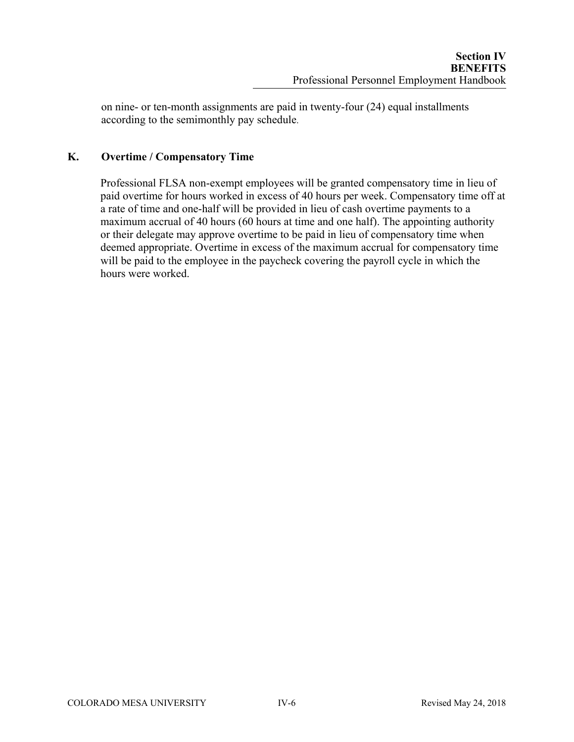on nine- or ten-month assignments are paid in twenty-four (24) equal installments according to the semimonthly pay schedule.

# **K. Overtime / Compensatory Time**

Professional FLSA non-exempt employees will be granted compensatory time in lieu of paid overtime for hours worked in excess of 40 hours per week. Compensatory time off at a rate of time and one-half will be provided in lieu of cash overtime payments to a maximum accrual of 40 hours (60 hours at time and one half). The appointing authority or their delegate may approve overtime to be paid in lieu of compensatory time when deemed appropriate. Overtime in excess of the maximum accrual for compensatory time will be paid to the employee in the paycheck covering the payroll cycle in which the hours were worked.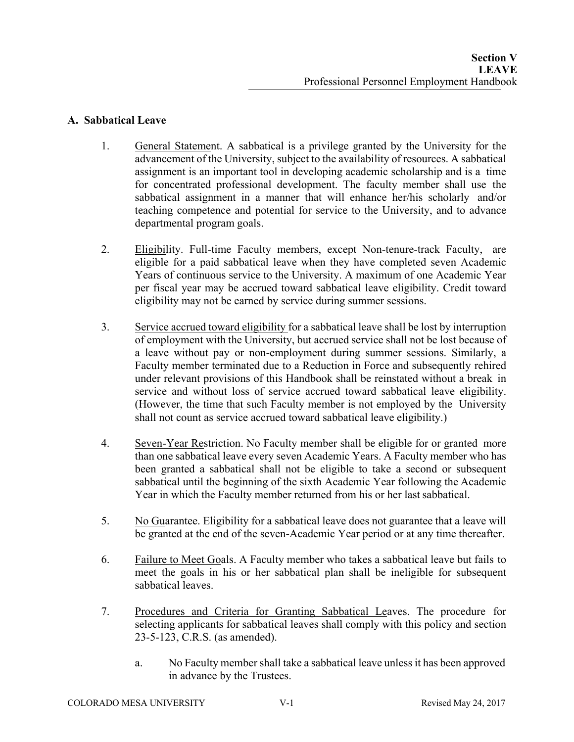# **A. Sabbatical Leave**

- 1. General Statement. A sabbatical is a privilege granted by the University for the advancement of the University, subject to the availability of resources. A sabbatical assignment is an important tool in developing academic scholarship and is a time for concentrated professional development. The faculty member shall use the sabbatical assignment in a manner that will enhance her/his scholarly and/or teaching competence and potential for service to the University, and to advance departmental program goals.
- 2. Eligibility. Full-time Faculty members, except Non-tenure-track Faculty, are eligible for a paid sabbatical leave when they have completed seven Academic Years of continuous service to the University. A maximum of one Academic Year per fiscal year may be accrued toward sabbatical leave eligibility. Credit toward eligibility may not be earned by service during summer sessions.
- 3. Service accrued toward eligibility for a sabbatical leave shall be lost by interruption of employment with the University, but accrued service shall not be lost because of a leave without pay or non-employment during summer sessions. Similarly, a Faculty member terminated due to a Reduction in Force and subsequently rehired under relevant provisions of this Handbook shall be reinstated without a break in service and without loss of service accrued toward sabbatical leave eligibility. (However, the time that such Faculty member is not employed by the University shall not count as service accrued toward sabbatical leave eligibility.)
- 4. Seven-Year Restriction. No Faculty member shall be eligible for or granted more than one sabbatical leave every seven Academic Years. A Faculty member who has been granted a sabbatical shall not be eligible to take a second or subsequent sabbatical until the beginning of the sixth Academic Year following the Academic Year in which the Faculty member returned from his or her last sabbatical.
- 5. No Guarantee. Eligibility for a sabbatical leave does not guarantee that a leave will be granted at the end of the seven-Academic Year period or at any time thereafter.
- 6. Failure to Meet Goals. A Faculty member who takes a sabbatical leave but fails to meet the goals in his or her sabbatical plan shall be ineligible for subsequent sabbatical leaves.
- 7. Procedures and Criteria for Granting Sabbatical Leaves. The procedure for selecting applicants for sabbatical leaves shall comply with this policy and section 23-5-123, C.R.S. (as amended).
	- a. No Faculty member shall take a sabbatical leave unless it has been approved in advance by the Trustees.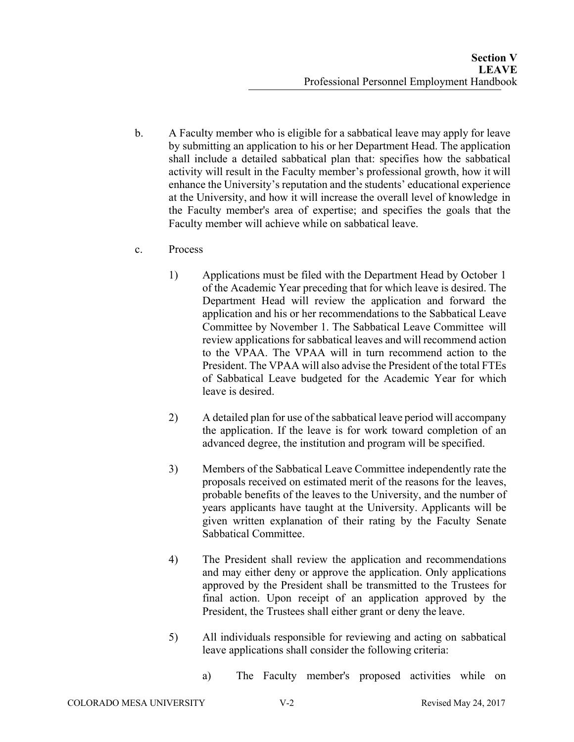- b. A Faculty member who is eligible for a sabbatical leave may apply for leave by submitting an application to his or her Department Head. The application shall include a detailed sabbatical plan that: specifies how the sabbatical activity will result in the Faculty member's professional growth, how it will enhance the University's reputation and the students' educational experience at the University, and how it will increase the overall level of knowledge in the Faculty member's area of expertise; and specifies the goals that the Faculty member will achieve while on sabbatical leave.
- c. Process
	- 1) Applications must be filed with the Department Head by October 1 of the Academic Year preceding that for which leave is desired. The Department Head will review the application and forward the application and his or her recommendations to the Sabbatical Leave Committee by November 1. The Sabbatical Leave Committee will review applications for sabbatical leaves and will recommend action to the VPAA. The VPAA will in turn recommend action to the President. The VPAA will also advise the President of the total FTEs of Sabbatical Leave budgeted for the Academic Year for which leave is desired.
	- 2) A detailed plan for use of the sabbatical leave period will accompany the application. If the leave is for work toward completion of an advanced degree, the institution and program will be specified.
	- 3) Members of the Sabbatical Leave Committee independently rate the proposals received on estimated merit of the reasons for the leaves, probable benefits of the leaves to the University, and the number of years applicants have taught at the University. Applicants will be given written explanation of their rating by the Faculty Senate Sabbatical Committee.
	- 4) The President shall review the application and recommendations and may either deny or approve the application. Only applications approved by the President shall be transmitted to the Trustees for final action. Upon receipt of an application approved by the President, the Trustees shall either grant or deny the leave.
	- 5) All individuals responsible for reviewing and acting on sabbatical leave applications shall consider the following criteria:
		- a) The Faculty member's proposed activities while on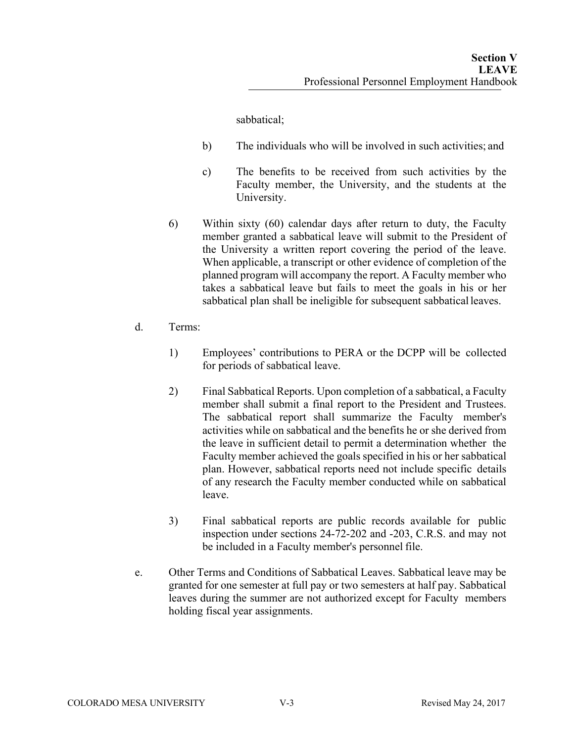sabbatical;

- b) The individuals who will be involved in such activities; and
- c) The benefits to be received from such activities by the Faculty member, the University, and the students at the University.
- 6) Within sixty (60) calendar days after return to duty, the Faculty member granted a sabbatical leave will submit to the President of the University a written report covering the period of the leave. When applicable, a transcript or other evidence of completion of the planned program will accompany the report. A Faculty member who takes a sabbatical leave but fails to meet the goals in his or her sabbatical plan shall be ineligible for subsequent sabbatical leaves.
- d. Terms:
	- 1) Employees' contributions to PERA or the DCPP will be collected for periods of sabbatical leave.
	- 2) Final Sabbatical Reports. Upon completion of a sabbatical, a Faculty member shall submit a final report to the President and Trustees. The sabbatical report shall summarize the Faculty member's activities while on sabbatical and the benefits he or she derived from the leave in sufficient detail to permit a determination whether the Faculty member achieved the goals specified in his or her sabbatical plan. However, sabbatical reports need not include specific details of any research the Faculty member conducted while on sabbatical leave.
	- 3) Final sabbatical reports are public records available for public inspection under sections 24-72-202 and -203, C.R.S. and may not be included in a Faculty member's personnel file.
- e. Other Terms and Conditions of Sabbatical Leaves. Sabbatical leave may be granted for one semester at full pay or two semesters at half pay. Sabbatical leaves during the summer are not authorized except for Faculty members holding fiscal year assignments.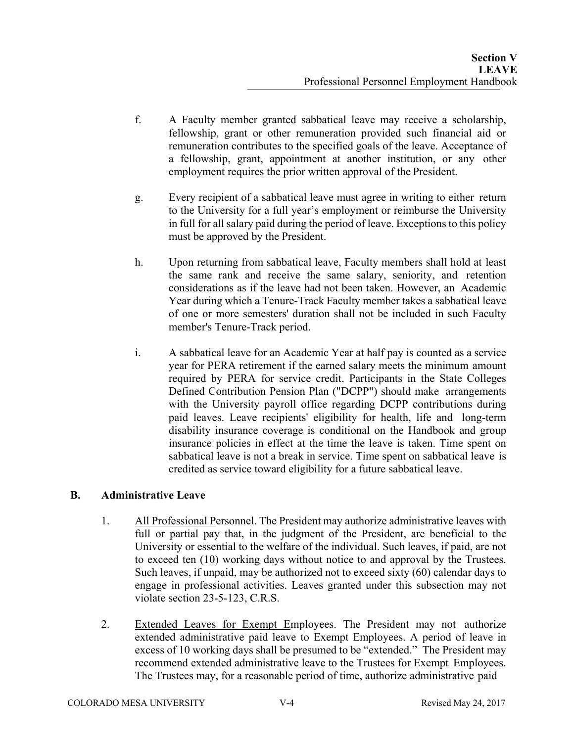- f. A Faculty member granted sabbatical leave may receive a scholarship, fellowship, grant or other remuneration provided such financial aid or remuneration contributes to the specified goals of the leave. Acceptance of a fellowship, grant, appointment at another institution, or any other employment requires the prior written approval of the President.
- g. Every recipient of a sabbatical leave must agree in writing to either return to the University for a full year's employment or reimburse the University in full for all salary paid during the period of leave. Exceptions to this policy must be approved by the President.
- h. Upon returning from sabbatical leave, Faculty members shall hold at least the same rank and receive the same salary, seniority, and retention considerations as if the leave had not been taken. However, an Academic Year during which a Tenure-Track Faculty member takes a sabbatical leave of one or more semesters' duration shall not be included in such Faculty member's Tenure-Track period.
- i. A sabbatical leave for an Academic Year at half pay is counted as a service year for PERA retirement if the earned salary meets the minimum amount required by PERA for service credit. Participants in the State Colleges Defined Contribution Pension Plan ("DCPP") should make arrangements with the University payroll office regarding DCPP contributions during paid leaves. Leave recipients' eligibility for health, life and long-term disability insurance coverage is conditional on the Handbook and group insurance policies in effect at the time the leave is taken. Time spent on sabbatical leave is not a break in service. Time spent on sabbatical leave is credited as service toward eligibility for a future sabbatical leave.

# **B. Administrative Leave**

- 1. All Professional Personnel. The President may authorize administrative leaves with full or partial pay that, in the judgment of the President, are beneficial to the University or essential to the welfare of the individual. Such leaves, if paid, are not to exceed ten (10) working days without notice to and approval by the Trustees. Such leaves, if unpaid, may be authorized not to exceed sixty (60) calendar days to engage in professional activities. Leaves granted under this subsection may not violate section 23-5-123, C.R.S.
- 2. Extended Leaves for Exempt Employees. The President may not authorize extended administrative paid leave to Exempt Employees. A period of leave in excess of 10 working days shall be presumed to be "extended." The President may recommend extended administrative leave to the Trustees for Exempt Employees. The Trustees may, for a reasonable period of time, authorize administrative paid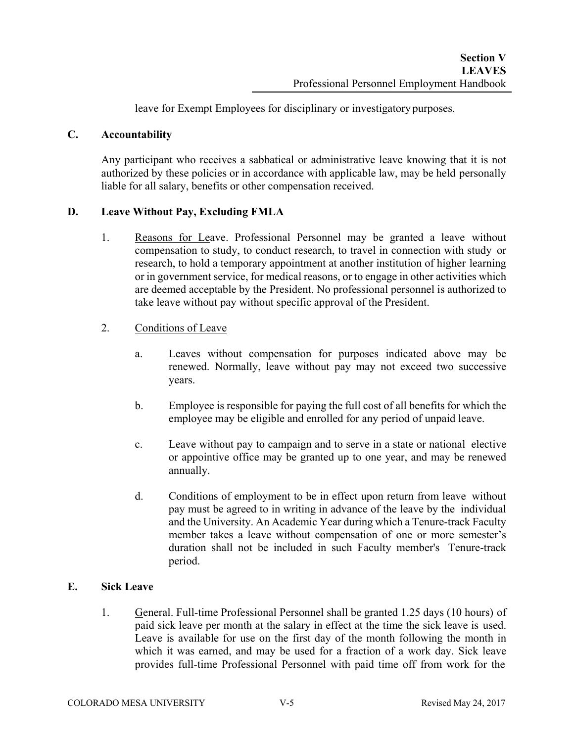leave for Exempt Employees for disciplinary or investigatory purposes.

## **C. Accountability**

Any participant who receives a sabbatical or administrative leave knowing that it is not authorized by these policies or in accordance with applicable law, may be held personally liable for all salary, benefits or other compensation received.

### **D. Leave Without Pay, Excluding FMLA**

- 1. Reasons for Leave. Professional Personnel may be granted a leave without compensation to study, to conduct research, to travel in connection with study or research, to hold a temporary appointment at another institution of higher learning or in government service, for medical reasons, or to engage in other activities which are deemed acceptable by the President. No professional personnel is authorized to take leave without pay without specific approval of the President.
- 2. Conditions of Leave
	- a. Leaves without compensation for purposes indicated above may be renewed. Normally, leave without pay may not exceed two successive years.
	- b. Employee is responsible for paying the full cost of all benefits for which the employee may be eligible and enrolled for any period of unpaid leave.
	- c. Leave without pay to campaign and to serve in a state or national elective or appointive office may be granted up to one year, and may be renewed annually.
	- d. Conditions of employment to be in effect upon return from leave without pay must be agreed to in writing in advance of the leave by the individual and the University. An Academic Year during which a Tenure-track Faculty member takes a leave without compensation of one or more semester's duration shall not be included in such Faculty member's Tenure-track period.

#### **E. Sick Leave**

1. General. Full-time Professional Personnel shall be granted 1.25 days (10 hours) of paid sick leave per month at the salary in effect at the time the sick leave is used. Leave is available for use on the first day of the month following the month in which it was earned, and may be used for a fraction of a work day. Sick leave provides full-time Professional Personnel with paid time off from work for the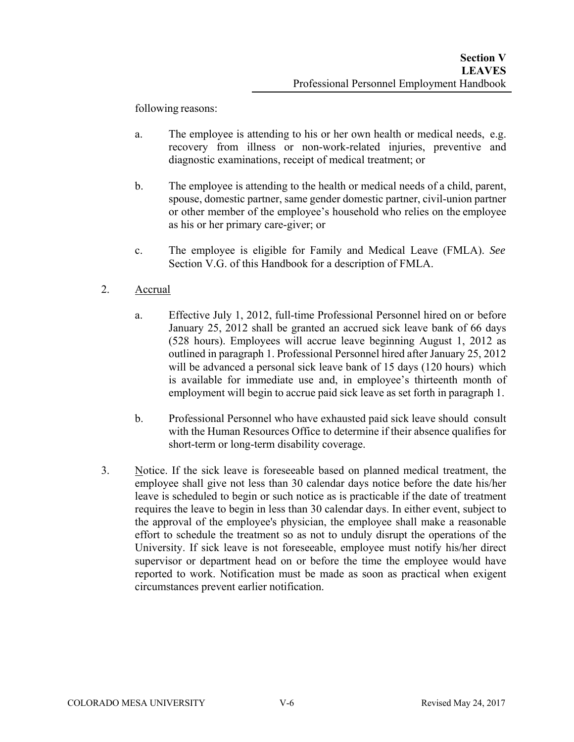following reasons:

- a. The employee is attending to his or her own health or medical needs, e.g. recovery from illness or non-work-related injuries, preventive and diagnostic examinations, receipt of medical treatment; or
- b. The employee is attending to the health or medical needs of a child, parent, spouse, domestic partner, same gender domestic partner, civil-union partner or other member of the employee's household who relies on the employee as his or her primary care-giver; or
- c. The employee is eligible for Family and Medical Leave (FMLA). *See* Section V.G. of this Handbook for a description of FMLA.
- 2. Accrual
	- a. Effective July 1, 2012, full-time Professional Personnel hired on or before January 25, 2012 shall be granted an accrued sick leave bank of 66 days (528 hours). Employees will accrue leave beginning August 1, 2012 as outlined in paragraph 1. Professional Personnel hired after January 25, 2012 will be advanced a personal sick leave bank of 15 days (120 hours) which is available for immediate use and, in employee's thirteenth month of employment will begin to accrue paid sick leave as set forth in paragraph 1.
	- b. Professional Personnel who have exhausted paid sick leave should consult with the Human Resources Office to determine if their absence qualifies for short-term or long-term disability coverage.
- 3. Notice. If the sick leave is foreseeable based on planned medical treatment, the employee shall give not less than 30 calendar days notice before the date his/her leave is scheduled to begin or such notice as is practicable if the date of treatment requires the leave to begin in less than 30 calendar days. In either event, subject to the approval of the employee's physician, the employee shall make a reasonable effort to schedule the treatment so as not to unduly disrupt the operations of the University. If sick leave is not foreseeable, employee must notify his/her direct supervisor or department head on or before the time the employee would have reported to work. Notification must be made as soon as practical when exigent circumstances prevent earlier notification.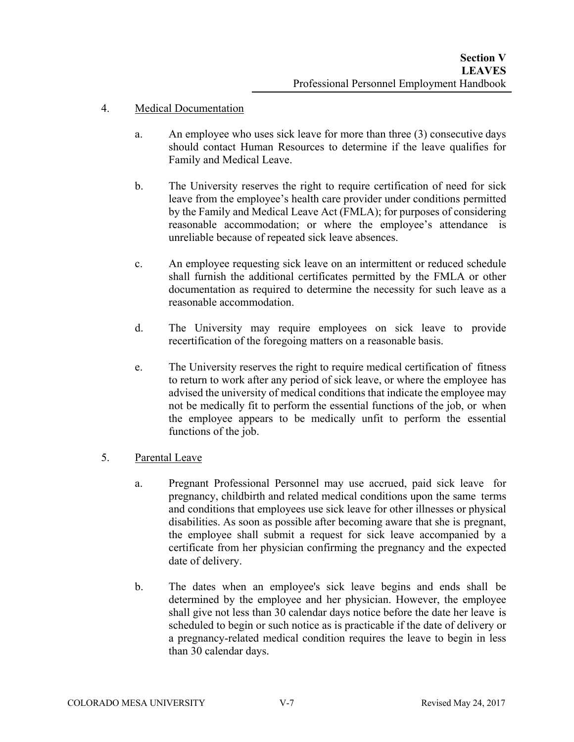## 4. Medical Documentation

- a. An employee who uses sick leave for more than three (3) consecutive days should contact Human Resources to determine if the leave qualifies for Family and Medical Leave.
- b. The University reserves the right to require certification of need for sick leave from the employee's health care provider under conditions permitted by the Family and Medical Leave Act (FMLA); for purposes of considering reasonable accommodation; or where the employee's attendance is unreliable because of repeated sick leave absences.
- c. An employee requesting sick leave on an intermittent or reduced schedule shall furnish the additional certificates permitted by the FMLA or other documentation as required to determine the necessity for such leave as a reasonable accommodation.
- d. The University may require employees on sick leave to provide recertification of the foregoing matters on a reasonable basis.
- e. The University reserves the right to require medical certification of fitness to return to work after any period of sick leave, or where the employee has advised the university of medical conditions that indicate the employee may not be medically fit to perform the essential functions of the job, or when the employee appears to be medically unfit to perform the essential functions of the job.

# 5. Parental Leave

- a. Pregnant Professional Personnel may use accrued, paid sick leave for pregnancy, childbirth and related medical conditions upon the same terms and conditions that employees use sick leave for other illnesses or physical disabilities. As soon as possible after becoming aware that she is pregnant, the employee shall submit a request for sick leave accompanied by a certificate from her physician confirming the pregnancy and the expected date of delivery.
- b. The dates when an employee's sick leave begins and ends shall be determined by the employee and her physician. However, the employee shall give not less than 30 calendar days notice before the date her leave is scheduled to begin or such notice as is practicable if the date of delivery or a pregnancy-related medical condition requires the leave to begin in less than 30 calendar days.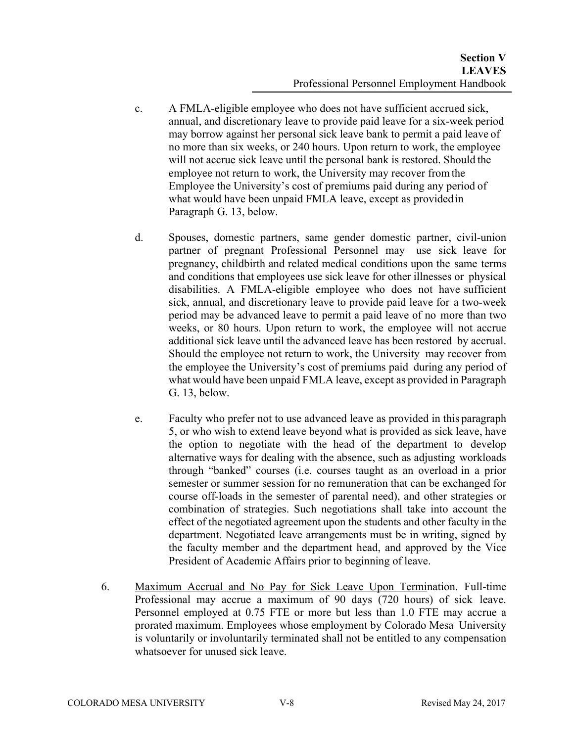- c. A FMLA-eligible employee who does not have sufficient accrued sick, annual, and discretionary leave to provide paid leave for a six-week period may borrow against her personal sick leave bank to permit a paid leave of no more than six weeks, or 240 hours. Upon return to work, the employee will not accrue sick leave until the personal bank is restored. Should the employee not return to work, the University may recover from the Employee the University's cost of premiums paid during any period of what would have been unpaid FMLA leave, except as provided in Paragraph G. 13, below.
- d. Spouses, domestic partners, same gender domestic partner, civil-union partner of pregnant Professional Personnel may use sick leave for pregnancy, childbirth and related medical conditions upon the same terms and conditions that employees use sick leave for other illnesses or physical disabilities. A FMLA-eligible employee who does not have sufficient sick, annual, and discretionary leave to provide paid leave for a two-week period may be advanced leave to permit a paid leave of no more than two weeks, or 80 hours. Upon return to work, the employee will not accrue additional sick leave until the advanced leave has been restored by accrual. Should the employee not return to work, the University may recover from the employee the University's cost of premiums paid during any period of what would have been unpaid FMLA leave, except as provided in Paragraph G. 13, below.
- e. Faculty who prefer not to use advanced leave as provided in this paragraph 5, or who wish to extend leave beyond what is provided as sick leave, have the option to negotiate with the head of the department to develop alternative ways for dealing with the absence, such as adjusting workloads through "banked" courses (i.e. courses taught as an overload in a prior semester or summer session for no remuneration that can be exchanged for course off-loads in the semester of parental need), and other strategies or combination of strategies. Such negotiations shall take into account the effect of the negotiated agreement upon the students and other faculty in the department. Negotiated leave arrangements must be in writing, signed by the faculty member and the department head, and approved by the Vice President of Academic Affairs prior to beginning of leave.
- 6. Maximum Accrual and No Pay for Sick Leave Upon Termination. Full-time Professional may accrue a maximum of 90 days (720 hours) of sick leave. Personnel employed at 0.75 FTE or more but less than 1.0 FTE may accrue a prorated maximum. Employees whose employment by Colorado Mesa University is voluntarily or involuntarily terminated shall not be entitled to any compensation whatsoever for unused sick leave.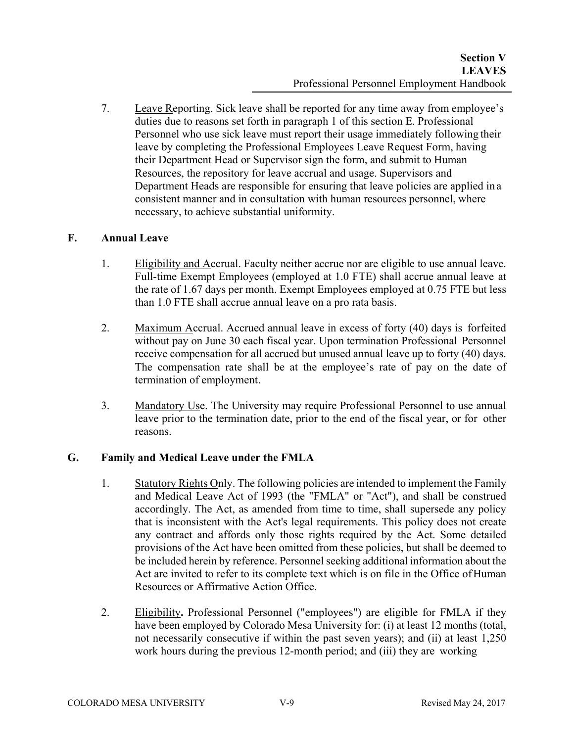7. Leave Reporting. Sick leave shall be reported for any time away from employee's duties due to reasons set forth in paragraph 1 of this section E. Professional Personnel who use sick leave must report their usage immediately following their leave by completing the Professional Employees Leave Request Form, having their Department Head or Supervisor sign the form, and submit to Human Resources, the repository for leave accrual and usage. Supervisors and Department Heads are responsible for ensuring that leave policies are applied in a consistent manner and in consultation with human resources personnel, where necessary, to achieve substantial uniformity.

# **F. Annual Leave**

- 1. Eligibility and Accrual. Faculty neither accrue nor are eligible to use annual leave. Full-time Exempt Employees (employed at 1.0 FTE) shall accrue annual leave at the rate of 1.67 days per month. Exempt Employees employed at 0.75 FTE but less than 1.0 FTE shall accrue annual leave on a pro rata basis.
- 2. Maximum Accrual. Accrued annual leave in excess of forty (40) days is forfeited without pay on June 30 each fiscal year. Upon termination Professional Personnel receive compensation for all accrued but unused annual leave up to forty (40) days. The compensation rate shall be at the employee's rate of pay on the date of termination of employment.
- 3. Mandatory Use. The University may require Professional Personnel to use annual leave prior to the termination date, prior to the end of the fiscal year, or for other reasons.

# **G. Family and Medical Leave under the FMLA**

- 1. Statutory Rights Only. The following policies are intended to implement the Family and Medical Leave Act of 1993 (the "FMLA" or "Act"), and shall be construed accordingly. The Act, as amended from time to time, shall supersede any policy that is inconsistent with the Act's legal requirements. This policy does not create any contract and affords only those rights required by the Act. Some detailed provisions of the Act have been omitted from these policies, but shall be deemed to be included herein by reference. Personnel seeking additional information about the Act are invited to refer to its complete text which is on file in the Office of Human Resources or Affirmative Action Office.
- 2. Eligibility**.** Professional Personnel ("employees") are eligible for FMLA if they have been employed by Colorado Mesa University for: (i) at least 12 months (total, not necessarily consecutive if within the past seven years); and (ii) at least 1,250 work hours during the previous 12-month period; and (iii) they are working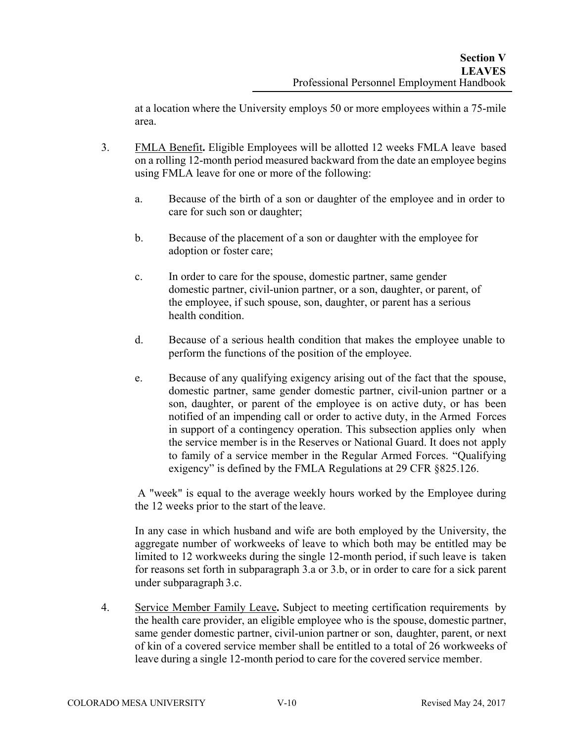at a location where the University employs 50 or more employees within a 75-mile area.

- 3. FMLA Benefit**.** Eligible Employees will be allotted 12 weeks FMLA leave based on a rolling 12-month period measured backward from the date an employee begins using FMLA leave for one or more of the following:
	- a. Because of the birth of a son or daughter of the employee and in order to care for such son or daughter;
	- b. Because of the placement of a son or daughter with the employee for adoption or foster care;
	- c. In order to care for the spouse, domestic partner, same gender domestic partner, civil-union partner, or a son, daughter, or parent, of the employee, if such spouse, son, daughter, or parent has a serious health condition.
	- d. Because of a serious health condition that makes the employee unable to perform the functions of the position of the employee.
	- e. Because of any qualifying exigency arising out of the fact that the spouse, domestic partner, same gender domestic partner, civil-union partner or a son, daughter, or parent of the employee is on active duty, or has been notified of an impending call or order to active duty, in the Armed Forces in support of a contingency operation. This subsection applies only when the service member is in the Reserves or National Guard. It does not apply to family of a service member in the Regular Armed Forces. "Qualifying exigency" is defined by the FMLA Regulations at 29 CFR §825.126.

A "week" is equal to the average weekly hours worked by the Employee during the 12 weeks prior to the start of the leave.

In any case in which husband and wife are both employed by the University, the aggregate number of workweeks of leave to which both may be entitled may be limited to 12 workweeks during the single 12-month period, if such leave is taken for reasons set forth in subparagraph 3.a or 3.b, or in order to care for a sick parent under subparagraph 3.c.

4. Service Member Family Leave**.** Subject to meeting certification requirements by the health care provider, an eligible employee who is the spouse, domestic partner, same gender domestic partner, civil-union partner or son, daughter, parent, or next of kin of a covered service member shall be entitled to a total of 26 workweeks of leave during a single 12-month period to care for the covered service member.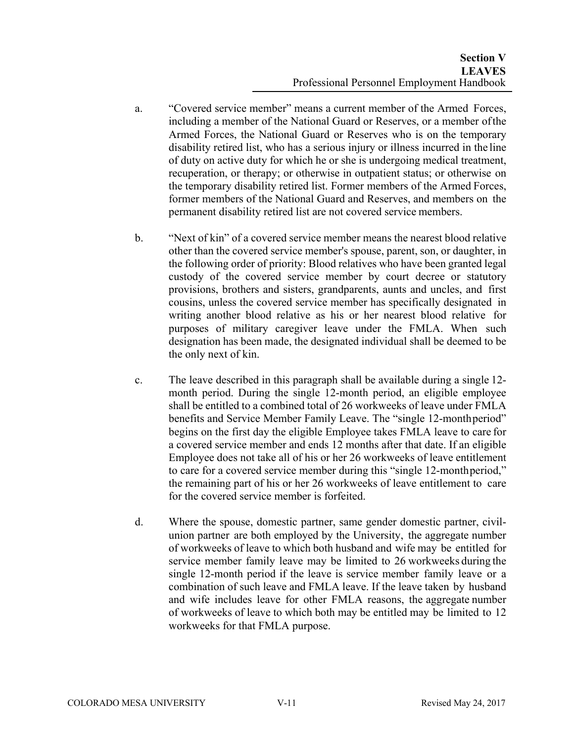- a. "Covered service member" means a current member of the Armed Forces, including a member of the National Guard or Reserves, or a member of the Armed Forces, the National Guard or Reserves who is on the temporary disability retired list, who has a serious injury or illness incurred in the line of duty on active duty for which he or she is undergoing medical treatment, recuperation, or therapy; or otherwise in outpatient status; or otherwise on the temporary disability retired list. Former members of the Armed Forces, former members of the National Guard and Reserves, and members on the permanent disability retired list are not covered service members.
- b. "Next of kin" of a covered service member means the nearest blood relative other than the covered service member's spouse, parent, son, or daughter, in the following order of priority: Blood relatives who have been granted legal custody of the covered service member by court decree or statutory provisions, brothers and sisters, grandparents, aunts and uncles, and first cousins, unless the covered service member has specifically designated in writing another blood relative as his or her nearest blood relative for purposes of military caregiver leave under the FMLA. When such designation has been made, the designated individual shall be deemed to be the only next of kin.
- c. The leave described in this paragraph shall be available during a single 12 month period. During the single 12-month period, an eligible employee shall be entitled to a combined total of 26 workweeks of leave under FMLA benefits and Service Member Family Leave. The "single 12-month period" begins on the first day the eligible Employee takes FMLA leave to care for a covered service member and ends 12 months after that date. If an eligible Employee does not take all of his or her 26 workweeks of leave entitlement to care for a covered service member during this "single 12-month period," the remaining part of his or her 26 workweeks of leave entitlement to care for the covered service member is forfeited.
- d. Where the spouse, domestic partner, same gender domestic partner, civilunion partner are both employed by the University, the aggregate number of workweeks of leave to which both husband and wife may be entitled for service member family leave may be limited to 26 workweeks during the single 12-month period if the leave is service member family leave or a combination of such leave and FMLA leave. If the leave taken by husband and wife includes leave for other FMLA reasons, the aggregate number of workweeks of leave to which both may be entitled may be limited to 12 workweeks for that FMLA purpose.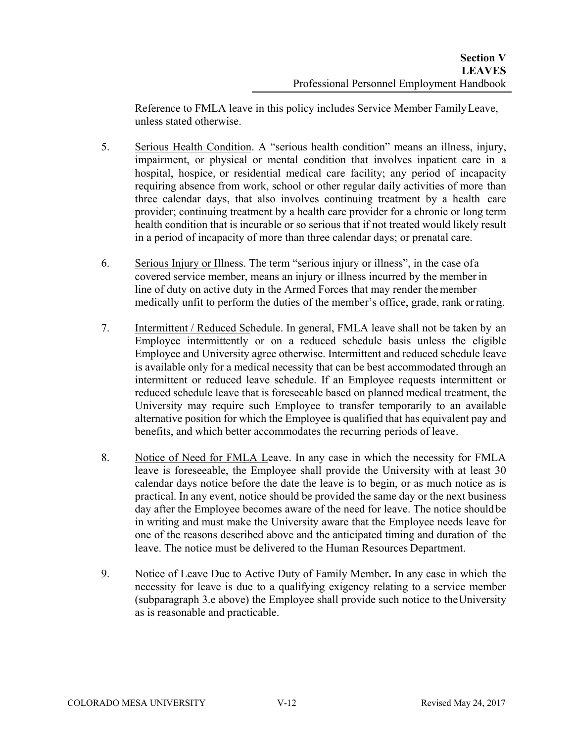Reference to FMLA leave in this policy includes Service Member Family Leave, unless stated otherwise.

- 5. Serious Health Condition. A "serious health condition" means an illness, injury, impairment, or physical or mental condition that involves inpatient care in a hospital, hospice, or residential medical care facility; any period of incapacity requiring absence from work, school or other regular daily activities of more than three calendar days, that also involves continuing treatment by a health care provider; continuing treatment by a health care provider for a chronic or long term health condition that is incurable or so serious that if not treated would likely result in a period of incapacity of more than three calendar days; or prenatal care.
- 6. Serious Injury or Illness. The term "serious injury or illness", in the case of a covered service member, means an injury or illness incurred by the member in line of duty on active duty in the Armed Forces that may render the member medically unfit to perform the duties of the member's office, grade, rank or rating.
- 7. Intermittent / Reduced Schedule. In general, FMLA leave shall not be taken by an Employee intermittently or on a reduced schedule basis unless the eligible Employee and University agree otherwise. Intermittent and reduced schedule leave is available only for a medical necessity that can be best accommodated through an intermittent or reduced leave schedule. If an Employee requests intermittent or reduced schedule leave that is foreseeable based on planned medical treatment, the University may require such Employee to transfer temporarily to an available alternative position for which the Employee is qualified that has equivalent pay and benefits, and which better accommodates the recurring periods of leave.
- 8. Notice of Need for FMLA Leave. In any case in which the necessity for FMLA leave is foreseeable, the Employee shall provide the University with at least 30 calendar days notice before the date the leave is to begin, or as much notice as is practical. In any event, notice should be provided the same day or the next business day after the Employee becomes aware of the need for leave. The notice should be in writing and must make the University aware that the Employee needs leave for one of the reasons described above and the anticipated timing and duration of the leave. The notice must be delivered to the Human Resources Department.
- 9. Notice of Leave Due to Active Duty of Family Member**.** In any case in which the necessity for leave is due to a qualifying exigency relating to a service member (subparagraph 3.e above) the Employee shall provide such notice to the University as is reasonable and practicable.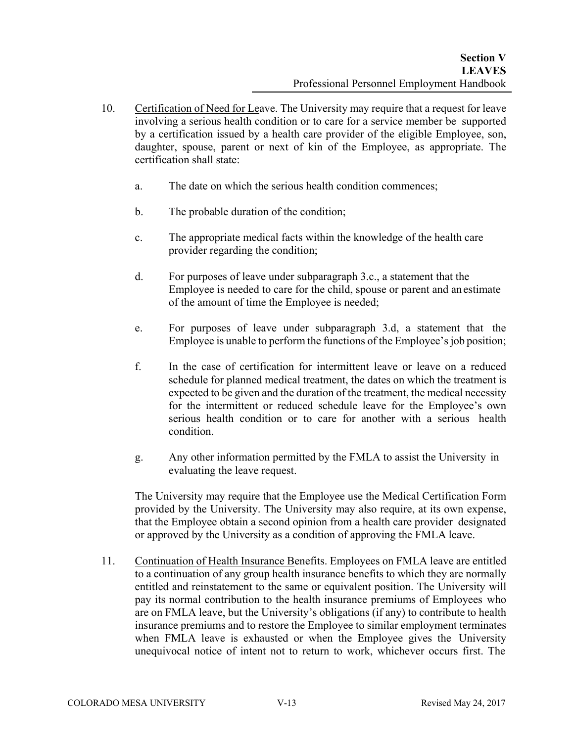- 10. Certification of Need for Leave. The University may require that a request for leave involving a serious health condition or to care for a service member be supported by a certification issued by a health care provider of the eligible Employee, son, daughter, spouse, parent or next of kin of the Employee, as appropriate. The certification shall state:
	- a. The date on which the serious health condition commences;
	- b. The probable duration of the condition;
	- c. The appropriate medical facts within the knowledge of the health care provider regarding the condition;
	- d. For purposes of leave under subparagraph 3.c., a statement that the Employee is needed to care for the child, spouse or parent and an estimate of the amount of time the Employee is needed;
	- e. For purposes of leave under subparagraph 3.d, a statement that the Employee is unable to perform the functions of the Employee's job position;
	- f. In the case of certification for intermittent leave or leave on a reduced schedule for planned medical treatment, the dates on which the treatment is expected to be given and the duration of the treatment, the medical necessity for the intermittent or reduced schedule leave for the Employee's own serious health condition or to care for another with a serious health condition.
	- g. Any other information permitted by the FMLA to assist the University in evaluating the leave request.

The University may require that the Employee use the Medical Certification Form provided by the University. The University may also require, at its own expense, that the Employee obtain a second opinion from a health care provider designated or approved by the University as a condition of approving the FMLA leave.

11. Continuation of Health Insurance Benefits. Employees on FMLA leave are entitled to a continuation of any group health insurance benefits to which they are normally entitled and reinstatement to the same or equivalent position. The University will pay its normal contribution to the health insurance premiums of Employees who are on FMLA leave, but the University's obligations (if any) to contribute to health insurance premiums and to restore the Employee to similar employment terminates when FMLA leave is exhausted or when the Employee gives the University unequivocal notice of intent not to return to work, whichever occurs first. The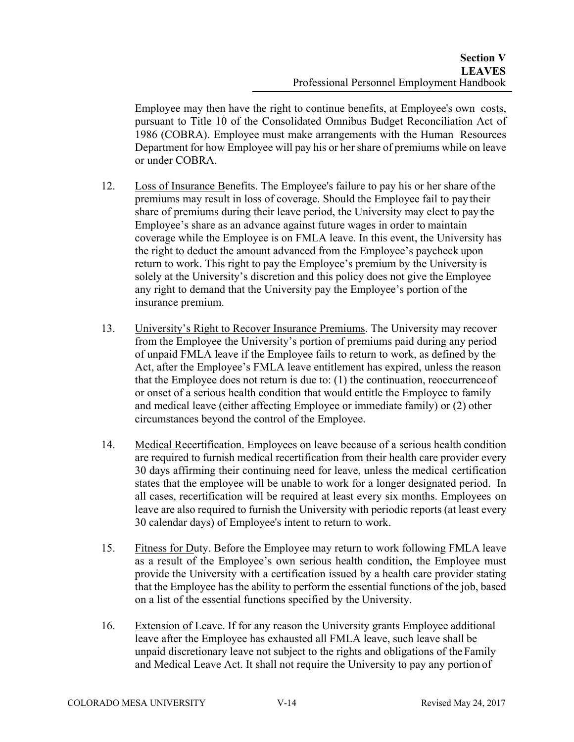Employee may then have the right to continue benefits, at Employee's own costs, pursuant to Title 10 of the Consolidated Omnibus Budget Reconciliation Act of 1986 (COBRA). Employee must make arrangements with the Human Resources Department for how Employee will pay his or her share of premiums while on leave or under COBRA.

- 12. Loss of Insurance Benefits. The Employee's failure to pay his or her share of the premiums may result in loss of coverage. Should the Employee fail to pay their share of premiums during their leave period, the University may elect to pay the Employee's share as an advance against future wages in order to maintain coverage while the Employee is on FMLA leave. In this event, the University has the right to deduct the amount advanced from the Employee's paycheck upon return to work. This right to pay the Employee's premium by the University is solely at the University's discretion and this policy does not give the Employee any right to demand that the University pay the Employee's portion of the insurance premium.
- 13. University's Right to Recover Insurance Premiums. The University may recover from the Employee the University's portion of premiums paid during any period of unpaid FMLA leave if the Employee fails to return to work, as defined by the Act, after the Employee's FMLA leave entitlement has expired, unless the reason that the Employee does not return is due to: (1) the continuation, reoccurrence of or onset of a serious health condition that would entitle the Employee to family and medical leave (either affecting Employee or immediate family) or (2) other circumstances beyond the control of the Employee.
- 14. Medical Recertification. Employees on leave because of a serious health condition are required to furnish medical recertification from their health care provider every 30 days affirming their continuing need for leave, unless the medical certification states that the employee will be unable to work for a longer designated period. In all cases, recertification will be required at least every six months. Employees on leave are also required to furnish the University with periodic reports (at least every 30 calendar days) of Employee's intent to return to work.
- 15. Fitness for Duty. Before the Employee may return to work following FMLA leave as a result of the Employee's own serious health condition, the Employee must provide the University with a certification issued by a health care provider stating that the Employee has the ability to perform the essential functions of the job, based on a list of the essential functions specified by the University.
- 16. Extension of Leave. If for any reason the University grants Employee additional leave after the Employee has exhausted all FMLA leave, such leave shall be unpaid discretionary leave not subject to the rights and obligations of the Family and Medical Leave Act. It shall not require the University to pay any portion of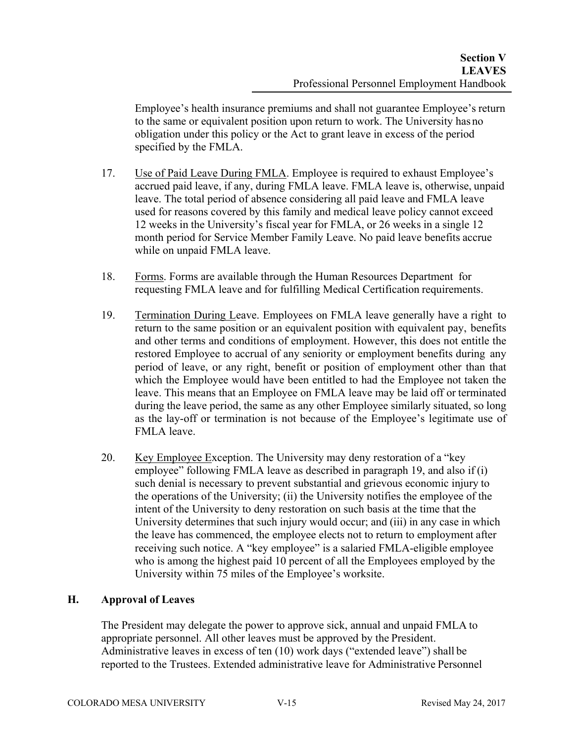Employee's health insurance premiums and shall not guarantee Employee's return to the same or equivalent position upon return to work. The University has no obligation under this policy or the Act to grant leave in excess of the period specified by the FMLA.

- 17. Use of Paid Leave During FMLA. Employee is required to exhaust Employee's accrued paid leave, if any, during FMLA leave. FMLA leave is, otherwise, unpaid leave. The total period of absence considering all paid leave and FMLA leave used for reasons covered by this family and medical leave policy cannot exceed 12 weeks in the University's fiscal year for FMLA, or 26 weeks in a single 12 month period for Service Member Family Leave. No paid leave benefits accrue while on unpaid FMLA leave.
- 18. Forms. Forms are available through the Human Resources Department for requesting FMLA leave and for fulfilling Medical Certification requirements.
- 19. Termination During Leave. Employees on FMLA leave generally have a right to return to the same position or an equivalent position with equivalent pay, benefits and other terms and conditions of employment. However, this does not entitle the restored Employee to accrual of any seniority or employment benefits during any period of leave, or any right, benefit or position of employment other than that which the Employee would have been entitled to had the Employee not taken the leave. This means that an Employee on FMLA leave may be laid off or terminated during the leave period, the same as any other Employee similarly situated, so long as the lay-off or termination is not because of the Employee's legitimate use of FMLA leave.
- 20. Key Employee Exception. The University may deny restoration of a "key employee" following FMLA leave as described in paragraph 19, and also if (i) such denial is necessary to prevent substantial and grievous economic injury to the operations of the University; (ii) the University notifies the employee of the intent of the University to deny restoration on such basis at the time that the University determines that such injury would occur; and (iii) in any case in which the leave has commenced, the employee elects not to return to employment after receiving such notice. A "key employee" is a salaried FMLA-eligible employee who is among the highest paid 10 percent of all the Employees employed by the University within 75 miles of the Employee's worksite.

# **H. Approval of Leaves**

The President may delegate the power to approve sick, annual and unpaid FMLA to appropriate personnel. All other leaves must be approved by the President. Administrative leaves in excess of ten (10) work days ("extended leave") shall be reported to the Trustees. Extended administrative leave for Administrative Personnel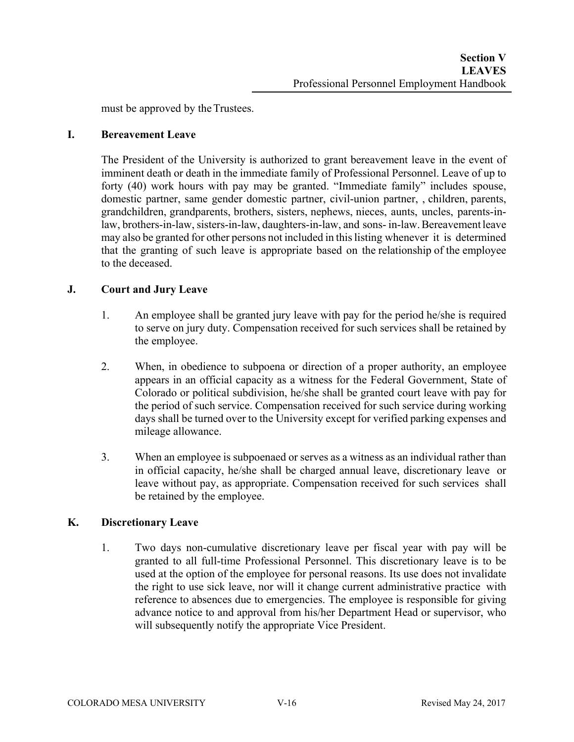must be approved by the Trustees.

### **I. Bereavement Leave**

The President of the University is authorized to grant bereavement leave in the event of imminent death or death in the immediate family of Professional Personnel. Leave of up to forty (40) work hours with pay may be granted. "Immediate family" includes spouse, domestic partner, same gender domestic partner, civil-union partner, , children, parents, grandchildren, grandparents, brothers, sisters, nephews, nieces, aunts, uncles, parents-inlaw, brothers-in-law, sisters-in-law, daughters-in-law, and sons- in-law. Bereavement leave may also be granted for other persons not included in this listing whenever it is determined that the granting of such leave is appropriate based on the relationship of the employee to the deceased.

### **J. Court and Jury Leave**

- 1. An employee shall be granted jury leave with pay for the period he/she is required to serve on jury duty. Compensation received for such services shall be retained by the employee.
- 2. When, in obedience to subpoena or direction of a proper authority, an employee appears in an official capacity as a witness for the Federal Government, State of Colorado or political subdivision, he/she shall be granted court leave with pay for the period of such service. Compensation received for such service during working days shall be turned over to the University except for verified parking expenses and mileage allowance.
- 3. When an employee is subpoenaed or serves as a witness as an individual rather than in official capacity, he/she shall be charged annual leave, discretionary leave or leave without pay, as appropriate. Compensation received for such services shall be retained by the employee.

### **K. Discretionary Leave**

1. Two days non-cumulative discretionary leave per fiscal year with pay will be granted to all full-time Professional Personnel. This discretionary leave is to be used at the option of the employee for personal reasons. Its use does not invalidate the right to use sick leave, nor will it change current administrative practice with reference to absences due to emergencies. The employee is responsible for giving advance notice to and approval from his/her Department Head or supervisor, who will subsequently notify the appropriate Vice President.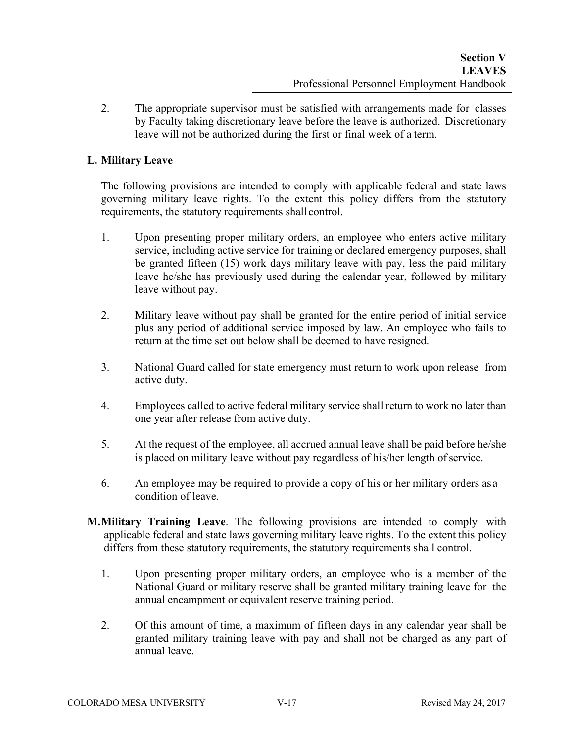2. The appropriate supervisor must be satisfied with arrangements made for classes by Faculty taking discretionary leave before the leave is authorized. Discretionary leave will not be authorized during the first or final week of a term.

## **L. Military Leave**

The following provisions are intended to comply with applicable federal and state laws governing military leave rights. To the extent this policy differs from the statutory requirements, the statutory requirements shall control.

- 1. Upon presenting proper military orders, an employee who enters active military service, including active service for training or declared emergency purposes, shall be granted fifteen (15) work days military leave with pay, less the paid military leave he/she has previously used during the calendar year, followed by military leave without pay.
- 2. Military leave without pay shall be granted for the entire period of initial service plus any period of additional service imposed by law. An employee who fails to return at the time set out below shall be deemed to have resigned.
- 3. National Guard called for state emergency must return to work upon release from active duty.
- 4. Employees called to active federal military service shall return to work no later than one year after release from active duty.
- 5. At the request of the employee, all accrued annual leave shall be paid before he/she is placed on military leave without pay regardless of his/her length of service.
- 6. An employee may be required to provide a copy of his or her military orders as a condition of leave.
- **M.Military Training Leave**. The following provisions are intended to comply with applicable federal and state laws governing military leave rights. To the extent this policy differs from these statutory requirements, the statutory requirements shall control.
	- 1. Upon presenting proper military orders, an employee who is a member of the National Guard or military reserve shall be granted military training leave for the annual encampment or equivalent reserve training period.
	- 2. Of this amount of time, a maximum of fifteen days in any calendar year shall be granted military training leave with pay and shall not be charged as any part of annual leave.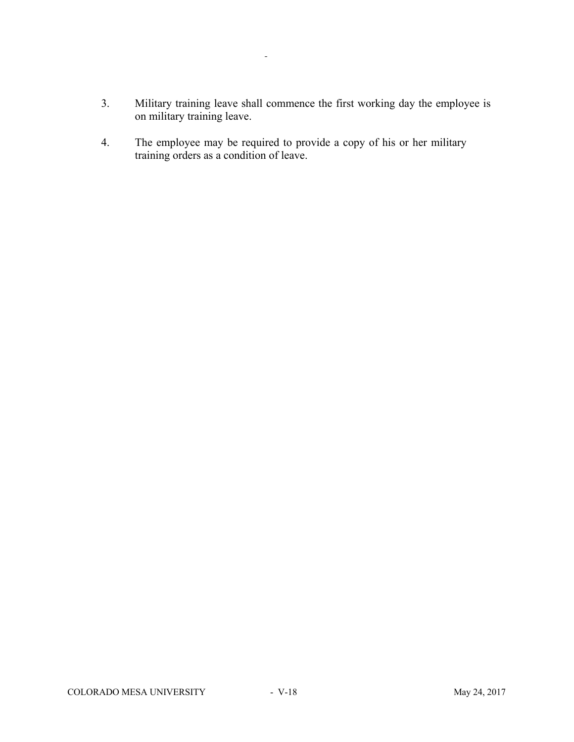- 3. Military training leave shall commence the first working day the employee is on military training leave.
- 4. The employee may be required to provide a copy of his or her military training orders as a condition of leave.

 $\frac{1}{2}$  .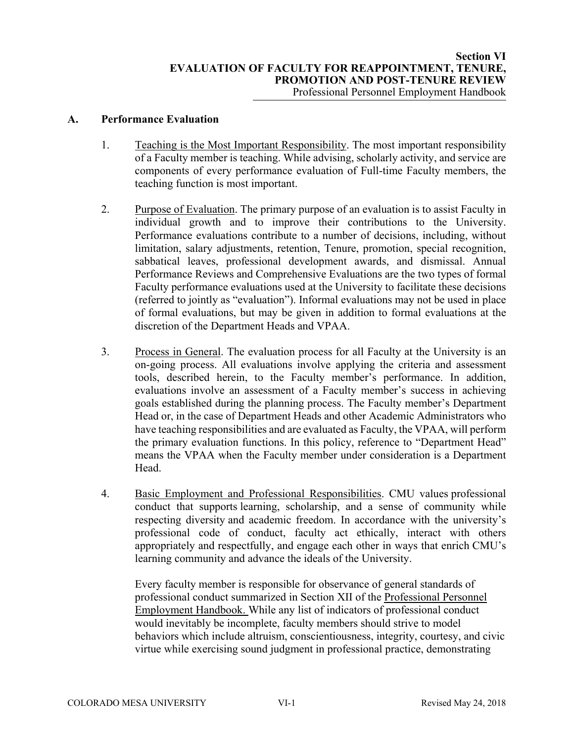#### **A. Performance Evaluation**

- 1. Teaching is the Most Important Responsibility. The most important responsibility of a Faculty member is teaching. While advising, scholarly activity, and service are components of every performance evaluation of Full-time Faculty members, the teaching function is most important.
- 2. Purpose of Evaluation. The primary purpose of an evaluation is to assist Faculty in individual growth and to improve their contributions to the University. Performance evaluations contribute to a number of decisions, including, without limitation, salary adjustments, retention, Tenure, promotion, special recognition, sabbatical leaves, professional development awards, and dismissal. Annual Performance Reviews and Comprehensive Evaluations are the two types of formal Faculty performance evaluations used at the University to facilitate these decisions (referred to jointly as "evaluation"). Informal evaluations may not be used in place of formal evaluations, but may be given in addition to formal evaluations at the discretion of the Department Heads and VPAA.
- 3. Process in General. The evaluation process for all Faculty at the University is an on-going process. All evaluations involve applying the criteria and assessment tools, described herein, to the Faculty member's performance. In addition, evaluations involve an assessment of a Faculty member's success in achieving goals established during the planning process. The Faculty member's Department Head or, in the case of Department Heads and other Academic Administrators who have teaching responsibilities and are evaluated as Faculty, the VPAA, will perform the primary evaluation functions. In this policy, reference to "Department Head" means the VPAA when the Faculty member under consideration is a Department Head.
- 4. Basic Employment and Professional Responsibilities. CMU values professional conduct that supports learning, scholarship, and a sense of community while respecting diversity and academic freedom. In accordance with the university's professional code of conduct, faculty act ethically, interact with others appropriately and respectfully, and engage each other in ways that enrich CMU's learning community and advance the ideals of the University.

Every faculty member is responsible for observance of general standards of professional conduct summarized in Section XII of the Professional Personnel Employment Handbook. While any list of indicators of professional conduct would inevitably be incomplete, faculty members should strive to model behaviors which include altruism, conscientiousness, integrity, courtesy, and civic virtue while exercising sound judgment in professional practice, demonstrating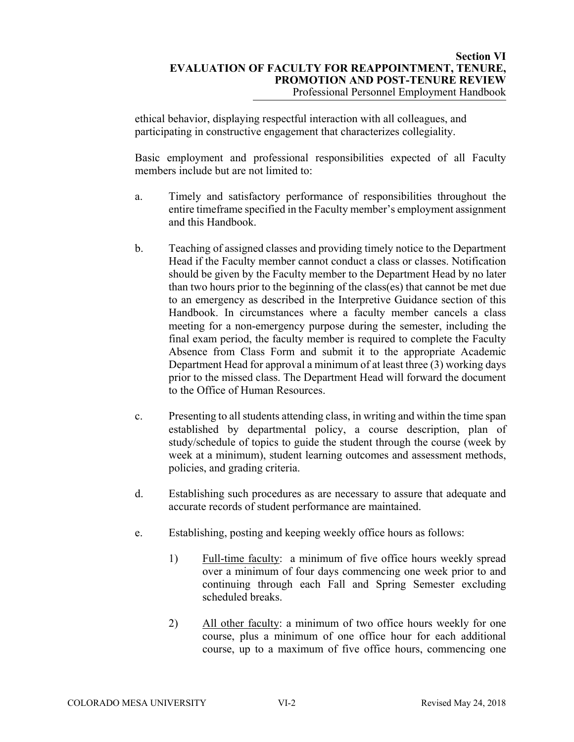ethical behavior, displaying respectful interaction with all colleagues, and participating in constructive engagement that characterizes collegiality.

Basic employment and professional responsibilities expected of all Faculty members include but are not limited to:

- a. Timely and satisfactory performance of responsibilities throughout the entire timeframe specified in the Faculty member's employment assignment and this Handbook.
- b. Teaching of assigned classes and providing timely notice to the Department Head if the Faculty member cannot conduct a class or classes. Notification should be given by the Faculty member to the Department Head by no later than two hours prior to the beginning of the class(es) that cannot be met due to an emergency as described in the Interpretive Guidance section of this Handbook. In circumstances where a faculty member cancels a class meeting for a non-emergency purpose during the semester, including the final exam period, the faculty member is required to complete the Faculty Absence from Class Form and submit it to the appropriate Academic Department Head for approval a minimum of at least three (3) working days prior to the missed class. The Department Head will forward the document to the Office of Human Resources.
- c. Presenting to all students attending class, in writing and within the time span established by departmental policy, a course description, plan of study/schedule of topics to guide the student through the course (week by week at a minimum), student learning outcomes and assessment methods, policies, and grading criteria.
- d. Establishing such procedures as are necessary to assure that adequate and accurate records of student performance are maintained.
- e. Establishing, posting and keeping weekly office hours as follows:
	- 1) Full-time faculty: a minimum of five office hours weekly spread over a minimum of four days commencing one week prior to and continuing through each Fall and Spring Semester excluding scheduled breaks.
	- 2) All other faculty: a minimum of two office hours weekly for one course, plus a minimum of one office hour for each additional course, up to a maximum of five office hours, commencing one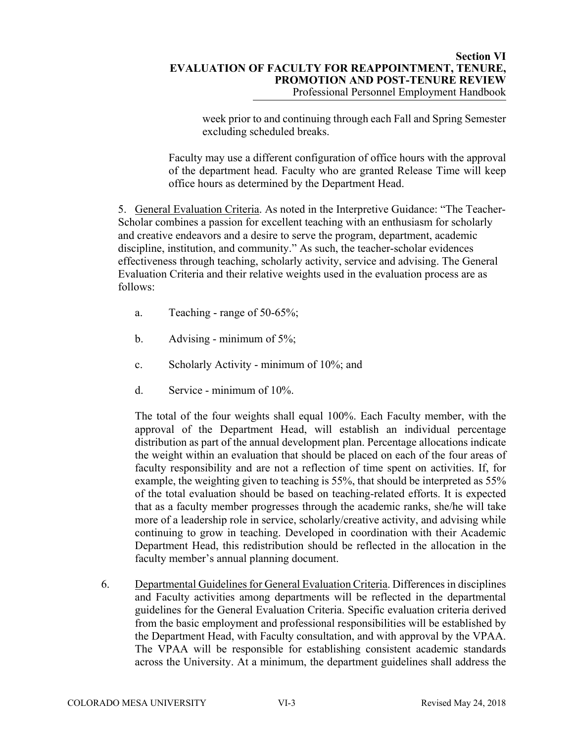#### **Section VI EVALUATION OF FACULTY FOR REAPPOINTMENT, TENURE, PROMOTION AND POST-TENURE REVIEW**  Professional Personnel Employment Handbook

week prior to and continuing through each Fall and Spring Semester excluding scheduled breaks.

Faculty may use a different configuration of office hours with the approval of the department head. Faculty who are granted Release Time will keep office hours as determined by the Department Head.

5. General Evaluation Criteria. As noted in the Interpretive Guidance: "The Teacher-Scholar combines a passion for excellent teaching with an enthusiasm for scholarly and creative endeavors and a desire to serve the program, department, academic discipline, institution, and community." As such, the teacher-scholar evidences effectiveness through teaching, scholarly activity, service and advising. The General Evaluation Criteria and their relative weights used in the evaluation process are as follows:

- a. Teaching range of 50-65%;
- b. Advising minimum of  $5\%$ ;
- c. Scholarly Activity minimum of 10%; and
- d. Service minimum of 10%.

The total of the four weights shall equal 100%. Each Faculty member, with the approval of the Department Head, will establish an individual percentage distribution as part of the annual development plan. Percentage allocations indicate the weight within an evaluation that should be placed on each of the four areas of faculty responsibility and are not a reflection of time spent on activities. If, for example, the weighting given to teaching is 55%, that should be interpreted as 55% of the total evaluation should be based on teaching-related efforts. It is expected that as a faculty member progresses through the academic ranks, she/he will take more of a leadership role in service, scholarly/creative activity, and advising while continuing to grow in teaching. Developed in coordination with their Academic Department Head, this redistribution should be reflected in the allocation in the faculty member's annual planning document.

6. Departmental Guidelines for General Evaluation Criteria. Differences in disciplines and Faculty activities among departments will be reflected in the departmental guidelines for the General Evaluation Criteria. Specific evaluation criteria derived from the basic employment and professional responsibilities will be established by the Department Head, with Faculty consultation, and with approval by the VPAA. The VPAA will be responsible for establishing consistent academic standards across the University. At a minimum, the department guidelines shall address the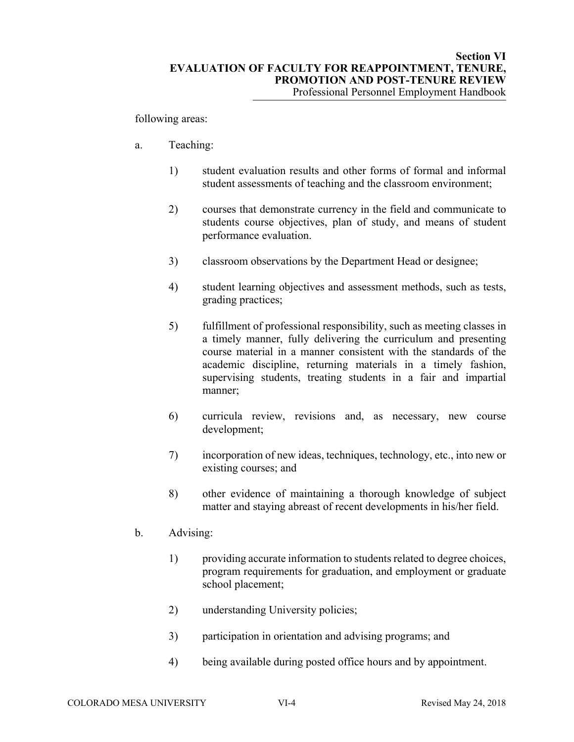following areas:

- a. Teaching:
	- 1) student evaluation results and other forms of formal and informal student assessments of teaching and the classroom environment;
	- 2) courses that demonstrate currency in the field and communicate to students course objectives, plan of study, and means of student performance evaluation.
	- 3) classroom observations by the Department Head or designee;
	- 4) student learning objectives and assessment methods, such as tests, grading practices;
	- 5) fulfillment of professional responsibility, such as meeting classes in a timely manner, fully delivering the curriculum and presenting course material in a manner consistent with the standards of the academic discipline, returning materials in a timely fashion, supervising students, treating students in a fair and impartial manner;
	- 6) curricula review, revisions and, as necessary, new course development;
	- 7) incorporation of new ideas, techniques, technology, etc., into new or existing courses; and
	- 8) other evidence of maintaining a thorough knowledge of subject matter and staying abreast of recent developments in his/her field.
- b. Advising:
	- 1) providing accurate information to students related to degree choices, program requirements for graduation, and employment or graduate school placement;
	- 2) understanding University policies;
	- 3) participation in orientation and advising programs; and
	- 4) being available during posted office hours and by appointment.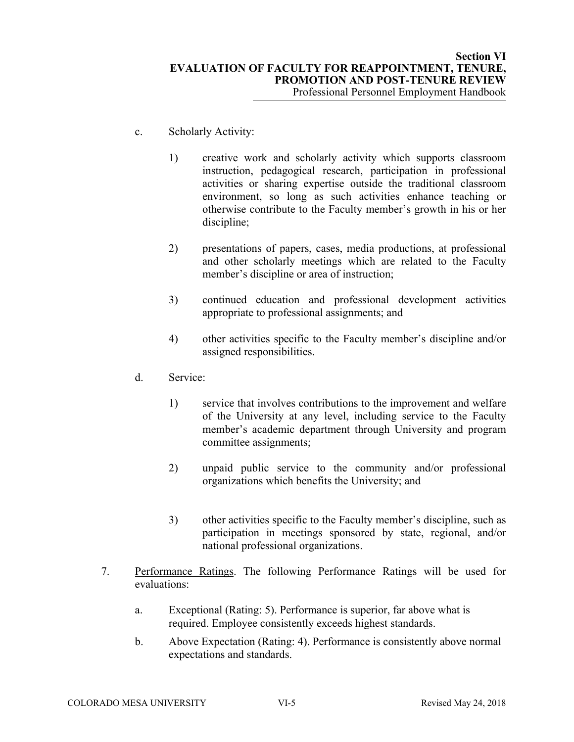- c. Scholarly Activity:
	- 1) creative work and scholarly activity which supports classroom instruction, pedagogical research, participation in professional activities or sharing expertise outside the traditional classroom environment, so long as such activities enhance teaching or otherwise contribute to the Faculty member's growth in his or her discipline;
	- 2) presentations of papers, cases, media productions, at professional and other scholarly meetings which are related to the Faculty member's discipline or area of instruction;
	- 3) continued education and professional development activities appropriate to professional assignments; and
	- 4) other activities specific to the Faculty member's discipline and/or assigned responsibilities.
- d. Service:
	- 1) service that involves contributions to the improvement and welfare of the University at any level, including service to the Faculty member's academic department through University and program committee assignments;
	- 2) unpaid public service to the community and/or professional organizations which benefits the University; and
	- 3) other activities specific to the Faculty member's discipline, such as participation in meetings sponsored by state, regional, and/or national professional organizations.
- 7. Performance Ratings. The following Performance Ratings will be used for evaluations:
	- a. Exceptional (Rating: 5). Performance is superior, far above what is required. Employee consistently exceeds highest standards.
	- b. Above Expectation (Rating: 4). Performance is consistently above normal expectations and standards.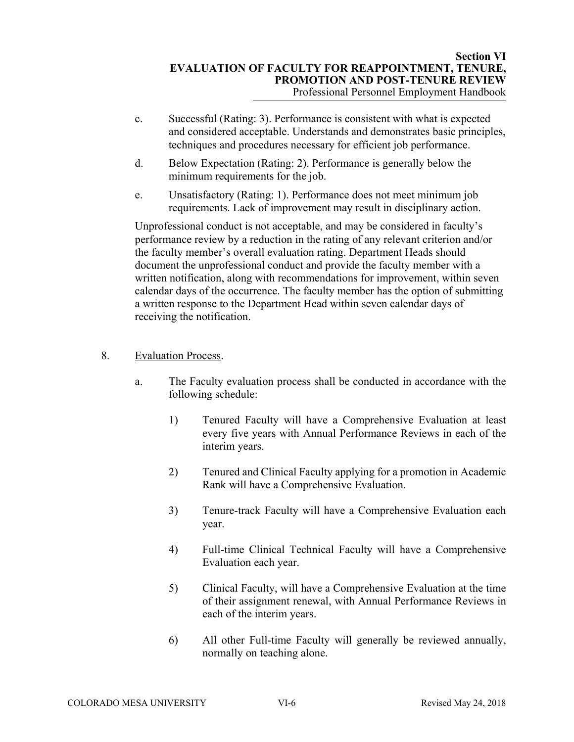- c. Successful (Rating: 3). Performance is consistent with what is expected and considered acceptable. Understands and demonstrates basic principles, techniques and procedures necessary for efficient job performance.
- d. Below Expectation (Rating: 2). Performance is generally below the minimum requirements for the job.
- e. Unsatisfactory (Rating: 1). Performance does not meet minimum job requirements. Lack of improvement may result in disciplinary action.

Unprofessional conduct is not acceptable, and may be considered in faculty's performance review by a reduction in the rating of any relevant criterion and/or the faculty member's overall evaluation rating. Department Heads should document the unprofessional conduct and provide the faculty member with a written notification, along with recommendations for improvement, within seven calendar days of the occurrence. The faculty member has the option of submitting a written response to the Department Head within seven calendar days of receiving the notification.

### 8. Evaluation Process.

- a. The Faculty evaluation process shall be conducted in accordance with the following schedule:
	- 1) Tenured Faculty will have a Comprehensive Evaluation at least every five years with Annual Performance Reviews in each of the interim years.
	- 2) Tenured and Clinical Faculty applying for a promotion in Academic Rank will have a Comprehensive Evaluation.
	- 3) Tenure-track Faculty will have a Comprehensive Evaluation each year.
	- 4) Full-time Clinical Technical Faculty will have a Comprehensive Evaluation each year.
	- 5) Clinical Faculty, will have a Comprehensive Evaluation at the time of their assignment renewal, with Annual Performance Reviews in each of the interim years.
	- 6) All other Full-time Faculty will generally be reviewed annually, normally on teaching alone.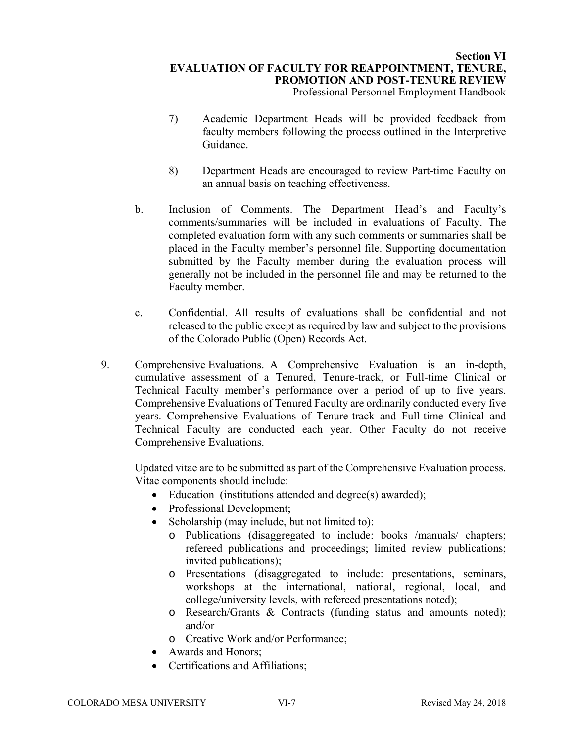- 7) Academic Department Heads will be provided feedback from faculty members following the process outlined in the Interpretive Guidance.
- 8) Department Heads are encouraged to review Part-time Faculty on an annual basis on teaching effectiveness.
- b. Inclusion of Comments. The Department Head's and Faculty's comments/summaries will be included in evaluations of Faculty. The completed evaluation form with any such comments or summaries shall be placed in the Faculty member's personnel file. Supporting documentation submitted by the Faculty member during the evaluation process will generally not be included in the personnel file and may be returned to the Faculty member.
- c. Confidential. All results of evaluations shall be confidential and not released to the public except as required by law and subject to the provisions of the Colorado Public (Open) Records Act.
- 9. Comprehensive Evaluations. A Comprehensive Evaluation is an in-depth, cumulative assessment of a Tenured, Tenure-track, or Full-time Clinical or Technical Faculty member's performance over a period of up to five years. Comprehensive Evaluations of Tenured Faculty are ordinarily conducted every five years. Comprehensive Evaluations of Tenure-track and Full-time Clinical and Technical Faculty are conducted each year. Other Faculty do not receive Comprehensive Evaluations.

Updated vitae are to be submitted as part of the Comprehensive Evaluation process. Vitae components should include:

- Education (institutions attended and degree(s) awarded);
- Professional Development;
- Scholarship (may include, but not limited to):
	- o Publications (disaggregated to include: books /manuals/ chapters; refereed publications and proceedings; limited review publications; invited publications);
	- o Presentations (disaggregated to include: presentations, seminars, workshops at the international, national, regional, local, and college/university levels, with refereed presentations noted);
	- o Research/Grants & Contracts (funding status and amounts noted); and/or
	- o Creative Work and/or Performance;
- Awards and Honors:
- Certifications and Affiliations;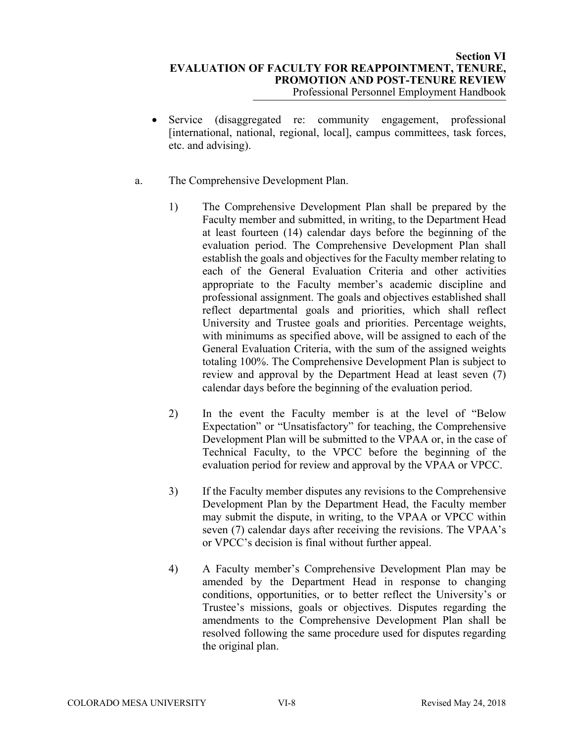- Service (disaggregated re: community engagement, professional [international, national, regional, local], campus committees, task forces, etc. and advising).
- a. The Comprehensive Development Plan.
	- 1) The Comprehensive Development Plan shall be prepared by the Faculty member and submitted, in writing, to the Department Head at least fourteen (14) calendar days before the beginning of the evaluation period. The Comprehensive Development Plan shall establish the goals and objectives for the Faculty member relating to each of the General Evaluation Criteria and other activities appropriate to the Faculty member's academic discipline and professional assignment. The goals and objectives established shall reflect departmental goals and priorities, which shall reflect University and Trustee goals and priorities. Percentage weights, with minimums as specified above, will be assigned to each of the General Evaluation Criteria, with the sum of the assigned weights totaling 100%. The Comprehensive Development Plan is subject to review and approval by the Department Head at least seven (7) calendar days before the beginning of the evaluation period.
	- 2) In the event the Faculty member is at the level of "Below Expectation" or "Unsatisfactory" for teaching, the Comprehensive Development Plan will be submitted to the VPAA or, in the case of Technical Faculty, to the VPCC before the beginning of the evaluation period for review and approval by the VPAA or VPCC.
	- 3) If the Faculty member disputes any revisions to the Comprehensive Development Plan by the Department Head, the Faculty member may submit the dispute, in writing, to the VPAA or VPCC within seven (7) calendar days after receiving the revisions. The VPAA's or VPCC's decision is final without further appeal.
	- 4) A Faculty member's Comprehensive Development Plan may be amended by the Department Head in response to changing conditions, opportunities, or to better reflect the University's or Trustee's missions, goals or objectives. Disputes regarding the amendments to the Comprehensive Development Plan shall be resolved following the same procedure used for disputes regarding the original plan.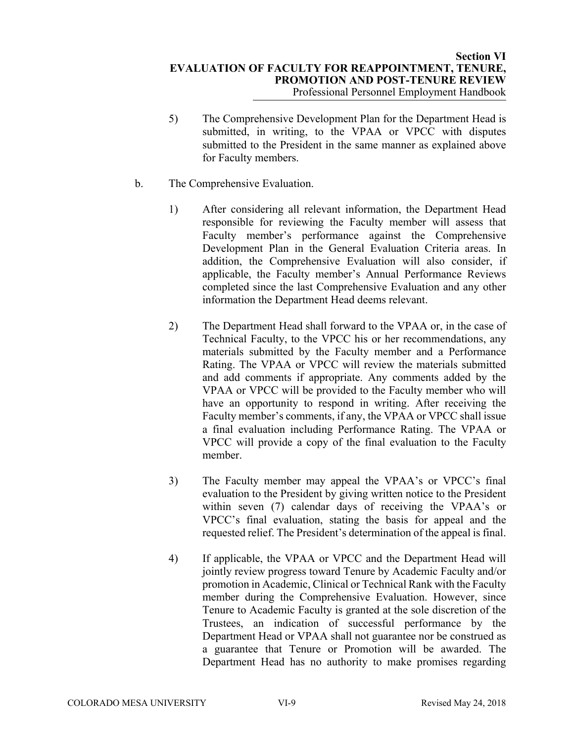- 5) The Comprehensive Development Plan for the Department Head is submitted, in writing, to the VPAA or VPCC with disputes submitted to the President in the same manner as explained above for Faculty members.
- b. The Comprehensive Evaluation.
	- 1) After considering all relevant information, the Department Head responsible for reviewing the Faculty member will assess that Faculty member's performance against the Comprehensive Development Plan in the General Evaluation Criteria areas. In addition, the Comprehensive Evaluation will also consider, if applicable, the Faculty member's Annual Performance Reviews completed since the last Comprehensive Evaluation and any other information the Department Head deems relevant.
	- 2) The Department Head shall forward to the VPAA or, in the case of Technical Faculty, to the VPCC his or her recommendations, any materials submitted by the Faculty member and a Performance Rating. The VPAA or VPCC will review the materials submitted and add comments if appropriate. Any comments added by the VPAA or VPCC will be provided to the Faculty member who will have an opportunity to respond in writing. After receiving the Faculty member's comments, if any, the VPAA or VPCC shall issue a final evaluation including Performance Rating. The VPAA or VPCC will provide a copy of the final evaluation to the Faculty member.
	- 3) The Faculty member may appeal the VPAA's or VPCC's final evaluation to the President by giving written notice to the President within seven (7) calendar days of receiving the VPAA's or VPCC's final evaluation, stating the basis for appeal and the requested relief. The President's determination of the appeal is final.
	- 4) If applicable, the VPAA or VPCC and the Department Head will jointly review progress toward Tenure by Academic Faculty and/or promotion in Academic, Clinical or Technical Rank with the Faculty member during the Comprehensive Evaluation. However, since Tenure to Academic Faculty is granted at the sole discretion of the Trustees, an indication of successful performance by the Department Head or VPAA shall not guarantee nor be construed as a guarantee that Tenure or Promotion will be awarded. The Department Head has no authority to make promises regarding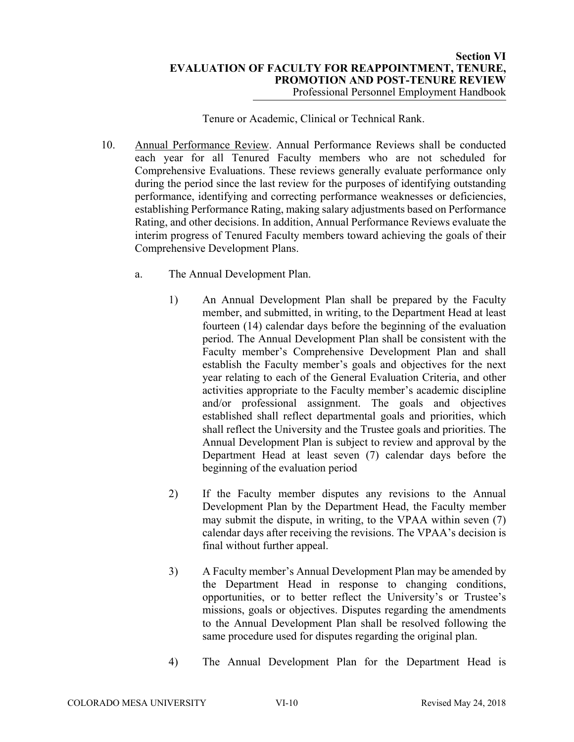### Tenure or Academic, Clinical or Technical Rank.

- 10. Annual Performance Review. Annual Performance Reviews shall be conducted each year for all Tenured Faculty members who are not scheduled for Comprehensive Evaluations. These reviews generally evaluate performance only during the period since the last review for the purposes of identifying outstanding performance, identifying and correcting performance weaknesses or deficiencies, establishing Performance Rating, making salary adjustments based on Performance Rating, and other decisions. In addition, Annual Performance Reviews evaluate the interim progress of Tenured Faculty members toward achieving the goals of their Comprehensive Development Plans.
	- a. The Annual Development Plan.
		- 1) An Annual Development Plan shall be prepared by the Faculty member, and submitted, in writing, to the Department Head at least fourteen (14) calendar days before the beginning of the evaluation period. The Annual Development Plan shall be consistent with the Faculty member's Comprehensive Development Plan and shall establish the Faculty member's goals and objectives for the next year relating to each of the General Evaluation Criteria, and other activities appropriate to the Faculty member's academic discipline and/or professional assignment. The goals and objectives established shall reflect departmental goals and priorities, which shall reflect the University and the Trustee goals and priorities. The Annual Development Plan is subject to review and approval by the Department Head at least seven (7) calendar days before the beginning of the evaluation period
		- 2) If the Faculty member disputes any revisions to the Annual Development Plan by the Department Head, the Faculty member may submit the dispute, in writing, to the VPAA within seven (7) calendar days after receiving the revisions. The VPAA's decision is final without further appeal.
		- 3) A Faculty member's Annual Development Plan may be amended by the Department Head in response to changing conditions, opportunities, or to better reflect the University's or Trustee's missions, goals or objectives. Disputes regarding the amendments to the Annual Development Plan shall be resolved following the same procedure used for disputes regarding the original plan.
		- 4) The Annual Development Plan for the Department Head is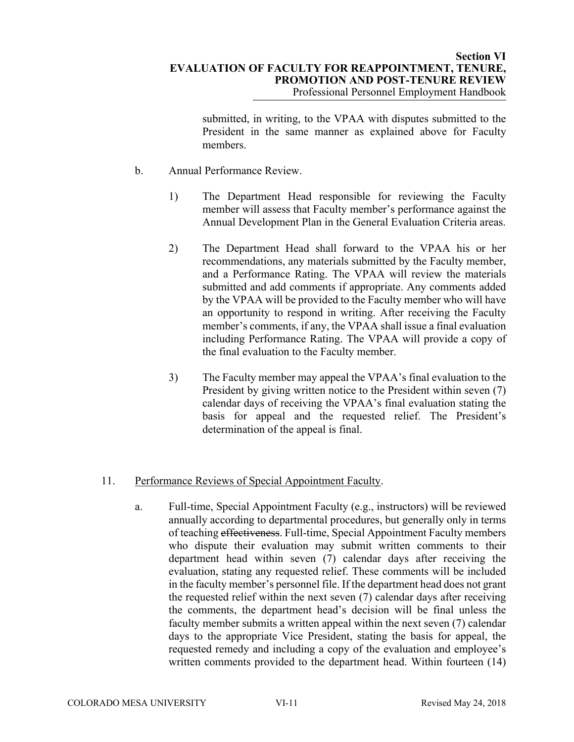#### **Section VI EVALUATION OF FACULTY FOR REAPPOINTMENT, TENURE, PROMOTION AND POST-TENURE REVIEW**  Professional Personnel Employment Handbook

submitted, in writing, to the VPAA with disputes submitted to the President in the same manner as explained above for Faculty members.

- b. Annual Performance Review.
	- 1) The Department Head responsible for reviewing the Faculty member will assess that Faculty member's performance against the Annual Development Plan in the General Evaluation Criteria areas.
	- 2) The Department Head shall forward to the VPAA his or her recommendations, any materials submitted by the Faculty member, and a Performance Rating. The VPAA will review the materials submitted and add comments if appropriate. Any comments added by the VPAA will be provided to the Faculty member who will have an opportunity to respond in writing. After receiving the Faculty member's comments, if any, the VPAA shall issue a final evaluation including Performance Rating. The VPAA will provide a copy of the final evaluation to the Faculty member.
	- 3) The Faculty member may appeal the VPAA's final evaluation to the President by giving written notice to the President within seven (7) calendar days of receiving the VPAA's final evaluation stating the basis for appeal and the requested relief. The President's determination of the appeal is final.

#### 11. Performance Reviews of Special Appointment Faculty.

a. Full-time, Special Appointment Faculty (e.g., instructors) will be reviewed annually according to departmental procedures, but generally only in terms of teaching effectiveness. Full-time, Special Appointment Faculty members who dispute their evaluation may submit written comments to their department head within seven (7) calendar days after receiving the evaluation, stating any requested relief. These comments will be included in the faculty member's personnel file. If the department head does not grant the requested relief within the next seven (7) calendar days after receiving the comments, the department head's decision will be final unless the faculty member submits a written appeal within the next seven (7) calendar days to the appropriate Vice President, stating the basis for appeal, the requested remedy and including a copy of the evaluation and employee's written comments provided to the department head. Within fourteen (14)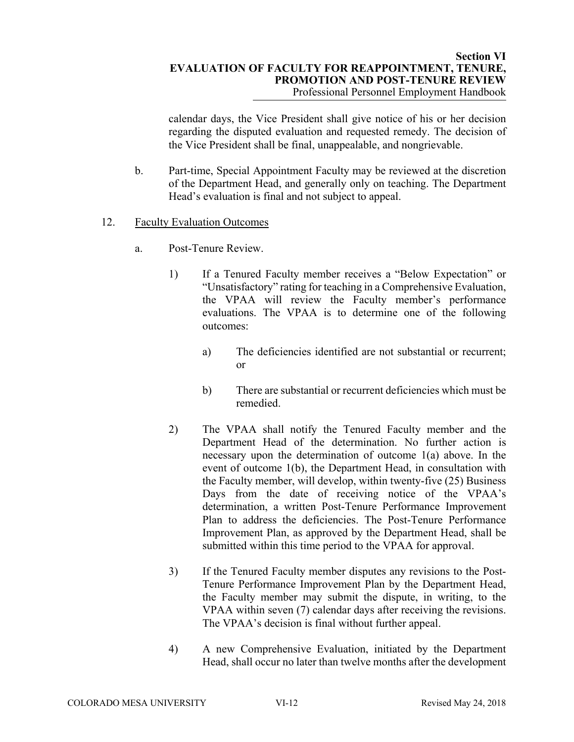calendar days, the Vice President shall give notice of his or her decision regarding the disputed evaluation and requested remedy. The decision of the Vice President shall be final, unappealable, and nongrievable.

- b. Part-time, Special Appointment Faculty may be reviewed at the discretion of the Department Head, and generally only on teaching. The Department Head's evaluation is final and not subject to appeal.
- 12. Faculty Evaluation Outcomes
	- a. Post-Tenure Review.
		- 1) If a Tenured Faculty member receives a "Below Expectation" or "Unsatisfactory" rating for teaching in a Comprehensive Evaluation, the VPAA will review the Faculty member's performance evaluations. The VPAA is to determine one of the following outcomes:
			- a) The deficiencies identified are not substantial or recurrent; or
			- b) There are substantial or recurrent deficiencies which must be remedied.
		- 2) The VPAA shall notify the Tenured Faculty member and the Department Head of the determination. No further action is necessary upon the determination of outcome 1(a) above. In the event of outcome 1(b), the Department Head, in consultation with the Faculty member, will develop, within twenty-five (25) Business Days from the date of receiving notice of the VPAA's determination, a written Post-Tenure Performance Improvement Plan to address the deficiencies. The Post-Tenure Performance Improvement Plan, as approved by the Department Head, shall be submitted within this time period to the VPAA for approval.
		- 3) If the Tenured Faculty member disputes any revisions to the Post-Tenure Performance Improvement Plan by the Department Head, the Faculty member may submit the dispute, in writing, to the VPAA within seven (7) calendar days after receiving the revisions. The VPAA's decision is final without further appeal.
		- 4) A new Comprehensive Evaluation, initiated by the Department Head, shall occur no later than twelve months after the development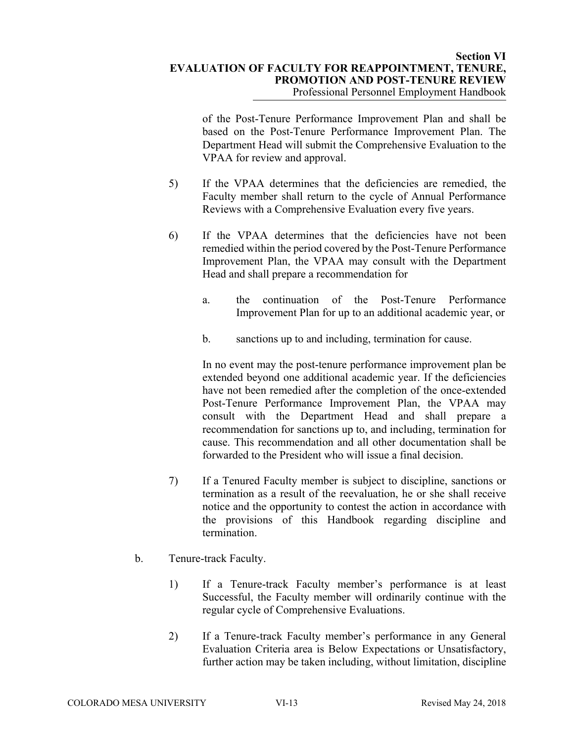of the Post-Tenure Performance Improvement Plan and shall be based on the Post-Tenure Performance Improvement Plan. The Department Head will submit the Comprehensive Evaluation to the VPAA for review and approval.

- 5) If the VPAA determines that the deficiencies are remedied, the Faculty member shall return to the cycle of Annual Performance Reviews with a Comprehensive Evaluation every five years.
- 6) If the VPAA determines that the deficiencies have not been remedied within the period covered by the Post-Tenure Performance Improvement Plan, the VPAA may consult with the Department Head and shall prepare a recommendation for
	- a. the continuation of the Post-Tenure Performance Improvement Plan for up to an additional academic year, or
	- b. sanctions up to and including, termination for cause.

 In no event may the post-tenure performance improvement plan be extended beyond one additional academic year. If the deficiencies have not been remedied after the completion of the once-extended Post-Tenure Performance Improvement Plan, the VPAA may consult with the Department Head and shall prepare a recommendation for sanctions up to, and including, termination for cause. This recommendation and all other documentation shall be forwarded to the President who will issue a final decision.

- 7) If a Tenured Faculty member is subject to discipline, sanctions or termination as a result of the reevaluation, he or she shall receive notice and the opportunity to contest the action in accordance with the provisions of this Handbook regarding discipline and termination.
- b. Tenure-track Faculty.
	- 1) If a Tenure-track Faculty member's performance is at least Successful, the Faculty member will ordinarily continue with the regular cycle of Comprehensive Evaluations.
	- 2) If a Tenure-track Faculty member's performance in any General Evaluation Criteria area is Below Expectations or Unsatisfactory, further action may be taken including, without limitation, discipline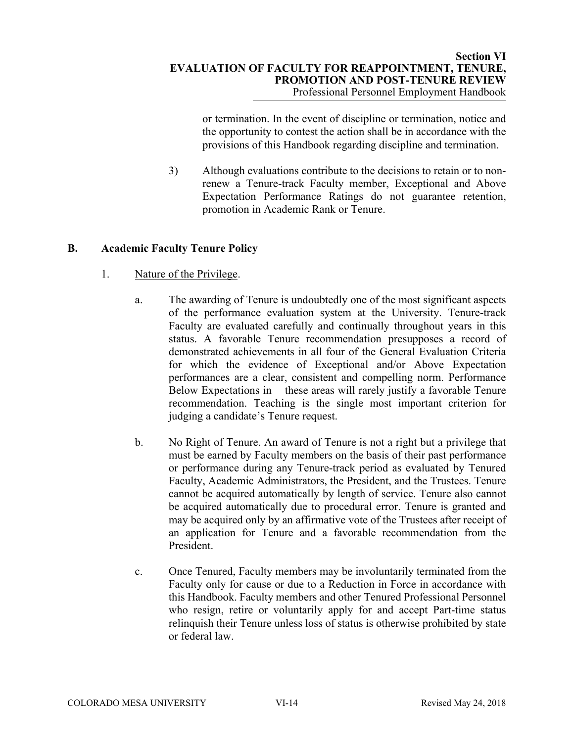or termination. In the event of discipline or termination, notice and the opportunity to contest the action shall be in accordance with the provisions of this Handbook regarding discipline and termination.

3) Although evaluations contribute to the decisions to retain or to nonrenew a Tenure-track Faculty member, Exceptional and Above Expectation Performance Ratings do not guarantee retention, promotion in Academic Rank or Tenure.

# **B. Academic Faculty Tenure Policy**

# 1. Nature of the Privilege.

- a. The awarding of Tenure is undoubtedly one of the most significant aspects of the performance evaluation system at the University. Tenure-track Faculty are evaluated carefully and continually throughout years in this status. A favorable Tenure recommendation presupposes a record of demonstrated achievements in all four of the General Evaluation Criteria for which the evidence of Exceptional and/or Above Expectation performances are a clear, consistent and compelling norm. Performance Below Expectations in these areas will rarely justify a favorable Tenure recommendation. Teaching is the single most important criterion for judging a candidate's Tenure request.
- b. No Right of Tenure. An award of Tenure is not a right but a privilege that must be earned by Faculty members on the basis of their past performance or performance during any Tenure-track period as evaluated by Tenured Faculty, Academic Administrators, the President, and the Trustees. Tenure cannot be acquired automatically by length of service. Tenure also cannot be acquired automatically due to procedural error. Tenure is granted and may be acquired only by an affirmative vote of the Trustees after receipt of an application for Tenure and a favorable recommendation from the President.
- c. Once Tenured, Faculty members may be involuntarily terminated from the Faculty only for cause or due to a Reduction in Force in accordance with this Handbook. Faculty members and other Tenured Professional Personnel who resign, retire or voluntarily apply for and accept Part-time status relinquish their Tenure unless loss of status is otherwise prohibited by state or federal law.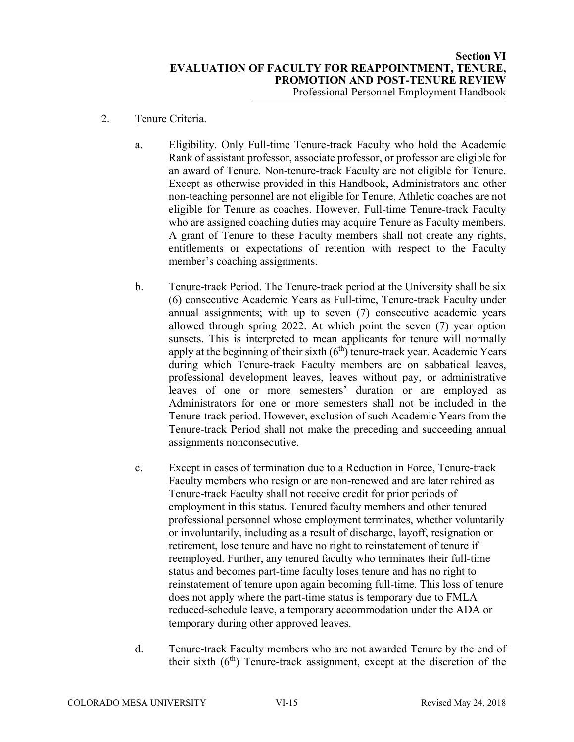### 2. Tenure Criteria.

- a. Eligibility. Only Full-time Tenure-track Faculty who hold the Academic Rank of assistant professor, associate professor, or professor are eligible for an award of Tenure. Non-tenure-track Faculty are not eligible for Tenure. Except as otherwise provided in this Handbook, Administrators and other non-teaching personnel are not eligible for Tenure. Athletic coaches are not eligible for Tenure as coaches. However, Full-time Tenure-track Faculty who are assigned coaching duties may acquire Tenure as Faculty members. A grant of Tenure to these Faculty members shall not create any rights, entitlements or expectations of retention with respect to the Faculty member's coaching assignments.
- b. Tenure-track Period. The Tenure-track period at the University shall be six (6) consecutive Academic Years as Full-time, Tenure-track Faculty under annual assignments; with up to seven (7) consecutive academic years allowed through spring 2022. At which point the seven (7) year option sunsets. This is interpreted to mean applicants for tenure will normally apply at the beginning of their sixth  $(6<sup>th</sup>)$  tenure-track year. Academic Years during which Tenure-track Faculty members are on sabbatical leaves, professional development leaves, leaves without pay, or administrative leaves of one or more semesters' duration or are employed as Administrators for one or more semesters shall not be included in the Tenure-track period. However, exclusion of such Academic Years from the Tenure-track Period shall not make the preceding and succeeding annual assignments nonconsecutive.
- c. Except in cases of termination due to a Reduction in Force, Tenure-track Faculty members who resign or are non-renewed and are later rehired as Tenure-track Faculty shall not receive credit for prior periods of employment in this status. Tenured faculty members and other tenured professional personnel whose employment terminates, whether voluntarily or involuntarily, including as a result of discharge, layoff, resignation or retirement, lose tenure and have no right to reinstatement of tenure if reemployed. Further, any tenured faculty who terminates their full-time status and becomes part-time faculty loses tenure and has no right to reinstatement of tenure upon again becoming full-time. This loss of tenure does not apply where the part-time status is temporary due to FMLA reduced-schedule leave, a temporary accommodation under the ADA or temporary during other approved leaves.
- d. Tenure-track Faculty members who are not awarded Tenure by the end of their sixth  $(6<sup>th</sup>)$  Tenure-track assignment, except at the discretion of the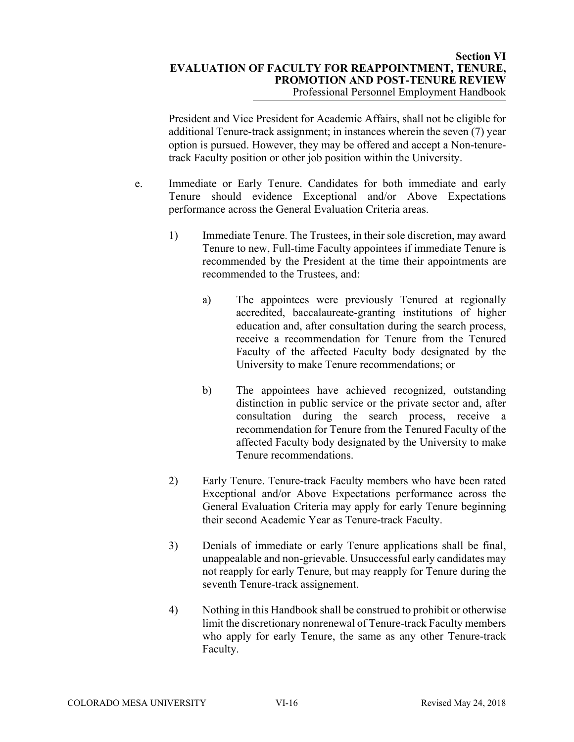President and Vice President for Academic Affairs, shall not be eligible for additional Tenure-track assignment; in instances wherein the seven (7) year option is pursued. However, they may be offered and accept a Non-tenuretrack Faculty position or other job position within the University.

- e. Immediate or Early Tenure. Candidates for both immediate and early Tenure should evidence Exceptional and/or Above Expectations performance across the General Evaluation Criteria areas.
	- 1) Immediate Tenure. The Trustees, in their sole discretion, may award Tenure to new, Full-time Faculty appointees if immediate Tenure is recommended by the President at the time their appointments are recommended to the Trustees, and:
		- a) The appointees were previously Tenured at regionally accredited, baccalaureate-granting institutions of higher education and, after consultation during the search process, receive a recommendation for Tenure from the Tenured Faculty of the affected Faculty body designated by the University to make Tenure recommendations; or
		- b) The appointees have achieved recognized, outstanding distinction in public service or the private sector and, after consultation during the search process, receive a recommendation for Tenure from the Tenured Faculty of the affected Faculty body designated by the University to make Tenure recommendations.
	- 2) Early Tenure. Tenure-track Faculty members who have been rated Exceptional and/or Above Expectations performance across the General Evaluation Criteria may apply for early Tenure beginning their second Academic Year as Tenure-track Faculty.
	- 3) Denials of immediate or early Tenure applications shall be final, unappealable and non-grievable. Unsuccessful early candidates may not reapply for early Tenure, but may reapply for Tenure during the seventh Tenure-track assignement.
	- 4) Nothing in this Handbook shall be construed to prohibit or otherwise limit the discretionary nonrenewal of Tenure-track Faculty members who apply for early Tenure, the same as any other Tenure-track Faculty.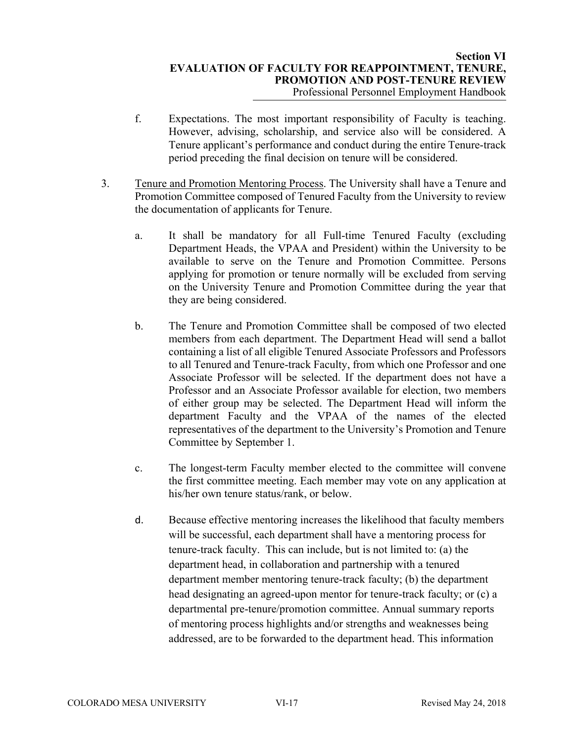- f. Expectations. The most important responsibility of Faculty is teaching. However, advising, scholarship, and service also will be considered. A Tenure applicant's performance and conduct during the entire Tenure-track period preceding the final decision on tenure will be considered.
- 3. Tenure and Promotion Mentoring Process. The University shall have a Tenure and Promotion Committee composed of Tenured Faculty from the University to review the documentation of applicants for Tenure.
	- a. It shall be mandatory for all Full-time Tenured Faculty (excluding Department Heads, the VPAA and President) within the University to be available to serve on the Tenure and Promotion Committee. Persons applying for promotion or tenure normally will be excluded from serving on the University Tenure and Promotion Committee during the year that they are being considered.
	- b. The Tenure and Promotion Committee shall be composed of two elected members from each department. The Department Head will send a ballot containing a list of all eligible Tenured Associate Professors and Professors to all Tenured and Tenure-track Faculty, from which one Professor and one Associate Professor will be selected. If the department does not have a Professor and an Associate Professor available for election, two members of either group may be selected. The Department Head will inform the department Faculty and the VPAA of the names of the elected representatives of the department to the University's Promotion and Tenure Committee by September 1.
	- c. The longest-term Faculty member elected to the committee will convene the first committee meeting. Each member may vote on any application at his/her own tenure status/rank, or below.
	- d. Because effective mentoring increases the likelihood that faculty members will be successful, each department shall have a mentoring process for tenure-track faculty. This can include, but is not limited to: (a) the department head, in collaboration and partnership with a tenured department member mentoring tenure-track faculty; (b) the department head designating an agreed-upon mentor for tenure-track faculty; or (c) a departmental pre-tenure/promotion committee. Annual summary reports of mentoring process highlights and/or strengths and weaknesses being addressed, are to be forwarded to the department head. This information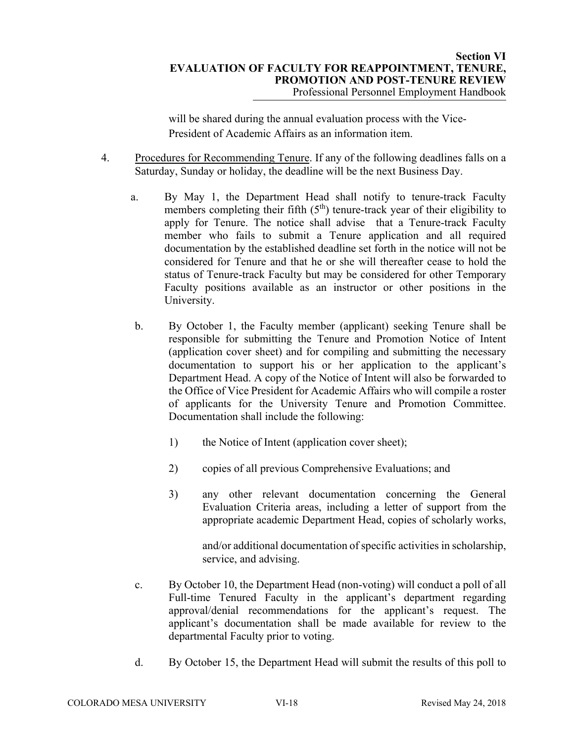will be shared during the annual evaluation process with the Vice-President of Academic Affairs as an information item.

- 4. Procedures for Recommending Tenure. If any of the following deadlines falls on a Saturday, Sunday or holiday, the deadline will be the next Business Day.
	- a. By May 1, the Department Head shall notify to tenure-track Faculty members completing their fifth  $(5<sup>th</sup>)$  tenure-track year of their eligibility to apply for Tenure. The notice shall advise that a Tenure-track Faculty member who fails to submit a Tenure application and all required documentation by the established deadline set forth in the notice will not be considered for Tenure and that he or she will thereafter cease to hold the status of Tenure-track Faculty but may be considered for other Temporary Faculty positions available as an instructor or other positions in the University.
	- b. By October 1, the Faculty member (applicant) seeking Tenure shall be responsible for submitting the Tenure and Promotion Notice of Intent (application cover sheet) and for compiling and submitting the necessary documentation to support his or her application to the applicant's Department Head. A copy of the Notice of Intent will also be forwarded to the Office of Vice President for Academic Affairs who will compile a roster of applicants for the University Tenure and Promotion Committee. Documentation shall include the following:
		- 1) the Notice of Intent (application cover sheet);
		- 2) copies of all previous Comprehensive Evaluations; and
		- 3) any other relevant documentation concerning the General Evaluation Criteria areas, including a letter of support from the appropriate academic Department Head, copies of scholarly works,

and/or additional documentation of specific activities in scholarship, service, and advising.

- c. By October 10, the Department Head (non-voting) will conduct a poll of all Full-time Tenured Faculty in the applicant's department regarding approval/denial recommendations for the applicant's request. The applicant's documentation shall be made available for review to the departmental Faculty prior to voting.
- d. By October 15, the Department Head will submit the results of this poll to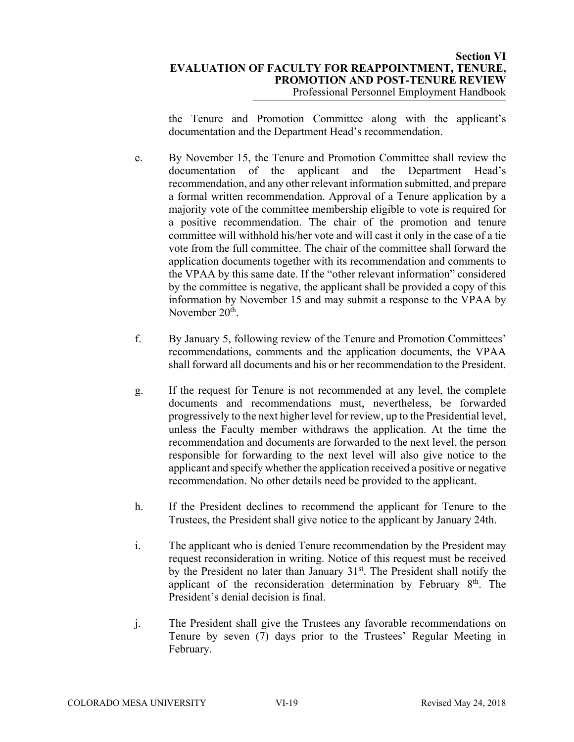## **Section VI EVALUATION OF FACULTY FOR REAPPOINTMENT, TENURE, PROMOTION AND POST-TENURE REVIEW**  Professional Personnel Employment Handbook

the Tenure and Promotion Committee along with the applicant's documentation and the Department Head's recommendation.

- e. By November 15, the Tenure and Promotion Committee shall review the documentation of the applicant and the Department Head's recommendation, and any other relevant information submitted, and prepare a formal written recommendation. Approval of a Tenure application by a majority vote of the committee membership eligible to vote is required for a positive recommendation. The chair of the promotion and tenure committee will withhold his/her vote and will cast it only in the case of a tie vote from the full committee. The chair of the committee shall forward the application documents together with its recommendation and comments to the VPAA by this same date. If the "other relevant information" considered by the committee is negative, the applicant shall be provided a copy of this information by November 15 and may submit a response to the VPAA by November 20<sup>th</sup>.
- f. By January 5, following review of the Tenure and Promotion Committees' recommendations, comments and the application documents, the VPAA shall forward all documents and his or her recommendation to the President.
- g. If the request for Tenure is not recommended at any level, the complete documents and recommendations must, nevertheless, be forwarded progressively to the next higher level for review, up to the Presidential level, unless the Faculty member withdraws the application. At the time the recommendation and documents are forwarded to the next level, the person responsible for forwarding to the next level will also give notice to the applicant and specify whether the application received a positive or negative recommendation. No other details need be provided to the applicant.
- h. If the President declines to recommend the applicant for Tenure to the Trustees, the President shall give notice to the applicant by January 24th.
- i. The applicant who is denied Tenure recommendation by the President may request reconsideration in writing. Notice of this request must be received by the President no later than January  $31<sup>st</sup>$ . The President shall notify the applicant of the reconsideration determination by February  $8<sup>th</sup>$ . The President's denial decision is final.
- j. The President shall give the Trustees any favorable recommendations on Tenure by seven (7) days prior to the Trustees' Regular Meeting in February.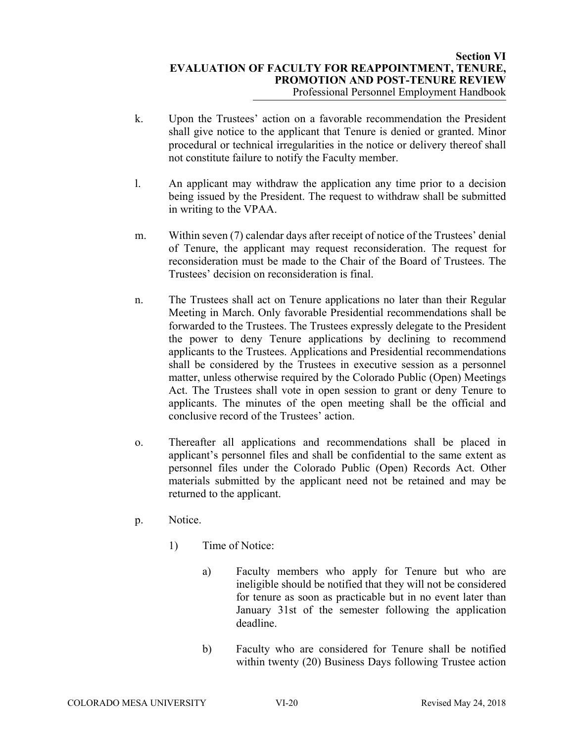- k. Upon the Trustees' action on a favorable recommendation the President shall give notice to the applicant that Tenure is denied or granted. Minor procedural or technical irregularities in the notice or delivery thereof shall not constitute failure to notify the Faculty member.
- l. An applicant may withdraw the application any time prior to a decision being issued by the President. The request to withdraw shall be submitted in writing to the VPAA.
- m. Within seven (7) calendar days after receipt of notice of the Trustees' denial of Tenure, the applicant may request reconsideration. The request for reconsideration must be made to the Chair of the Board of Trustees. The Trustees' decision on reconsideration is final.
- n. The Trustees shall act on Tenure applications no later than their Regular Meeting in March. Only favorable Presidential recommendations shall be forwarded to the Trustees. The Trustees expressly delegate to the President the power to deny Tenure applications by declining to recommend applicants to the Trustees. Applications and Presidential recommendations shall be considered by the Trustees in executive session as a personnel matter, unless otherwise required by the Colorado Public (Open) Meetings Act. The Trustees shall vote in open session to grant or deny Tenure to applicants. The minutes of the open meeting shall be the official and conclusive record of the Trustees' action.
- o. Thereafter all applications and recommendations shall be placed in applicant's personnel files and shall be confidential to the same extent as personnel files under the Colorado Public (Open) Records Act. Other materials submitted by the applicant need not be retained and may be returned to the applicant.
- p. Notice.
	- 1) Time of Notice:
		- a) Faculty members who apply for Tenure but who are ineligible should be notified that they will not be considered for tenure as soon as practicable but in no event later than January 31st of the semester following the application deadline.
		- b) Faculty who are considered for Tenure shall be notified within twenty (20) Business Days following Trustee action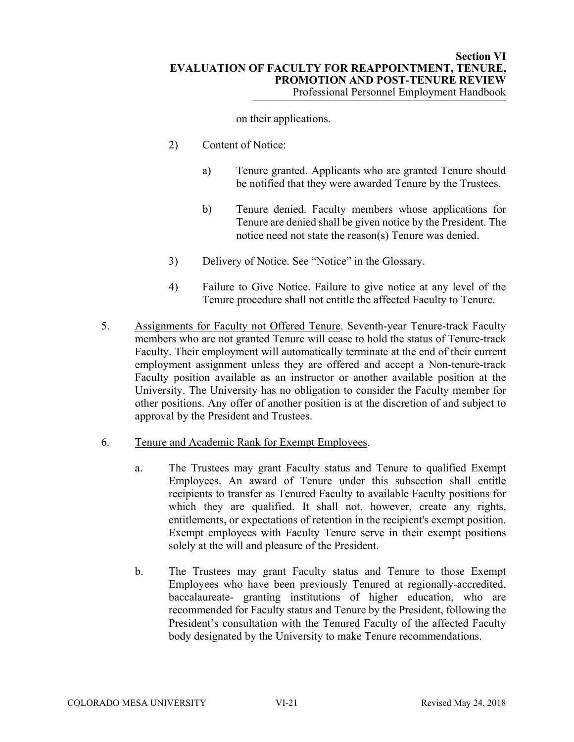on their applications.

- 2) Content of Notice:
	- a) Tenure granted. Applicants who are granted Tenure should be notified that they were awarded Tenure by the Trustees.
	- b) Tenure denied. Faculty members whose applications for Tenure are denied shall be given notice by the President. The notice need not state the reason(s) Tenure was denied.
- 3) Delivery of Notice. See "Notice" in the Glossary.
- 4) Failure to Give Notice. Failure to give notice at any level of the Tenure procedure shall not entitle the affected Faculty to Tenure.
- 5. Assignments for Faculty not Offered Tenure. Seventh-year Tenure-track Faculty members who are not granted Tenure will cease to hold the status of Tenure-track Faculty. Their employment will automatically terminate at the end of their current employment assignment unless they are offered and accept a Non-tenure-track Faculty position available as an instructor or another available position at the University. The University has no obligation to consider the Faculty member for other positions. Any offer of another position is at the discretion of and subject to approval by the President and Trustees.
- 6. Tenure and Academic Rank for Exempt Employees.
	- a. The Trustees may grant Faculty status and Tenure to qualified Exempt Employees. An award of Tenure under this subsection shall entitle recipients to transfer as Tenured Faculty to available Faculty positions for which they are qualified. It shall not, however, create any rights, entitlements, or expectations of retention in the recipient's exempt position. Exempt employees with Faculty Tenure serve in their exempt positions solely at the will and pleasure of the President.
	- b. The Trustees may grant Faculty status and Tenure to those Exempt Employees who have been previously Tenured at regionally-accredited, baccalaureate- granting institutions of higher education, who are recommended for Faculty status and Tenure by the President, following the President's consultation with the Tenured Faculty of the affected Faculty body designated by the University to make Tenure recommendations.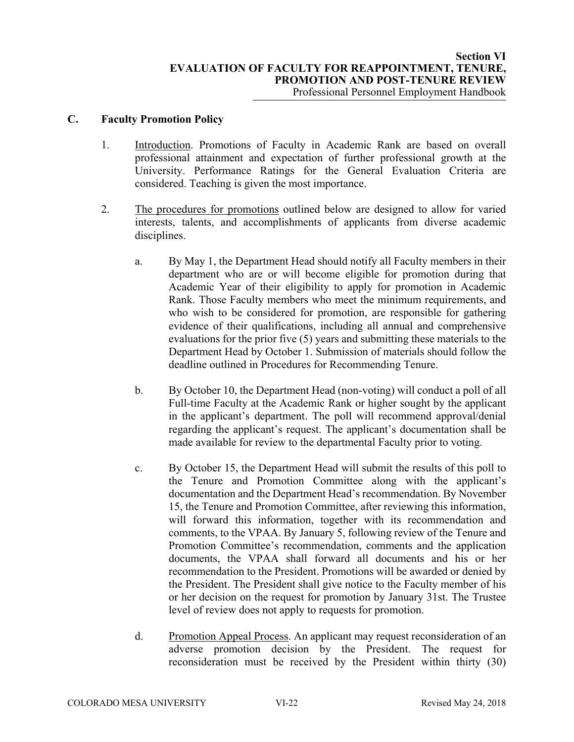## **C. Faculty Promotion Policy**

- 1. Introduction. Promotions of Faculty in Academic Rank are based on overall professional attainment and expectation of further professional growth at the University. Performance Ratings for the General Evaluation Criteria are considered. Teaching is given the most importance.
- 2. The procedures for promotions outlined below are designed to allow for varied interests, talents, and accomplishments of applicants from diverse academic disciplines.
	- a. By May 1, the Department Head should notify all Faculty members in their department who are or will become eligible for promotion during that Academic Year of their eligibility to apply for promotion in Academic Rank. Those Faculty members who meet the minimum requirements, and who wish to be considered for promotion, are responsible for gathering evidence of their qualifications, including all annual and comprehensive evaluations for the prior five (5) years and submitting these materials to the Department Head by October 1. Submission of materials should follow the deadline outlined in Procedures for Recommending Tenure.
	- b. By October 10, the Department Head (non-voting) will conduct a poll of all Full-time Faculty at the Academic Rank or higher sought by the applicant in the applicant's department. The poll will recommend approval/denial regarding the applicant's request. The applicant's documentation shall be made available for review to the departmental Faculty prior to voting.
	- c. By October 15, the Department Head will submit the results of this poll to the Tenure and Promotion Committee along with the applicant's documentation and the Department Head's recommendation. By November 15, the Tenure and Promotion Committee, after reviewing this information, will forward this information, together with its recommendation and comments, to the VPAA. By January 5, following review of the Tenure and Promotion Committee's recommendation, comments and the application documents, the VPAA shall forward all documents and his or her recommendation to the President. Promotions will be awarded or denied by the President. The President shall give notice to the Faculty member of his or her decision on the request for promotion by January 31st. The Trustee level of review does not apply to requests for promotion.
	- d. Promotion Appeal Process. An applicant may request reconsideration of an adverse promotion decision by the President. The request for reconsideration must be received by the President within thirty (30)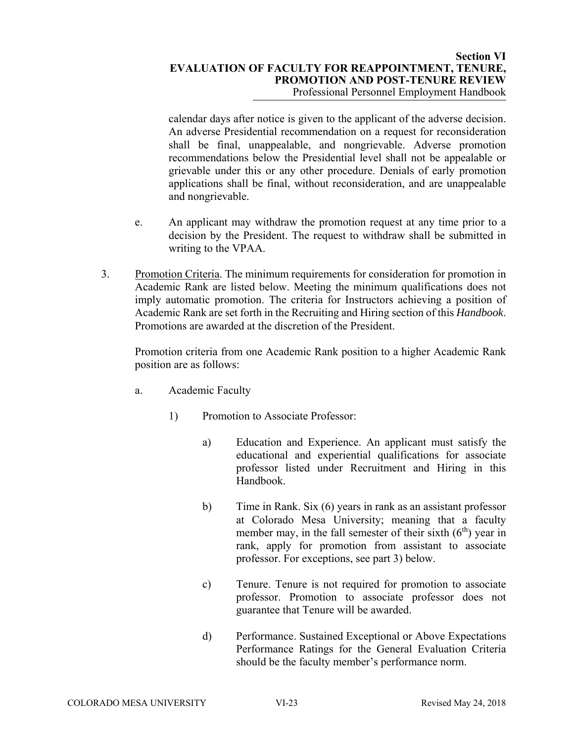### **Section VI EVALUATION OF FACULTY FOR REAPPOINTMENT, TENURE, PROMOTION AND POST-TENURE REVIEW**  Professional Personnel Employment Handbook

calendar days after notice is given to the applicant of the adverse decision. An adverse Presidential recommendation on a request for reconsideration shall be final, unappealable, and nongrievable. Adverse promotion recommendations below the Presidential level shall not be appealable or grievable under this or any other procedure. Denials of early promotion applications shall be final, without reconsideration, and are unappealable and nongrievable.

- e. An applicant may withdraw the promotion request at any time prior to a decision by the President. The request to withdraw shall be submitted in writing to the VPAA.
- 3. Promotion Criteria. The minimum requirements for consideration for promotion in Academic Rank are listed below. Meeting the minimum qualifications does not imply automatic promotion. The criteria for Instructors achieving a position of Academic Rank are set forth in the Recruiting and Hiring section of this *Handbook*. Promotions are awarded at the discretion of the President.

Promotion criteria from one Academic Rank position to a higher Academic Rank position are as follows:

- a. Academic Faculty
	- 1) Promotion to Associate Professor:
		- a) Education and Experience. An applicant must satisfy the educational and experiential qualifications for associate professor listed under Recruitment and Hiring in this Handbook.
		- b) Time in Rank. Six (6) years in rank as an assistant professor at Colorado Mesa University; meaning that a faculty member may, in the fall semester of their sixth  $(6<sup>th</sup>)$  year in rank, apply for promotion from assistant to associate professor. For exceptions, see part 3) below.
		- c) Tenure. Tenure is not required for promotion to associate professor. Promotion to associate professor does not guarantee that Tenure will be awarded.
		- d) Performance. Sustained Exceptional or Above Expectations Performance Ratings for the General Evaluation Criteria should be the faculty member's performance norm.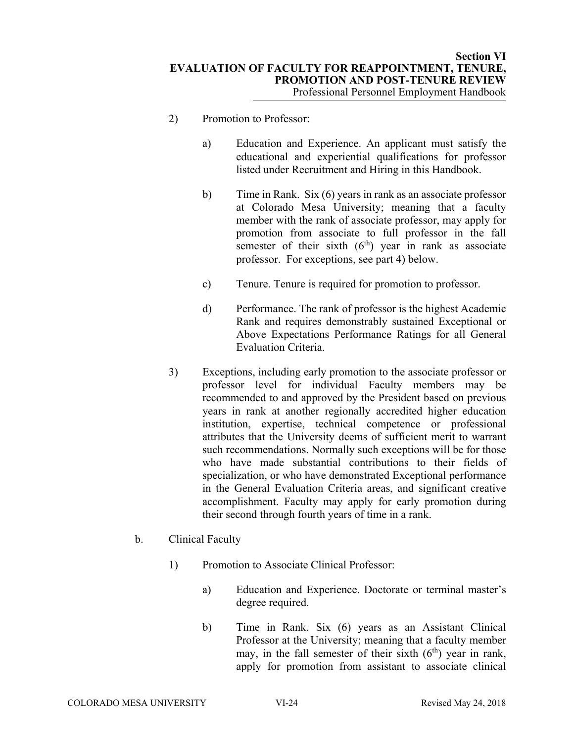- 2) Promotion to Professor:
	- a) Education and Experience. An applicant must satisfy the educational and experiential qualifications for professor listed under Recruitment and Hiring in this Handbook.
	- b) Time in Rank. Six (6) years in rank as an associate professor at Colorado Mesa University; meaning that a faculty member with the rank of associate professor, may apply for promotion from associate to full professor in the fall semester of their sixth  $(6<sup>th</sup>)$  year in rank as associate professor. For exceptions, see part 4) below.
	- c) Tenure. Tenure is required for promotion to professor.
	- d) Performance. The rank of professor is the highest Academic Rank and requires demonstrably sustained Exceptional or Above Expectations Performance Ratings for all General Evaluation Criteria.
- 3) Exceptions, including early promotion to the associate professor or professor level for individual Faculty members may be recommended to and approved by the President based on previous years in rank at another regionally accredited higher education institution, expertise, technical competence or professional attributes that the University deems of sufficient merit to warrant such recommendations. Normally such exceptions will be for those who have made substantial contributions to their fields of specialization, or who have demonstrated Exceptional performance in the General Evaluation Criteria areas, and significant creative accomplishment. Faculty may apply for early promotion during their second through fourth years of time in a rank.
- b. Clinical Faculty
	- 1) Promotion to Associate Clinical Professor:
		- a) Education and Experience. Doctorate or terminal master's degree required.
		- b) Time in Rank. Six (6) years as an Assistant Clinical Professor at the University; meaning that a faculty member may, in the fall semester of their sixth  $(6<sup>th</sup>)$  year in rank, apply for promotion from assistant to associate clinical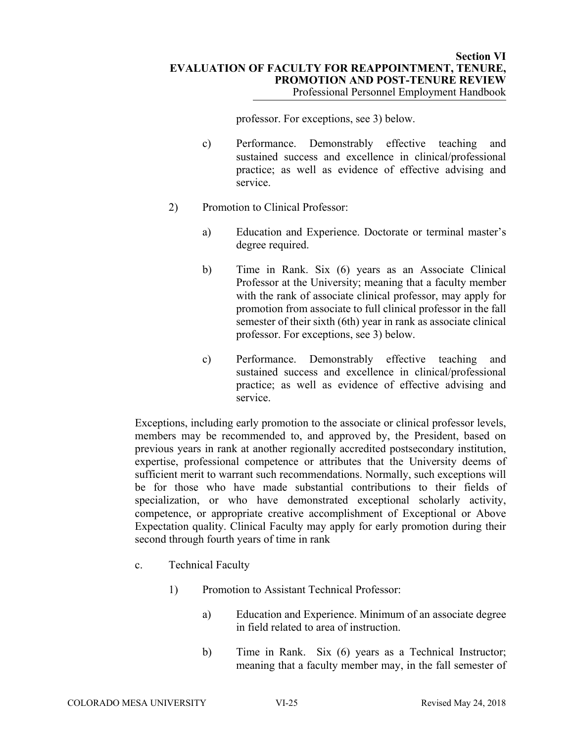professor. For exceptions, see 3) below.

- c) Performance. Demonstrably effective teaching and sustained success and excellence in clinical/professional practice; as well as evidence of effective advising and service.
- 2) Promotion to Clinical Professor:
	- a) Education and Experience. Doctorate or terminal master's degree required.
	- b) Time in Rank. Six (6) years as an Associate Clinical Professor at the University; meaning that a faculty member with the rank of associate clinical professor, may apply for promotion from associate to full clinical professor in the fall semester of their sixth (6th) year in rank as associate clinical professor. For exceptions, see 3) below.
	- c) Performance. Demonstrably effective teaching and sustained success and excellence in clinical/professional practice; as well as evidence of effective advising and service.

Exceptions, including early promotion to the associate or clinical professor levels, members may be recommended to, and approved by, the President, based on previous years in rank at another regionally accredited postsecondary institution, expertise, professional competence or attributes that the University deems of sufficient merit to warrant such recommendations. Normally, such exceptions will be for those who have made substantial contributions to their fields of specialization, or who have demonstrated exceptional scholarly activity, competence, or appropriate creative accomplishment of Exceptional or Above Expectation quality. Clinical Faculty may apply for early promotion during their second through fourth years of time in rank

- c. Technical Faculty
	- 1) Promotion to Assistant Technical Professor:
		- a) Education and Experience. Minimum of an associate degree in field related to area of instruction.
		- b) Time in Rank. Six (6) years as a Technical Instructor; meaning that a faculty member may, in the fall semester of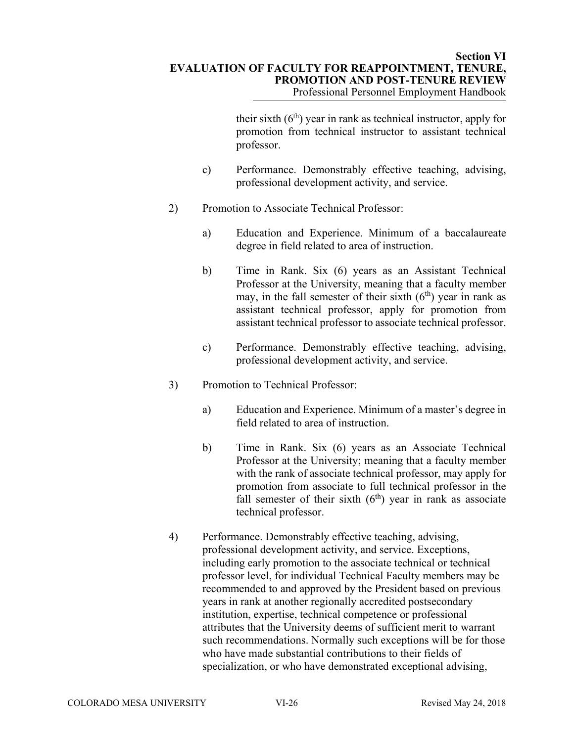#### **Section VI EVALUATION OF FACULTY FOR REAPPOINTMENT, TENURE, PROMOTION AND POST-TENURE REVIEW**  Professional Personnel Employment Handbook

their sixth  $(6<sup>th</sup>)$  year in rank as technical instructor, apply for promotion from technical instructor to assistant technical professor.

- c) Performance. Demonstrably effective teaching, advising, professional development activity, and service.
- 2) Promotion to Associate Technical Professor:
	- a) Education and Experience. Minimum of a baccalaureate degree in field related to area of instruction.
	- b) Time in Rank. Six (6) years as an Assistant Technical Professor at the University, meaning that a faculty member may, in the fall semester of their sixth  $(6<sup>th</sup>)$  year in rank as assistant technical professor, apply for promotion from assistant technical professor to associate technical professor.
	- c) Performance. Demonstrably effective teaching, advising, professional development activity, and service.
- 3) Promotion to Technical Professor:
	- a) Education and Experience. Minimum of a master's degree in field related to area of instruction.
	- b) Time in Rank. Six (6) years as an Associate Technical Professor at the University; meaning that a faculty member with the rank of associate technical professor, may apply for promotion from associate to full technical professor in the fall semester of their sixth  $(6<sup>th</sup>)$  year in rank as associate technical professor.
- 4) Performance. Demonstrably effective teaching, advising, professional development activity, and service. Exceptions, including early promotion to the associate technical or technical professor level, for individual Technical Faculty members may be recommended to and approved by the President based on previous years in rank at another regionally accredited postsecondary institution, expertise, technical competence or professional attributes that the University deems of sufficient merit to warrant such recommendations. Normally such exceptions will be for those who have made substantial contributions to their fields of specialization, or who have demonstrated exceptional advising,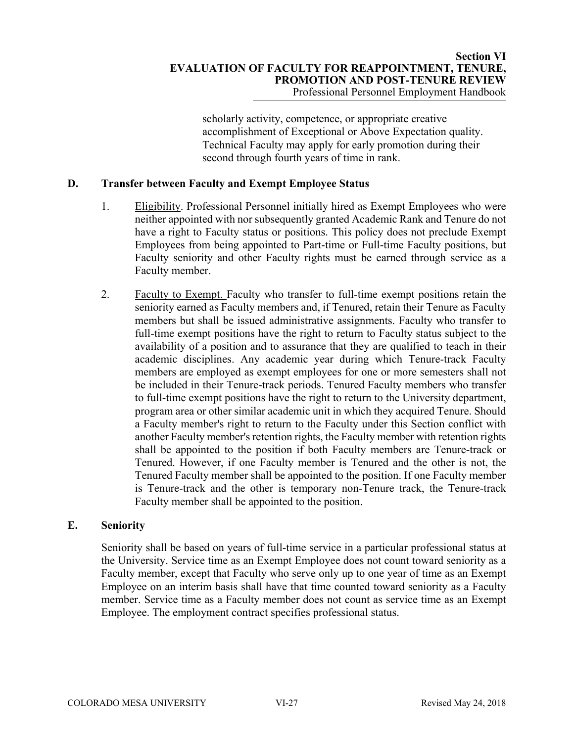scholarly activity, competence, or appropriate creative accomplishment of Exceptional or Above Expectation quality. Technical Faculty may apply for early promotion during their second through fourth years of time in rank.

# **D. Transfer between Faculty and Exempt Employee Status**

- 1. Eligibility. Professional Personnel initially hired as Exempt Employees who were neither appointed with nor subsequently granted Academic Rank and Tenure do not have a right to Faculty status or positions. This policy does not preclude Exempt Employees from being appointed to Part-time or Full-time Faculty positions, but Faculty seniority and other Faculty rights must be earned through service as a Faculty member.
- 2. Faculty to Exempt. Faculty who transfer to full-time exempt positions retain the seniority earned as Faculty members and, if Tenured, retain their Tenure as Faculty members but shall be issued administrative assignments. Faculty who transfer to full-time exempt positions have the right to return to Faculty status subject to the availability of a position and to assurance that they are qualified to teach in their academic disciplines. Any academic year during which Tenure-track Faculty members are employed as exempt employees for one or more semesters shall not be included in their Tenure-track periods. Tenured Faculty members who transfer to full-time exempt positions have the right to return to the University department, program area or other similar academic unit in which they acquired Tenure. Should a Faculty member's right to return to the Faculty under this Section conflict with another Faculty member's retention rights, the Faculty member with retention rights shall be appointed to the position if both Faculty members are Tenure-track or Tenured. However, if one Faculty member is Tenured and the other is not, the Tenured Faculty member shall be appointed to the position. If one Faculty member is Tenure-track and the other is temporary non-Tenure track, the Tenure-track Faculty member shall be appointed to the position.

# **E. Seniority**

Seniority shall be based on years of full-time service in a particular professional status at the University. Service time as an Exempt Employee does not count toward seniority as a Faculty member, except that Faculty who serve only up to one year of time as an Exempt Employee on an interim basis shall have that time counted toward seniority as a Faculty member. Service time as a Faculty member does not count as service time as an Exempt Employee. The employment contract specifies professional status.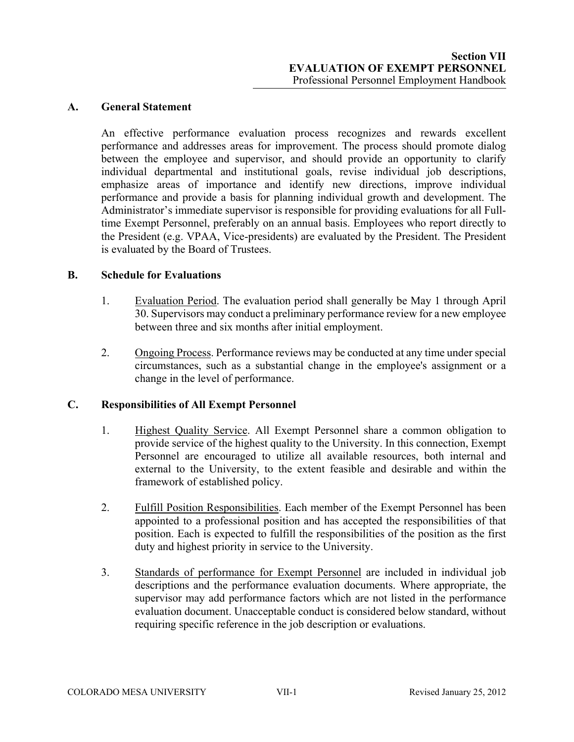## **A. General Statement**

An effective performance evaluation process recognizes and rewards excellent performance and addresses areas for improvement. The process should promote dialog between the employee and supervisor, and should provide an opportunity to clarify individual departmental and institutional goals, revise individual job descriptions, emphasize areas of importance and identify new directions, improve individual performance and provide a basis for planning individual growth and development. The Administrator's immediate supervisor is responsible for providing evaluations for all Fulltime Exempt Personnel, preferably on an annual basis. Employees who report directly to the President (e.g. VPAA, Vice-presidents) are evaluated by the President. The President is evaluated by the Board of Trustees.

# **B. Schedule for Evaluations**

- 1. Evaluation Period. The evaluation period shall generally be May 1 through April 30. Supervisors may conduct a preliminary performance review for a new employee between three and six months after initial employment.
- 2. Ongoing Process. Performance reviews may be conducted at any time under special circumstances, such as a substantial change in the employee's assignment or a change in the level of performance.

# **C. Responsibilities of All Exempt Personnel**

- 1. Highest Quality Service. All Exempt Personnel share a common obligation to provide service of the highest quality to the University. In this connection, Exempt Personnel are encouraged to utilize all available resources, both internal and external to the University, to the extent feasible and desirable and within the framework of established policy.
- 2. Fulfill Position Responsibilities. Each member of the Exempt Personnel has been appointed to a professional position and has accepted the responsibilities of that position. Each is expected to fulfill the responsibilities of the position as the first duty and highest priority in service to the University.
- 3. Standards of performance for Exempt Personnel are included in individual job descriptions and the performance evaluation documents. Where appropriate, the supervisor may add performance factors which are not listed in the performance evaluation document. Unacceptable conduct is considered below standard, without requiring specific reference in the job description or evaluations.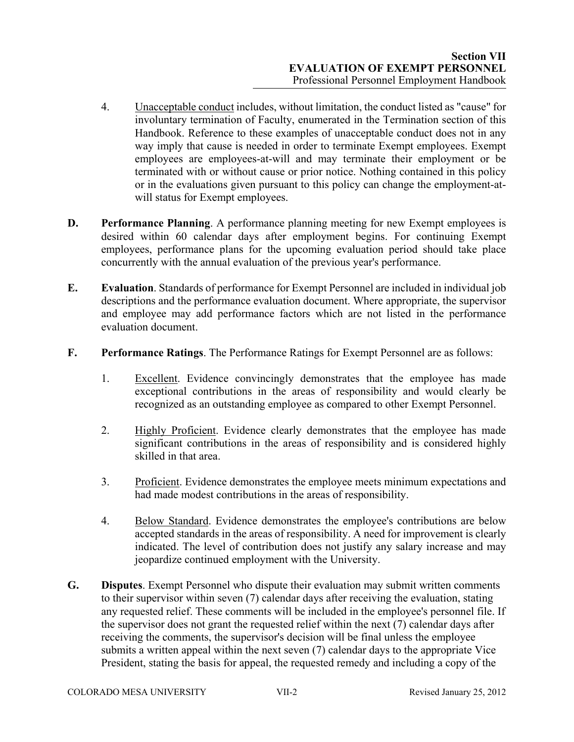- 4. Unacceptable conduct includes, without limitation, the conduct listed as "cause" for involuntary termination of Faculty, enumerated in the Termination section of this Handbook. Reference to these examples of unacceptable conduct does not in any way imply that cause is needed in order to terminate Exempt employees. Exempt employees are employees-at-will and may terminate their employment or be terminated with or without cause or prior notice. Nothing contained in this policy or in the evaluations given pursuant to this policy can change the employment-atwill status for Exempt employees.
- **D.** Performance Planning. A performance planning meeting for new Exempt employees is desired within 60 calendar days after employment begins. For continuing Exempt employees, performance plans for the upcoming evaluation period should take place concurrently with the annual evaluation of the previous year's performance.
- **E. Evaluation**. Standards of performance for Exempt Personnel are included in individual job descriptions and the performance evaluation document. Where appropriate, the supervisor and employee may add performance factors which are not listed in the performance evaluation document.
- **F. Performance Ratings**. The Performance Ratings for Exempt Personnel are as follows:
	- 1. Excellent. Evidence convincingly demonstrates that the employee has made exceptional contributions in the areas of responsibility and would clearly be recognized as an outstanding employee as compared to other Exempt Personnel.
	- 2. Highly Proficient. Evidence clearly demonstrates that the employee has made significant contributions in the areas of responsibility and is considered highly skilled in that area.
	- 3. Proficient. Evidence demonstrates the employee meets minimum expectations and had made modest contributions in the areas of responsibility.
	- 4. Below Standard. Evidence demonstrates the employee's contributions are below accepted standards in the areas of responsibility. A need for improvement is clearly indicated. The level of contribution does not justify any salary increase and may jeopardize continued employment with the University.
- **G. Disputes**. Exempt Personnel who dispute their evaluation may submit written comments to their supervisor within seven (7) calendar days after receiving the evaluation, stating any requested relief. These comments will be included in the employee's personnel file. If the supervisor does not grant the requested relief within the next (7) calendar days after receiving the comments, the supervisor's decision will be final unless the employee submits a written appeal within the next seven (7) calendar days to the appropriate Vice President, stating the basis for appeal, the requested remedy and including a copy of the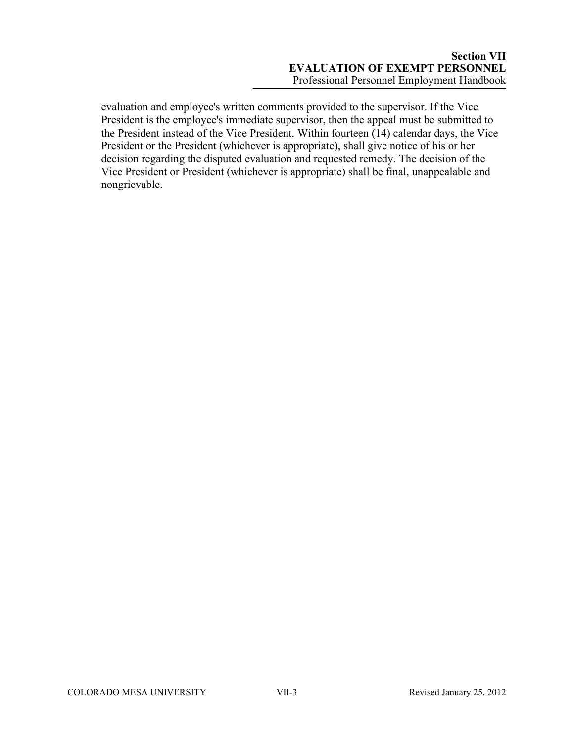evaluation and employee's written comments provided to the supervisor. If the Vice President is the employee's immediate supervisor, then the appeal must be submitted to the President instead of the Vice President. Within fourteen (14) calendar days, the Vice President or the President (whichever is appropriate), shall give notice of his or her decision regarding the disputed evaluation and requested remedy. The decision of the Vice President or President (whichever is appropriate) shall be final, unappealable and nongrievable.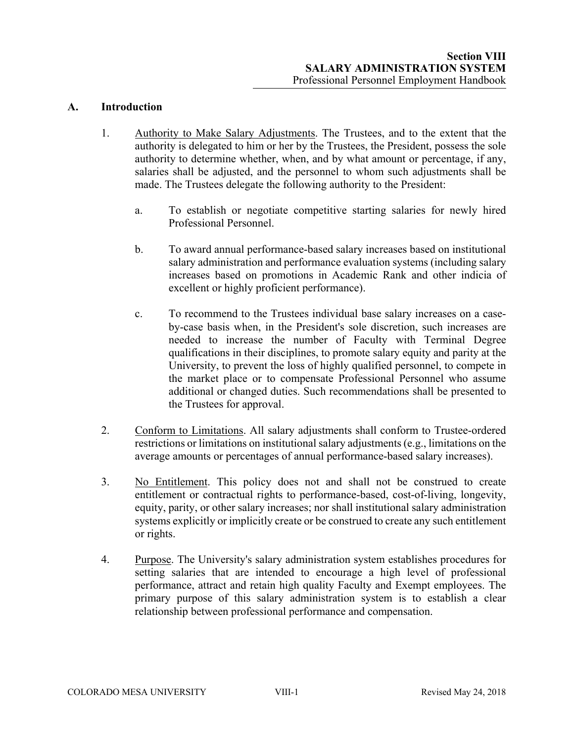# **A. Introduction**

- 1. Authority to Make Salary Adjustments. The Trustees, and to the extent that the authority is delegated to him or her by the Trustees, the President, possess the sole authority to determine whether, when, and by what amount or percentage, if any, salaries shall be adjusted, and the personnel to whom such adjustments shall be made. The Trustees delegate the following authority to the President:
	- a. To establish or negotiate competitive starting salaries for newly hired Professional Personnel.
	- b. To award annual performance-based salary increases based on institutional salary administration and performance evaluation systems (including salary increases based on promotions in Academic Rank and other indicia of excellent or highly proficient performance).
	- c. To recommend to the Trustees individual base salary increases on a caseby-case basis when, in the President's sole discretion, such increases are needed to increase the number of Faculty with Terminal Degree qualifications in their disciplines, to promote salary equity and parity at the University, to prevent the loss of highly qualified personnel, to compete in the market place or to compensate Professional Personnel who assume additional or changed duties. Such recommendations shall be presented to the Trustees for approval.
- 2. Conform to Limitations. All salary adjustments shall conform to Trustee-ordered restrictions or limitations on institutional salary adjustments (e.g., limitations on the average amounts or percentages of annual performance-based salary increases).
- 3. No Entitlement. This policy does not and shall not be construed to create entitlement or contractual rights to performance-based, cost-of-living, longevity, equity, parity, or other salary increases; nor shall institutional salary administration systems explicitly or implicitly create or be construed to create any such entitlement or rights.
- 4. Purpose. The University's salary administration system establishes procedures for setting salaries that are intended to encourage a high level of professional performance, attract and retain high quality Faculty and Exempt employees. The primary purpose of this salary administration system is to establish a clear relationship between professional performance and compensation.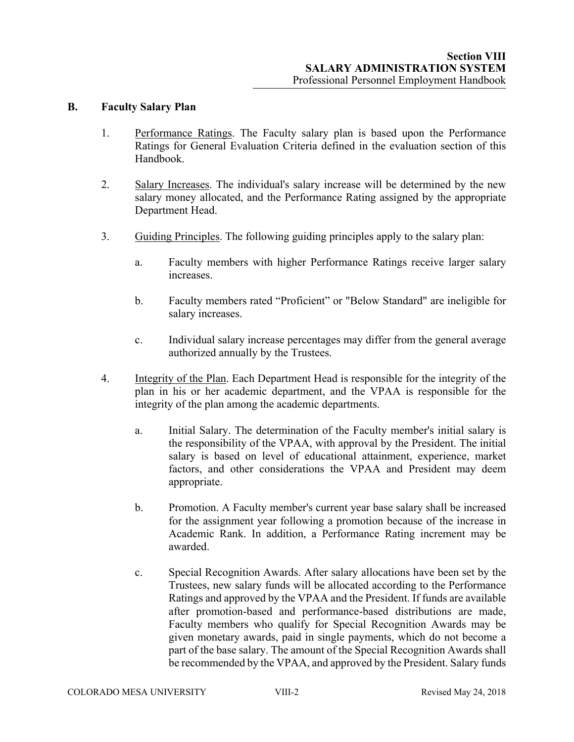#### **B. Faculty Salary Plan**

- 1. Performance Ratings. The Faculty salary plan is based upon the Performance Ratings for General Evaluation Criteria defined in the evaluation section of this Handbook.
- 2. Salary Increases. The individual's salary increase will be determined by the new salary money allocated, and the Performance Rating assigned by the appropriate Department Head.
- 3. Guiding Principles. The following guiding principles apply to the salary plan:
	- a. Faculty members with higher Performance Ratings receive larger salary increases.
	- b. Faculty members rated "Proficient" or "Below Standard" are ineligible for salary increases.
	- c. Individual salary increase percentages may differ from the general average authorized annually by the Trustees.
- 4. Integrity of the Plan. Each Department Head is responsible for the integrity of the plan in his or her academic department, and the VPAA is responsible for the integrity of the plan among the academic departments.
	- a. Initial Salary. The determination of the Faculty member's initial salary is the responsibility of the VPAA, with approval by the President. The initial salary is based on level of educational attainment, experience, market factors, and other considerations the VPAA and President may deem appropriate.
	- b. Promotion. A Faculty member's current year base salary shall be increased for the assignment year following a promotion because of the increase in Academic Rank. In addition, a Performance Rating increment may be awarded.
	- c. Special Recognition Awards. After salary allocations have been set by the Trustees, new salary funds will be allocated according to the Performance Ratings and approved by the VPAA and the President. If funds are available after promotion-based and performance-based distributions are made, Faculty members who qualify for Special Recognition Awards may be given monetary awards, paid in single payments, which do not become a part of the base salary. The amount of the Special Recognition Awards shall be recommended by the VPAA, and approved by the President. Salary funds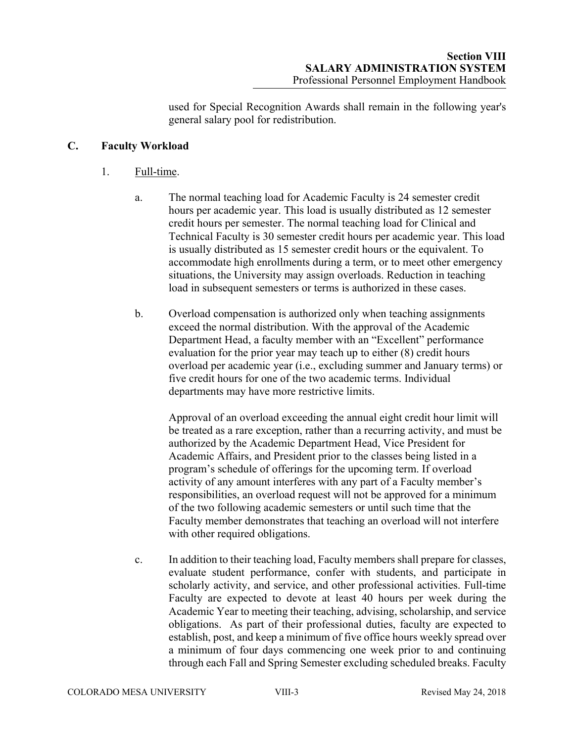used for Special Recognition Awards shall remain in the following year's general salary pool for redistribution.

# **C. Faculty Workload**

## 1. Full-time.

- a. The normal teaching load for Academic Faculty is 24 semester credit hours per academic year. This load is usually distributed as 12 semester credit hours per semester. The normal teaching load for Clinical and Technical Faculty is 30 semester credit hours per academic year. This load is usually distributed as 15 semester credit hours or the equivalent. To accommodate high enrollments during a term, or to meet other emergency situations, the University may assign overloads. Reduction in teaching load in subsequent semesters or terms is authorized in these cases.
- b. Overload compensation is authorized only when teaching assignments exceed the normal distribution. With the approval of the Academic Department Head, a faculty member with an "Excellent" performance evaluation for the prior year may teach up to either (8) credit hours overload per academic year (i.e., excluding summer and January terms) or five credit hours for one of the two academic terms. Individual departments may have more restrictive limits.

Approval of an overload exceeding the annual eight credit hour limit will be treated as a rare exception, rather than a recurring activity, and must be authorized by the Academic Department Head, Vice President for Academic Affairs, and President prior to the classes being listed in a program's schedule of offerings for the upcoming term. If overload activity of any amount interferes with any part of a Faculty member's responsibilities, an overload request will not be approved for a minimum of the two following academic semesters or until such time that the Faculty member demonstrates that teaching an overload will not interfere with other required obligations.

c. In addition to their teaching load, Faculty members shall prepare for classes, evaluate student performance, confer with students, and participate in scholarly activity, and service, and other professional activities. Full-time Faculty are expected to devote at least 40 hours per week during the Academic Year to meeting their teaching, advising, scholarship, and service obligations. As part of their professional duties, faculty are expected to establish, post, and keep a minimum of five office hours weekly spread over a minimum of four days commencing one week prior to and continuing through each Fall and Spring Semester excluding scheduled breaks. Faculty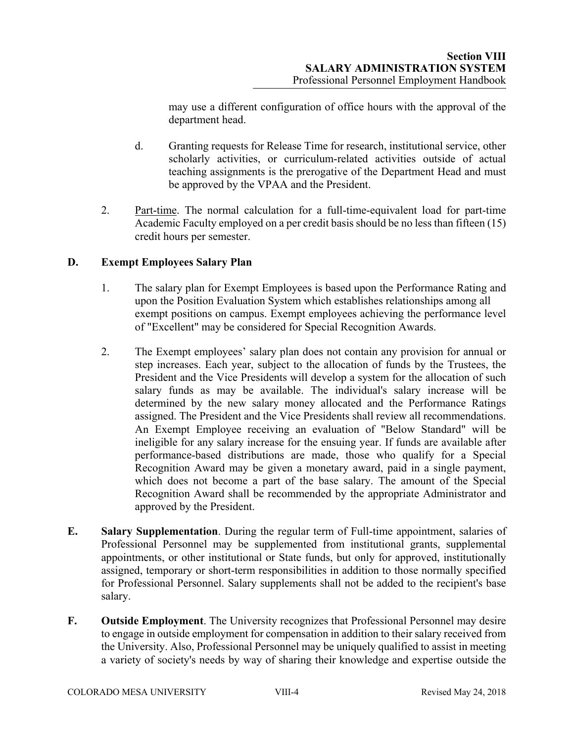may use a different configuration of office hours with the approval of the department head.

- d. Granting requests for Release Time for research, institutional service, other scholarly activities, or curriculum-related activities outside of actual teaching assignments is the prerogative of the Department Head and must be approved by the VPAA and the President.
- 2. Part-time. The normal calculation for a full-time-equivalent load for part-time Academic Faculty employed on a per credit basis should be no less than fifteen (15) credit hours per semester.

# **D. Exempt Employees Salary Plan**

- 1. The salary plan for Exempt Employees is based upon the Performance Rating and upon the Position Evaluation System which establishes relationships among all exempt positions on campus. Exempt employees achieving the performance level of "Excellent" may be considered for Special Recognition Awards.
- 2. The Exempt employees' salary plan does not contain any provision for annual or step increases. Each year, subject to the allocation of funds by the Trustees, the President and the Vice Presidents will develop a system for the allocation of such salary funds as may be available. The individual's salary increase will be determined by the new salary money allocated and the Performance Ratings assigned. The President and the Vice Presidents shall review all recommendations. An Exempt Employee receiving an evaluation of "Below Standard" will be ineligible for any salary increase for the ensuing year. If funds are available after performance-based distributions are made, those who qualify for a Special Recognition Award may be given a monetary award, paid in a single payment, which does not become a part of the base salary. The amount of the Special Recognition Award shall be recommended by the appropriate Administrator and approved by the President.
- **E. Salary Supplementation**. During the regular term of Full-time appointment, salaries of Professional Personnel may be supplemented from institutional grants, supplemental appointments, or other institutional or State funds, but only for approved, institutionally assigned, temporary or short-term responsibilities in addition to those normally specified for Professional Personnel. Salary supplements shall not be added to the recipient's base salary.
- **F. Outside Employment**. The University recognizes that Professional Personnel may desire to engage in outside employment for compensation in addition to their salary received from the University. Also, Professional Personnel may be uniquely qualified to assist in meeting a variety of society's needs by way of sharing their knowledge and expertise outside the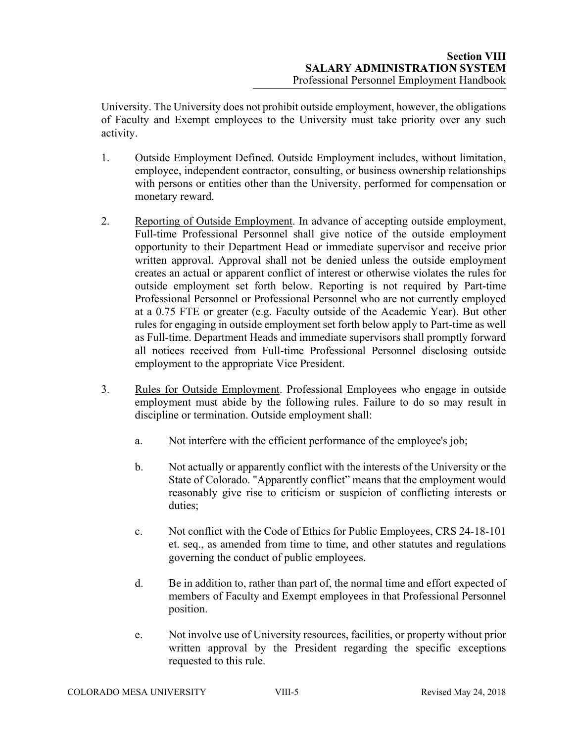University. The University does not prohibit outside employment, however, the obligations of Faculty and Exempt employees to the University must take priority over any such activity.

- 1. Outside Employment Defined. Outside Employment includes, without limitation, employee, independent contractor, consulting, or business ownership relationships with persons or entities other than the University, performed for compensation or monetary reward.
- 2. Reporting of Outside Employment. In advance of accepting outside employment, Full-time Professional Personnel shall give notice of the outside employment opportunity to their Department Head or immediate supervisor and receive prior written approval. Approval shall not be denied unless the outside employment creates an actual or apparent conflict of interest or otherwise violates the rules for outside employment set forth below. Reporting is not required by Part-time Professional Personnel or Professional Personnel who are not currently employed at a 0.75 FTE or greater (e.g. Faculty outside of the Academic Year). But other rules for engaging in outside employment set forth below apply to Part-time as well as Full-time. Department Heads and immediate supervisors shall promptly forward all notices received from Full-time Professional Personnel disclosing outside employment to the appropriate Vice President.
- 3. Rules for Outside Employment. Professional Employees who engage in outside employment must abide by the following rules. Failure to do so may result in discipline or termination. Outside employment shall:
	- a. Not interfere with the efficient performance of the employee's job;
	- b. Not actually or apparently conflict with the interests of the University or the State of Colorado. "Apparently conflict" means that the employment would reasonably give rise to criticism or suspicion of conflicting interests or duties;
	- c. Not conflict with the Code of Ethics for Public Employees, CRS 24-18-101 et. seq., as amended from time to time, and other statutes and regulations governing the conduct of public employees.
	- d. Be in addition to, rather than part of, the normal time and effort expected of members of Faculty and Exempt employees in that Professional Personnel position.
	- e. Not involve use of University resources, facilities, or property without prior written approval by the President regarding the specific exceptions requested to this rule.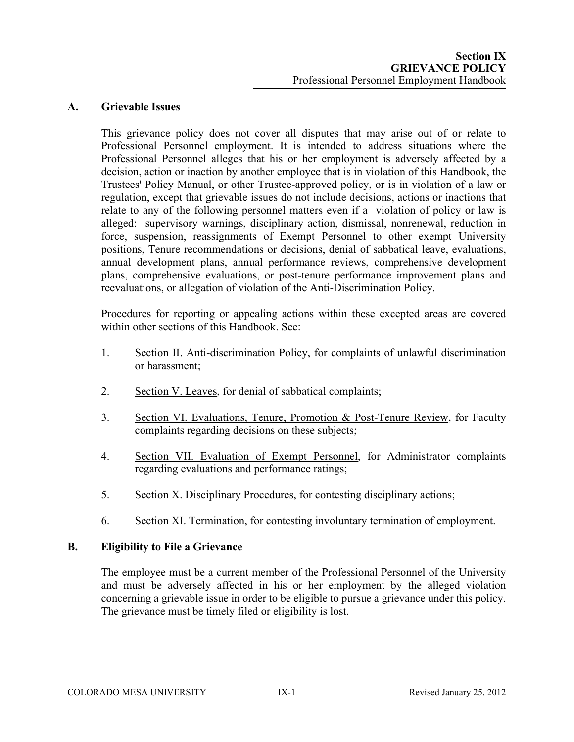# **A. Grievable Issues**

This grievance policy does not cover all disputes that may arise out of or relate to Professional Personnel employment. It is intended to address situations where the Professional Personnel alleges that his or her employment is adversely affected by a decision, action or inaction by another employee that is in violation of this Handbook, the Trustees' Policy Manual, or other Trustee-approved policy, or is in violation of a law or regulation, except that grievable issues do not include decisions, actions or inactions that relate to any of the following personnel matters even if a violation of policy or law is alleged: supervisory warnings, disciplinary action, dismissal, nonrenewal, reduction in force, suspension, reassignments of Exempt Personnel to other exempt University positions, Tenure recommendations or decisions, denial of sabbatical leave, evaluations, annual development plans, annual performance reviews, comprehensive development plans, comprehensive evaluations, or post-tenure performance improvement plans and reevaluations, or allegation of violation of the Anti-Discrimination Policy.

Procedures for reporting or appealing actions within these excepted areas are covered within other sections of this Handbook. See:

- 1. Section II. Anti-discrimination Policy, for complaints of unlawful discrimination or harassment;
- 2. Section V. Leaves, for denial of sabbatical complaints;
- 3. Section VI. Evaluations, Tenure, Promotion & Post-Tenure Review, for Faculty complaints regarding decisions on these subjects;
- 4. Section VII. Evaluation of Exempt Personnel, for Administrator complaints regarding evaluations and performance ratings;
- 5. Section X. Disciplinary Procedures, for contesting disciplinary actions;
- 6. Section XI. Termination, for contesting involuntary termination of employment.

## **B. Eligibility to File a Grievance**

The employee must be a current member of the Professional Personnel of the University and must be adversely affected in his or her employment by the alleged violation concerning a grievable issue in order to be eligible to pursue a grievance under this policy. The grievance must be timely filed or eligibility is lost.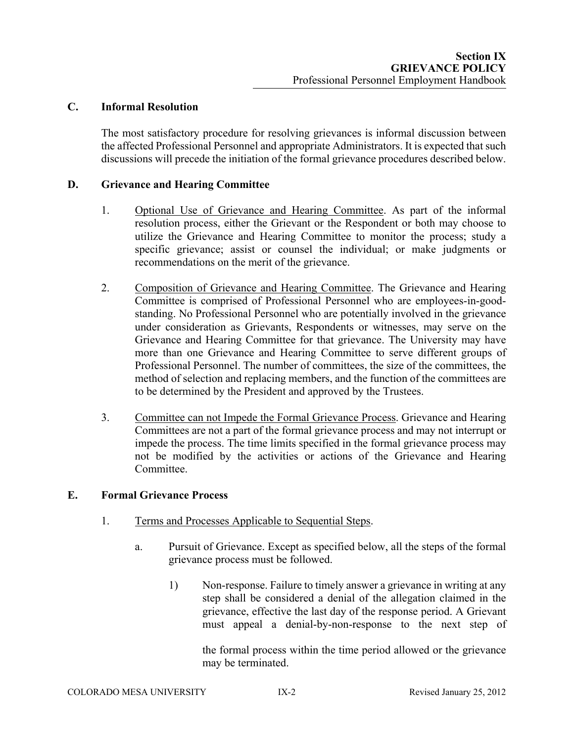### **C. Informal Resolution**

The most satisfactory procedure for resolving grievances is informal discussion between the affected Professional Personnel and appropriate Administrators. It is expected that such discussions will precede the initiation of the formal grievance procedures described below.

### **D. Grievance and Hearing Committee**

- 1. Optional Use of Grievance and Hearing Committee. As part of the informal resolution process, either the Grievant or the Respondent or both may choose to utilize the Grievance and Hearing Committee to monitor the process; study a specific grievance; assist or counsel the individual; or make judgments or recommendations on the merit of the grievance.
- 2. Composition of Grievance and Hearing Committee. The Grievance and Hearing Committee is comprised of Professional Personnel who are employees-in-goodstanding. No Professional Personnel who are potentially involved in the grievance under consideration as Grievants, Respondents or witnesses, may serve on the Grievance and Hearing Committee for that grievance. The University may have more than one Grievance and Hearing Committee to serve different groups of Professional Personnel. The number of committees, the size of the committees, the method of selection and replacing members, and the function of the committees are to be determined by the President and approved by the Trustees.
- 3. Committee can not Impede the Formal Grievance Process. Grievance and Hearing Committees are not a part of the formal grievance process and may not interrupt or impede the process. The time limits specified in the formal grievance process may not be modified by the activities or actions of the Grievance and Hearing Committee.

# **E. Formal Grievance Process**

- 1. Terms and Processes Applicable to Sequential Steps.
	- a. Pursuit of Grievance. Except as specified below, all the steps of the formal grievance process must be followed.
		- 1) Non-response. Failure to timely answer a grievance in writing at any step shall be considered a denial of the allegation claimed in the grievance, effective the last day of the response period. A Grievant must appeal a denial-by-non-response to the next step of

the formal process within the time period allowed or the grievance may be terminated.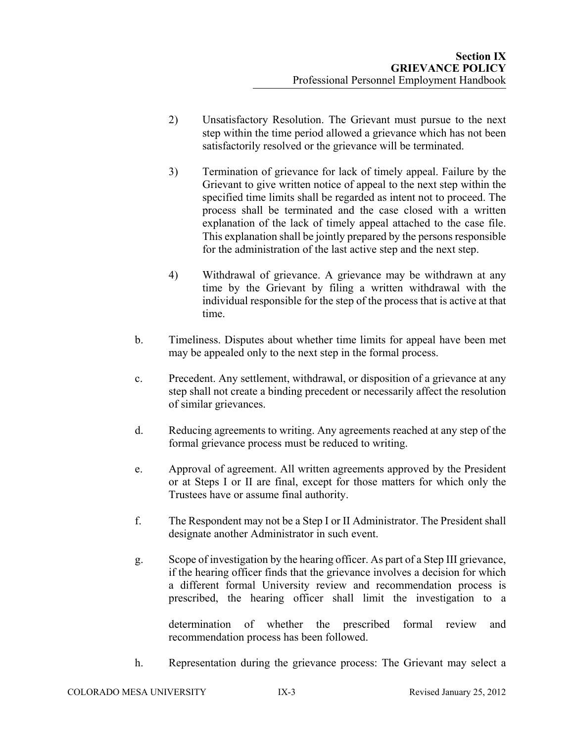- 2) Unsatisfactory Resolution. The Grievant must pursue to the next step within the time period allowed a grievance which has not been satisfactorily resolved or the grievance will be terminated.
- 3) Termination of grievance for lack of timely appeal. Failure by the Grievant to give written notice of appeal to the next step within the specified time limits shall be regarded as intent not to proceed. The process shall be terminated and the case closed with a written explanation of the lack of timely appeal attached to the case file. This explanation shall be jointly prepared by the persons responsible for the administration of the last active step and the next step.
- 4) Withdrawal of grievance. A grievance may be withdrawn at any time by the Grievant by filing a written withdrawal with the individual responsible for the step of the process that is active at that time.
- b. Timeliness. Disputes about whether time limits for appeal have been met may be appealed only to the next step in the formal process.
- c. Precedent. Any settlement, withdrawal, or disposition of a grievance at any step shall not create a binding precedent or necessarily affect the resolution of similar grievances.
- d. Reducing agreements to writing. Any agreements reached at any step of the formal grievance process must be reduced to writing.
- e. Approval of agreement. All written agreements approved by the President or at Steps I or II are final, except for those matters for which only the Trustees have or assume final authority.
- f. The Respondent may not be a Step I or II Administrator. The President shall designate another Administrator in such event.
- g. Scope of investigation by the hearing officer. As part of a Step III grievance, if the hearing officer finds that the grievance involves a decision for which a different formal University review and recommendation process is prescribed, the hearing officer shall limit the investigation to a

determination of whether the prescribed formal review and recommendation process has been followed.

h. Representation during the grievance process: The Grievant may select a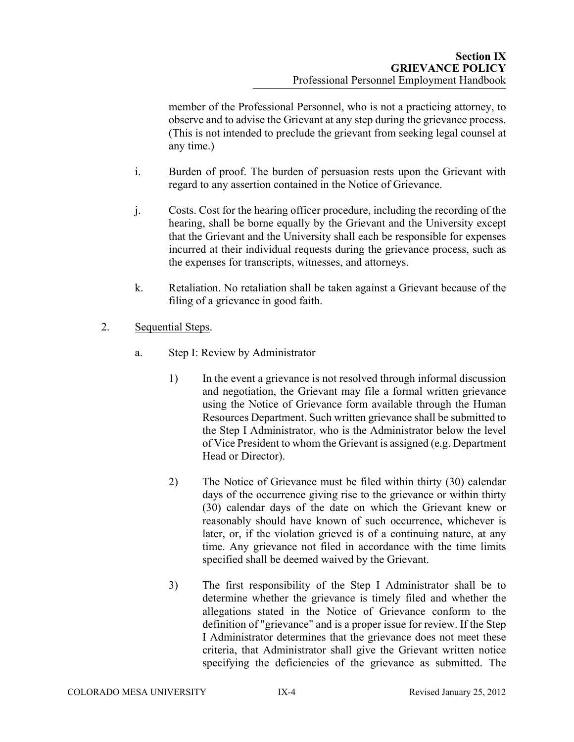member of the Professional Personnel, who is not a practicing attorney, to observe and to advise the Grievant at any step during the grievance process. (This is not intended to preclude the grievant from seeking legal counsel at any time.)

- i. Burden of proof. The burden of persuasion rests upon the Grievant with regard to any assertion contained in the Notice of Grievance.
- j. Costs. Cost for the hearing officer procedure, including the recording of the hearing, shall be borne equally by the Grievant and the University except that the Grievant and the University shall each be responsible for expenses incurred at their individual requests during the grievance process, such as the expenses for transcripts, witnesses, and attorneys.
- k. Retaliation. No retaliation shall be taken against a Grievant because of the filing of a grievance in good faith.
- 2. Sequential Steps.
	- a. Step I: Review by Administrator
		- 1) In the event a grievance is not resolved through informal discussion and negotiation, the Grievant may file a formal written grievance using the Notice of Grievance form available through the Human Resources Department. Such written grievance shall be submitted to the Step I Administrator, who is the Administrator below the level of Vice President to whom the Grievant is assigned (e.g. Department Head or Director).
		- 2) The Notice of Grievance must be filed within thirty (30) calendar days of the occurrence giving rise to the grievance or within thirty (30) calendar days of the date on which the Grievant knew or reasonably should have known of such occurrence, whichever is later, or, if the violation grieved is of a continuing nature, at any time. Any grievance not filed in accordance with the time limits specified shall be deemed waived by the Grievant.
		- 3) The first responsibility of the Step I Administrator shall be to determine whether the grievance is timely filed and whether the allegations stated in the Notice of Grievance conform to the definition of "grievance" and is a proper issue for review. If the Step I Administrator determines that the grievance does not meet these criteria, that Administrator shall give the Grievant written notice specifying the deficiencies of the grievance as submitted. The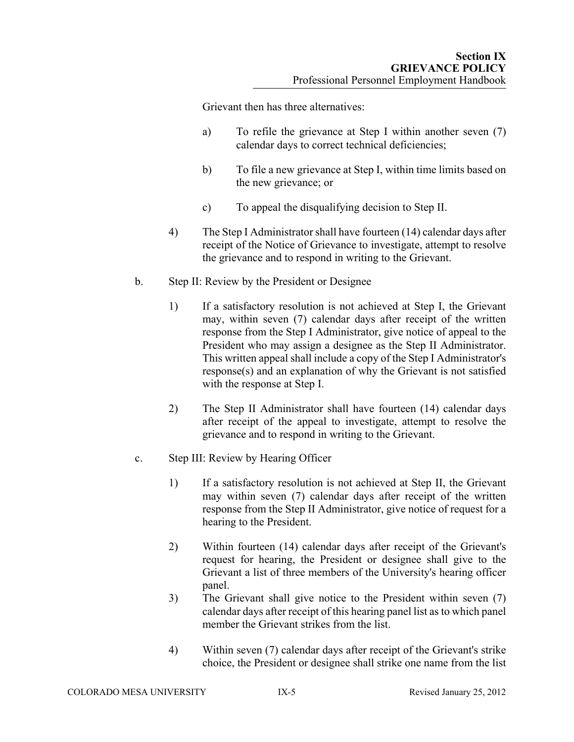Grievant then has three alternatives:

- a) To refile the grievance at Step I within another seven (7) calendar days to correct technical deficiencies;
- b) To file a new grievance at Step I, within time limits based on the new grievance; or
- c) To appeal the disqualifying decision to Step II.
- 4) The Step I Administrator shall have fourteen (14) calendar days after receipt of the Notice of Grievance to investigate, attempt to resolve the grievance and to respond in writing to the Grievant.
- b. Step II: Review by the President or Designee
	- 1) If a satisfactory resolution is not achieved at Step I, the Grievant may, within seven (7) calendar days after receipt of the written response from the Step I Administrator, give notice of appeal to the President who may assign a designee as the Step II Administrator. This written appeal shall include a copy of the Step I Administrator's response(s) and an explanation of why the Grievant is not satisfied with the response at Step I.
	- 2) The Step II Administrator shall have fourteen (14) calendar days after receipt of the appeal to investigate, attempt to resolve the grievance and to respond in writing to the Grievant.
- c. Step III: Review by Hearing Officer
	- 1) If a satisfactory resolution is not achieved at Step II, the Grievant may within seven (7) calendar days after receipt of the written response from the Step II Administrator, give notice of request for a hearing to the President.
	- 2) Within fourteen (14) calendar days after receipt of the Grievant's request for hearing, the President or designee shall give to the Grievant a list of three members of the University's hearing officer panel.
	- 3) The Grievant shall give notice to the President within seven (7) calendar days after receipt of this hearing panel list as to which panel member the Grievant strikes from the list.
	- 4) Within seven (7) calendar days after receipt of the Grievant's strike choice, the President or designee shall strike one name from the list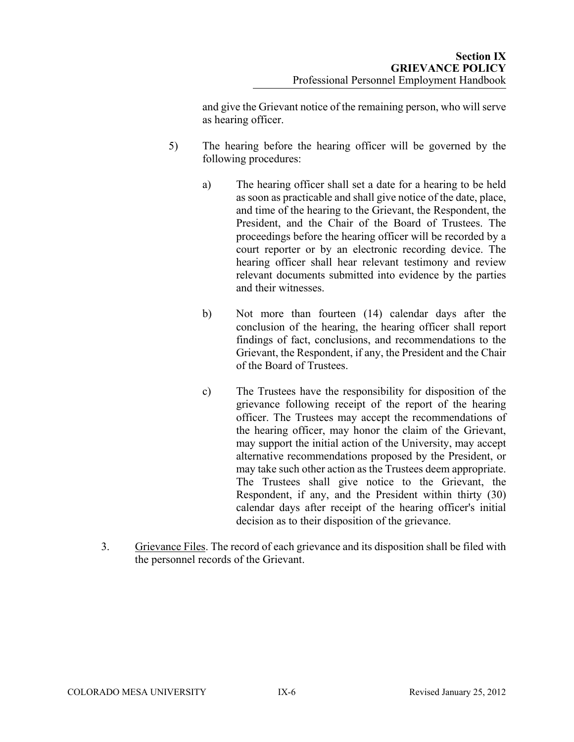and give the Grievant notice of the remaining person, who will serve as hearing officer.

- 5) The hearing before the hearing officer will be governed by the following procedures:
	- a) The hearing officer shall set a date for a hearing to be held as soon as practicable and shall give notice of the date, place, and time of the hearing to the Grievant, the Respondent, the President, and the Chair of the Board of Trustees. The proceedings before the hearing officer will be recorded by a court reporter or by an electronic recording device. The hearing officer shall hear relevant testimony and review relevant documents submitted into evidence by the parties and their witnesses.
	- b) Not more than fourteen (14) calendar days after the conclusion of the hearing, the hearing officer shall report findings of fact, conclusions, and recommendations to the Grievant, the Respondent, if any, the President and the Chair of the Board of Trustees.
	- c) The Trustees have the responsibility for disposition of the grievance following receipt of the report of the hearing officer. The Trustees may accept the recommendations of the hearing officer, may honor the claim of the Grievant, may support the initial action of the University, may accept alternative recommendations proposed by the President, or may take such other action as the Trustees deem appropriate. The Trustees shall give notice to the Grievant, the Respondent, if any, and the President within thirty (30) calendar days after receipt of the hearing officer's initial decision as to their disposition of the grievance.
- 3. Grievance Files. The record of each grievance and its disposition shall be filed with the personnel records of the Grievant.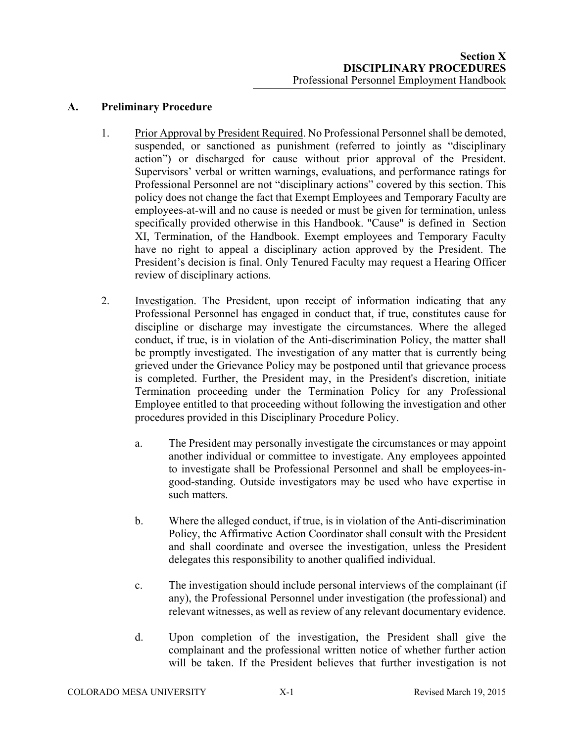**A. Preliminary Procedure**

- 1. Prior Approval by President Required. No Professional Personnel shall be demoted, suspended, or sanctioned as punishment (referred to jointly as "disciplinary action") or discharged for cause without prior approval of the President. Supervisors' verbal or written warnings, evaluations, and performance ratings for Professional Personnel are not "disciplinary actions" covered by this section. This policy does not change the fact that Exempt Employees and Temporary Faculty are employees-at-will and no cause is needed or must be given for termination, unless specifically provided otherwise in this Handbook. "Cause" is defined in Section XI, Termination, of the Handbook. Exempt employees and Temporary Faculty have no right to appeal a disciplinary action approved by the President. The President's decision is final. Only Tenured Faculty may request a Hearing Officer review of disciplinary actions.
- 2. Investigation. The President, upon receipt of information indicating that any Professional Personnel has engaged in conduct that, if true, constitutes cause for discipline or discharge may investigate the circumstances. Where the alleged conduct, if true, is in violation of the Anti-discrimination Policy, the matter shall be promptly investigated. The investigation of any matter that is currently being grieved under the Grievance Policy may be postponed until that grievance process is completed. Further, the President may, in the President's discretion, initiate Termination proceeding under the Termination Policy for any Professional Employee entitled to that proceeding without following the investigation and other procedures provided in this Disciplinary Procedure Policy.
	- a. The President may personally investigate the circumstances or may appoint another individual or committee to investigate. Any employees appointed to investigate shall be Professional Personnel and shall be employees-ingood-standing. Outside investigators may be used who have expertise in such matters.
	- b. Where the alleged conduct, if true, is in violation of the Anti-discrimination Policy, the Affirmative Action Coordinator shall consult with the President and shall coordinate and oversee the investigation, unless the President delegates this responsibility to another qualified individual.
	- c. The investigation should include personal interviews of the complainant (if any), the Professional Personnel under investigation (the professional) and relevant witnesses, as well as review of any relevant documentary evidence.
	- d. Upon completion of the investigation, the President shall give the complainant and the professional written notice of whether further action will be taken. If the President believes that further investigation is not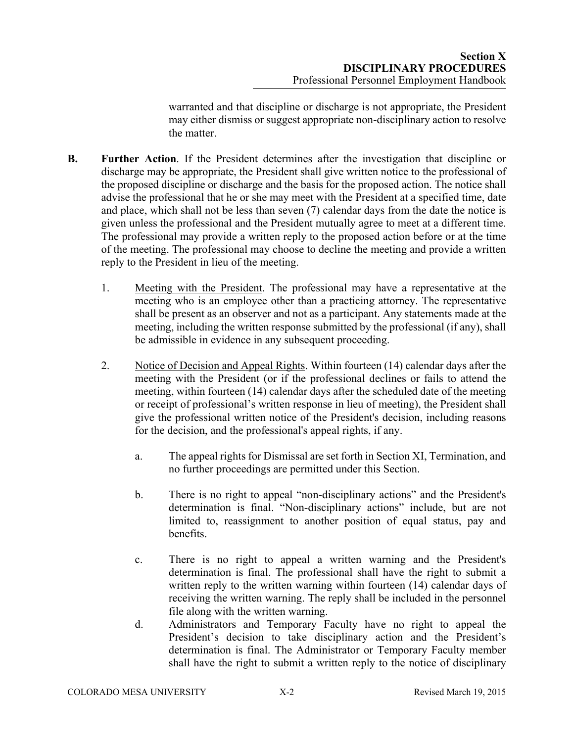warranted and that discipline or discharge is not appropriate, the President may either dismiss or suggest appropriate non-disciplinary action to resolve the matter.

- **B. Further Action**. If the President determines after the investigation that discipline or discharge may be appropriate, the President shall give written notice to the professional of the proposed discipline or discharge and the basis for the proposed action. The notice shall advise the professional that he or she may meet with the President at a specified time, date and place, which shall not be less than seven (7) calendar days from the date the notice is given unless the professional and the President mutually agree to meet at a different time. The professional may provide a written reply to the proposed action before or at the time of the meeting. The professional may choose to decline the meeting and provide a written reply to the President in lieu of the meeting.
	- 1. Meeting with the President. The professional may have a representative at the meeting who is an employee other than a practicing attorney. The representative shall be present as an observer and not as a participant. Any statements made at the meeting, including the written response submitted by the professional (if any), shall be admissible in evidence in any subsequent proceeding.
	- 2. Notice of Decision and Appeal Rights. Within fourteen (14) calendar days after the meeting with the President (or if the professional declines or fails to attend the meeting, within fourteen (14) calendar days after the scheduled date of the meeting or receipt of professional's written response in lieu of meeting), the President shall give the professional written notice of the President's decision, including reasons for the decision, and the professional's appeal rights, if any.
		- a. The appeal rights for Dismissal are set forth in Section XI, Termination, and no further proceedings are permitted under this Section.
		- b. There is no right to appeal "non-disciplinary actions" and the President's determination is final. "Non-disciplinary actions" include, but are not limited to, reassignment to another position of equal status, pay and benefits.
		- c. There is no right to appeal a written warning and the President's determination is final. The professional shall have the right to submit a written reply to the written warning within fourteen (14) calendar days of receiving the written warning. The reply shall be included in the personnel file along with the written warning.
		- d. Administrators and Temporary Faculty have no right to appeal the President's decision to take disciplinary action and the President's determination is final. The Administrator or Temporary Faculty member shall have the right to submit a written reply to the notice of disciplinary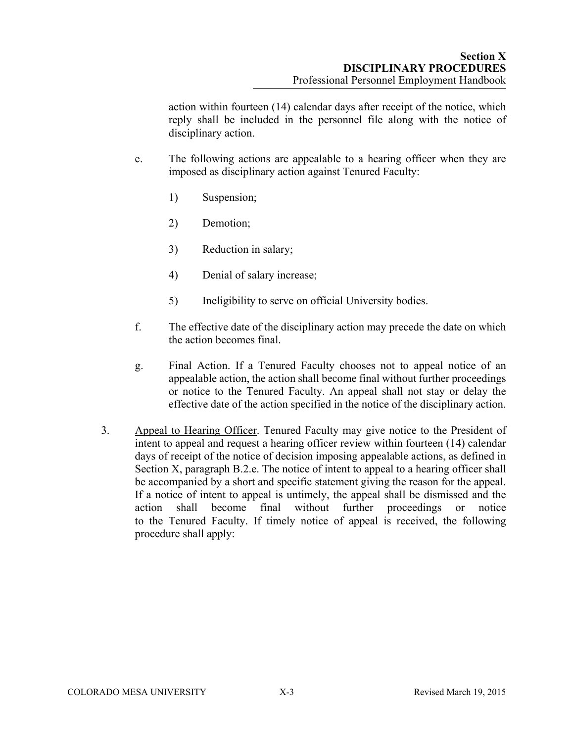action within fourteen (14) calendar days after receipt of the notice, which reply shall be included in the personnel file along with the notice of disciplinary action.

- e. The following actions are appealable to a hearing officer when they are imposed as disciplinary action against Tenured Faculty:
	- 1) Suspension;
	- 2) Demotion;
	- 3) Reduction in salary;
	- 4) Denial of salary increase;
	- 5) Ineligibility to serve on official University bodies.
- f. The effective date of the disciplinary action may precede the date on which the action becomes final.
- g. Final Action. If a Tenured Faculty chooses not to appeal notice of an appealable action, the action shall become final without further proceedings or notice to the Tenured Faculty. An appeal shall not stay or delay the effective date of the action specified in the notice of the disciplinary action.
- 3. Appeal to Hearing Officer. Tenured Faculty may give notice to the President of intent to appeal and request a hearing officer review within fourteen (14) calendar days of receipt of the notice of decision imposing appealable actions, as defined in Section X, paragraph B.2.e. The notice of intent to appeal to a hearing officer shall be accompanied by a short and specific statement giving the reason for the appeal. If a notice of intent to appeal is untimely, the appeal shall be dismissed and the action shall become final without further proceedings or notice to the Tenured Faculty. If timely notice of appeal is received, the following procedure shall apply: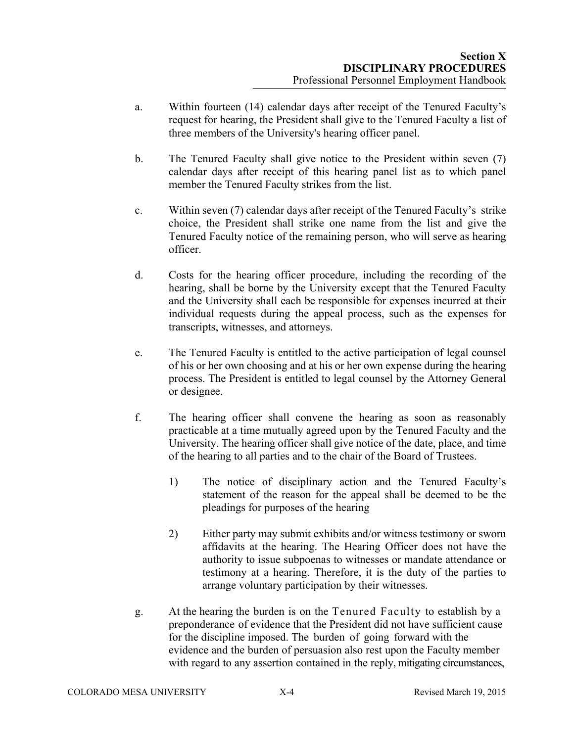- a. Within fourteen (14) calendar days after receipt of the Tenured Faculty's request for hearing, the President shall give to the Tenured Faculty a list of three members of the University's hearing officer panel.
- b. The Tenured Faculty shall give notice to the President within seven (7) calendar days after receipt of this hearing panel list as to which panel member the Tenured Faculty strikes from the list.
- c. Within seven (7) calendar days after receipt of the Tenured Faculty's strike choice, the President shall strike one name from the list and give the Tenured Faculty notice of the remaining person, who will serve as hearing officer.
- d. Costs for the hearing officer procedure, including the recording of the hearing, shall be borne by the University except that the Tenured Faculty and the University shall each be responsible for expenses incurred at their individual requests during the appeal process, such as the expenses for transcripts, witnesses, and attorneys.
- e. The Tenured Faculty is entitled to the active participation of legal counsel of his or her own choosing and at his or her own expense during the hearing process. The President is entitled to legal counsel by the Attorney General or designee.
- f. The hearing officer shall convene the hearing as soon as reasonably practicable at a time mutually agreed upon by the Tenured Faculty and the University. The hearing officer shall give notice of the date, place, and time of the hearing to all parties and to the chair of the Board of Trustees.
	- 1) The notice of disciplinary action and the Tenured Faculty's statement of the reason for the appeal shall be deemed to be the pleadings for purposes of the hearing
	- 2) Either party may submit exhibits and/or witness testimony or sworn affidavits at the hearing. The Hearing Officer does not have the authority to issue subpoenas to witnesses or mandate attendance or testimony at a hearing. Therefore, it is the duty of the parties to arrange voluntary participation by their witnesses.
- g. At the hearing the burden is on the Tenured Faculty to establish by a preponderance of evidence that the President did not have sufficient cause for the discipline imposed. The burden of going forward with the evidence and the burden of persuasion also rest upon the Faculty member with regard to any assertion contained in the reply, mitigating circumstances,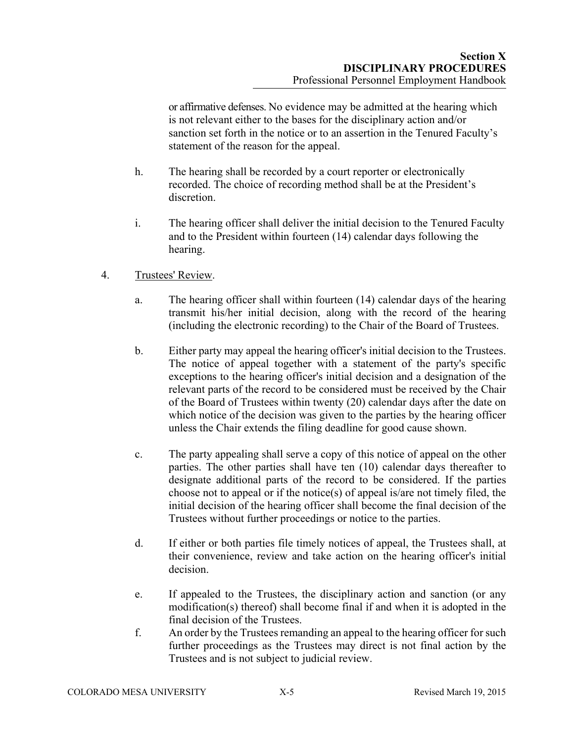or affirmative defenses. No evidence may be admitted at the hearing which is not relevant either to the bases for the disciplinary action and/or sanction set forth in the notice or to an assertion in the Tenured Faculty's statement of the reason for the appeal.

- h. The hearing shall be recorded by a court reporter or electronically recorded. The choice of recording method shall be at the President's discretion.
- i. The hearing officer shall deliver the initial decision to the Tenured Faculty and to the President within fourteen (14) calendar days following the hearing.
- 4. Trustees' Review.
	- a. The hearing officer shall within fourteen (14) calendar days of the hearing transmit his/her initial decision, along with the record of the hearing (including the electronic recording) to the Chair of the Board of Trustees.
	- b. Either party may appeal the hearing officer's initial decision to the Trustees. The notice of appeal together with a statement of the party's specific exceptions to the hearing officer's initial decision and a designation of the relevant parts of the record to be considered must be received by the Chair of the Board of Trustees within twenty (20) calendar days after the date on which notice of the decision was given to the parties by the hearing officer unless the Chair extends the filing deadline for good cause shown.
	- c. The party appealing shall serve a copy of this notice of appeal on the other parties. The other parties shall have ten (10) calendar days thereafter to designate additional parts of the record to be considered. If the parties choose not to appeal or if the notice(s) of appeal is/are not timely filed, the initial decision of the hearing officer shall become the final decision of the Trustees without further proceedings or notice to the parties.
	- d. If either or both parties file timely notices of appeal, the Trustees shall, at their convenience, review and take action on the hearing officer's initial decision.
	- e. If appealed to the Trustees, the disciplinary action and sanction (or any modification(s) thereof) shall become final if and when it is adopted in the final decision of the Trustees.
	- f. An order by the Trustees remanding an appeal to the hearing officer for such further proceedings as the Trustees may direct is not final action by the Trustees and is not subject to judicial review.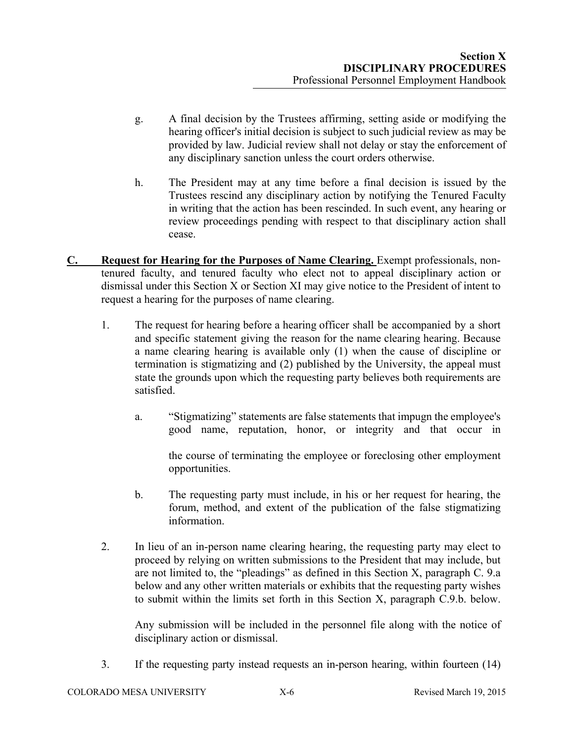- g. A final decision by the Trustees affirming, setting aside or modifying the hearing officer's initial decision is subject to such judicial review as may be provided by law. Judicial review shall not delay or stay the enforcement of any disciplinary sanction unless the court orders otherwise.
- h. The President may at any time before a final decision is issued by the Trustees rescind any disciplinary action by notifying the Tenured Faculty in writing that the action has been rescinded. In such event, any hearing or review proceedings pending with respect to that disciplinary action shall cease.
- **C. Request for Hearing for the Purposes of Name Clearing.** Exempt professionals, nontenured faculty, and tenured faculty who elect not to appeal disciplinary action or dismissal under this Section X or Section XI may give notice to the President of intent to request a hearing for the purposes of name clearing.
	- 1. The request for hearing before a hearing officer shall be accompanied by a short and specific statement giving the reason for the name clearing hearing. Because a name clearing hearing is available only (1) when the cause of discipline or termination is stigmatizing and (2) published by the University, the appeal must state the grounds upon which the requesting party believes both requirements are satisfied.
		- a. "Stigmatizing" statements are false statements that impugn the employee's good name, reputation, honor, or integrity and that occur in

the course of terminating the employee or foreclosing other employment opportunities.

- b. The requesting party must include, in his or her request for hearing, the forum, method, and extent of the publication of the false stigmatizing information.
- 2. In lieu of an in-person name clearing hearing, the requesting party may elect to proceed by relying on written submissions to the President that may include, but are not limited to, the "pleadings" as defined in this Section X, paragraph C. 9.a below and any other written materials or exhibits that the requesting party wishes to submit within the limits set forth in this Section X, paragraph C.9.b. below.

Any submission will be included in the personnel file along with the notice of disciplinary action or dismissal.

3. If the requesting party instead requests an in-person hearing, within fourteen (14)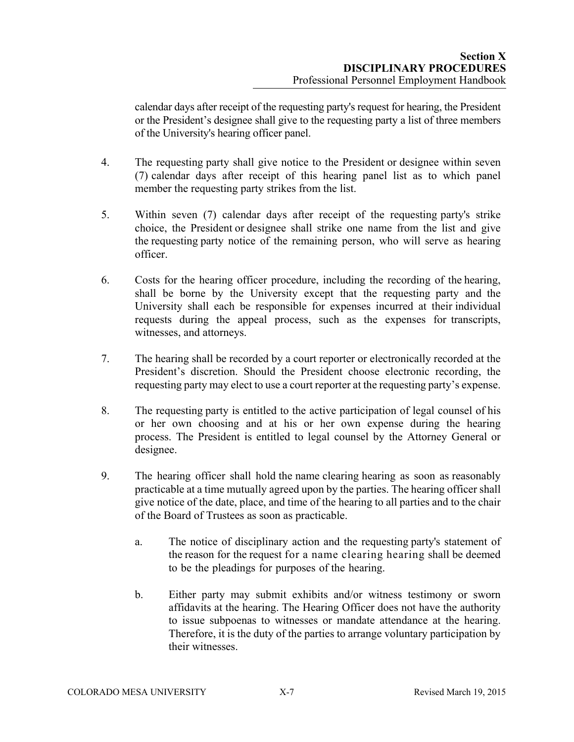calendar days after receipt of the requesting party's request for hearing, the President or the President's designee shall give to the requesting party a list of three members of the University's hearing officer panel.

- 4. The requesting party shall give notice to the President or designee within seven (7) calendar days after receipt of this hearing panel list as to which panel member the requesting party strikes from the list.
- 5. Within seven (7) calendar days after receipt of the requesting party's strike choice, the President or designee shall strike one name from the list and give the requesting party notice of the remaining person, who will serve as hearing officer.
- 6. Costs for the hearing officer procedure, including the recording of the hearing, shall be borne by the University except that the requesting party and the University shall each be responsible for expenses incurred at their individual requests during the appeal process, such as the expenses for transcripts, witnesses, and attorneys.
- 7. The hearing shall be recorded by a court reporter or electronically recorded at the President's discretion. Should the President choose electronic recording, the requesting party may elect to use a court reporter at the requesting party's expense.
- 8. The requesting party is entitled to the active participation of legal counsel of his or her own choosing and at his or her own expense during the hearing process. The President is entitled to legal counsel by the Attorney General or designee.
- 9. The hearing officer shall hold the name clearing hearing as soon as reasonably practicable at a time mutually agreed upon by the parties. The hearing officer shall give notice of the date, place, and time of the hearing to all parties and to the chair of the Board of Trustees as soon as practicable.
	- a. The notice of disciplinary action and the requesting party's statement of the reason for the request for a name clearing hearing shall be deemed to be the pleadings for purposes of the hearing.
	- b. Either party may submit exhibits and/or witness testimony or sworn affidavits at the hearing. The Hearing Officer does not have the authority to issue subpoenas to witnesses or mandate attendance at the hearing. Therefore, it is the duty of the parties to arrange voluntary participation by their witnesses.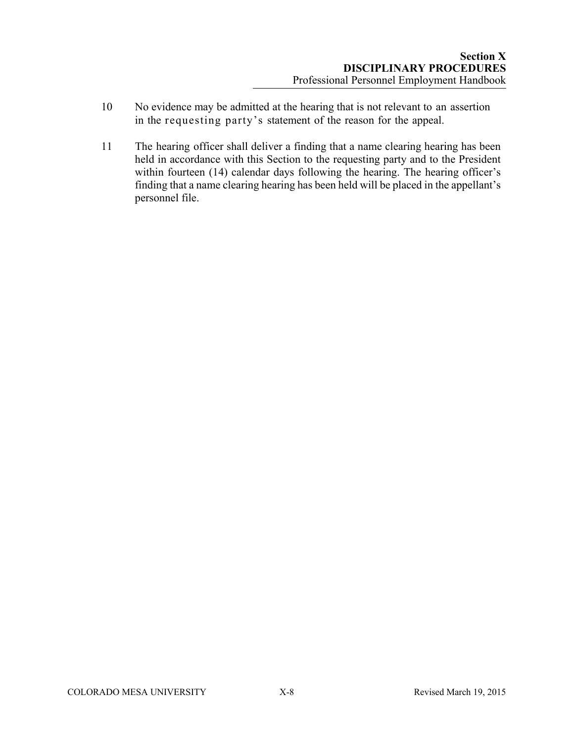- 10 No evidence may be admitted at the hearing that is not relevant to an assertion in the requesting party's statement of the reason for the appeal.
- 11 The hearing officer shall deliver a finding that a name clearing hearing has been held in accordance with this Section to the requesting party and to the President within fourteen (14) calendar days following the hearing. The hearing officer's finding that a name clearing hearing has been held will be placed in the appellant's personnel file.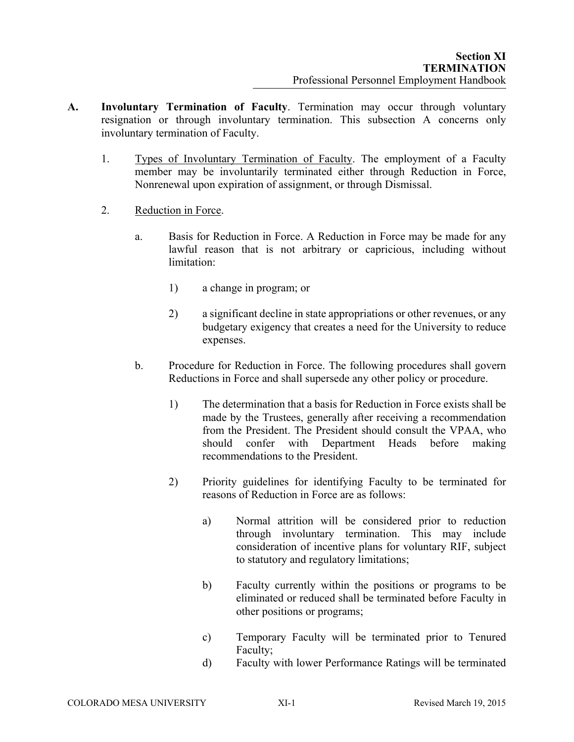- **A. Involuntary Termination of Faculty**. Termination may occur through voluntary resignation or through involuntary termination. This subsection A concerns only involuntary termination of Faculty.
	- 1. Types of Involuntary Termination of Faculty. The employment of a Faculty member may be involuntarily terminated either through Reduction in Force, Nonrenewal upon expiration of assignment, or through Dismissal.
	- 2. Reduction in Force.
		- a. Basis for Reduction in Force. A Reduction in Force may be made for any lawful reason that is not arbitrary or capricious, including without limitation:
			- 1) a change in program; or
			- 2) a significant decline in state appropriations or other revenues, or any budgetary exigency that creates a need for the University to reduce expenses.
		- b. Procedure for Reduction in Force. The following procedures shall govern Reductions in Force and shall supersede any other policy or procedure.
			- 1) The determination that a basis for Reduction in Force exists shall be made by the Trustees, generally after receiving a recommendation from the President. The President should consult the VPAA, who should confer with Department Heads before making recommendations to the President.
			- 2) Priority guidelines for identifying Faculty to be terminated for reasons of Reduction in Force are as follows:
				- a) Normal attrition will be considered prior to reduction through involuntary termination. This may include consideration of incentive plans for voluntary RIF, subject to statutory and regulatory limitations;
				- b) Faculty currently within the positions or programs to be eliminated or reduced shall be terminated before Faculty in other positions or programs;
				- c) Temporary Faculty will be terminated prior to Tenured Faculty;
				- d) Faculty with lower Performance Ratings will be terminated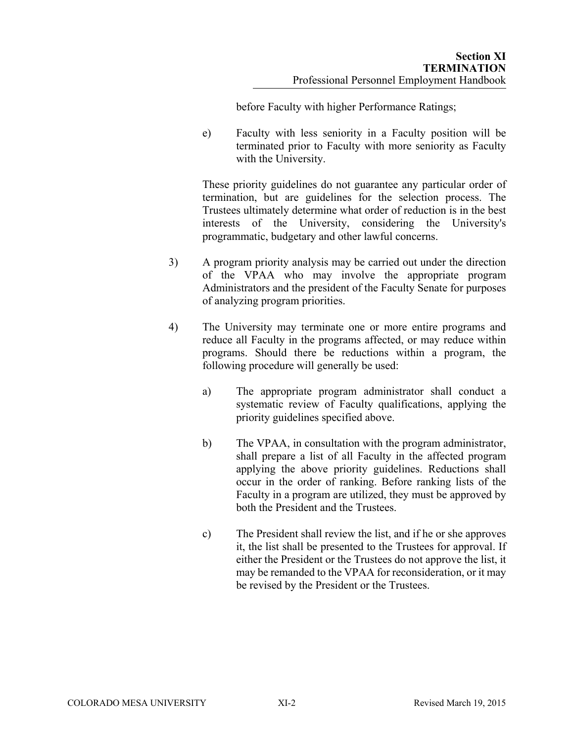before Faculty with higher Performance Ratings;

e) Faculty with less seniority in a Faculty position will be terminated prior to Faculty with more seniority as Faculty with the University.

These priority guidelines do not guarantee any particular order of termination, but are guidelines for the selection process. The Trustees ultimately determine what order of reduction is in the best interests of the University, considering the University's programmatic, budgetary and other lawful concerns.

- 3) A program priority analysis may be carried out under the direction of the VPAA who may involve the appropriate program Administrators and the president of the Faculty Senate for purposes of analyzing program priorities.
- 4) The University may terminate one or more entire programs and reduce all Faculty in the programs affected, or may reduce within programs. Should there be reductions within a program, the following procedure will generally be used:
	- a) The appropriate program administrator shall conduct a systematic review of Faculty qualifications, applying the priority guidelines specified above.
	- b) The VPAA, in consultation with the program administrator, shall prepare a list of all Faculty in the affected program applying the above priority guidelines. Reductions shall occur in the order of ranking. Before ranking lists of the Faculty in a program are utilized, they must be approved by both the President and the Trustees.
	- c) The President shall review the list, and if he or she approves it, the list shall be presented to the Trustees for approval. If either the President or the Trustees do not approve the list, it may be remanded to the VPAA for reconsideration, or it may be revised by the President or the Trustees.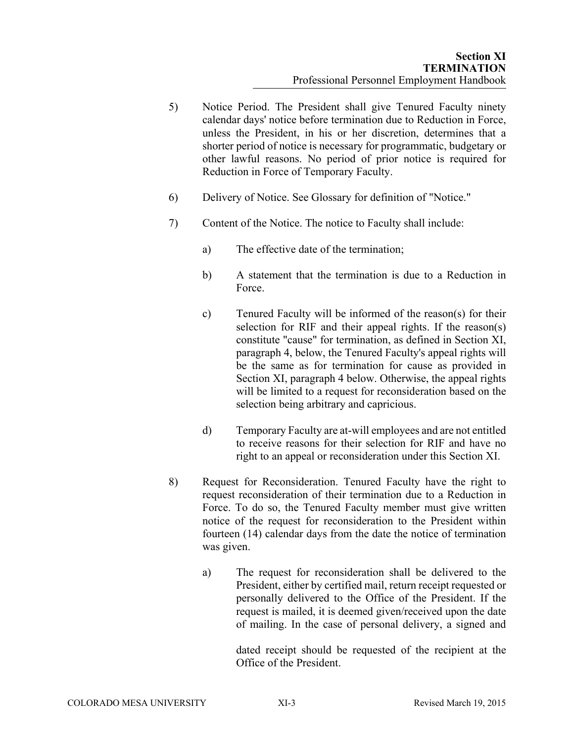- 5) Notice Period. The President shall give Tenured Faculty ninety calendar days' notice before termination due to Reduction in Force, unless the President, in his or her discretion, determines that a shorter period of notice is necessary for programmatic, budgetary or other lawful reasons. No period of prior notice is required for Reduction in Force of Temporary Faculty.
- 6) Delivery of Notice. See Glossary for definition of "Notice."
- 7) Content of the Notice. The notice to Faculty shall include:
	- a) The effective date of the termination;
	- b) A statement that the termination is due to a Reduction in Force.
	- c) Tenured Faculty will be informed of the reason(s) for their selection for RIF and their appeal rights. If the reason(s) constitute "cause" for termination, as defined in Section XI, paragraph 4, below, the Tenured Faculty's appeal rights will be the same as for termination for cause as provided in Section XI, paragraph 4 below. Otherwise, the appeal rights will be limited to a request for reconsideration based on the selection being arbitrary and capricious.
	- d) Temporary Faculty are at-will employees and are not entitled to receive reasons for their selection for RIF and have no right to an appeal or reconsideration under this Section XI.
- 8) Request for Reconsideration. Tenured Faculty have the right to request reconsideration of their termination due to a Reduction in Force. To do so, the Tenured Faculty member must give written notice of the request for reconsideration to the President within fourteen (14) calendar days from the date the notice of termination was given.
	- a) The request for reconsideration shall be delivered to the President, either by certified mail, return receipt requested or personally delivered to the Office of the President. If the request is mailed, it is deemed given/received upon the date of mailing. In the case of personal delivery, a signed and

dated receipt should be requested of the recipient at the Office of the President.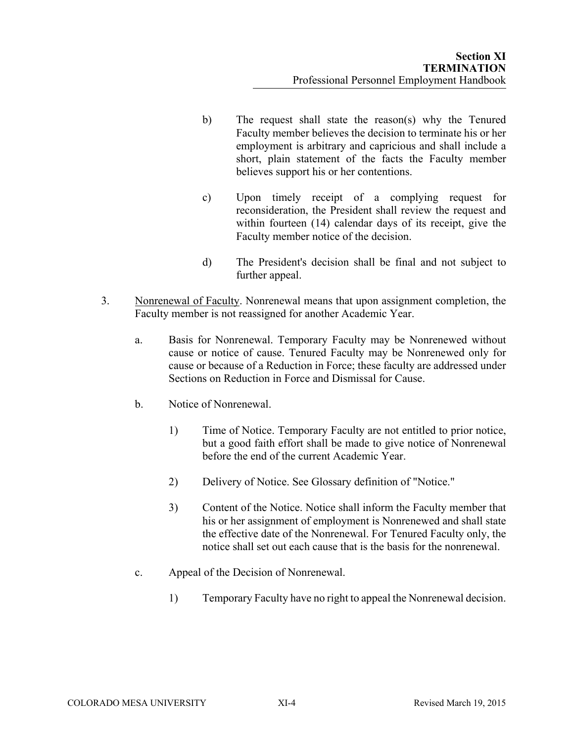- b) The request shall state the reason(s) why the Tenured Faculty member believes the decision to terminate his or her employment is arbitrary and capricious and shall include a short, plain statement of the facts the Faculty member believes support his or her contentions.
- c) Upon timely receipt of a complying request for reconsideration, the President shall review the request and within fourteen (14) calendar days of its receipt, give the Faculty member notice of the decision.
- d) The President's decision shall be final and not subject to further appeal.
- 3. Nonrenewal of Faculty. Nonrenewal means that upon assignment completion, the Faculty member is not reassigned for another Academic Year.
	- a. Basis for Nonrenewal. Temporary Faculty may be Nonrenewed without cause or notice of cause. Tenured Faculty may be Nonrenewed only for cause or because of a Reduction in Force; these faculty are addressed under Sections on Reduction in Force and Dismissal for Cause.
	- b. Notice of Nonrenewal.
		- 1) Time of Notice. Temporary Faculty are not entitled to prior notice, but a good faith effort shall be made to give notice of Nonrenewal before the end of the current Academic Year.
		- 2) Delivery of Notice. See Glossary definition of "Notice."
		- 3) Content of the Notice. Notice shall inform the Faculty member that his or her assignment of employment is Nonrenewed and shall state the effective date of the Nonrenewal. For Tenured Faculty only, the notice shall set out each cause that is the basis for the nonrenewal.
	- c. Appeal of the Decision of Nonrenewal.
		- 1) Temporary Faculty have no right to appeal the Nonrenewal decision.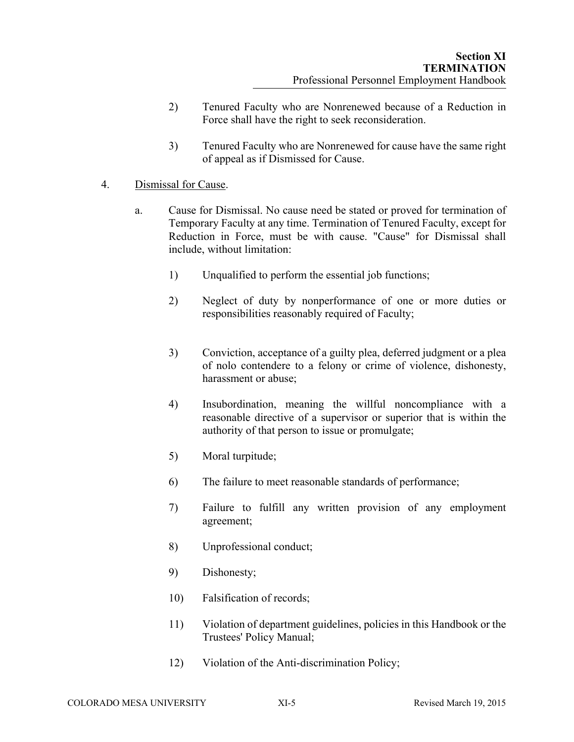- 2) Tenured Faculty who are Nonrenewed because of a Reduction in Force shall have the right to seek reconsideration.
- 3) Tenured Faculty who are Nonrenewed for cause have the same right of appeal as if Dismissed for Cause.

## 4. Dismissal for Cause.

- a. Cause for Dismissal. No cause need be stated or proved for termination of Temporary Faculty at any time. Termination of Tenured Faculty, except for Reduction in Force, must be with cause. "Cause" for Dismissal shall include, without limitation:
	- 1) Unqualified to perform the essential job functions;
	- 2) Neglect of duty by nonperformance of one or more duties or responsibilities reasonably required of Faculty;
	- 3) Conviction, acceptance of a guilty plea, deferred judgment or a plea of nolo contendere to a felony or crime of violence, dishonesty, harassment or abuse;
	- 4) Insubordination, meaning the willful noncompliance with a reasonable directive of a supervisor or superior that is within the authority of that person to issue or promulgate;
	- 5) Moral turpitude;
	- 6) The failure to meet reasonable standards of performance;
	- 7) Failure to fulfill any written provision of any employment agreement;
	- 8) Unprofessional conduct;
	- 9) Dishonesty;
	- 10) Falsification of records;
	- 11) Violation of department guidelines, policies in this Handbook or the Trustees' Policy Manual;
	- 12) Violation of the Anti-discrimination Policy;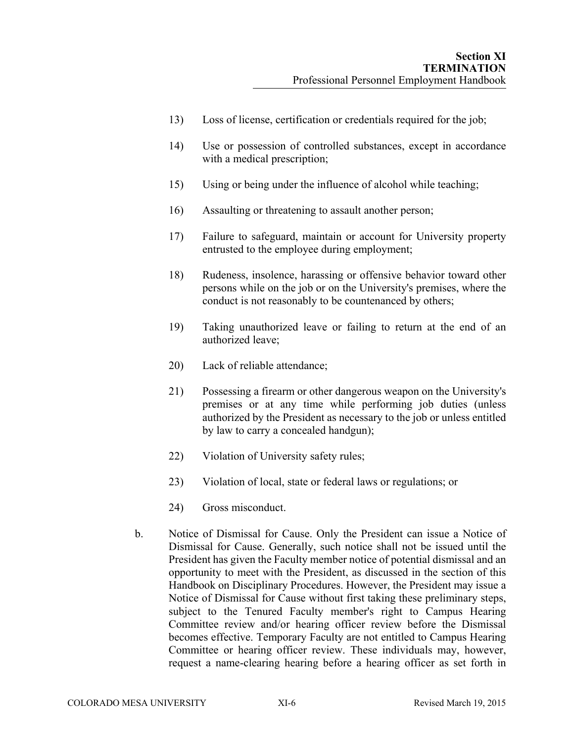- 13) Loss of license, certification or credentials required for the job;
- 14) Use or possession of controlled substances, except in accordance with a medical prescription;
- 15) Using or being under the influence of alcohol while teaching;
- 16) Assaulting or threatening to assault another person;
- 17) Failure to safeguard, maintain or account for University property entrusted to the employee during employment;
- 18) Rudeness, insolence, harassing or offensive behavior toward other persons while on the job or on the University's premises, where the conduct is not reasonably to be countenanced by others;
- 19) Taking unauthorized leave or failing to return at the end of an authorized leave;
- 20) Lack of reliable attendance;
- 21) Possessing a firearm or other dangerous weapon on the University's premises or at any time while performing job duties (unless authorized by the President as necessary to the job or unless entitled by law to carry a concealed handgun);
- 22) Violation of University safety rules;
- 23) Violation of local, state or federal laws or regulations; or
- 24) Gross misconduct.
- b. Notice of Dismissal for Cause. Only the President can issue a Notice of Dismissal for Cause. Generally, such notice shall not be issued until the President has given the Faculty member notice of potential dismissal and an opportunity to meet with the President, as discussed in the section of this Handbook on Disciplinary Procedures. However, the President may issue a Notice of Dismissal for Cause without first taking these preliminary steps, subject to the Tenured Faculty member's right to Campus Hearing Committee review and/or hearing officer review before the Dismissal becomes effective. Temporary Faculty are not entitled to Campus Hearing Committee or hearing officer review. These individuals may, however, request a name-clearing hearing before a hearing officer as set forth in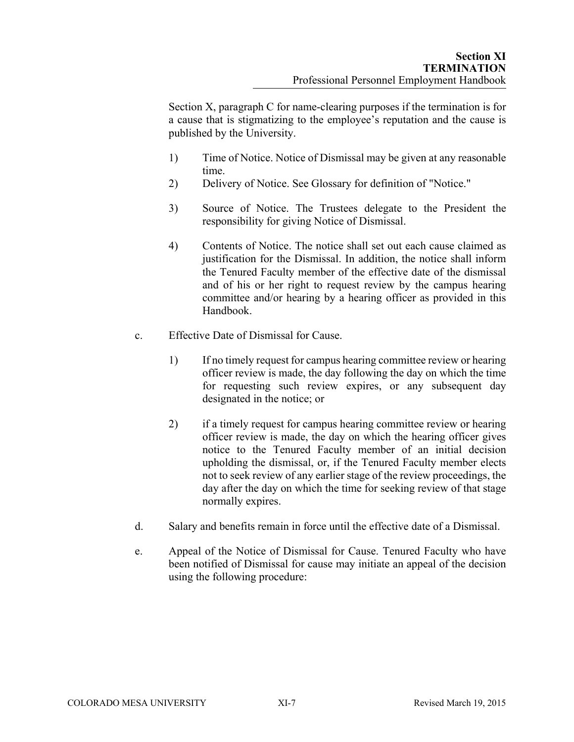Section X, paragraph C for name-clearing purposes if the termination is for a cause that is stigmatizing to the employee's reputation and the cause is published by the University.

- 1) Time of Notice. Notice of Dismissal may be given at any reasonable time.
- 2) Delivery of Notice. See Glossary for definition of "Notice."
- 3) Source of Notice. The Trustees delegate to the President the responsibility for giving Notice of Dismissal.
- 4) Contents of Notice. The notice shall set out each cause claimed as justification for the Dismissal. In addition, the notice shall inform the Tenured Faculty member of the effective date of the dismissal and of his or her right to request review by the campus hearing committee and/or hearing by a hearing officer as provided in this Handbook.
- c. Effective Date of Dismissal for Cause.
	- 1) If no timely request for campus hearing committee review or hearing officer review is made, the day following the day on which the time for requesting such review expires, or any subsequent day designated in the notice; or
	- 2) if a timely request for campus hearing committee review or hearing officer review is made, the day on which the hearing officer gives notice to the Tenured Faculty member of an initial decision upholding the dismissal, or, if the Tenured Faculty member elects not to seek review of any earlier stage of the review proceedings, the day after the day on which the time for seeking review of that stage normally expires.
- d. Salary and benefits remain in force until the effective date of a Dismissal.
- e. Appeal of the Notice of Dismissal for Cause. Tenured Faculty who have been notified of Dismissal for cause may initiate an appeal of the decision using the following procedure: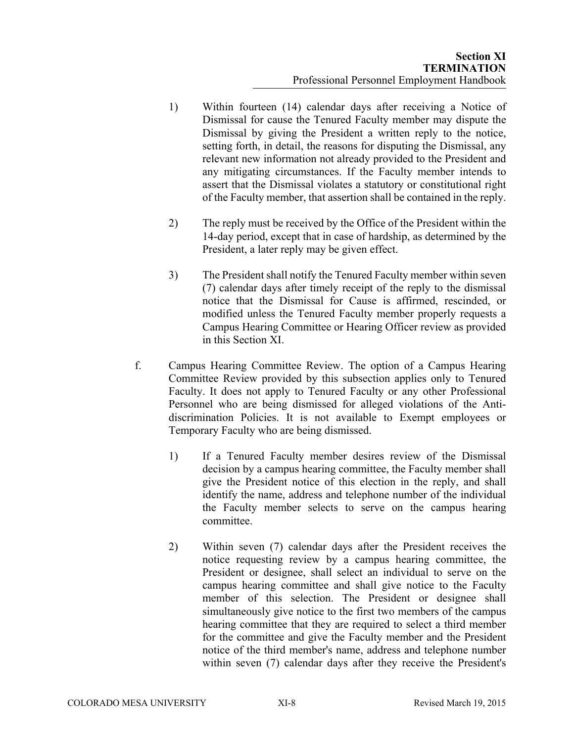- 1) Within fourteen (14) calendar days after receiving a Notice of Dismissal for cause the Tenured Faculty member may dispute the Dismissal by giving the President a written reply to the notice, setting forth, in detail, the reasons for disputing the Dismissal, any relevant new information not already provided to the President and any mitigating circumstances. If the Faculty member intends to assert that the Dismissal violates a statutory or constitutional right of the Faculty member, that assertion shall be contained in the reply.
- 2) The reply must be received by the Office of the President within the 14-day period, except that in case of hardship, as determined by the President, a later reply may be given effect.
- 3) The President shall notify the Tenured Faculty member within seven (7) calendar days after timely receipt of the reply to the dismissal notice that the Dismissal for Cause is affirmed, rescinded, or modified unless the Tenured Faculty member properly requests a Campus Hearing Committee or Hearing Officer review as provided in this Section XI.
- f. Campus Hearing Committee Review. The option of a Campus Hearing Committee Review provided by this subsection applies only to Tenured Faculty. It does not apply to Tenured Faculty or any other Professional Personnel who are being dismissed for alleged violations of the Antidiscrimination Policies. It is not available to Exempt employees or Temporary Faculty who are being dismissed.
	- 1) If a Tenured Faculty member desires review of the Dismissal decision by a campus hearing committee, the Faculty member shall give the President notice of this election in the reply, and shall identify the name, address and telephone number of the individual the Faculty member selects to serve on the campus hearing committee.
	- 2) Within seven (7) calendar days after the President receives the notice requesting review by a campus hearing committee, the President or designee, shall select an individual to serve on the campus hearing committee and shall give notice to the Faculty member of this selection. The President or designee shall simultaneously give notice to the first two members of the campus hearing committee that they are required to select a third member for the committee and give the Faculty member and the President notice of the third member's name, address and telephone number within seven (7) calendar days after they receive the President's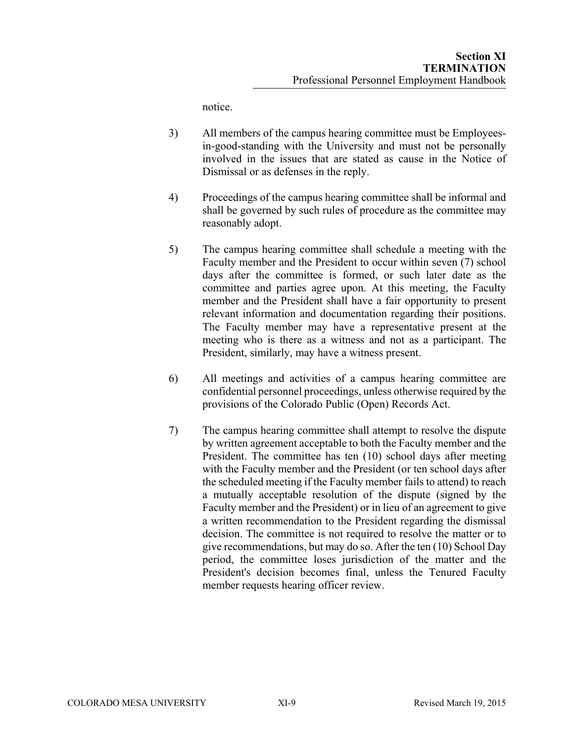notice.

- 3) All members of the campus hearing committee must be Employeesin-good-standing with the University and must not be personally involved in the issues that are stated as cause in the Notice of Dismissal or as defenses in the reply.
- 4) Proceedings of the campus hearing committee shall be informal and shall be governed by such rules of procedure as the committee may reasonably adopt.
- 5) The campus hearing committee shall schedule a meeting with the Faculty member and the President to occur within seven (7) school days after the committee is formed, or such later date as the committee and parties agree upon. At this meeting, the Faculty member and the President shall have a fair opportunity to present relevant information and documentation regarding their positions. The Faculty member may have a representative present at the meeting who is there as a witness and not as a participant. The President, similarly, may have a witness present.
- 6) All meetings and activities of a campus hearing committee are confidential personnel proceedings, unless otherwise required by the provisions of the Colorado Public (Open) Records Act.
- 7) The campus hearing committee shall attempt to resolve the dispute by written agreement acceptable to both the Faculty member and the President. The committee has ten (10) school days after meeting with the Faculty member and the President (or ten school days after the scheduled meeting if the Faculty member fails to attend) to reach a mutually acceptable resolution of the dispute (signed by the Faculty member and the President) or in lieu of an agreement to give a written recommendation to the President regarding the dismissal decision. The committee is not required to resolve the matter or to give recommendations, but may do so. After the ten (10) School Day period, the committee loses jurisdiction of the matter and the President's decision becomes final, unless the Tenured Faculty member requests hearing officer review.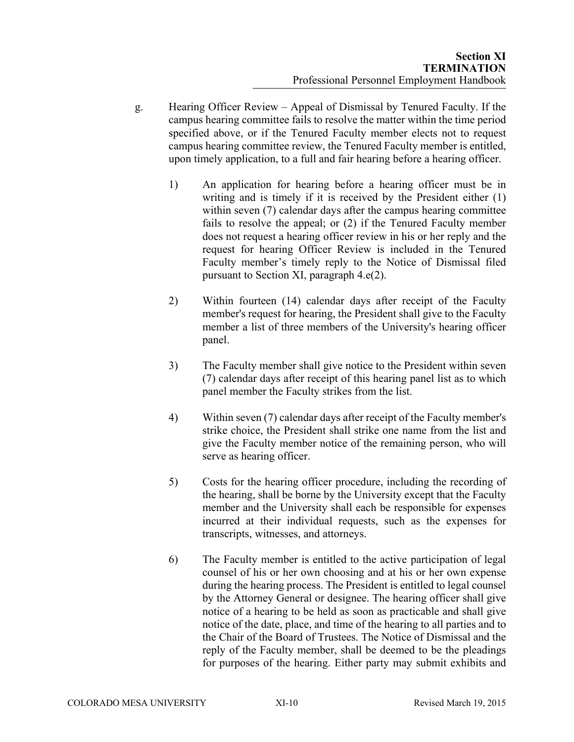- g. Hearing Officer Review Appeal of Dismissal by Tenured Faculty. If the campus hearing committee fails to resolve the matter within the time period specified above, or if the Tenured Faculty member elects not to request campus hearing committee review, the Tenured Faculty member is entitled, upon timely application, to a full and fair hearing before a hearing officer.
	- 1) An application for hearing before a hearing officer must be in writing and is timely if it is received by the President either (1) within seven (7) calendar days after the campus hearing committee fails to resolve the appeal; or (2) if the Tenured Faculty member does not request a hearing officer review in his or her reply and the request for hearing Officer Review is included in the Tenured Faculty member's timely reply to the Notice of Dismissal filed pursuant to Section XI, paragraph 4.e(2).
	- 2) Within fourteen (14) calendar days after receipt of the Faculty member's request for hearing, the President shall give to the Faculty member a list of three members of the University's hearing officer panel.
	- 3) The Faculty member shall give notice to the President within seven (7) calendar days after receipt of this hearing panel list as to which panel member the Faculty strikes from the list.
	- 4) Within seven (7) calendar days after receipt of the Faculty member's strike choice, the President shall strike one name from the list and give the Faculty member notice of the remaining person, who will serve as hearing officer.
	- 5) Costs for the hearing officer procedure, including the recording of the hearing, shall be borne by the University except that the Faculty member and the University shall each be responsible for expenses incurred at their individual requests, such as the expenses for transcripts, witnesses, and attorneys.
	- 6) The Faculty member is entitled to the active participation of legal counsel of his or her own choosing and at his or her own expense during the hearing process. The President is entitled to legal counsel by the Attorney General or designee. The hearing officer shall give notice of a hearing to be held as soon as practicable and shall give notice of the date, place, and time of the hearing to all parties and to the Chair of the Board of Trustees. The Notice of Dismissal and the reply of the Faculty member, shall be deemed to be the pleadings for purposes of the hearing. Either party may submit exhibits and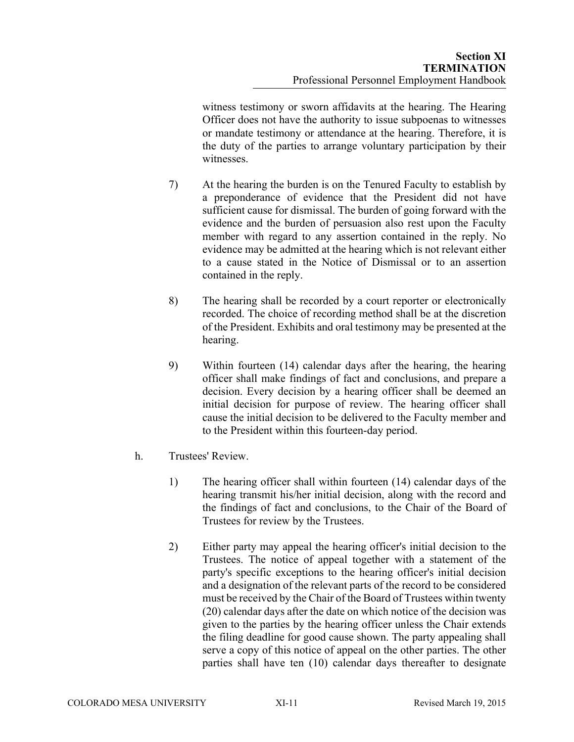witness testimony or sworn affidavits at the hearing. The Hearing Officer does not have the authority to issue subpoenas to witnesses or mandate testimony or attendance at the hearing. Therefore, it is the duty of the parties to arrange voluntary participation by their witnesses.

- 7) At the hearing the burden is on the Tenured Faculty to establish by a preponderance of evidence that the President did not have sufficient cause for dismissal. The burden of going forward with the evidence and the burden of persuasion also rest upon the Faculty member with regard to any assertion contained in the reply. No evidence may be admitted at the hearing which is not relevant either to a cause stated in the Notice of Dismissal or to an assertion contained in the reply.
- 8) The hearing shall be recorded by a court reporter or electronically recorded. The choice of recording method shall be at the discretion of the President. Exhibits and oral testimony may be presented at the hearing.
- 9) Within fourteen (14) calendar days after the hearing, the hearing officer shall make findings of fact and conclusions, and prepare a decision. Every decision by a hearing officer shall be deemed an initial decision for purpose of review. The hearing officer shall cause the initial decision to be delivered to the Faculty member and to the President within this fourteen-day period.
- h. Trustees' Review.
	- 1) The hearing officer shall within fourteen (14) calendar days of the hearing transmit his/her initial decision, along with the record and the findings of fact and conclusions, to the Chair of the Board of Trustees for review by the Trustees.
	- 2) Either party may appeal the hearing officer's initial decision to the Trustees. The notice of appeal together with a statement of the party's specific exceptions to the hearing officer's initial decision and a designation of the relevant parts of the record to be considered must be received by the Chair of the Board of Trustees within twenty (20) calendar days after the date on which notice of the decision was given to the parties by the hearing officer unless the Chair extends the filing deadline for good cause shown. The party appealing shall serve a copy of this notice of appeal on the other parties. The other parties shall have ten (10) calendar days thereafter to designate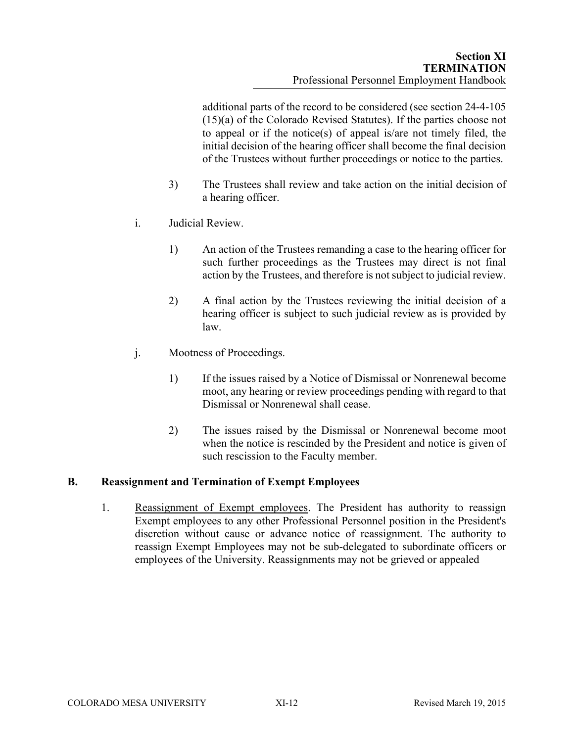additional parts of the record to be considered (see section 24-4-105 (15)(a) of the Colorado Revised Statutes). If the parties choose not to appeal or if the notice(s) of appeal is/are not timely filed, the initial decision of the hearing officer shall become the final decision of the Trustees without further proceedings or notice to the parties.

- 3) The Trustees shall review and take action on the initial decision of a hearing officer.
- i. Judicial Review.
	- 1) An action of the Trustees remanding a case to the hearing officer for such further proceedings as the Trustees may direct is not final action by the Trustees, and therefore is not subject to judicial review.
	- 2) A final action by the Trustees reviewing the initial decision of a hearing officer is subject to such judicial review as is provided by law.
- j. Mootness of Proceedings.
	- 1) If the issues raised by a Notice of Dismissal or Nonrenewal become moot, any hearing or review proceedings pending with regard to that Dismissal or Nonrenewal shall cease.
	- 2) The issues raised by the Dismissal or Nonrenewal become moot when the notice is rescinded by the President and notice is given of such rescission to the Faculty member.

#### **B. Reassignment and Termination of Exempt Employees**

1. Reassignment of Exempt employees. The President has authority to reassign Exempt employees to any other Professional Personnel position in the President's discretion without cause or advance notice of reassignment. The authority to reassign Exempt Employees may not be sub-delegated to subordinate officers or employees of the University. Reassignments may not be grieved or appealed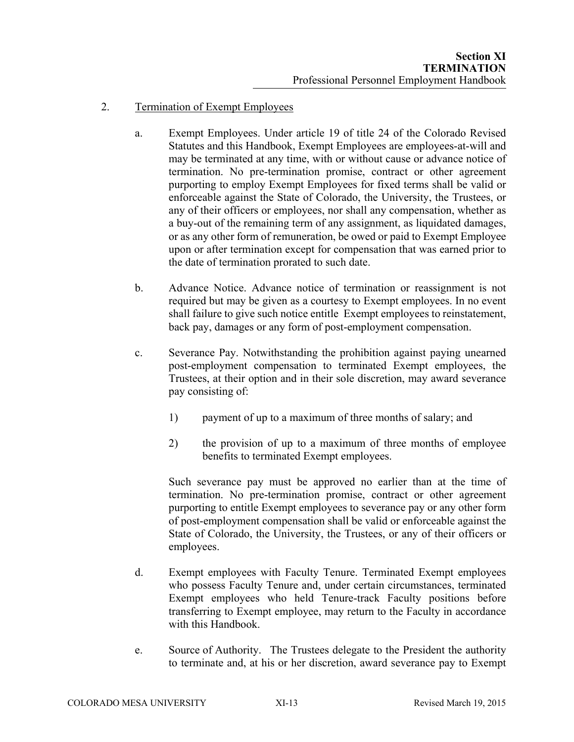- 2. Termination of Exempt Employees
	- a. Exempt Employees. Under article 19 of title 24 of the Colorado Revised Statutes and this Handbook, Exempt Employees are employees-at-will and may be terminated at any time, with or without cause or advance notice of termination. No pre-termination promise, contract or other agreement purporting to employ Exempt Employees for fixed terms shall be valid or enforceable against the State of Colorado, the University, the Trustees, or any of their officers or employees, nor shall any compensation, whether as a buy-out of the remaining term of any assignment, as liquidated damages, or as any other form of remuneration, be owed or paid to Exempt Employee upon or after termination except for compensation that was earned prior to the date of termination prorated to such date.
	- b. Advance Notice. Advance notice of termination or reassignment is not required but may be given as a courtesy to Exempt employees. In no event shall failure to give such notice entitle Exempt employees to reinstatement, back pay, damages or any form of post-employment compensation.
	- c. Severance Pay. Notwithstanding the prohibition against paying unearned post-employment compensation to terminated Exempt employees, the Trustees, at their option and in their sole discretion, may award severance pay consisting of:
		- 1) payment of up to a maximum of three months of salary; and
		- 2) the provision of up to a maximum of three months of employee benefits to terminated Exempt employees.

Such severance pay must be approved no earlier than at the time of termination. No pre-termination promise, contract or other agreement purporting to entitle Exempt employees to severance pay or any other form of post-employment compensation shall be valid or enforceable against the State of Colorado, the University, the Trustees, or any of their officers or employees.

- d. Exempt employees with Faculty Tenure. Terminated Exempt employees who possess Faculty Tenure and, under certain circumstances, terminated Exempt employees who held Tenure-track Faculty positions before transferring to Exempt employee, may return to the Faculty in accordance with this Handbook.
- e. Source of Authority. The Trustees delegate to the President the authority to terminate and, at his or her discretion, award severance pay to Exempt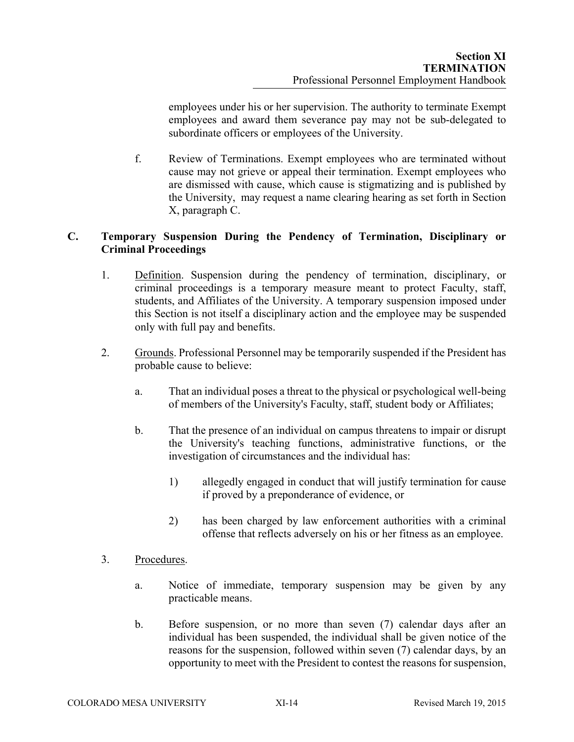employees under his or her supervision. The authority to terminate Exempt employees and award them severance pay may not be sub-delegated to subordinate officers or employees of the University.

f. Review of Terminations. Exempt employees who are terminated without cause may not grieve or appeal their termination. Exempt employees who are dismissed with cause, which cause is stigmatizing and is published by the University, may request a name clearing hearing as set forth in Section X, paragraph C.

## **C. Temporary Suspension During the Pendency of Termination, Disciplinary or Criminal Proceedings**

- 1. Definition. Suspension during the pendency of termination, disciplinary, or criminal proceedings is a temporary measure meant to protect Faculty, staff, students, and Affiliates of the University. A temporary suspension imposed under this Section is not itself a disciplinary action and the employee may be suspended only with full pay and benefits.
- 2. Grounds. Professional Personnel may be temporarily suspended if the President has probable cause to believe:
	- a. That an individual poses a threat to the physical or psychological well-being of members of the University's Faculty, staff, student body or Affiliates;
	- b. That the presence of an individual on campus threatens to impair or disrupt the University's teaching functions, administrative functions, or the investigation of circumstances and the individual has:
		- 1) allegedly engaged in conduct that will justify termination for cause if proved by a preponderance of evidence, or
		- 2) has been charged by law enforcement authorities with a criminal offense that reflects adversely on his or her fitness as an employee.
- 3. Procedures.
	- a. Notice of immediate, temporary suspension may be given by any practicable means.
	- b. Before suspension, or no more than seven (7) calendar days after an individual has been suspended, the individual shall be given notice of the reasons for the suspension, followed within seven (7) calendar days, by an opportunity to meet with the President to contest the reasons for suspension,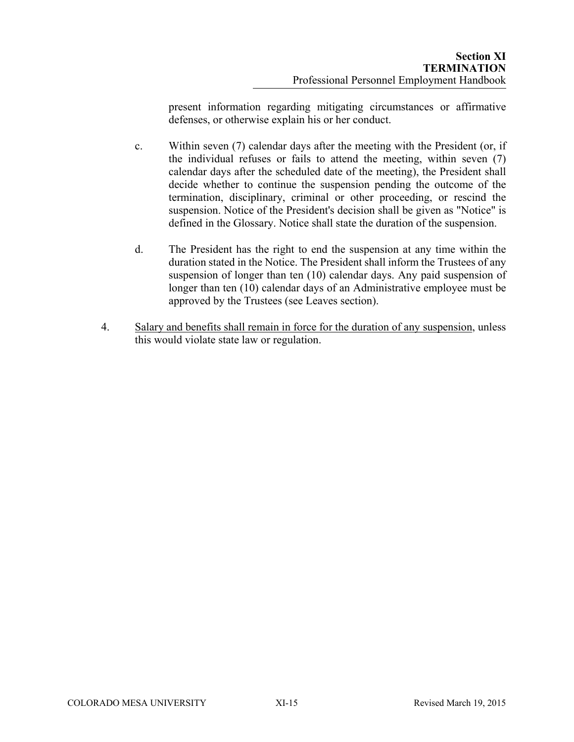present information regarding mitigating circumstances or affirmative defenses, or otherwise explain his or her conduct.

- c. Within seven (7) calendar days after the meeting with the President (or, if the individual refuses or fails to attend the meeting, within seven (7) calendar days after the scheduled date of the meeting), the President shall decide whether to continue the suspension pending the outcome of the termination, disciplinary, criminal or other proceeding, or rescind the suspension. Notice of the President's decision shall be given as "Notice" is defined in the Glossary. Notice shall state the duration of the suspension.
- d. The President has the right to end the suspension at any time within the duration stated in the Notice. The President shall inform the Trustees of any suspension of longer than ten (10) calendar days. Any paid suspension of longer than ten (10) calendar days of an Administrative employee must be approved by the Trustees (see Leaves section).
- 4. Salary and benefits shall remain in force for the duration of any suspension, unless this would violate state law or regulation.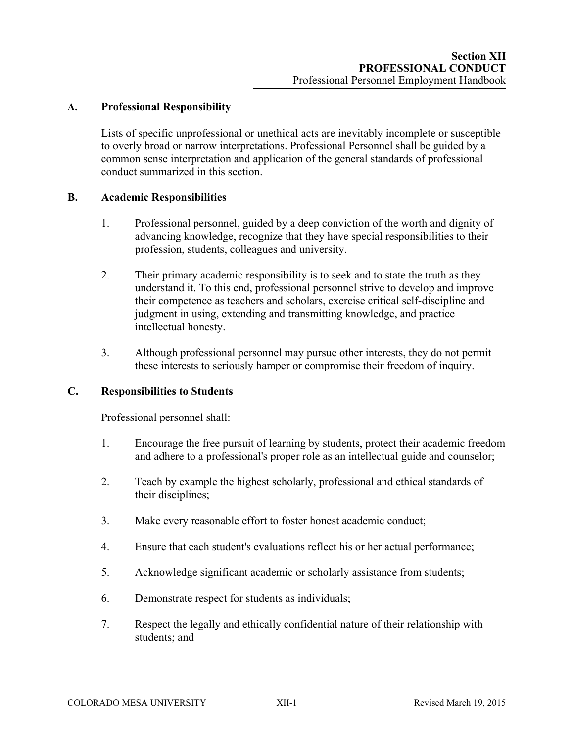### **A. Professional Responsibility**

Lists of specific unprofessional or unethical acts are inevitably incomplete or susceptible to overly broad or narrow interpretations. Professional Personnel shall be guided by a common sense interpretation and application of the general standards of professional conduct summarized in this section.

#### **B. Academic Responsibilities**

- 1. Professional personnel, guided by a deep conviction of the worth and dignity of advancing knowledge, recognize that they have special responsibilities to their profession, students, colleagues and university.
- 2. Their primary academic responsibility is to seek and to state the truth as they understand it. To this end, professional personnel strive to develop and improve their competence as teachers and scholars, exercise critical self-discipline and judgment in using, extending and transmitting knowledge, and practice intellectual honesty.
- 3. Although professional personnel may pursue other interests, they do not permit these interests to seriously hamper or compromise their freedom of inquiry.

### **C. Responsibilities to Students**

Professional personnel shall:

- 1. Encourage the free pursuit of learning by students, protect their academic freedom and adhere to a professional's proper role as an intellectual guide and counselor;
- 2. Teach by example the highest scholarly, professional and ethical standards of their disciplines;
- 3. Make every reasonable effort to foster honest academic conduct;
- 4. Ensure that each student's evaluations reflect his or her actual performance;
- 5. Acknowledge significant academic or scholarly assistance from students;
- 6. Demonstrate respect for students as individuals;
- 7. Respect the legally and ethically confidential nature of their relationship with students; and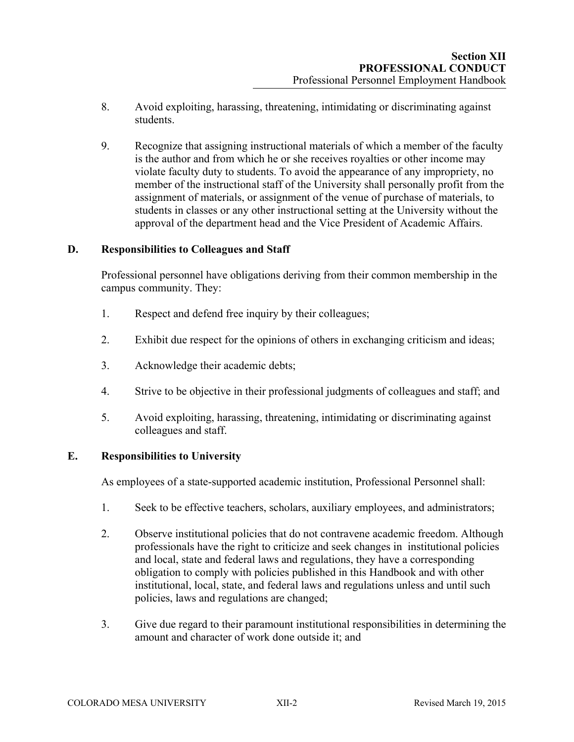- 8. Avoid exploiting, harassing, threatening, intimidating or discriminating against students.
- 9. Recognize that assigning instructional materials of which a member of the faculty is the author and from which he or she receives royalties or other income may violate faculty duty to students. To avoid the appearance of any impropriety, no member of the instructional staff of the University shall personally profit from the assignment of materials, or assignment of the venue of purchase of materials, to students in classes or any other instructional setting at the University without the approval of the department head and the Vice President of Academic Affairs.

#### **D. Responsibilities to Colleagues and Staff**

Professional personnel have obligations deriving from their common membership in the campus community. They:

- 1. Respect and defend free inquiry by their colleagues;
- 2. Exhibit due respect for the opinions of others in exchanging criticism and ideas;
- 3. Acknowledge their academic debts;
- 4. Strive to be objective in their professional judgments of colleagues and staff; and
- 5. Avoid exploiting, harassing, threatening, intimidating or discriminating against colleagues and staff.

#### **E. Responsibilities to University**

As employees of a state-supported academic institution, Professional Personnel shall:

- 1. Seek to be effective teachers, scholars, auxiliary employees, and administrators;
- 2. Observe institutional policies that do not contravene academic freedom. Although professionals have the right to criticize and seek changes in institutional policies and local, state and federal laws and regulations, they have a corresponding obligation to comply with policies published in this Handbook and with other institutional, local, state, and federal laws and regulations unless and until such policies, laws and regulations are changed;
- 3. Give due regard to their paramount institutional responsibilities in determining the amount and character of work done outside it; and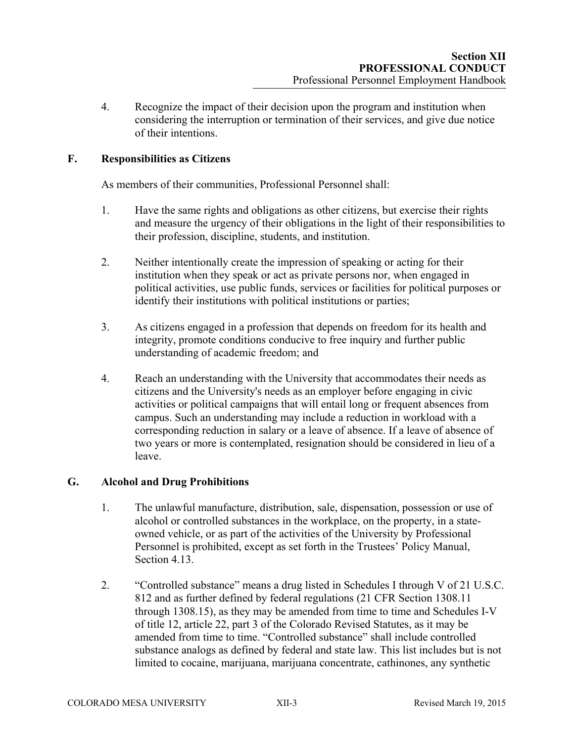4. Recognize the impact of their decision upon the program and institution when considering the interruption or termination of their services, and give due notice of their intentions.

### **F. Responsibilities as Citizens**

As members of their communities, Professional Personnel shall:

- 1. Have the same rights and obligations as other citizens, but exercise their rights and measure the urgency of their obligations in the light of their responsibilities to their profession, discipline, students, and institution.
- 2. Neither intentionally create the impression of speaking or acting for their institution when they speak or act as private persons nor, when engaged in political activities, use public funds, services or facilities for political purposes or identify their institutions with political institutions or parties;
- 3. As citizens engaged in a profession that depends on freedom for its health and integrity, promote conditions conducive to free inquiry and further public understanding of academic freedom; and
- 4. Reach an understanding with the University that accommodates their needs as citizens and the University's needs as an employer before engaging in civic activities or political campaigns that will entail long or frequent absences from campus. Such an understanding may include a reduction in workload with a corresponding reduction in salary or a leave of absence. If a leave of absence of two years or more is contemplated, resignation should be considered in lieu of a leave.

#### **G. Alcohol and Drug Prohibitions**

- 1. The unlawful manufacture, distribution, sale, dispensation, possession or use of alcohol or controlled substances in the workplace, on the property, in a stateowned vehicle, or as part of the activities of the University by Professional Personnel is prohibited, except as set forth in the Trustees' Policy Manual, Section 4.13.
- 2. "Controlled substance" means a drug listed in Schedules I through V of 21 U.S.C. 812 and as further defined by federal regulations (21 CFR Section 1308.11 through 1308.15), as they may be amended from time to time and Schedules I-V of title 12, article 22, part 3 of the Colorado Revised Statutes, as it may be amended from time to time. "Controlled substance" shall include controlled substance analogs as defined by federal and state law. This list includes but is not limited to cocaine, marijuana, marijuana concentrate, cathinones, any synthetic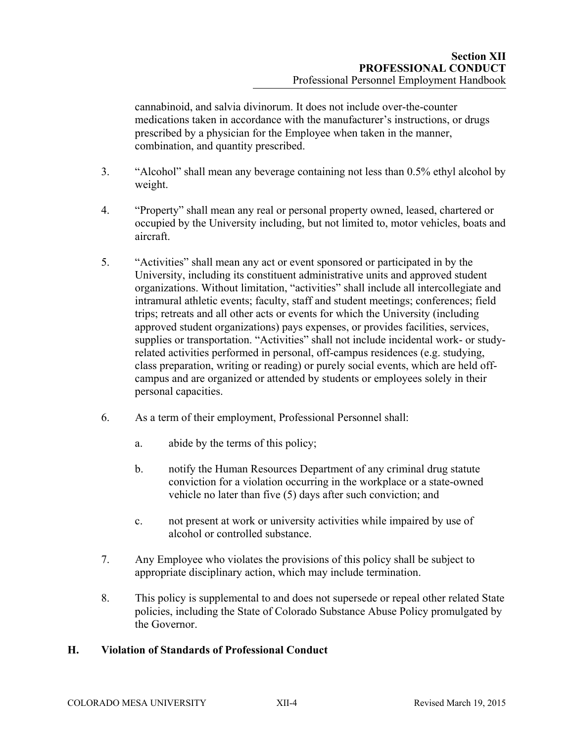cannabinoid, and salvia divinorum. It does not include over-the-counter medications taken in accordance with the manufacturer's instructions, or drugs prescribed by a physician for the Employee when taken in the manner, combination, and quantity prescribed.

- 3. "Alcohol" shall mean any beverage containing not less than 0.5% ethyl alcohol by weight.
- 4. "Property" shall mean any real or personal property owned, leased, chartered or occupied by the University including, but not limited to, motor vehicles, boats and aircraft.
- 5. "Activities" shall mean any act or event sponsored or participated in by the University, including its constituent administrative units and approved student organizations. Without limitation, "activities" shall include all intercollegiate and intramural athletic events; faculty, staff and student meetings; conferences; field trips; retreats and all other acts or events for which the University (including approved student organizations) pays expenses, or provides facilities, services, supplies or transportation. "Activities" shall not include incidental work- or studyrelated activities performed in personal, off-campus residences (e.g. studying, class preparation, writing or reading) or purely social events, which are held offcampus and are organized or attended by students or employees solely in their personal capacities.
- 6. As a term of their employment, Professional Personnel shall:
	- a. abide by the terms of this policy;
	- b. notify the Human Resources Department of any criminal drug statute conviction for a violation occurring in the workplace or a state-owned vehicle no later than five (5) days after such conviction; and
	- c. not present at work or university activities while impaired by use of alcohol or controlled substance.
- 7. Any Employee who violates the provisions of this policy shall be subject to appropriate disciplinary action, which may include termination.
- 8. This policy is supplemental to and does not supersede or repeal other related State policies, including the State of Colorado Substance Abuse Policy promulgated by the Governor.

#### **H. Violation of Standards of Professional Conduct**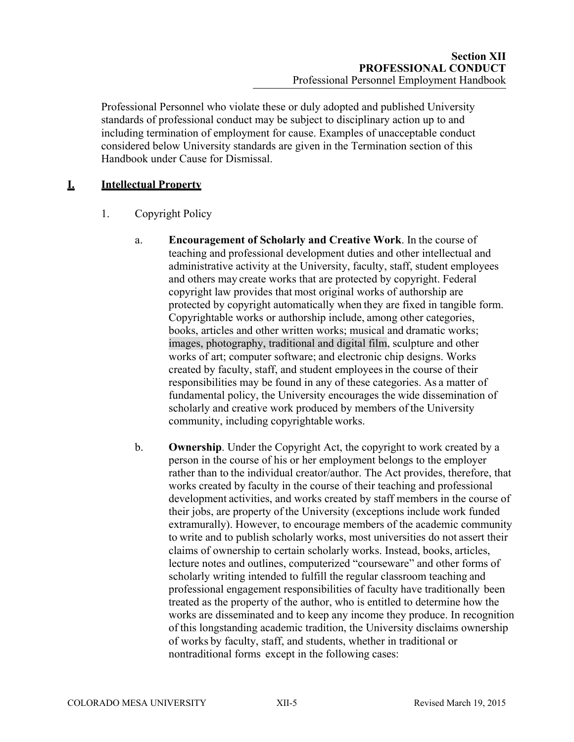Professional Personnel who violate these or duly adopted and published University standards of professional conduct may be subject to disciplinary action up to and including termination of employment for cause. Examples of unacceptable conduct considered below University standards are given in the Termination section of this Handbook under Cause for Dismissal.

# **I. Intellectual Property**

- 1. Copyright Policy
	- a. **Encouragement of Scholarly and Creative Work**. In the course of teaching and professional development duties and other intellectual and administrative activity at the University, faculty, staff, student employees and others may create works that are protected by copyright. Federal copyright law provides that most original works of authorship are protected by copyright automatically when they are fixed in tangible form. Copyrightable works or authorship include, among other categories, books, articles and other written works; musical and dramatic works; images, photography, traditional and digital film, sculpture and other works of art; computer software; and electronic chip designs. Works created by faculty, staff, and student employees in the course of their responsibilities may be found in any of these categories. As a matter of fundamental policy, the University encourages the wide dissemination of scholarly and creative work produced by members of the University community, including copyrightable works.
	- b. **Ownership**. Under the Copyright Act, the copyright to work created by a person in the course of his or her employment belongs to the employer rather than to the individual creator/author. The Act provides, therefore, that works created by faculty in the course of their teaching and professional development activities, and works created by staff members in the course of their jobs, are property of the University (exceptions include work funded extramurally). However, to encourage members of the academic community to write and to publish scholarly works, most universities do not assert their claims of ownership to certain scholarly works. Instead, books, articles, lecture notes and outlines, computerized "courseware" and other forms of scholarly writing intended to fulfill the regular classroom teaching and professional engagement responsibilities of faculty have traditionally been treated as the property of the author, who is entitled to determine how the works are disseminated and to keep any income they produce. In recognition of this longstanding academic tradition, the University disclaims ownership of works by faculty, staff, and students, whether in traditional or nontraditional forms except in the following cases: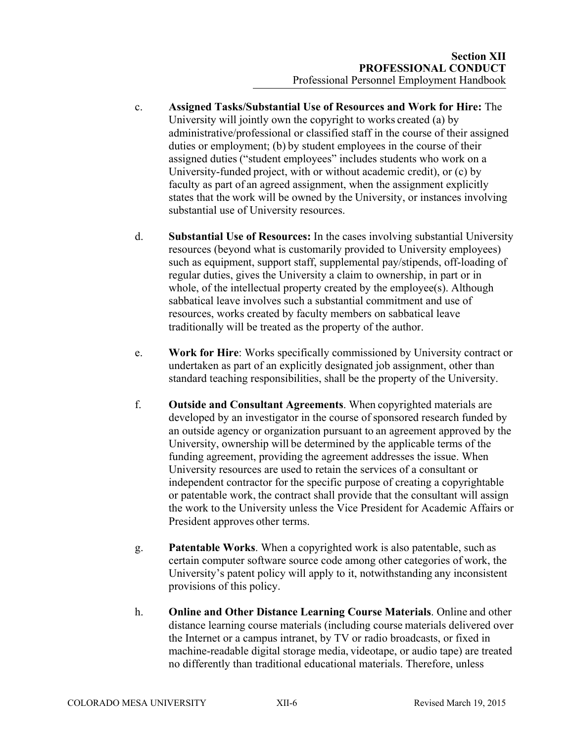- c. **Assigned Tasks/Substantial Use of Resources and Work for Hire:** The University will jointly own the copyright to works created (a) by administrative/professional or classified staff in the course of their assigned duties or employment; (b) by student employees in the course of their assigned duties ("student employees" includes students who work on a University-funded project, with or without academic credit), or (c) by faculty as part of an agreed assignment, when the assignment explicitly states that the work will be owned by the University, or instances involving substantial use of University resources.
- d. **Substantial Use of Resources:** In the cases involving substantial University resources (beyond what is customarily provided to University employees) such as equipment, support staff, supplemental pay/stipends, off-loading of regular duties, gives the University a claim to ownership, in part or in whole, of the intellectual property created by the employee(s). Although sabbatical leave involves such a substantial commitment and use of resources, works created by faculty members on sabbatical leave traditionally will be treated as the property of the author.
- e. **Work for Hire**: Works specifically commissioned by University contract or undertaken as part of an explicitly designated job assignment, other than standard teaching responsibilities, shall be the property of the University.
- f. **Outside and Consultant Agreements**. When copyrighted materials are developed by an investigator in the course of sponsored research funded by an outside agency or organization pursuant to an agreement approved by the University, ownership will be determined by the applicable terms of the funding agreement, providing the agreement addresses the issue. When University resources are used to retain the services of a consultant or independent contractor for the specific purpose of creating a copyrightable or patentable work, the contract shall provide that the consultant will assign the work to the University unless the Vice President for Academic Affairs or President approves other terms.
- g. **Patentable Works**. When a copyrighted work is also patentable, such as certain computer software source code among other categories of work, the University's patent policy will apply to it, notwithstanding any inconsistent provisions of this policy.
- h. **Online and Other Distance Learning Course Materials**. Online and other distance learning course materials (including course materials delivered over the Internet or a campus intranet, by TV or radio broadcasts, or fixed in machine-readable digital storage media, videotape, or audio tape) are treated no differently than traditional educational materials. Therefore, unless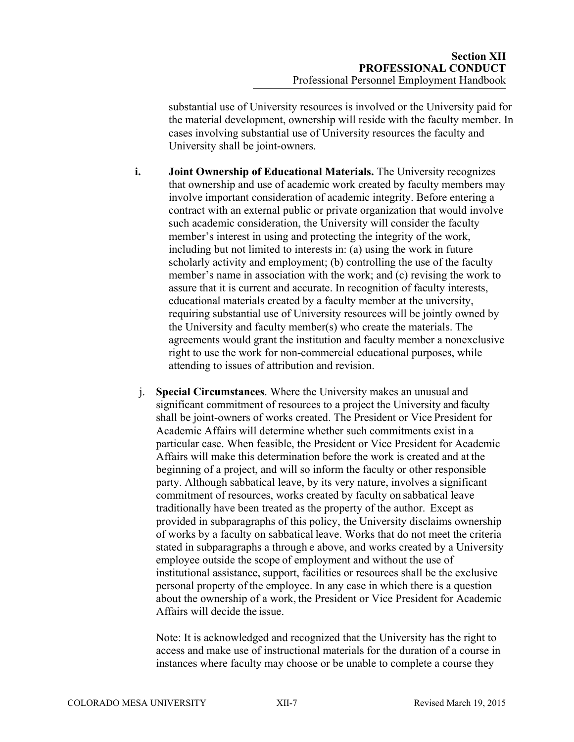substantial use of University resources is involved or the University paid for the material development, ownership will reside with the faculty member. In cases involving substantial use of University resources the faculty and University shall be joint-owners.

- **i. Joint Ownership of Educational Materials.** The University recognizes that ownership and use of academic work created by faculty members may involve important consideration of academic integrity. Before entering a contract with an external public or private organization that would involve such academic consideration, the University will consider the faculty member's interest in using and protecting the integrity of the work, including but not limited to interests in: (a) using the work in future scholarly activity and employment; (b) controlling the use of the faculty member's name in association with the work; and (c) revising the work to assure that it is current and accurate. In recognition of faculty interests, educational materials created by a faculty member at the university, requiring substantial use of University resources will be jointly owned by the University and faculty member(s) who create the materials. The agreements would grant the institution and faculty member a nonexclusive right to use the work for non-commercial educational purposes, while attending to issues of attribution and revision.
- j. **Special Circumstances**. Where the University makes an unusual and significant commitment of resources to a project the University and faculty shall be joint-owners of works created. The President or Vice President for Academic Affairs will determine whether such commitments exist in a particular case. When feasible, the President or Vice President for Academic Affairs will make this determination before the work is created and at the beginning of a project, and will so inform the faculty or other responsible party. Although sabbatical leave, by its very nature, involves a significant commitment of resources, works created by faculty on sabbatical leave traditionally have been treated as the property of the author. Except as provided in subparagraphs of this policy, the University disclaims ownership of works by a faculty on sabbatical leave. Works that do not meet the criteria stated in subparagraphs a through e above, and works created by a University employee outside the scope of employment and without the use of institutional assistance, support, facilities or resources shall be the exclusive personal property of the employee. In any case in which there is a question about the ownership of a work, the President or Vice President for Academic Affairs will decide the issue.

Note: It is acknowledged and recognized that the University has the right to access and make use of instructional materials for the duration of a course in instances where faculty may choose or be unable to complete a course they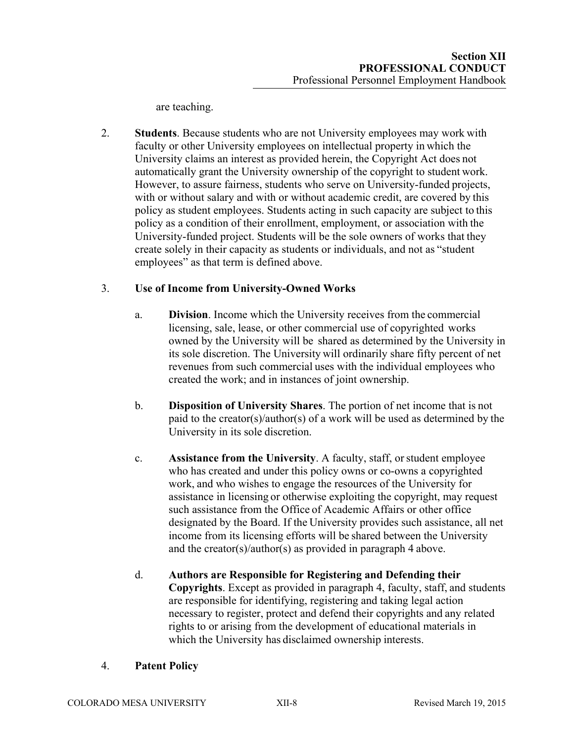are teaching.

2. **Students**. Because students who are not University employees may work with faculty or other University employees on intellectual property in which the University claims an interest as provided herein, the Copyright Act does not automatically grant the University ownership of the copyright to student work. However, to assure fairness, students who serve on University-funded projects, with or without salary and with or without academic credit, are covered by this policy as student employees. Students acting in such capacity are subject to this policy as a condition of their enrollment, employment, or association with the University-funded project. Students will be the sole owners of works that they create solely in their capacity as students or individuals, and not as "student employees" as that term is defined above.

# 3. **Use of Income from University-Owned Works**

- a. **Division**. Income which the University receives from the commercial licensing, sale, lease, or other commercial use of copyrighted works owned by the University will be shared as determined by the University in its sole discretion. The University will ordinarily share fifty percent of net revenues from such commercial uses with the individual employees who created the work; and in instances of joint ownership.
- b. **Disposition of University Shares**. The portion of net income that is not paid to the creator(s)/author(s) of a work will be used as determined by the University in its sole discretion.
- c. **Assistance from the University**. A faculty, staff, or student employee who has created and under this policy owns or co-owns a copyrighted work, and who wishes to engage the resources of the University for assistance in licensing or otherwise exploiting the copyright, may request such assistance from the Office of Academic Affairs or other office designated by the Board. If the University provides such assistance, all net income from its licensing efforts will be shared between the University and the creator(s)/author(s) as provided in paragraph 4 above.
- d. **Authors are Responsible for Registering and Defending their Copyrights**. Except as provided in paragraph 4, faculty, staff, and students are responsible for identifying, registering and taking legal action necessary to register, protect and defend their copyrights and any related rights to or arising from the development of educational materials in which the University has disclaimed ownership interests.

# 4. **Patent Policy**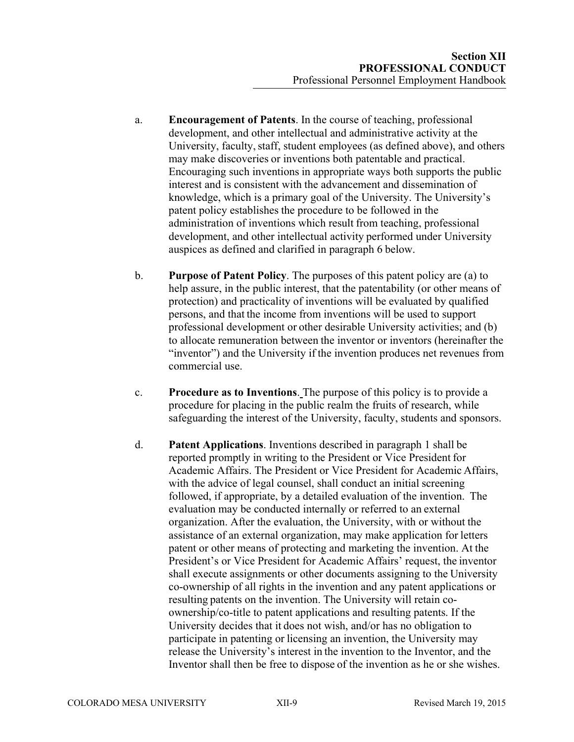- a. **Encouragement of Patents**. In the course of teaching, professional development, and other intellectual and administrative activity at the University, faculty, staff, student employees (as defined above), and others may make discoveries or inventions both patentable and practical. Encouraging such inventions in appropriate ways both supports the public interest and is consistent with the advancement and dissemination of knowledge, which is a primary goal of the University. The University's patent policy establishes the procedure to be followed in the administration of inventions which result from teaching, professional development, and other intellectual activity performed under University auspices as defined and clarified in paragraph 6 below.
- b. **Purpose of Patent Policy**. The purposes of this patent policy are (a) to help assure, in the public interest, that the patentability (or other means of protection) and practicality of inventions will be evaluated by qualified persons, and that the income from inventions will be used to support professional development or other desirable University activities; and (b) to allocate remuneration between the inventor or inventors (hereinafter the "inventor") and the University if the invention produces net revenues from commercial use.
- c. **Procedure as to Inventions**. The purpose of this policy is to provide a procedure for placing in the public realm the fruits of research, while safeguarding the interest of the University, faculty, students and sponsors.
- d. **Patent Applications**. Inventions described in paragraph 1 shall be reported promptly in writing to the President or Vice President for Academic Affairs. The President or Vice President for Academic Affairs, with the advice of legal counsel, shall conduct an initial screening followed, if appropriate, by a detailed evaluation of the invention. The evaluation may be conducted internally or referred to an external organization. After the evaluation, the University, with or without the assistance of an external organization, may make application for letters patent or other means of protecting and marketing the invention. At the President's or Vice President for Academic Affairs' request, the inventor shall execute assignments or other documents assigning to the University co-ownership of all rights in the invention and any patent applications or resulting patents on the invention. The University will retain coownership/co-title to patent applications and resulting patents. If the University decides that it does not wish, and/or has no obligation to participate in patenting or licensing an invention, the University may release the University's interest in the invention to the Inventor, and the Inventor shall then be free to dispose of the invention as he or she wishes.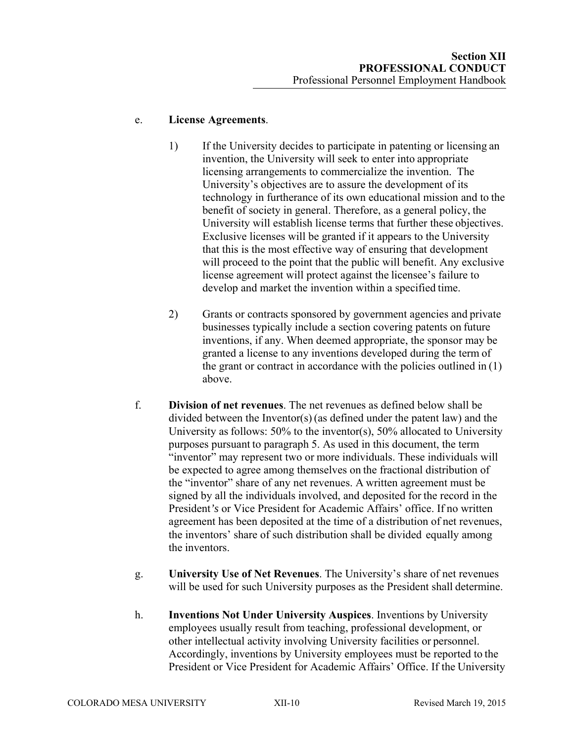### e. **License Agreements**.

- 1) If the University decides to participate in patenting or licensing an invention, the University will seek to enter into appropriate licensing arrangements to commercialize the invention. The University's objectives are to assure the development of its technology in furtherance of its own educational mission and to the benefit of society in general. Therefore, as a general policy, the University will establish license terms that further these objectives. Exclusive licenses will be granted if it appears to the University that this is the most effective way of ensuring that development will proceed to the point that the public will benefit. Any exclusive license agreement will protect against the licensee's failure to develop and market the invention within a specified time.
- 2) Grants or contracts sponsored by government agencies and private businesses typically include a section covering patents on future inventions, if any. When deemed appropriate, the sponsor may be granted a license to any inventions developed during the term of the grant or contract in accordance with the policies outlined in  $(1)$ above.
- f. **Division of net revenues**. The net revenues as defined below shall be divided between the Inventor(s) (as defined under the patent law) and the University as follows: 50% to the inventor(s), 50% allocated to University purposes pursuant to paragraph 5. As used in this document, the term "inventor" may represent two or more individuals. These individuals will be expected to agree among themselves on the fractional distribution of the "inventor" share of any net revenues. A written agreement must be signed by all the individuals involved, and deposited for the record in the President*'s* or Vice President for Academic Affairs' office. If no written agreement has been deposited at the time of a distribution of net revenues, the inventors' share of such distribution shall be divided equally among the inventors.
- g. **University Use of Net Revenues**. The University's share of net revenues will be used for such University purposes as the President shall determine.
- h. **Inventions Not Under University Auspices**. Inventions by University employees usually result from teaching, professional development, or other intellectual activity involving University facilities or personnel. Accordingly, inventions by University employees must be reported to the President or Vice President for Academic Affairs' Office. If the University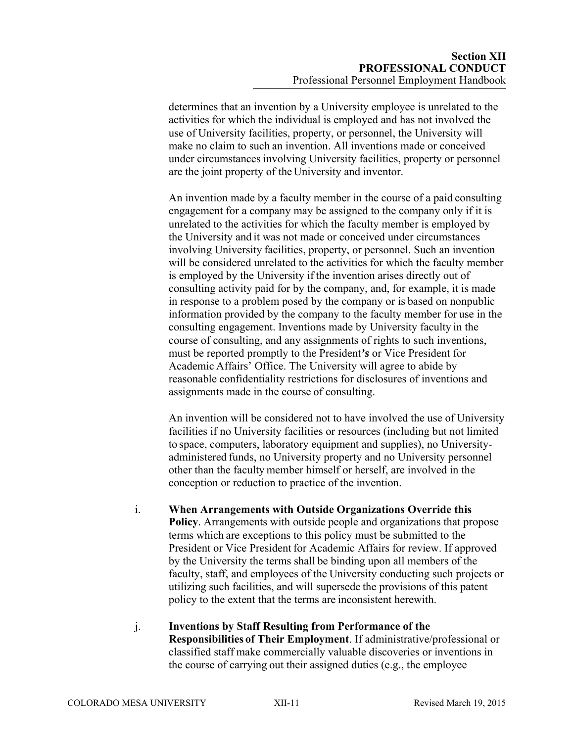determines that an invention by a University employee is unrelated to the activities for which the individual is employed and has not involved the use of University facilities, property, or personnel, the University will make no claim to such an invention. All inventions made or conceived under circumstances involving University facilities, property or personnel are the joint property of the University and inventor.

An invention made by a faculty member in the course of a paid consulting engagement for a company may be assigned to the company only if it is unrelated to the activities for which the faculty member is employed by the University and it was not made or conceived under circumstances involving University facilities, property, or personnel. Such an invention will be considered unrelated to the activities for which the faculty member is employed by the University if the invention arises directly out of consulting activity paid for by the company, and, for example, it is made in response to a problem posed by the company or is based on nonpublic information provided by the company to the faculty member for use in the consulting engagement. Inventions made by University faculty in the course of consulting, and any assignments of rights to such inventions, must be reported promptly to the President*'s* or Vice President for Academic Affairs' Office. The University will agree to abide by reasonable confidentiality restrictions for disclosures of inventions and assignments made in the course of consulting.

An invention will be considered not to have involved the use of University facilities if no University facilities or resources (including but not limited to space, computers, laboratory equipment and supplies), no Universityadministered funds, no University property and no University personnel other than the faculty member himself or herself, are involved in the conception or reduction to practice of the invention.

#### i. **When Arrangements with Outside Organizations Override this**

**Policy**. Arrangements with outside people and organizations that propose terms which are exceptions to this policy must be submitted to the President or Vice President for Academic Affairs for review. If approved by the University the terms shall be binding upon all members of the faculty, staff, and employees of the University conducting such projects or utilizing such facilities, and will supersede the provisions of this patent policy to the extent that the terms are inconsistent herewith.

j. **Inventions by Staff Resulting from Performance of the Responsibilities of Their Employment**. If administrative/professional or classified staff make commercially valuable discoveries or inventions in the course of carrying out their assigned duties (e.g., the employee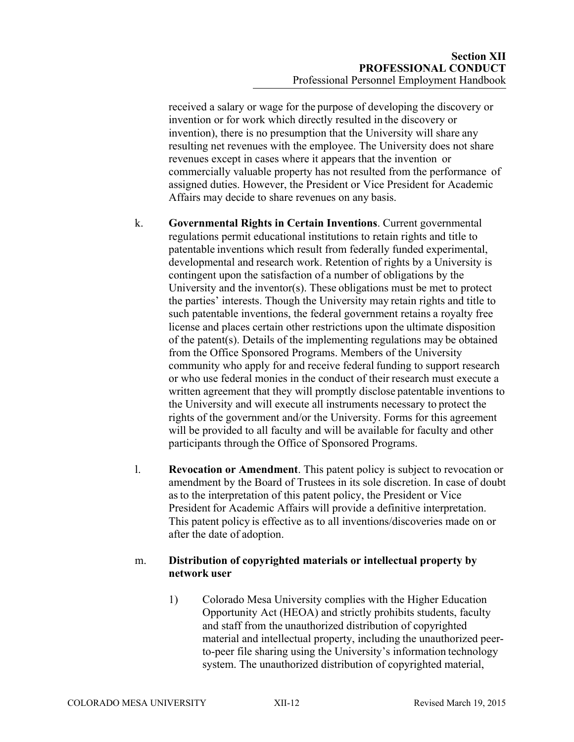received a salary or wage for the purpose of developing the discovery or invention or for work which directly resulted in the discovery or invention), there is no presumption that the University will share any resulting net revenues with the employee. The University does not share revenues except in cases where it appears that the invention or commercially valuable property has not resulted from the performance of assigned duties. However, the President or Vice President for Academic Affairs may decide to share revenues on any basis.

- k. **Governmental Rights in Certain Inventions**. Current governmental regulations permit educational institutions to retain rights and title to patentable inventions which result from federally funded experimental, developmental and research work. Retention of rights by a University is contingent upon the satisfaction of a number of obligations by the University and the inventor(s). These obligations must be met to protect the parties' interests. Though the University may retain rights and title to such patentable inventions, the federal government retains a royalty free license and places certain other restrictions upon the ultimate disposition of the patent(s). Details of the implementing regulations may be obtained from the Office Sponsored Programs. Members of the University community who apply for and receive federal funding to support research or who use federal monies in the conduct of their research must execute a written agreement that they will promptly disclose patentable inventions to the University and will execute all instruments necessary to protect the rights of the government and/or the University. Forms for this agreement will be provided to all faculty and will be available for faculty and other participants through the Office of Sponsored Programs.
- l. **Revocation or Amendment**. This patent policy is subject to revocation or amendment by the Board of Trustees in its sole discretion. In case of doubt as to the interpretation of this patent policy, the President or Vice President for Academic Affairs will provide a definitive interpretation. This patent policy is effective as to all inventions/discoveries made on or after the date of adoption.

### m. **Distribution of copyrighted materials or intellectual property by network user**

1) Colorado Mesa University complies with the Higher Education Opportunity Act (HEOA) and strictly prohibits students, faculty and staff from the unauthorized distribution of copyrighted material and intellectual property, including the unauthorized peerto-peer file sharing using the University's information technology system. The unauthorized distribution of copyrighted material,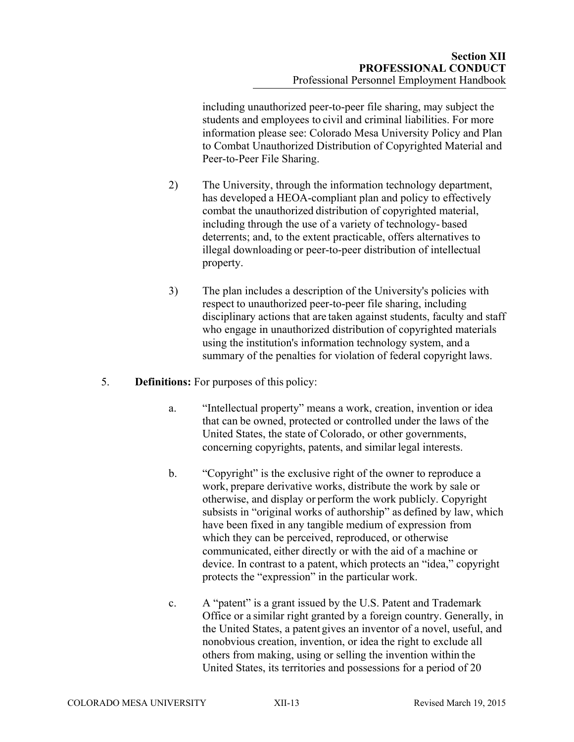including unauthorized peer-to-peer file sharing, may subject the students and employees to civil and criminal liabilities. For more information please see: Colorado Mesa University Policy and Plan to Combat Unauthorized Distribution of Copyrighted Material and Peer-to-Peer File Sharing.

- 2) The University, through the information technology department, has developed a HEOA-compliant plan and policy to effectively combat the unauthorized distribution of copyrighted material, including through the use of a variety of technology- based deterrents; and, to the extent practicable, offers alternatives to illegal downloading or peer-to-peer distribution of intellectual property.
- 3) The plan includes a description of the University's policies with respect to unauthorized peer-to-peer file sharing, including disciplinary actions that are taken against students, faculty and staff who engage in unauthorized distribution of copyrighted materials using the institution's information technology system, and a summary of the penalties for violation of federal copyright laws.
- 5. **Definitions:** For purposes of this policy:
	- a. "Intellectual property" means a work, creation, invention or idea that can be owned, protected or controlled under the laws of the United States, the state of Colorado, or other governments, concerning copyrights, patents, and similar legal interests.
	- b. "Copyright" is the exclusive right of the owner to reproduce a work, prepare derivative works, distribute the work by sale or otherwise, and display or perform the work publicly. Copyright subsists in "original works of authorship" as defined by law, which have been fixed in any tangible medium of expression from which they can be perceived, reproduced, or otherwise communicated, either directly or with the aid of a machine or device. In contrast to a patent, which protects an "idea," copyright protects the "expression" in the particular work.
	- c. A "patent" is a grant issued by the U.S. Patent and Trademark Office or a similar right granted by a foreign country. Generally, in the United States, a patent gives an inventor of a novel, useful, and nonobvious creation, invention, or idea the right to exclude all others from making, using or selling the invention within the United States, its territories and possessions for a period of 20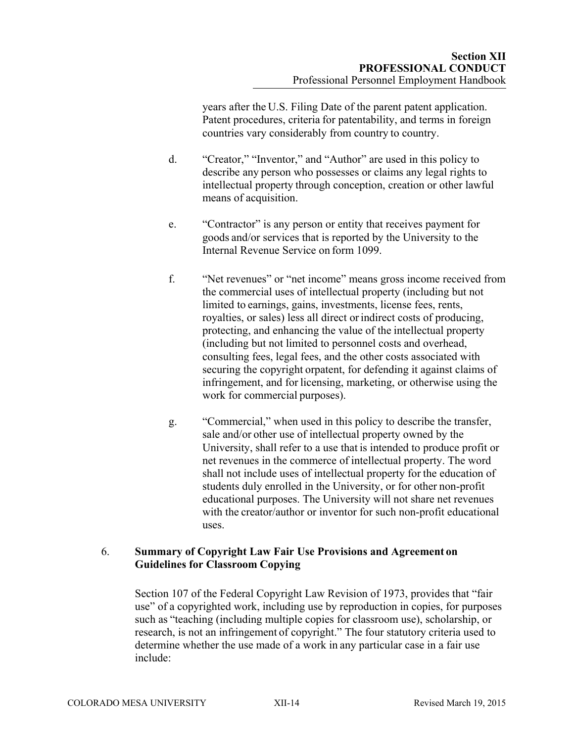years after the U.S. Filing Date of the parent patent application. Patent procedures, criteria for patentability, and terms in foreign countries vary considerably from country to country.

- d. "Creator," "Inventor," and "Author" are used in this policy to describe any person who possesses or claims any legal rights to intellectual property through conception, creation or other lawful means of acquisition.
- e. "Contractor" is any person or entity that receives payment for goods and/or services that is reported by the University to the Internal Revenue Service on form 1099.
- f. "Net revenues" or "net income" means gross income received from the commercial uses of intellectual property (including but not limited to earnings, gains, investments, license fees, rents, royalties, or sales) less all direct or indirect costs of producing, protecting, and enhancing the value of the intellectual property (including but not limited to personnel costs and overhead, consulting fees, legal fees, and the other costs associated with securing the copyright orpatent, for defending it against claims of infringement, and for licensing, marketing, or otherwise using the work for commercial purposes).
- g. "Commercial," when used in this policy to describe the transfer, sale and/or other use of intellectual property owned by the University, shall refer to a use that is intended to produce profit or net revenues in the commerce of intellectual property. The word shall not include uses of intellectual property for the education of students duly enrolled in the University, or for other non-profit educational purposes. The University will not share net revenues with the creator/author or inventor for such non-profit educational uses.

### 6. **Summary of Copyright Law Fair Use Provisions and Agreement on Guidelines for Classroom Copying**

Section 107 of the Federal Copyright Law Revision of 1973, provides that "fair use" of a copyrighted work, including use by reproduction in copies, for purposes such as "teaching (including multiple copies for classroom use), scholarship, or research, is not an infringement of copyright." The four statutory criteria used to determine whether the use made of a work in any particular case in a fair use include: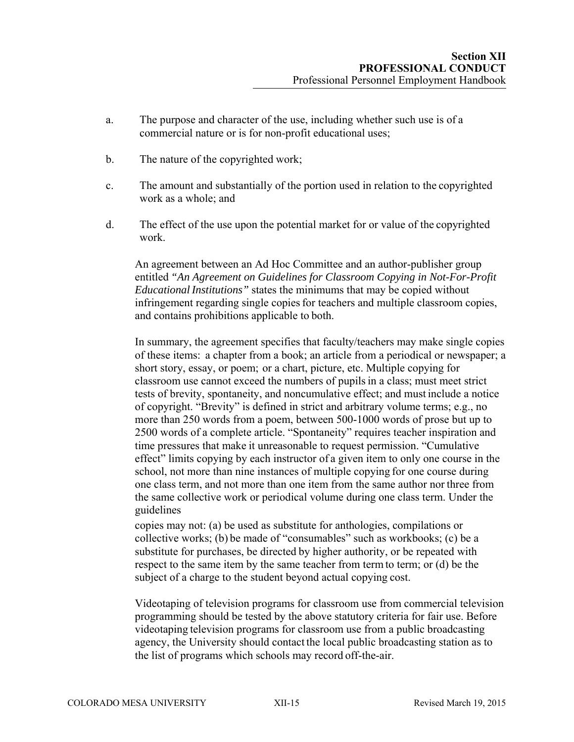- a. The purpose and character of the use, including whether such use is of a commercial nature or is for non-profit educational uses;
- b. The nature of the copyrighted work;
- c. The amount and substantially of the portion used in relation to the copyrighted work as a whole; and
- d. The effect of the use upon the potential market for or value of the copyrighted work.

An agreement between an Ad Hoc Committee and an author-publisher group entitled *"An Agreement on Guidelines for Classroom Copying in Not-For-Profit Educational Institutions"* states the minimums that may be copied without infringement regarding single copies for teachers and multiple classroom copies, and contains prohibitions applicable to both.

In summary, the agreement specifies that faculty/teachers may make single copies of these items: a chapter from a book; an article from a periodical or newspaper; a short story, essay, or poem; or a chart, picture, etc. Multiple copying for classroom use cannot exceed the numbers of pupils in a class; must meet strict tests of brevity, spontaneity, and noncumulative effect; and must include a notice of copyright. "Brevity" is defined in strict and arbitrary volume terms; e.g., no more than 250 words from a poem, between 500-1000 words of prose but up to 2500 words of a complete article. "Spontaneity" requires teacher inspiration and time pressures that make it unreasonable to request permission. "Cumulative effect" limits copying by each instructor of a given item to only one course in the school, not more than nine instances of multiple copying for one course during one class term, and not more than one item from the same author nor three from the same collective work or periodical volume during one class term. Under the guidelines

copies may not: (a) be used as substitute for anthologies, compilations or collective works; (b) be made of "consumables" such as workbooks; (c) be a substitute for purchases, be directed by higher authority, or be repeated with respect to the same item by the same teacher from term to term; or (d) be the subject of a charge to the student beyond actual copying cost.

Videotaping of television programs for classroom use from commercial television programming should be tested by the above statutory criteria for fair use. Before videotaping television programs for classroom use from a public broadcasting agency, the University should contact the local public broadcasting station as to the list of programs which schools may record off-the-air.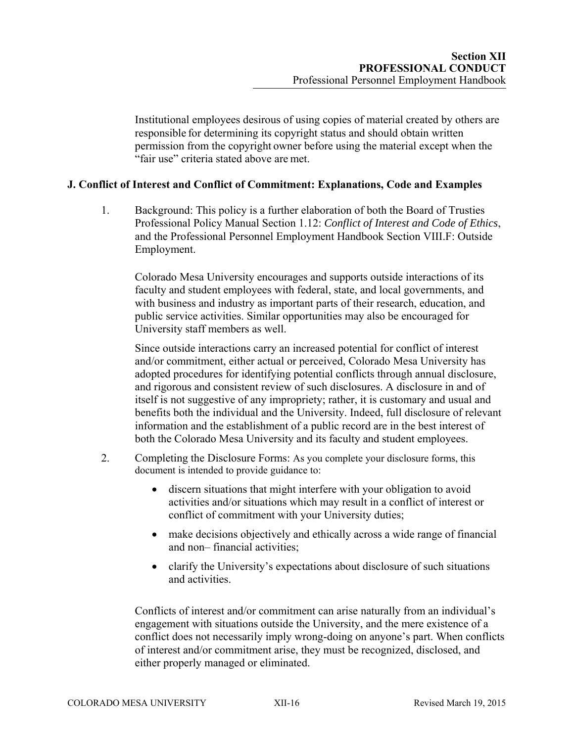Institutional employees desirous of using copies of material created by others are responsible for determining its copyright status and should obtain written permission from the copyright owner before using the material except when the "fair use" criteria stated above are met.

### **J. Conflict of Interest and Conflict of Commitment: Explanations, Code and Examples**

1. Background: This policy is a further elaboration of both the Board of Trusties Professional Policy Manual Section 1.12: *Conflict of Interest and Code of Ethics*, and the Professional Personnel Employment Handbook Section VIII.F: Outside Employment.

Colorado Mesa University encourages and supports outside interactions of its faculty and student employees with federal, state, and local governments, and with business and industry as important parts of their research, education, and public service activities. Similar opportunities may also be encouraged for University staff members as well.

Since outside interactions carry an increased potential for conflict of interest and/or commitment, either actual or perceived, Colorado Mesa University has adopted procedures for identifying potential conflicts through annual disclosure, and rigorous and consistent review of such disclosures. A disclosure in and of itself is not suggestive of any impropriety; rather, it is customary and usual and benefits both the individual and the University. Indeed, full disclosure of relevant information and the establishment of a public record are in the best interest of both the Colorado Mesa University and its faculty and student employees.

- 2. Completing the Disclosure Forms: As you complete your disclosure forms, this document is intended to provide guidance to:
	- discern situations that might interfere with your obligation to avoid activities and/or situations which may result in a conflict of interest or conflict of commitment with your University duties;
	- make decisions objectively and ethically across a wide range of financial and non– financial activities;
	- clarify the University's expectations about disclosure of such situations and activities.

Conflicts of interest and/or commitment can arise naturally from an individual's engagement with situations outside the University, and the mere existence of a conflict does not necessarily imply wrong-doing on anyone's part. When conflicts of interest and/or commitment arise, they must be recognized, disclosed, and either properly managed or eliminated.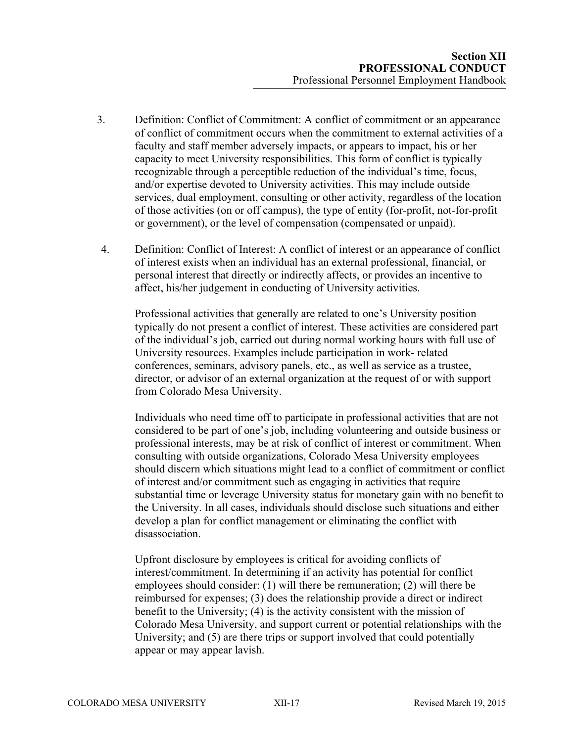- 3. Definition: Conflict of Commitment: A conflict of commitment or an appearance of conflict of commitment occurs when the commitment to external activities of a faculty and staff member adversely impacts, or appears to impact, his or her capacity to meet University responsibilities. This form of conflict is typically recognizable through a perceptible reduction of the individual's time, focus, and/or expertise devoted to University activities. This may include outside services, dual employment, consulting or other activity, regardless of the location of those activities (on or off campus), the type of entity (for-profit, not-for-profit or government), or the level of compensation (compensated or unpaid).
- 4. Definition: Conflict of Interest: A conflict of interest or an appearance of conflict of interest exists when an individual has an external professional, financial, or personal interest that directly or indirectly affects, or provides an incentive to affect, his/her judgement in conducting of University activities.

Professional activities that generally are related to one's University position typically do not present a conflict of interest. These activities are considered part of the individual's job, carried out during normal working hours with full use of University resources. Examples include participation in work- related conferences, seminars, advisory panels, etc., as well as service as a trustee, director, or advisor of an external organization at the request of or with support from Colorado Mesa University.

Individuals who need time off to participate in professional activities that are not considered to be part of one's job, including volunteering and outside business or professional interests, may be at risk of conflict of interest or commitment. When consulting with outside organizations, Colorado Mesa University employees should discern which situations might lead to a conflict of commitment or conflict of interest and/or commitment such as engaging in activities that require substantial time or leverage University status for monetary gain with no benefit to the University. In all cases, individuals should disclose such situations and either develop a plan for conflict management or eliminating the conflict with disassociation.

Upfront disclosure by employees is critical for avoiding conflicts of interest/commitment. In determining if an activity has potential for conflict employees should consider: (1) will there be remuneration; (2) will there be reimbursed for expenses; (3) does the relationship provide a direct or indirect benefit to the University; (4) is the activity consistent with the mission of Colorado Mesa University, and support current or potential relationships with the University; and (5) are there trips or support involved that could potentially appear or may appear lavish.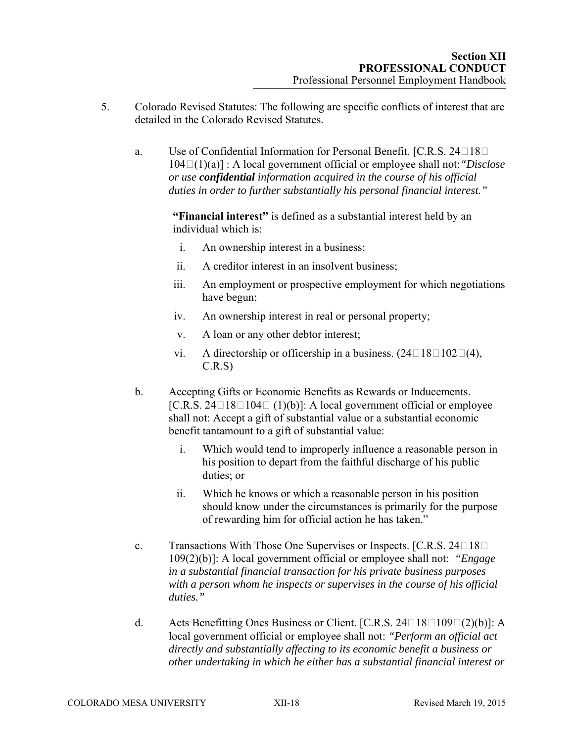- 5. Colorado Revised Statutes: The following are specific conflicts of interest that are detailed in the Colorado Revised Statutes.
	- a. Use of Confidential Information for Personal Benefit. [C.R.S. 24 $\square$ 18 $\square$ 104(1)(a)] : A local government official or employee shall not:*"Disclose or use confidential information acquired in the course of his official duties in order to further substantially his personal financial interest."*

**"Financial interest"** is defined as a substantial interest held by an individual which is:

- i. An ownership interest in a business;
- ii. A creditor interest in an insolvent business;
- iii. An employment or prospective employment for which negotiations have begun;
- iv. An ownership interest in real or personal property;
- v. A loan or any other debtor interest;
- vi. A directorship or officership in a business.  $(24 \square 18 \square 102 \square (4))$ , C.R.S)
- b. Accepting Gifts or Economic Benefits as Rewards or Inducements. [C.R.S. 24 $\Box$ 18 $\Box$ 104 $\Box$  (1)(b)]: A local government official or employee shall not: Accept a gift of substantial value or a substantial economic benefit tantamount to a gift of substantial value:
	- i. Which would tend to improperly influence a reasonable person in his position to depart from the faithful discharge of his public duties; or
	- ii. Which he knows or which a reasonable person in his position should know under the circumstances is primarily for the purpose of rewarding him for official action he has taken."
- c. Transactions With Those One Supervises or Inspects. [C.R.S. 24 $\Box$ 18 $\Box$ ] 109(2)(b)]: A local government official or employee shall not: *"Engage in a substantial financial transaction for his private business purposes with a person whom he inspects or supervises in the course of his official duties."*
- d. Acts Benefitting Ones Business or Client. [C.R.S. 24 $\Box$ 109 $\Box$ (2)(b)]: A local government official or employee shall not: *"Perform an official act directly and substantially affecting to its economic benefit a business or other undertaking in which he either has a substantial financial interest or*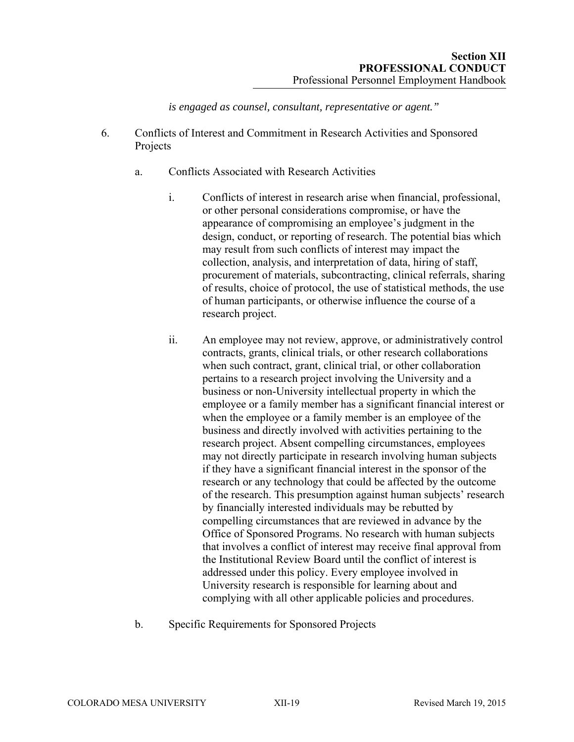*is engaged as counsel, consultant, representative or agent."*

- 6. Conflicts of Interest and Commitment in Research Activities and Sponsored Projects
	- a. Conflicts Associated with Research Activities
		- i. Conflicts of interest in research arise when financial, professional, or other personal considerations compromise, or have the appearance of compromising an employee's judgment in the design, conduct, or reporting of research. The potential bias which may result from such conflicts of interest may impact the collection, analysis, and interpretation of data, hiring of staff, procurement of materials, subcontracting, clinical referrals, sharing of results, choice of protocol, the use of statistical methods, the use of human participants, or otherwise influence the course of a research project.
		- ii. An employee may not review, approve, or administratively control contracts, grants, clinical trials, or other research collaborations when such contract, grant, clinical trial, or other collaboration pertains to a research project involving the University and a business or non-University intellectual property in which the employee or a family member has a significant financial interest or when the employee or a family member is an employee of the business and directly involved with activities pertaining to the research project. Absent compelling circumstances, employees may not directly participate in research involving human subjects if they have a significant financial interest in the sponsor of the research or any technology that could be affected by the outcome of the research. This presumption against human subjects' research by financially interested individuals may be rebutted by compelling circumstances that are reviewed in advance by the Office of Sponsored Programs. No research with human subjects that involves a conflict of interest may receive final approval from the Institutional Review Board until the conflict of interest is addressed under this policy. Every employee involved in University research is responsible for learning about and complying with all other applicable policies and procedures.
	- b. Specific Requirements for Sponsored Projects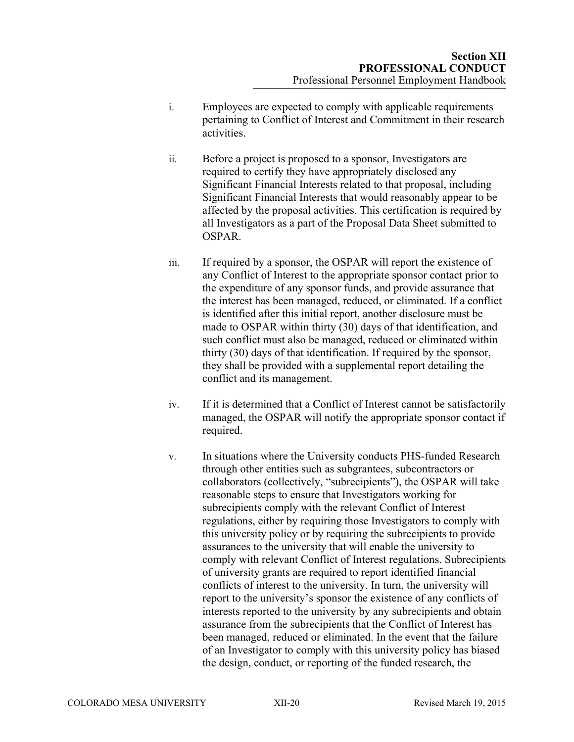- i. Employees are expected to comply with applicable requirements pertaining to Conflict of Interest and Commitment in their research activities.
- ii. Before a project is proposed to a sponsor, Investigators are required to certify they have appropriately disclosed any Significant Financial Interests related to that proposal, including Significant Financial Interests that would reasonably appear to be affected by the proposal activities. This certification is required by all Investigators as a part of the Proposal Data Sheet submitted to OSPAR.
- iii. If required by a sponsor, the OSPAR will report the existence of any Conflict of Interest to the appropriate sponsor contact prior to the expenditure of any sponsor funds, and provide assurance that the interest has been managed, reduced, or eliminated. If a conflict is identified after this initial report, another disclosure must be made to OSPAR within thirty (30) days of that identification, and such conflict must also be managed, reduced or eliminated within thirty (30) days of that identification. If required by the sponsor, they shall be provided with a supplemental report detailing the conflict and its management.
- iv. If it is determined that a Conflict of Interest cannot be satisfactorily managed, the OSPAR will notify the appropriate sponsor contact if required.
- v. In situations where the University conducts PHS-funded Research through other entities such as subgrantees, subcontractors or collaborators (collectively, "subrecipients"), the OSPAR will take reasonable steps to ensure that Investigators working for subrecipients comply with the relevant Conflict of Interest regulations, either by requiring those Investigators to comply with this university policy or by requiring the subrecipients to provide assurances to the university that will enable the university to comply with relevant Conflict of Interest regulations. Subrecipients of university grants are required to report identified financial conflicts of interest to the university. In turn, the university will report to the university's sponsor the existence of any conflicts of interests reported to the university by any subrecipients and obtain assurance from the subrecipients that the Conflict of Interest has been managed, reduced or eliminated. In the event that the failure of an Investigator to comply with this university policy has biased the design, conduct, or reporting of the funded research, the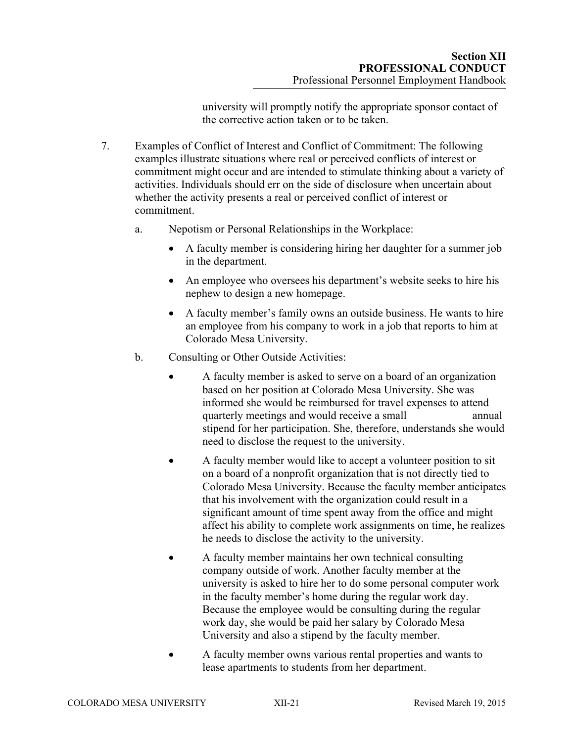university will promptly notify the appropriate sponsor contact of the corrective action taken or to be taken.

- 7. Examples of Conflict of Interest and Conflict of Commitment: The following examples illustrate situations where real or perceived conflicts of interest or commitment might occur and are intended to stimulate thinking about a variety of activities. Individuals should err on the side of disclosure when uncertain about whether the activity presents a real or perceived conflict of interest or commitment.
	- a. Nepotism or Personal Relationships in the Workplace:
		- A faculty member is considering hiring her daughter for a summer job in the department.
		- An employee who oversees his department's website seeks to hire his nephew to design a new homepage.
		- A faculty member's family owns an outside business. He wants to hire an employee from his company to work in a job that reports to him at Colorado Mesa University.
	- b. Consulting or Other Outside Activities:
		- A faculty member is asked to serve on a board of an organization based on her position at Colorado Mesa University. She was informed she would be reimbursed for travel expenses to attend quarterly meetings and would receive a small annual stipend for her participation. She, therefore, understands she would need to disclose the request to the university.
		- A faculty member would like to accept a volunteer position to sit on a board of a nonprofit organization that is not directly tied to Colorado Mesa University. Because the faculty member anticipates that his involvement with the organization could result in a significant amount of time spent away from the office and might affect his ability to complete work assignments on time, he realizes he needs to disclose the activity to the university.
		- A faculty member maintains her own technical consulting company outside of work. Another faculty member at the university is asked to hire her to do some personal computer work in the faculty member's home during the regular work day. Because the employee would be consulting during the regular work day, she would be paid her salary by Colorado Mesa University and also a stipend by the faculty member.
		- A faculty member owns various rental properties and wants to lease apartments to students from her department.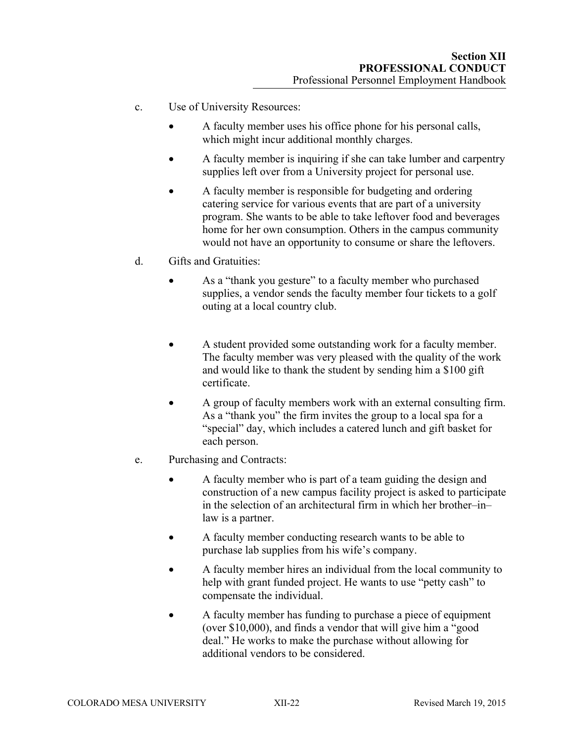- c. Use of University Resources:
	- A faculty member uses his office phone for his personal calls, which might incur additional monthly charges.
	- A faculty member is inquiring if she can take lumber and carpentry supplies left over from a University project for personal use.
	- A faculty member is responsible for budgeting and ordering catering service for various events that are part of a university program. She wants to be able to take leftover food and beverages home for her own consumption. Others in the campus community would not have an opportunity to consume or share the leftovers.
- d. Gifts and Gratuities:
	- As a "thank you gesture" to a faculty member who purchased supplies, a vendor sends the faculty member four tickets to a golf outing at a local country club.
	- A student provided some outstanding work for a faculty member. The faculty member was very pleased with the quality of the work and would like to thank the student by sending him a \$100 gift certificate.
	- A group of faculty members work with an external consulting firm. As a "thank you" the firm invites the group to a local spa for a "special" day, which includes a catered lunch and gift basket for each person.
- e. Purchasing and Contracts:
	- A faculty member who is part of a team guiding the design and construction of a new campus facility project is asked to participate in the selection of an architectural firm in which her brother–in– law is a partner.
	- A faculty member conducting research wants to be able to purchase lab supplies from his wife's company.
	- A faculty member hires an individual from the local community to help with grant funded project. He wants to use "petty cash" to compensate the individual.
	- A faculty member has funding to purchase a piece of equipment (over \$10,000), and finds a vendor that will give him a "good deal." He works to make the purchase without allowing for additional vendors to be considered.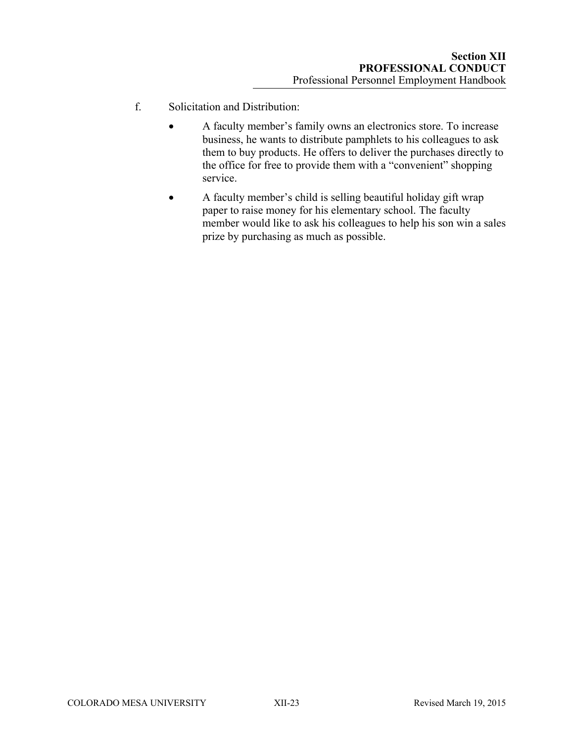- f. Solicitation and Distribution:
	- A faculty member's family owns an electronics store. To increase business, he wants to distribute pamphlets to his colleagues to ask them to buy products. He offers to deliver the purchases directly to the office for free to provide them with a "convenient" shopping service.
	- A faculty member's child is selling beautiful holiday gift wrap paper to raise money for his elementary school. The faculty member would like to ask his colleagues to help his son win a sales prize by purchasing as much as possible.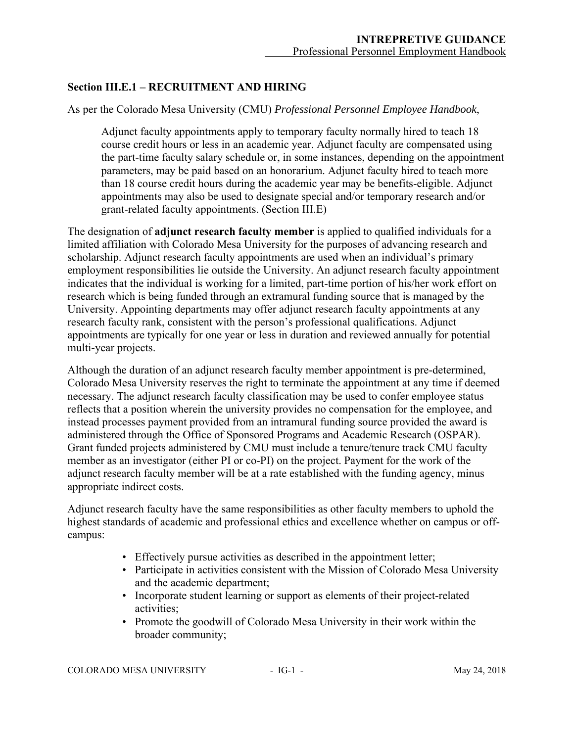# **Section III.E.1 – RECRUITMENT AND HIRING**

As per the Colorado Mesa University (CMU) *Professional Personnel Employee Handbook*,

Adjunct faculty appointments apply to temporary faculty normally hired to teach 18 course credit hours or less in an academic year. Adjunct faculty are compensated using the part-time faculty salary schedule or, in some instances, depending on the appointment parameters, may be paid based on an honorarium. Adjunct faculty hired to teach more than 18 course credit hours during the academic year may be benefits-eligible. Adjunct appointments may also be used to designate special and/or temporary research and/or grant-related faculty appointments. (Section III.E)

The designation of **adjunct research faculty member** is applied to qualified individuals for a limited affiliation with Colorado Mesa University for the purposes of advancing research and scholarship. Adjunct research faculty appointments are used when an individual's primary employment responsibilities lie outside the University. An adjunct research faculty appointment indicates that the individual is working for a limited, part-time portion of his/her work effort on research which is being funded through an extramural funding source that is managed by the University. Appointing departments may offer adjunct research faculty appointments at any research faculty rank, consistent with the person's professional qualifications. Adjunct appointments are typically for one year or less in duration and reviewed annually for potential multi-year projects.

Although the duration of an adjunct research faculty member appointment is pre-determined, Colorado Mesa University reserves the right to terminate the appointment at any time if deemed necessary. The adjunct research faculty classification may be used to confer employee status reflects that a position wherein the university provides no compensation for the employee, and instead processes payment provided from an intramural funding source provided the award is administered through the Office of Sponsored Programs and Academic Research (OSPAR). Grant funded projects administered by CMU must include a tenure/tenure track CMU faculty member as an investigator (either PI or co-PI) on the project. Payment for the work of the adjunct research faculty member will be at a rate established with the funding agency, minus appropriate indirect costs.

Adjunct research faculty have the same responsibilities as other faculty members to uphold the highest standards of academic and professional ethics and excellence whether on campus or offcampus:

- Effectively pursue activities as described in the appointment letter;
- Participate in activities consistent with the Mission of Colorado Mesa University and the academic department;
- Incorporate student learning or support as elements of their project-related activities;
- Promote the goodwill of Colorado Mesa University in their work within the broader community;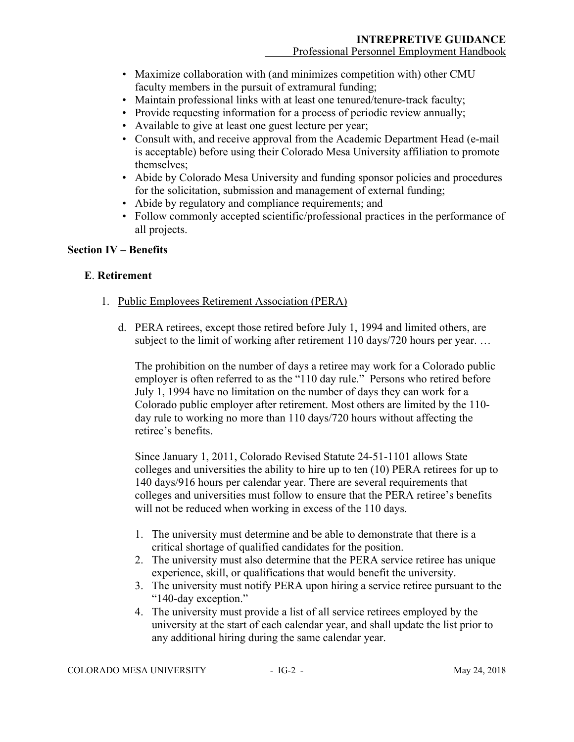- Maximize collaboration with (and minimizes competition with) other CMU faculty members in the pursuit of extramural funding;
- Maintain professional links with at least one tenured/tenure-track faculty;
- Provide requesting information for a process of periodic review annually;
- Available to give at least one guest lecture per year;
- Consult with, and receive approval from the Academic Department Head (e-mail is acceptable) before using their Colorado Mesa University affiliation to promote themselves;
- Abide by Colorado Mesa University and funding sponsor policies and procedures for the solicitation, submission and management of external funding;
- Abide by regulatory and compliance requirements; and
- Follow commonly accepted scientific/professional practices in the performance of all projects.

# **Section IV – Benefits**

# **E**. **Retirement**

- 1. Public Employees Retirement Association (PERA)
	- d. PERA retirees, except those retired before July 1, 1994 and limited others, are subject to the limit of working after retirement 110 days/720 hours per year...

The prohibition on the number of days a retiree may work for a Colorado public employer is often referred to as the "110 day rule." Persons who retired before July 1, 1994 have no limitation on the number of days they can work for a Colorado public employer after retirement. Most others are limited by the 110 day rule to working no more than 110 days/720 hours without affecting the retiree's benefits.

Since January 1, 2011, Colorado Revised Statute 24-51-1101 allows State colleges and universities the ability to hire up to ten (10) PERA retirees for up to 140 days/916 hours per calendar year. There are several requirements that colleges and universities must follow to ensure that the PERA retiree's benefits will not be reduced when working in excess of the 110 days.

- 1. The university must determine and be able to demonstrate that there is a critical shortage of qualified candidates for the position.
- 2. The university must also determine that the PERA service retiree has unique experience, skill, or qualifications that would benefit the university.
- 3. The university must notify PERA upon hiring a service retiree pursuant to the "140-day exception."
- 4. The university must provide a list of all service retirees employed by the university at the start of each calendar year, and shall update the list prior to any additional hiring during the same calendar year.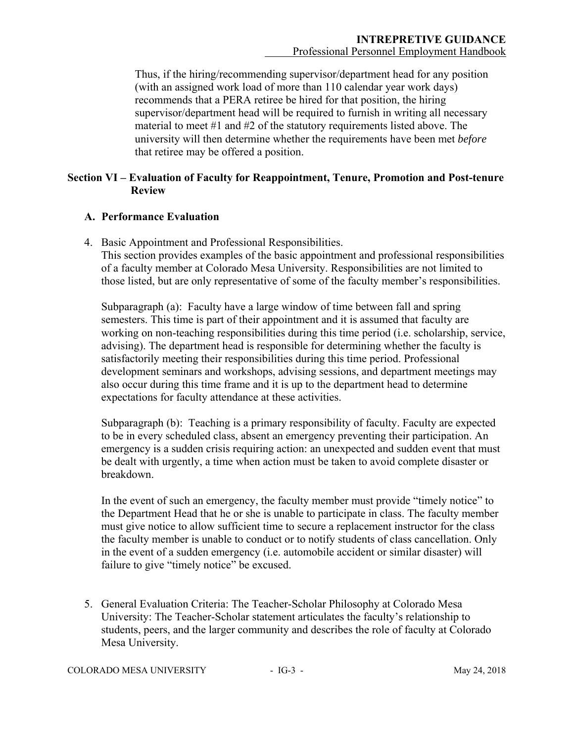Thus, if the hiring/recommending supervisor/department head for any position (with an assigned work load of more than 110 calendar year work days) recommends that a PERA retiree be hired for that position, the hiring supervisor/department head will be required to furnish in writing all necessary material to meet #1 and #2 of the statutory requirements listed above. The university will then determine whether the requirements have been met *before* that retiree may be offered a position.

# **Section VI – Evaluation of Faculty for Reappointment, Tenure, Promotion and Post-tenure Review**

# **A. Performance Evaluation**

4. Basic Appointment and Professional Responsibilities.

This section provides examples of the basic appointment and professional responsibilities of a faculty member at Colorado Mesa University. Responsibilities are not limited to those listed, but are only representative of some of the faculty member's responsibilities.

Subparagraph (a): Faculty have a large window of time between fall and spring semesters. This time is part of their appointment and it is assumed that faculty are working on non-teaching responsibilities during this time period (i.e. scholarship, service, advising). The department head is responsible for determining whether the faculty is satisfactorily meeting their responsibilities during this time period. Professional development seminars and workshops, advising sessions, and department meetings may also occur during this time frame and it is up to the department head to determine expectations for faculty attendance at these activities.

Subparagraph (b): Teaching is a primary responsibility of faculty. Faculty are expected to be in every scheduled class, absent an emergency preventing their participation. An emergency is a sudden crisis requiring action: an unexpected and sudden event that must be dealt with urgently, a time when action must be taken to avoid complete disaster or breakdown.

In the event of such an emergency, the faculty member must provide "timely notice" to the Department Head that he or she is unable to participate in class. The faculty member must give notice to allow sufficient time to secure a replacement instructor for the class the faculty member is unable to conduct or to notify students of class cancellation. Only in the event of a sudden emergency (i.e. automobile accident or similar disaster) will failure to give "timely notice" be excused.

5. General Evaluation Criteria: The Teacher-Scholar Philosophy at Colorado Mesa University: The Teacher-Scholar statement articulates the faculty's relationship to students, peers, and the larger community and describes the role of faculty at Colorado Mesa University.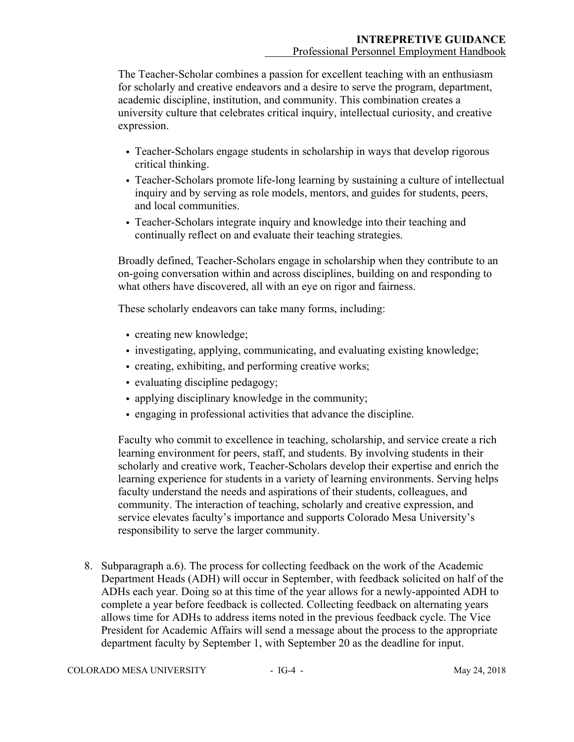The Teacher-Scholar combines a passion for excellent teaching with an enthusiasm for scholarly and creative endeavors and a desire to serve the program, department, academic discipline, institution, and community. This combination creates a university culture that celebrates critical inquiry, intellectual curiosity, and creative expression.

- Teacher-Scholars engage students in scholarship in ways that develop rigorous critical thinking.
- Teacher-Scholars promote life-long learning by sustaining a culture of intellectual inquiry and by serving as role models, mentors, and guides for students, peers, and local communities.
- Teacher-Scholars integrate inquiry and knowledge into their teaching and continually reflect on and evaluate their teaching strategies.

Broadly defined, Teacher-Scholars engage in scholarship when they contribute to an on-going conversation within and across disciplines, building on and responding to what others have discovered, all with an eye on rigor and fairness.

These scholarly endeavors can take many forms, including:

- creating new knowledge;
- investigating, applying, communicating, and evaluating existing knowledge;
- creating, exhibiting, and performing creative works;
- evaluating discipline pedagogy;
- applying disciplinary knowledge in the community;
- engaging in professional activities that advance the discipline.

Faculty who commit to excellence in teaching, scholarship, and service create a rich learning environment for peers, staff, and students. By involving students in their scholarly and creative work, Teacher-Scholars develop their expertise and enrich the learning experience for students in a variety of learning environments. Serving helps faculty understand the needs and aspirations of their students, colleagues, and community. The interaction of teaching, scholarly and creative expression, and service elevates faculty's importance and supports Colorado Mesa University's responsibility to serve the larger community.

8. Subparagraph a.6). The process for collecting feedback on the work of the Academic Department Heads (ADH) will occur in September, with feedback solicited on half of the ADHs each year. Doing so at this time of the year allows for a newly-appointed ADH to complete a year before feedback is collected. Collecting feedback on alternating years allows time for ADHs to address items noted in the previous feedback cycle. The Vice President for Academic Affairs will send a message about the process to the appropriate department faculty by September 1, with September 20 as the deadline for input.